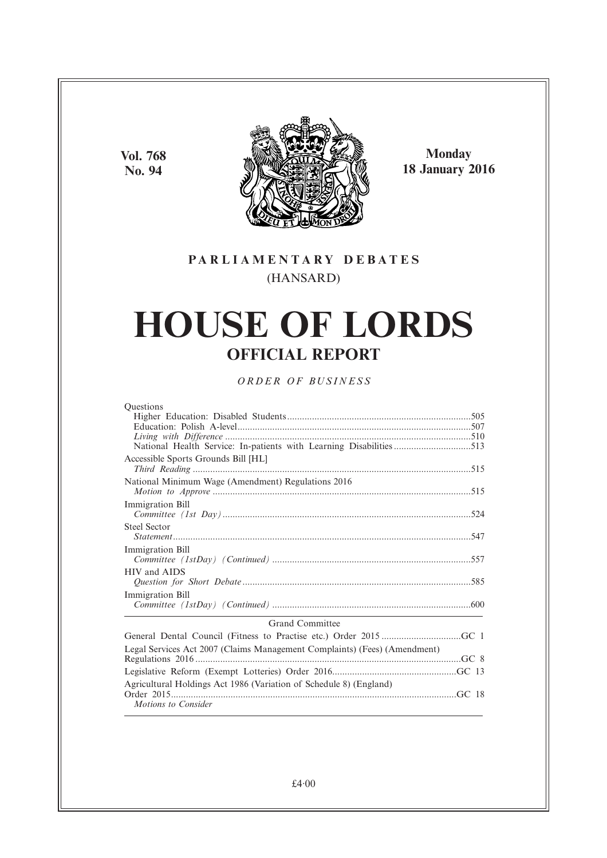**Vol. 768 No. 94**



**Monday 18 January 2016**

# **PARL IAMENTARY DEBATES** (HANSARD)

# **HOUSE OF LORDS OFFICIAL REPORT**

*ORDER OF BUSINESS*

| <b>Ouestions</b> |  |
|------------------|--|
|                  |  |

| Accessible Sports Grounds Bill [HL]                |  |  |
|----------------------------------------------------|--|--|
| National Minimum Wage (Amendment) Regulations 2016 |  |  |
|                                                    |  |  |
| Immigration Bill                                   |  |  |
| Steel Sector                                       |  |  |
| Immigration Bill                                   |  |  |
| HIV and AIDS                                       |  |  |
| Immigration Bill                                   |  |  |
| <b>Grand Committee</b>                             |  |  |

| Legal Services Act 2007 (Claims Management Complaints) (Fees) (Amendment) |  |
|---------------------------------------------------------------------------|--|
|                                                                           |  |
|                                                                           |  |
| Agricultural Holdings Act 1986 (Variation of Schedule 8) (England)        |  |
|                                                                           |  |
| Motions to Consider                                                       |  |
|                                                                           |  |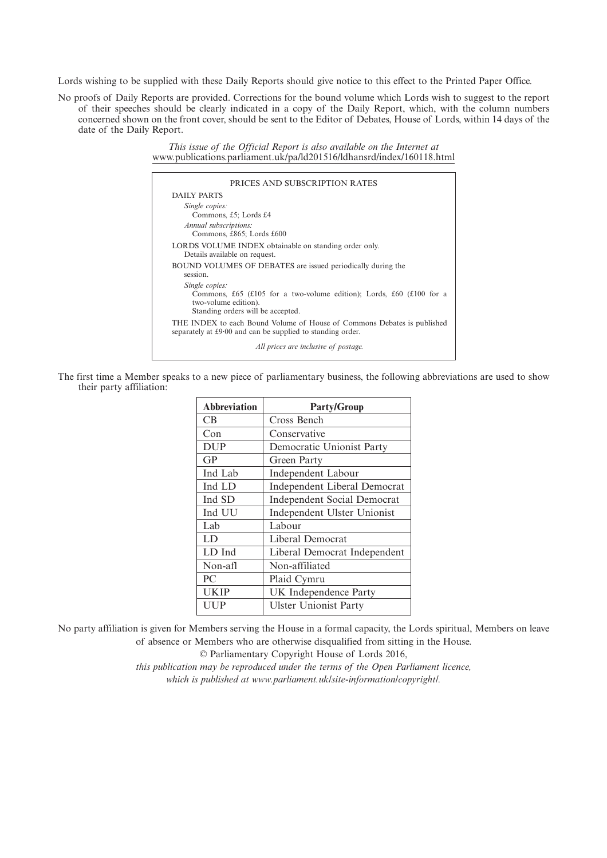Lords wishing to be supplied with these Daily Reports should give notice to this effect to the Printed Paper Office.

No proofs of Daily Reports are provided. Corrections for the bound volume which Lords wish to suggest to the report of their speeches should be clearly indicated in a copy of the Daily Report, which, with the column numbers concerned shown on the front cover, should be sent to the Editor of Debates, House of Lords, within 14 days of the date of the Daily Report.

> *This issue of the Official Report is also available on the Internet at* www.publications.parliament.uk/pa/ld201516/ldhansrd/index/160118.html

| PRICES AND SUBSCRIPTION RATES                                                                                                         |
|---------------------------------------------------------------------------------------------------------------------------------------|
| DAILY PARTS                                                                                                                           |
| Single copies:<br>Commons, £5; Lords £4                                                                                               |
| Annual subscriptions:<br>Commons, £865; Lords £600                                                                                    |
| LORDS VOLUME INDEX obtainable on standing order only.<br>Details available on request.                                                |
| BOUND VOLUMES OF DEBATES are issued periodically during the<br>session.                                                               |
| Single copies:<br>Commons, £65 (£105 for a two-volume edition); Lords, £60 (£100 for a<br>two-volume edition).                        |
| Standing orders will be accepted.                                                                                                     |
| THE INDEX to each Bound Volume of House of Commons Debates is published<br>separately at £9.00 and can be supplied to standing order. |
| All prices are inclusive of postage.                                                                                                  |

The first time a Member speaks to a new piece of parliamentary business, the following abbreviations are used to show their party affiliation:

| <b>Abbreviation</b> | <b>Party/Group</b>                  |
|---------------------|-------------------------------------|
| <b>CB</b>           | Cross Bench                         |
| Con                 | Conservative                        |
| <b>DUP</b>          | Democratic Unionist Party           |
| GP                  | Green Party                         |
| Ind Lab             | <b>Independent Labour</b>           |
| Ind LD              | <b>Independent Liberal Democrat</b> |
| Ind SD              | <b>Independent Social Democrat</b>  |
| Ind UU              | Independent Ulster Unionist         |
| Lab                 | Labour                              |
| LD                  | Liberal Democrat                    |
| LD Ind              | Liberal Democrat Independent        |
| Non-afl             | Non-affiliated                      |
| PC.                 | Plaid Cymru                         |
| <b>UKIP</b>         | UK Independence Party               |
| UUP                 | <b>Ulster Unionist Party</b>        |

No party affiliation is given for Members serving the House in a formal capacity, the Lords spiritual, Members on leave of absence or Members who are otherwise disqualified from sitting in the House.

© Parliamentary Copyright House of Lords 2016,

*this publication may be reproduced under the terms of the Open Parliament licence, which is published at www.parliament.uk/site-information/copyright/.*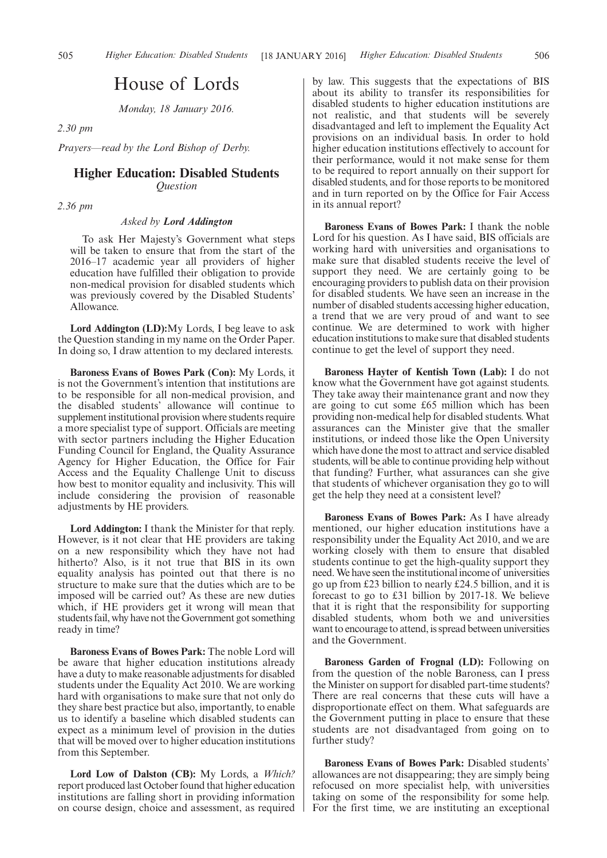# House of Lords

*Monday, 18 January 2016.*

### *2.30 pm*

*Prayers—read by the Lord Bishop of Derby.*

# **Higher Education: Disabled Students** *Question*

*2.36 pm*

### *Asked by Lord Addington*

To ask Her Majesty's Government what steps will be taken to ensure that from the start of the 2016–17 academic year all providers of higher education have fulfilled their obligation to provide non-medical provision for disabled students which was previously covered by the Disabled Students' Allowance.

**Lord Addington (LD):**My Lords, I beg leave to ask the Question standing in my name on the Order Paper. In doing so, I draw attention to my declared interests.

**Baroness Evans of Bowes Park (Con):** My Lords, it is not the Government's intention that institutions are to be responsible for all non-medical provision, and the disabled students' allowance will continue to supplement institutional provision where students require a more specialist type of support. Officials are meeting with sector partners including the Higher Education Funding Council for England, the Quality Assurance Agency for Higher Education, the Office for Fair Access and the Equality Challenge Unit to discuss how best to monitor equality and inclusivity. This will include considering the provision of reasonable adjustments by HE providers.

**Lord Addington:** I thank the Minister for that reply. However, is it not clear that HE providers are taking on a new responsibility which they have not had hitherto? Also, is it not true that BIS in its own equality analysis has pointed out that there is no structure to make sure that the duties which are to be imposed will be carried out? As these are new duties which, if HE providers get it wrong will mean that students fail, why have not the Government got something ready in time?

**Baroness Evans of Bowes Park:** The noble Lord will be aware that higher education institutions already have a duty to make reasonable adjustments for disabled students under the Equality Act 2010. We are working hard with organisations to make sure that not only do they share best practice but also, importantly, to enable us to identify a baseline which disabled students can expect as a minimum level of provision in the duties that will be moved over to higher education institutions from this September.

**Lord Low of Dalston (CB):** My Lords, a *Which?* report produced last October found that higher education institutions are falling short in providing information on course design, choice and assessment, as required by law. This suggests that the expectations of BIS about its ability to transfer its responsibilities for disabled students to higher education institutions are not realistic, and that students will be severely disadvantaged and left to implement the Equality Act provisions on an individual basis. In order to hold higher education institutions effectively to account for their performance, would it not make sense for them to be required to report annually on their support for disabled students, and for those reports to be monitored and in turn reported on by the Office for Fair Access in its annual report?

**Baroness Evans of Bowes Park:** I thank the noble Lord for his question. As I have said, BIS officials are working hard with universities and organisations to make sure that disabled students receive the level of support they need. We are certainly going to be encouraging providers to publish data on their provision for disabled students. We have seen an increase in the number of disabled students accessing higher education, a trend that we are very proud of and want to see continue. We are determined to work with higher education institutions to make sure that disabled students continue to get the level of support they need.

**Baroness Hayter of Kentish Town (Lab):** I do not know what the Government have got against students. They take away their maintenance grant and now they are going to cut some £65 million which has been providing non-medical help for disabled students. What assurances can the Minister give that the smaller institutions, or indeed those like the Open University which have done the most to attract and service disabled students, will be able to continue providing help without that funding? Further, what assurances can she give that students of whichever organisation they go to will get the help they need at a consistent level?

**Baroness Evans of Bowes Park:** As I have already mentioned, our higher education institutions have a responsibility under the Equality Act 2010, and we are working closely with them to ensure that disabled students continue to get the high-quality support they need.We have seen the institutional income of universities go up from £23 billion to nearly £24.5 billion, and it is forecast to go to £31 billion by 2017-18. We believe that it is right that the responsibility for supporting disabled students, whom both we and universities want to encourage to attend, is spread between universities and the Government.

**Baroness Garden of Frognal (LD):** Following on from the question of the noble Baroness, can I press the Minister on support for disabled part-time students? There are real concerns that these cuts will have a disproportionate effect on them. What safeguards are the Government putting in place to ensure that these students are not disadvantaged from going on to further study?

**Baroness Evans of Bowes Park:** Disabled students' allowances are not disappearing; they are simply being refocused on more specialist help, with universities taking on some of the responsibility for some help. For the first time, we are instituting an exceptional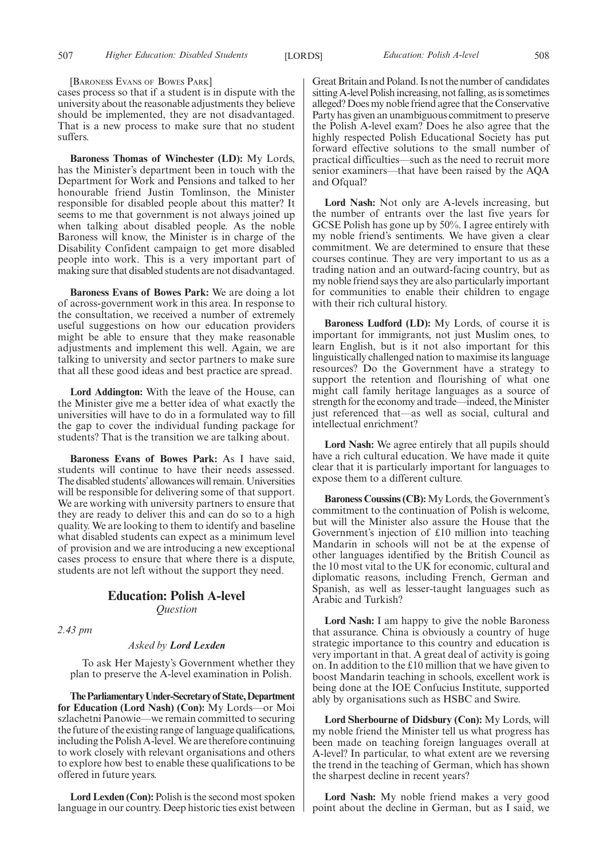[BARONESS EVANS OF BOWES PARK]

cases process so that if a student is in dispute with the university about the reasonable adjustments they believe should be implemented, they are not disadvantaged. That is a new process to make sure that no student suffers.

**Baroness Thomas of Winchester (LD):** My Lords, has the Minister's department been in touch with the Department for Work and Pensions and talked to her honourable friend Justin Tomlinson, the Minister responsible for disabled people about this matter? It seems to me that government is not always joined up when talking about disabled people. As the noble Baroness will know, the Minister is in charge of the Disability Confident campaign to get more disabled people into work. This is a very important part of making sure that disabled students are not disadvantaged.

**Baroness Evans of Bowes Park:** We are doing a lot of across-government work in this area. In response to the consultation, we received a number of extremely useful suggestions on how our education providers might be able to ensure that they make reasonable adjustments and implement this well. Again, we are talking to university and sector partners to make sure that all these good ideas and best practice are spread.

**Lord Addington:** With the leave of the House, can the Minister give me a better idea of what exactly the universities will have to do in a formulated way to fill the gap to cover the individual funding package for students? That is the transition we are talking about.

**Baroness Evans of Bowes Park:** As I have said, students will continue to have their needs assessed. The disabled students'allowances will remain. Universities will be responsible for delivering some of that support. We are working with university partners to ensure that they are ready to deliver this and can do so to a high quality. We are looking to them to identify and baseline what disabled students can expect as a minimum level of provision and we are introducing a new exceptional cases process to ensure that where there is a dispute, students are not left without the support they need.

# **Education: Polish A-level**

*Question*

*2.43 pm*

#### *Asked by Lord Lexden*

To ask Her Majesty's Government whether they plan to preserve the A-level examination in Polish.

**TheParliamentaryUnder-Secretaryof State,Department for Education (Lord Nash) (Con):** My Lords—or Moi szlachetni Panowie—we remain committed to securing the future of the existing range of language qualifications, including the Polish A-level.We are therefore continuing to work closely with relevant organisations and others to explore how best to enable these qualifications to be offered in future years.

**Lord Lexden (Con):** Polish is the second most spoken language in our country. Deep historic ties exist between Great Britain and Poland. Is not the number of candidates sitting A-level Polish increasing, not falling, as is sometimes alleged? Does my noble friend agree that the Conservative Party has given an unambiguous commitment to preserve the Polish A-level exam? Does he also agree that the highly respected Polish Educational Society has put forward effective solutions to the small number of practical difficulties—such as the need to recruit more senior examiners—that have been raised by the AQA and Ofqual?

**Lord Nash:** Not only are A-levels increasing, but the number of entrants over the last five years for GCSE Polish has gone up by 50%. I agree entirely with my noble friend's sentiments. We have given a clear commitment. We are determined to ensure that these courses continue. They are very important to us as a trading nation and an outward-facing country, but as my noble friend says they are also particularly important for communities to enable their children to engage with their rich cultural history.

**Baroness Ludford (LD):** My Lords, of course it is important for immigrants, not just Muslim ones, to learn English, but is it not also important for this linguistically challenged nation to maximise its language resources? Do the Government have a strategy to support the retention and flourishing of what one might call family heritage languages as a source of strength for the economy and trade—indeed, the Minister just referenced that—as well as social, cultural and intellectual enrichment?

**Lord Nash:** We agree entirely that all pupils should have a rich cultural education. We have made it quite clear that it is particularly important for languages to expose them to a different culture.

**Baroness Coussins (CB):**My Lords, the Government's commitment to the continuation of Polish is welcome, but will the Minister also assure the House that the Government's injection of £10 million into teaching Mandarin in schools will not be at the expense of other languages identified by the British Council as the 10 most vital to the UK for economic, cultural and diplomatic reasons, including French, German and Spanish, as well as lesser-taught languages such as Arabic and Turkish?

**Lord Nash:** I am happy to give the noble Baroness that assurance. China is obviously a country of huge strategic importance to this country and education is very important in that. A great deal of activity is going on. In addition to the £10 million that we have given to boost Mandarin teaching in schools, excellent work is being done at the IOE Confucius Institute, supported ably by organisations such as HSBC and Swire.

**Lord Sherbourne of Didsbury (Con):** My Lords, will my noble friend the Minister tell us what progress has been made on teaching foreign languages overall at A-level? In particular, to what extent are we reversing the trend in the teaching of German, which has shown the sharpest decline in recent years?

**Lord Nash:** My noble friend makes a very good point about the decline in German, but as I said, we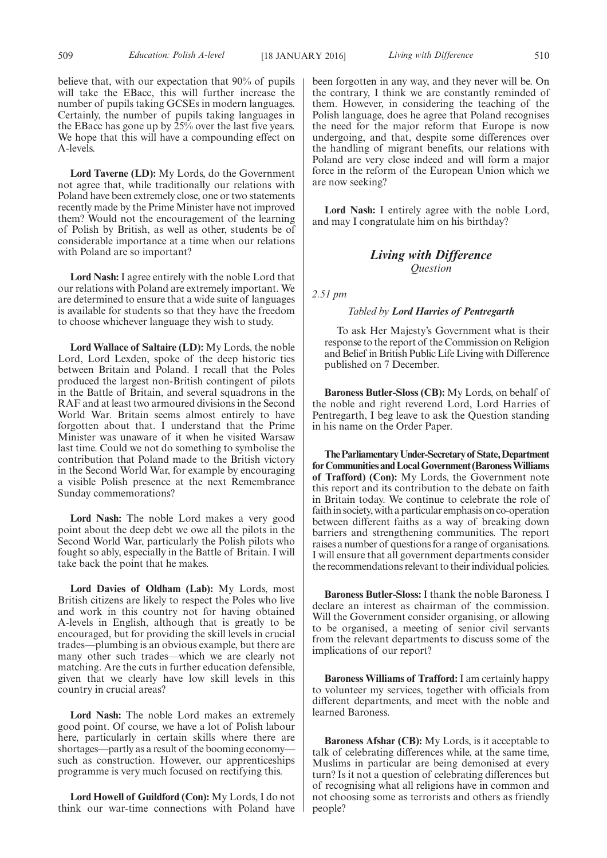believe that, with our expectation that 90% of pupils will take the EBacc, this will further increase the number of pupils taking GCSEs in modern languages. Certainly, the number of pupils taking languages in the EBacc has gone up by  $25\%$  over the last five years. We hope that this will have a compounding effect on A-levels.

**Lord Taverne (LD):** My Lords, do the Government not agree that, while traditionally our relations with Poland have been extremely close, one or two statements recently made by the Prime Minister have not improved them? Would not the encouragement of the learning of Polish by British, as well as other, students be of considerable importance at a time when our relations with Poland are so important?

**Lord Nash:** I agree entirely with the noble Lord that our relations with Poland are extremely important. We are determined to ensure that a wide suite of languages is available for students so that they have the freedom to choose whichever language they wish to study.

**Lord Wallace of Saltaire (LD):** My Lords, the noble Lord, Lord Lexden, spoke of the deep historic ties between Britain and Poland. I recall that the Poles produced the largest non-British contingent of pilots in the Battle of Britain, and several squadrons in the RAF and at least two armoured divisions in the Second World War. Britain seems almost entirely to have forgotten about that. I understand that the Prime Minister was unaware of it when he visited Warsaw last time. Could we not do something to symbolise the contribution that Poland made to the British victory in the Second World War, for example by encouraging a visible Polish presence at the next Remembrance Sunday commemorations?

**Lord Nash:** The noble Lord makes a very good point about the deep debt we owe all the pilots in the Second World War, particularly the Polish pilots who fought so ably, especially in the Battle of Britain. I will take back the point that he makes.

**Lord Davies of Oldham (Lab):** My Lords, most British citizens are likely to respect the Poles who live and work in this country not for having obtained A-levels in English, although that is greatly to be encouraged, but for providing the skill levels in crucial trades—plumbing is an obvious example, but there are many other such trades—which we are clearly not matching. Are the cuts in further education defensible, given that we clearly have low skill levels in this country in crucial areas?

**Lord Nash:** The noble Lord makes an extremely good point. Of course, we have a lot of Polish labour here, particularly in certain skills where there are shortages—partly as a result of the booming economy such as construction. However, our apprenticeships programme is very much focused on rectifying this.

**Lord Howell of Guildford (Con):** My Lords, I do not think our war-time connections with Poland have been forgotten in any way, and they never will be. On the contrary, I think we are constantly reminded of them. However, in considering the teaching of the Polish language, does he agree that Poland recognises the need for the major reform that Europe is now undergoing, and that, despite some differences over the handling of migrant benefits, our relations with Poland are very close indeed and will form a major force in the reform of the European Union which we are now seeking?

**Lord Nash:** I entirely agree with the noble Lord, and may I congratulate him on his birthday?

# *Living with Difference Question*

*2.51 pm*

#### *Tabled by Lord Harries of Pentregarth*

To ask Her Majesty's Government what is their response to the report of the Commission on Religion and Belief in British Public Life Living with Difference published on 7 December.

**Baroness Butler-Sloss (CB):** My Lords, on behalf of the noble and right reverend Lord, Lord Harries of Pentregarth, I beg leave to ask the Question standing in his name on the Order Paper.

**TheParliamentaryUnder-Secretaryof State,Department forCommunities andLocalGovernment (BaronessWilliams of Trafford) (Con):** My Lords, the Government note this report and its contribution to the debate on faith in Britain today. We continue to celebrate the role of faith in society, with a particular emphasis on co-operation between different faiths as a way of breaking down barriers and strengthening communities. The report raises a number of questions for a range of organisations. I will ensure that all government departments consider the recommendations relevant to their individual policies.

**Baroness Butler-Sloss:** I thank the noble Baroness. I declare an interest as chairman of the commission. Will the Government consider organising, or allowing to be organised, a meeting of senior civil servants from the relevant departments to discuss some of the implications of our report?

**Baroness Williams of Trafford:** I am certainly happy to volunteer my services, together with officials from different departments, and meet with the noble and learned Baroness.

**Baroness Afshar (CB):** My Lords, is it acceptable to talk of celebrating differences while, at the same time, Muslims in particular are being demonised at every turn? Is it not a question of celebrating differences but of recognising what all religions have in common and not choosing some as terrorists and others as friendly people?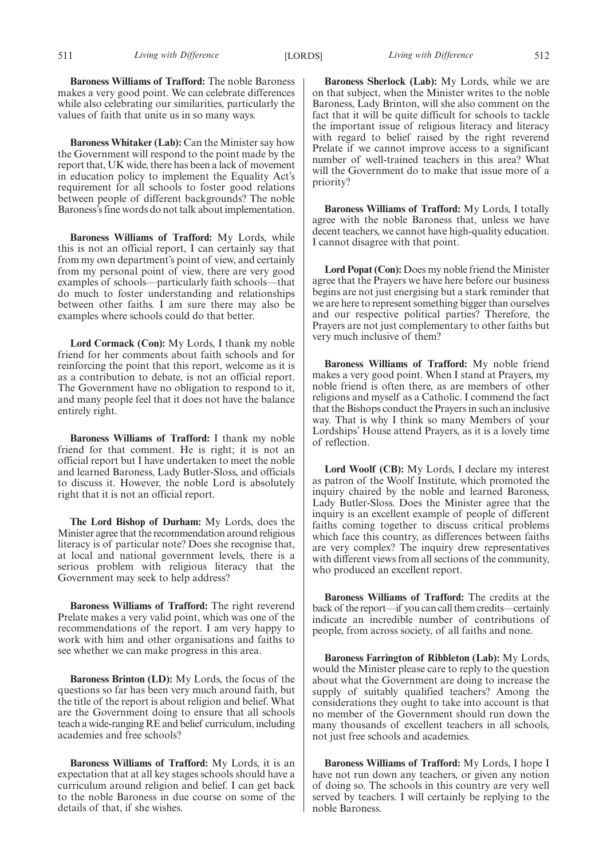**Baroness Whitaker (Lab):** Can the Minister say how the Government will respond to the point made by the report that, UK wide, there has been a lack of movement in education policy to implement the Equality Act's requirement for all schools to foster good relations between people of different backgrounds? The noble Baroness's fine words do not talk about implementation.

**Baroness Williams of Trafford:** My Lords, while this is not an official report, I can certainly say that from my own department's point of view, and certainly from my personal point of view, there are very good examples of schools—particularly faith schools—that do much to foster understanding and relationships between other faiths. I am sure there may also be examples where schools could do that better.

**Lord Cormack (Con):** My Lords, I thank my noble friend for her comments about faith schools and for reinforcing the point that this report, welcome as it is as a contribution to debate, is not an official report. The Government have no obligation to respond to it, and many people feel that it does not have the balance entirely right.

**Baroness Williams of Trafford:** I thank my noble friend for that comment. He is right; it is not an official report but I have undertaken to meet the noble and learned Baroness, Lady Butler-Sloss, and officials to discuss it. However, the noble Lord is absolutely right that it is not an official report.

**The Lord Bishop of Durham:** My Lords, does the Minister agree that the recommendation around religious literacy is of particular note? Does she recognise that, at local and national government levels, there is a serious problem with religious literacy that the Government may seek to help address?

**Baroness Williams of Trafford:** The right reverend Prelate makes a very valid point, which was one of the recommendations of the report. I am very happy to work with him and other organisations and faiths to see whether we can make progress in this area.

**Baroness Brinton (LD):** My Lords, the focus of the questions so far has been very much around faith, but the title of the report is about religion and belief. What are the Government doing to ensure that all schools teach a wide-ranging RE and belief curriculum, including academies and free schools?

**Baroness Williams of Trafford:** My Lords, it is an expectation that at all key stages schools should have a curriculum around religion and belief. I can get back to the noble Baroness in due course on some of the details of that, if she wishes.

511 *Living with Difference Living with Difference* [LORDS] 512

**Baroness Sherlock (Lab):** My Lords, while we are on that subject, when the Minister writes to the noble Baroness, Lady Brinton, will she also comment on the fact that it will be quite difficult for schools to tackle the important issue of religious literacy and literacy with regard to belief raised by the right reverend Prelate if we cannot improve access to a significant number of well-trained teachers in this area? What will the Government do to make that issue more of a priority?

**Baroness Williams of Trafford:** My Lords, I totally agree with the noble Baroness that, unless we have decent teachers, we cannot have high-quality education. I cannot disagree with that point.

**Lord Popat (Con):** Does my noble friend the Minister agree that the Prayers we have here before our business begins are not just energising but a stark reminder that we are here to represent something bigger than ourselves and our respective political parties? Therefore, the Prayers are not just complementary to other faiths but very much inclusive of them?

**Baroness Williams of Trafford:** My noble friend makes a very good point. When I stand at Prayers, my noble friend is often there, as are members of other religions and myself as a Catholic. I commend the fact that the Bishops conduct the Prayers in such an inclusive way. That is why I think so many Members of your Lordships' House attend Prayers, as it is a lovely time of reflection.

**Lord Woolf (CB):** My Lords, I declare my interest as patron of the Woolf Institute, which promoted the inquiry chaired by the noble and learned Baroness, Lady Butler-Sloss. Does the Minister agree that the inquiry is an excellent example of people of different faiths coming together to discuss critical problems which face this country, as differences between faiths are very complex? The inquiry drew representatives with different views from all sections of the community, who produced an excellent report.

**Baroness Williams of Trafford:** The credits at the back of the report—if you can call them credits—certainly indicate an incredible number of contributions of people, from across society, of all faiths and none.

**Baroness Farrington of Ribbleton (Lab):** My Lords, would the Minister please care to reply to the question about what the Government are doing to increase the supply of suitably qualified teachers? Among the considerations they ought to take into account is that no member of the Government should run down the many thousands of excellent teachers in all schools, not just free schools and academies.

**Baroness Williams of Trafford:** My Lords, I hope I have not run down any teachers, or given any notion of doing so. The schools in this country are very well served by teachers. I will certainly be replying to the noble Baroness.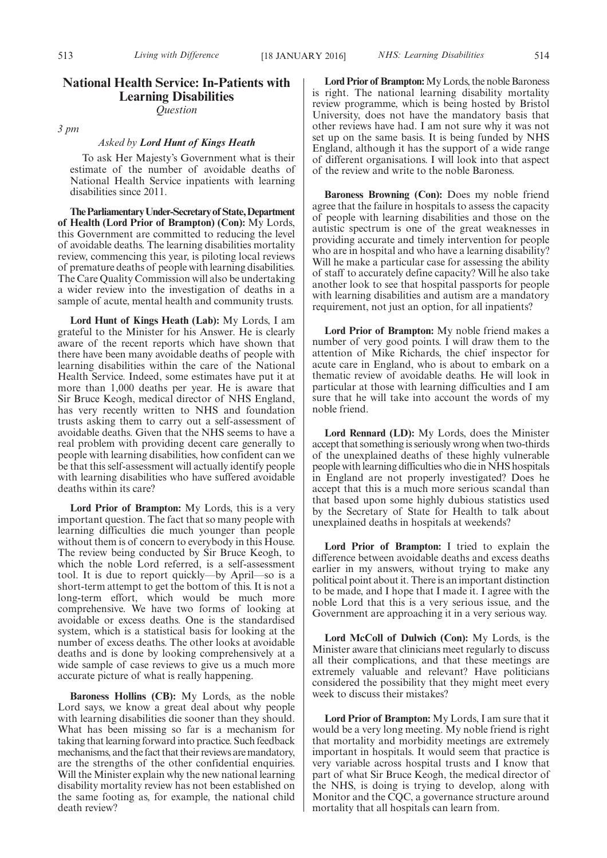# **National Health Service: In-Patients with Learning Disabilities**

*Question*

*3 pm*

### *Asked by Lord Hunt of Kings Heath*

To ask Her Majesty's Government what is their estimate of the number of avoidable deaths of National Health Service inpatients with learning disabilities since 2011.

**TheParliamentaryUnder-Secretaryof State,Department of Health (Lord Prior of Brampton) (Con):** My Lords, this Government are committed to reducing the level of avoidable deaths. The learning disabilities mortality review, commencing this year, is piloting local reviews of premature deaths of people with learning disabilities. The Care Quality Commission will also be undertaking a wider review into the investigation of deaths in a sample of acute, mental health and community trusts.

**Lord Hunt of Kings Heath (Lab):** My Lords, I am grateful to the Minister for his Answer. He is clearly aware of the recent reports which have shown that there have been many avoidable deaths of people with learning disabilities within the care of the National Health Service. Indeed, some estimates have put it at more than 1,000 deaths per year. He is aware that Sir Bruce Keogh, medical director of NHS England, has very recently written to NHS and foundation trusts asking them to carry out a self-assessment of avoidable deaths. Given that the NHS seems to have a real problem with providing decent care generally to people with learning disabilities, how confident can we be that this self-assessment will actually identify people with learning disabilities who have suffered avoidable deaths within its care?

**Lord Prior of Brampton:** My Lords, this is a very important question. The fact that so many people with learning difficulties die much younger than people without them is of concern to everybody in this House. The review being conducted by Sir Bruce Keogh, to which the noble Lord referred, is a self-assessment tool. It is due to report quickly—by April—so is a short-term attempt to get the bottom of this. It is not a long-term effort, which would be much more comprehensive. We have two forms of looking at avoidable or excess deaths. One is the standardised system, which is a statistical basis for looking at the number of excess deaths. The other looks at avoidable deaths and is done by looking comprehensively at a wide sample of case reviews to give us a much more accurate picture of what is really happening.

**Baroness Hollins (CB):** My Lords, as the noble Lord says, we know a great deal about why people with learning disabilities die sooner than they should. What has been missing so far is a mechanism for taking that learning forward into practice. Such feedback mechanisms, and the fact that their reviews are mandatory, are the strengths of the other confidential enquiries. Will the Minister explain why the new national learning disability mortality review has not been established on the same footing as, for example, the national child death review?

**Lord Prior of Brampton:**My Lords, the noble Baroness is right. The national learning disability mortality review programme, which is being hosted by Bristol University, does not have the mandatory basis that other reviews have had. I am not sure why it was not set up on the same basis. It is being funded by NHS England, although it has the support of a wide range of different organisations. I will look into that aspect of the review and write to the noble Baroness.

**Baroness Browning (Con):** Does my noble friend agree that the failure in hospitals to assess the capacity of people with learning disabilities and those on the autistic spectrum is one of the great weaknesses in providing accurate and timely intervention for people who are in hospital and who have a learning disability? Will he make a particular case for assessing the ability of staff to accurately define capacity? Will he also take another look to see that hospital passports for people with learning disabilities and autism are a mandatory requirement, not just an option, for all inpatients?

**Lord Prior of Brampton:** My noble friend makes a number of very good points. I will draw them to the attention of Mike Richards, the chief inspector for acute care in England, who is about to embark on a thematic review of avoidable deaths. He will look in particular at those with learning difficulties and I am sure that he will take into account the words of my noble friend.

**Lord Rennard (LD):** My Lords, does the Minister accept that something is seriously wrong when two-thirds of the unexplained deaths of these highly vulnerable people with learning difficulties who die in NHS hospitals in England are not properly investigated? Does he accept that this is a much more serious scandal than that based upon some highly dubious statistics used by the Secretary of State for Health to talk about unexplained deaths in hospitals at weekends?

**Lord Prior of Brampton:** I tried to explain the difference between avoidable deaths and excess deaths earlier in my answers, without trying to make any political point about it. There is an important distinction to be made, and I hope that I made it. I agree with the noble Lord that this is a very serious issue, and the Government are approaching it in a very serious way.

**Lord McColl of Dulwich (Con):** My Lords, is the Minister aware that clinicians meet regularly to discuss all their complications, and that these meetings are extremely valuable and relevant? Have politicians considered the possibility that they might meet every week to discuss their mistakes?

**Lord Prior of Brampton:** My Lords, I am sure that it would be a very long meeting. My noble friend is right that mortality and morbidity meetings are extremely important in hospitals. It would seem that practice is very variable across hospital trusts and I know that part of what Sir Bruce Keogh, the medical director of the NHS, is doing is trying to develop, along with Monitor and the CQC, a governance structure around mortality that all hospitals can learn from.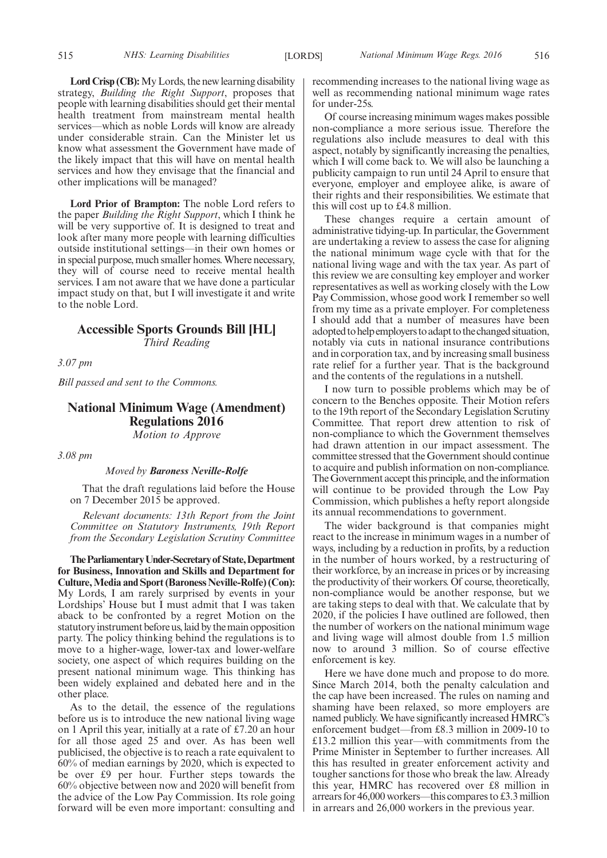**Lord Crisp (CB):**My Lords, the new learning disability strategy, *Building the Right Support*, proposes that people with learning disabilities should get their mental health treatment from mainstream mental health services—which as noble Lords will know are already under considerable strain. Can the Minister let us know what assessment the Government have made of the likely impact that this will have on mental health services and how they envisage that the financial and other implications will be managed?

**Lord Prior of Brampton:** The noble Lord refers to the paper *Building the Right Support*, which I think he will be very supportive of. It is designed to treat and look after many more people with learning difficulties outside institutional settings—in their own homes or in special purpose, much smaller homes.Where necessary, they will of course need to receive mental health services. I am not aware that we have done a particular impact study on that, but I will investigate it and write to the noble Lord.

# **Accessible Sports Grounds Bill [HL]** *Third Reading*

*3.07 pm*

*Bill passed and sent to the Commons.*

# **National Minimum Wage (Amendment) Regulations 2016** *Motion to Approve*

*3.08 pm*

#### *Moved by Baroness Neville-Rolfe*

That the draft regulations laid before the House on 7 December 2015 be approved.

*Relevant documents: 13th Report from the Joint Committee on Statutory Instruments, 19th Report from the Secondary Legislation Scrutiny Committee*

**TheParliamentaryUnder-Secretaryof State,Department for Business, Innovation and Skills and Department for Culture,Media and Sport (Baroness Neville-Rolfe) (Con):** My Lords, I am rarely surprised by events in your Lordships' House but I must admit that I was taken aback to be confronted by a regret Motion on the statutory instrument before us, laid by the main opposition party. The policy thinking behind the regulations is to move to a higher-wage, lower-tax and lower-welfare society, one aspect of which requires building on the present national minimum wage. This thinking has been widely explained and debated here and in the other place.

As to the detail, the essence of the regulations before us is to introduce the new national living wage on 1 April this year, initially at a rate of £7.20 an hour for all those aged 25 and over. As has been well publicised, the objective is to reach a rate equivalent to 60% of median earnings by 2020, which is expected to be over £9 per hour. Further steps towards the 60% objective between now and 2020 will benefit from the advice of the Low Pay Commission. Its role going forward will be even more important: consulting and recommending increases to the national living wage as well as recommending national minimum wage rates for under-25s.

Of course increasing minimum wages makes possible non-compliance a more serious issue. Therefore the regulations also include measures to deal with this aspect, notably by significantly increasing the penalties, which I will come back to. We will also be launching a publicity campaign to run until 24 April to ensure that everyone, employer and employee alike, is aware of their rights and their responsibilities. We estimate that this will cost up to £4.8 million.

These changes require a certain amount of administrative tidying-up. In particular, the Government are undertaking a review to assess the case for aligning the national minimum wage cycle with that for the national living wage and with the tax year. As part of this review we are consulting key employer and worker representatives as well as working closely with the Low Pay Commission, whose good work I remember so well from my time as a private employer. For completeness I should add that a number of measures have been adopted to help employers to adapt to the changed situation, notably via cuts in national insurance contributions and in corporation tax, and by increasing small business rate relief for a further year. That is the background and the contents of the regulations in a nutshell.

I now turn to possible problems which may be of concern to the Benches opposite. Their Motion refers to the 19th report of the Secondary Legislation Scrutiny Committee. That report drew attention to risk of non-compliance to which the Government themselves had drawn attention in our impact assessment. The committee stressed that the Government should continue to acquire and publish information on non-compliance. The Government accept this principle, and the information will continue to be provided through the Low Pay Commission, which publishes a hefty report alongside its annual recommendations to government.

The wider background is that companies might react to the increase in minimum wages in a number of ways, including by a reduction in profits, by a reduction in the number of hours worked, by a restructuring of their workforce, by an increase in prices or by increasing the productivity of their workers. Of course, theoretically, non-compliance would be another response, but we are taking steps to deal with that. We calculate that by 2020, if the policies I have outlined are followed, then the number of workers on the national minimum wage and living wage will almost double from 1.5 million now to around 3 million. So of course effective enforcement is key.

Here we have done much and propose to do more. Since March 2014, both the penalty calculation and the cap have been increased. The rules on naming and shaming have been relaxed, so more employers are named publicly.We have significantly increased HMRC's enforcement budget—from £8.3 million in 2009-10 to £13.2 million this year—with commitments from the Prime Minister in September to further increases. All this has resulted in greater enforcement activity and tougher sanctions for those who break the law. Already this year, HMRC has recovered over £8 million in arrears for 46,000 workers—this compares to £3.3 million in arrears and 26,000 workers in the previous year.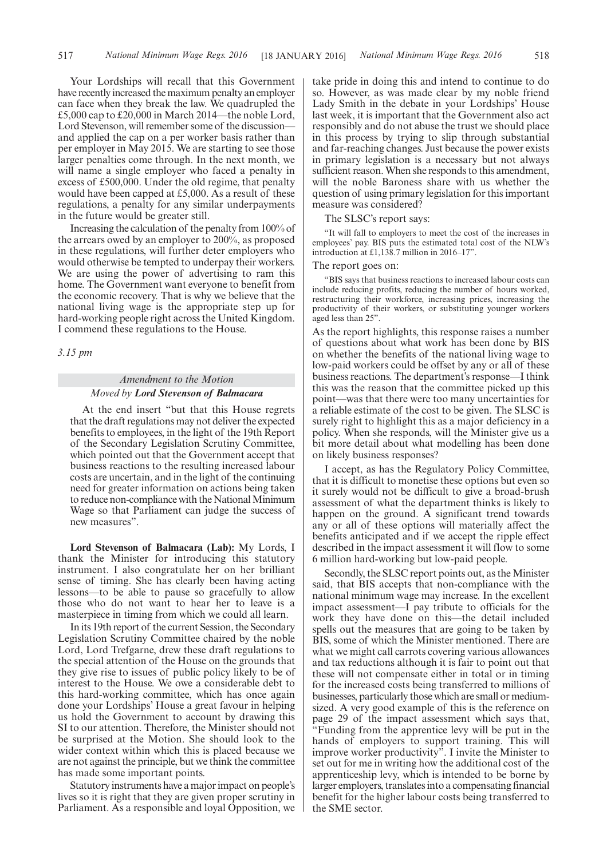Your Lordships will recall that this Government have recently increased the maximum penalty an employer can face when they break the law. We quadrupled the £5,000 cap to £20,000 in March 2014—the noble Lord, Lord Stevenson, will remember some of the discussion and applied the cap on a per worker basis rather than per employer in May 2015. We are starting to see those larger penalties come through. In the next month, we will name a single employer who faced a penalty in excess of £500,000. Under the old regime, that penalty would have been capped at £5,000. As a result of these regulations, a penalty for any similar underpayments in the future would be greater still.

Increasing the calculation of the penalty from 100% of the arrears owed by an employer to 200%, as proposed in these regulations, will further deter employers who would otherwise be tempted to underpay their workers. We are using the power of advertising to ram this home. The Government want everyone to benefit from the economic recovery. That is why we believe that the national living wage is the appropriate step up for hard-working people right across the United Kingdom. I commend these regulations to the House.

*3.15 pm*

# *Amendment to the Motion Moved by Lord Stevenson of Balmacara*

At the end insert "but that this House regrets that the draft regulations may not deliver the expected benefits to employees, in the light of the 19th Report of the Secondary Legislation Scrutiny Committee, which pointed out that the Government accept that business reactions to the resulting increased labour costs are uncertain, and in the light of the continuing need for greater information on actions being taken to reduce non-compliance with the National Minimum Wage so that Parliament can judge the success of new measures".

**Lord Stevenson of Balmacara (Lab):** My Lords, I thank the Minister for introducing this statutory instrument. I also congratulate her on her brilliant sense of timing. She has clearly been having acting lessons—to be able to pause so gracefully to allow those who do not want to hear her to leave is a masterpiece in timing from which we could all learn.

In its 19th report of the current Session, the Secondary Legislation Scrutiny Committee chaired by the noble Lord, Lord Trefgarne, drew these draft regulations to the special attention of the House on the grounds that they give rise to issues of public policy likely to be of interest to the House. We owe a considerable debt to this hard-working committee, which has once again done your Lordships' House a great favour in helping us hold the Government to account by drawing this SI to our attention. Therefore, the Minister should not be surprised at the Motion. She should look to the wider context within which this is placed because we are not against the principle, but we think the committee has made some important points.

Statutory instruments have a major impact on people's lives so it is right that they are given proper scrutiny in Parliament. As a responsible and loyal Opposition, we take pride in doing this and intend to continue to do so. However, as was made clear by my noble friend Lady Smith in the debate in your Lordships' House last week, it is important that the Government also act responsibly and do not abuse the trust we should place in this process by trying to slip through substantial and far-reaching changes. Just because the power exists in primary legislation is a necessary but not always sufficient reason.When she responds to this amendment, will the noble Baroness share with us whether the question of using primary legislation for this important measure was considered?

The SLSC's report says:

"It will fall to employers to meet the cost of the increases in employees' pay. BIS puts the estimated total cost of the NLW's introduction at £1,138.7 million in 2016–17".

### The report goes on:

"BIS says that business reactions to increased labour costs can include reducing profits, reducing the number of hours worked, restructuring their workforce, increasing prices, increasing the productivity of their workers, or substituting younger workers aged less than 25".

As the report highlights, this response raises a number of questions about what work has been done by BIS on whether the benefits of the national living wage to low-paid workers could be offset by any or all of these business reactions. The department's response—I think this was the reason that the committee picked up this point—was that there were too many uncertainties for a reliable estimate of the cost to be given. The SLSC is surely right to highlight this as a major deficiency in a policy. When she responds, will the Minister give us a bit more detail about what modelling has been done on likely business responses?

I accept, as has the Regulatory Policy Committee, that it is difficult to monetise these options but even so it surely would not be difficult to give a broad-brush assessment of what the department thinks is likely to happen on the ground. A significant trend towards any or all of these options will materially affect the benefits anticipated and if we accept the ripple effect described in the impact assessment it will flow to some 6 million hard-working but low-paid people.

Secondly, the SLSC report points out, as the Minister said, that BIS accepts that non-compliance with the national minimum wage may increase. In the excellent impact assessment—I pay tribute to officials for the work they have done on this—the detail included spells out the measures that are going to be taken by BIS, some of which the Minister mentioned. There are what we might call carrots covering various allowances and tax reductions although it is fair to point out that these will not compensate either in total or in timing for the increased costs being transferred to millions of businesses, particularly those which are small or mediumsized. A very good example of this is the reference on page 29 of the impact assessment which says that, "Funding from the apprentice levy will be put in the hands of employers to support training. This will improve worker productivity". I invite the Minister to set out for me in writing how the additional cost of the apprenticeship levy, which is intended to be borne by larger employers, translates into a compensating financial benefit for the higher labour costs being transferred to the SME sector.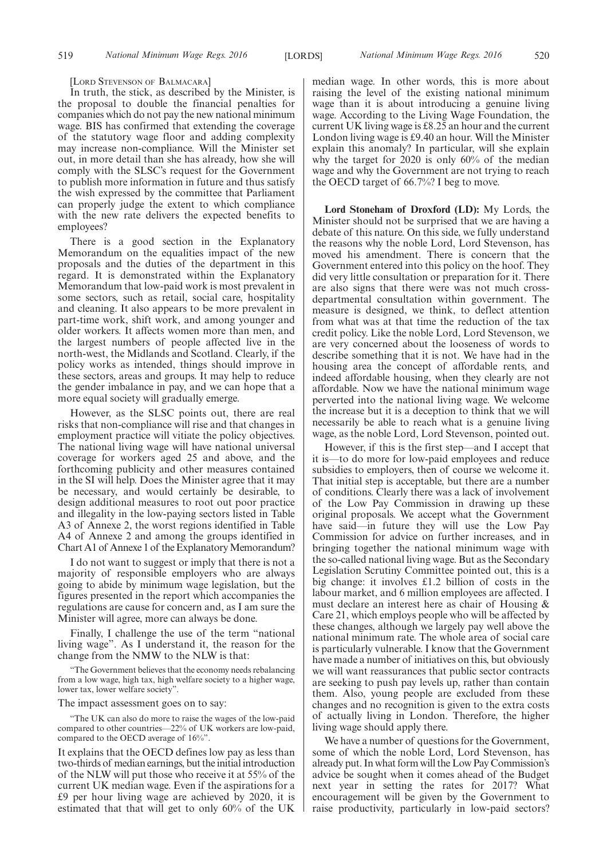[LORD STEVENSON OF BALMACARA]

In truth, the stick, as described by the Minister, is the proposal to double the financial penalties for companies which do not pay the new national minimum wage. BIS has confirmed that extending the coverage of the statutory wage floor and adding complexity may increase non-compliance. Will the Minister set out, in more detail than she has already, how she will comply with the SLSC's request for the Government to publish more information in future and thus satisfy the wish expressed by the committee that Parliament can properly judge the extent to which compliance with the new rate delivers the expected benefits to employees?

There is a good section in the Explanatory Memorandum on the equalities impact of the new proposals and the duties of the department in this regard. It is demonstrated within the Explanatory Memorandum that low-paid work is most prevalent in some sectors, such as retail, social care, hospitality and cleaning. It also appears to be more prevalent in part-time work, shift work, and among younger and older workers. It affects women more than men, and the largest numbers of people affected live in the north-west, the Midlands and Scotland. Clearly, if the policy works as intended, things should improve in these sectors, areas and groups. It may help to reduce the gender imbalance in pay, and we can hope that a more equal society will gradually emerge.

However, as the SLSC points out, there are real risks that non-compliance will rise and that changes in employment practice will vitiate the policy objectives. The national living wage will have national universal coverage for workers aged 25 and above, and the forthcoming publicity and other measures contained in the SI will help. Does the Minister agree that it may be necessary, and would certainly be desirable, to design additional measures to root out poor practice and illegality in the low-paying sectors listed in Table A3 of Annexe 2, the worst regions identified in Table A4 of Annexe 2 and among the groups identified in Chart A1 of Annexe 1 of the Explanatory Memorandum?

I do not want to suggest or imply that there is not a majority of responsible employers who are always going to abide by minimum wage legislation, but the figures presented in the report which accompanies the regulations are cause for concern and, as I am sure the Minister will agree, more can always be done.

Finally, I challenge the use of the term "national living wage". As I understand it, the reason for the change from the NMW to the NLW is that:

"The Government believes that the economy needs rebalancing from a low wage, high tax, high welfare society to a higher wage, lower tax, lower welfare society".

The impact assessment goes on to say:

"The UK can also do more to raise the wages of the low-paid compared to other countries—22% of UK workers are low-paid, compared to the OECD average of 16%".

It explains that the OECD defines low pay as less than two-thirds of median earnings, but the initial introduction of the NLW will put those who receive it at 55% of the current UK median wage. Even if the aspirations for a £9 per hour living wage are achieved by 2020, it is estimated that that will get to only 60% of the UK

median wage. In other words, this is more about raising the level of the existing national minimum wage than it is about introducing a genuine living wage. According to the Living Wage Foundation, the current UK living wage is £8.25 an hour and the current London living wage is £9.40 an hour. Will the Minister explain this anomaly? In particular, will she explain why the target for 2020 is only 60% of the median wage and why the Government are not trying to reach the OECD target of 66.7%? I beg to move.

**Lord Stoneham of Droxford (LD):** My Lords, the Minister should not be surprised that we are having a debate of this nature. On this side, we fully understand the reasons why the noble Lord, Lord Stevenson, has moved his amendment. There is concern that the Government entered into this policy on the hoof. They did very little consultation or preparation for it. There are also signs that there were was not much crossdepartmental consultation within government. The measure is designed, we think, to deflect attention from what was at that time the reduction of the tax credit policy. Like the noble Lord, Lord Stevenson, we are very concerned about the looseness of words to describe something that it is not. We have had in the housing area the concept of affordable rents, and indeed affordable housing, when they clearly are not affordable. Now we have the national minimum wage perverted into the national living wage. We welcome the increase but it is a deception to think that we will necessarily be able to reach what is a genuine living wage, as the noble Lord, Lord Stevenson, pointed out.

However, if this is the first step—and I accept that it is—to do more for low-paid employees and reduce subsidies to employers, then of course we welcome it. That initial step is acceptable, but there are a number of conditions. Clearly there was a lack of involvement of the Low Pay Commission in drawing up these original proposals. We accept what the Government have said—in future they will use the Low Pay Commission for advice on further increases, and in bringing together the national minimum wage with the so-called national living wage. But as the Secondary Legislation Scrutiny Committee pointed out, this is a big change: it involves £1.2 billion of costs in the labour market, and 6 million employees are affected. I must declare an interest here as chair of Housing & Care 21, which employs people who will be affected by these changes, although we largely pay well above the national minimum rate. The whole area of social care is particularly vulnerable. I know that the Government have made a number of initiatives on this, but obviously we will want reassurances that public sector contracts are seeking to push pay levels up, rather than contain them. Also, young people are excluded from these changes and no recognition is given to the extra costs of actually living in London. Therefore, the higher living wage should apply there.

We have a number of questions for the Government, some of which the noble Lord, Lord Stevenson, has already put. In what form will the Low Pay Commission's advice be sought when it comes ahead of the Budget next year in setting the rates for 2017? What encouragement will be given by the Government to raise productivity, particularly in low-paid sectors?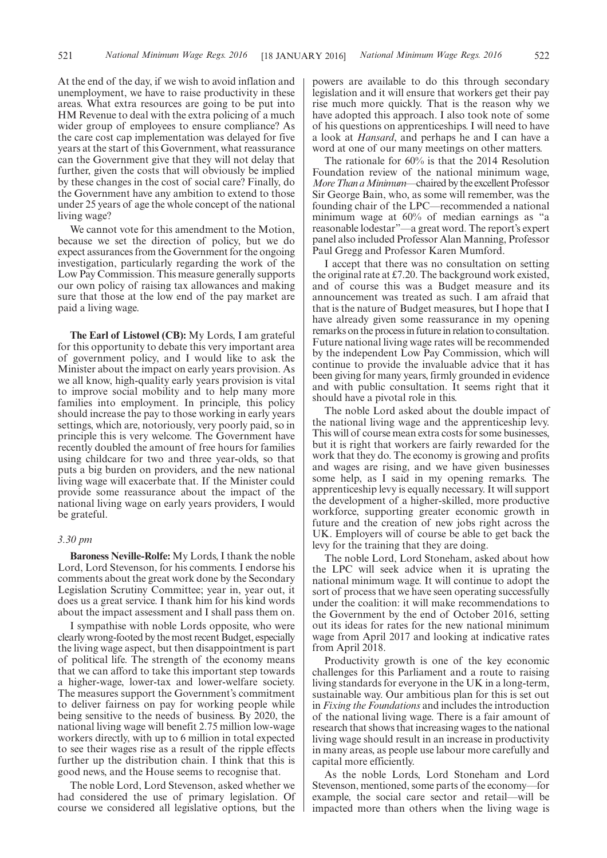At the end of the day, if we wish to avoid inflation and unemployment, we have to raise productivity in these areas. What extra resources are going to be put into HM Revenue to deal with the extra policing of a much wider group of employees to ensure compliance? As the care cost cap implementation was delayed for five years at the start of this Government, what reassurance can the Government give that they will not delay that further, given the costs that will obviously be implied by these changes in the cost of social care? Finally, do the Government have any ambition to extend to those under 25 years of age the whole concept of the national living wage?

We cannot vote for this amendment to the Motion, because we set the direction of policy, but we do expect assurances from the Government for the ongoing investigation, particularly regarding the work of the Low Pay Commission. This measure generally supports our own policy of raising tax allowances and making sure that those at the low end of the pay market are paid a living wage.

**The Earl of Listowel (CB):** My Lords, I am grateful for this opportunity to debate this very important area of government policy, and I would like to ask the Minister about the impact on early years provision. As we all know, high-quality early years provision is vital to improve social mobility and to help many more families into employment. In principle, this policy should increase the pay to those working in early years settings, which are, notoriously, very poorly paid, so in principle this is very welcome. The Government have recently doubled the amount of free hours for families using childcare for two and three year-olds, so that puts a big burden on providers, and the new national living wage will exacerbate that. If the Minister could provide some reassurance about the impact of the national living wage on early years providers, I would be grateful.

#### *3.30 pm*

**Baroness Neville-Rolfe:** My Lords, I thank the noble Lord, Lord Stevenson, for his comments. I endorse his comments about the great work done by the Secondary Legislation Scrutiny Committee; year in, year out, it does us a great service. I thank him for his kind words about the impact assessment and I shall pass them on.

I sympathise with noble Lords opposite, who were clearly wrong-footed by the most recent Budget, especially the living wage aspect, but then disappointment is part of political life. The strength of the economy means that we can afford to take this important step towards a higher-wage, lower-tax and lower-welfare society. The measures support the Government's commitment to deliver fairness on pay for working people while being sensitive to the needs of business. By 2020, the national living wage will benefit 2.75 million low-wage workers directly, with up to 6 million in total expected to see their wages rise as a result of the ripple effects further up the distribution chain. I think that this is good news, and the House seems to recognise that.

The noble Lord, Lord Stevenson, asked whether we had considered the use of primary legislation. Of course we considered all legislative options, but the powers are available to do this through secondary legislation and it will ensure that workers get their pay rise much more quickly. That is the reason why we have adopted this approach. I also took note of some of his questions on apprenticeships. I will need to have a look at *Hansard*, and perhaps he and I can have a word at one of our many meetings on other matters.

The rationale for 60% is that the 2014 Resolution Foundation review of the national minimum wage, *MoreThan aMinimum*—chaired by the excellent Professor Sir George Bain, who, as some will remember, was the founding chair of the LPC—recommended a national minimum wage at 60% of median earnings as "a reasonable lodestar"—a great word. The report's expert panel also included Professor Alan Manning, Professor Paul Gregg and Professor Karen Mumford.

I accept that there was no consultation on setting the original rate at £7.20. The background work existed, and of course this was a Budget measure and its announcement was treated as such. I am afraid that that is the nature of Budget measures, but I hope that I have already given some reassurance in my opening remarks on the processin futurein relation to consultation. Future national living wage rates will be recommended by the independent Low Pay Commission, which will continue to provide the invaluable advice that it has been giving for many years, firmly grounded in evidence and with public consultation. It seems right that it should have a pivotal role in this.

The noble Lord asked about the double impact of the national living wage and the apprenticeship levy. This will of course mean extra costs for some businesses, but it is right that workers are fairly rewarded for the work that they do. The economy is growing and profits and wages are rising, and we have given businesses some help, as I said in my opening remarks. The apprenticeship levy is equally necessary. It will support the development of a higher-skilled, more productive workforce, supporting greater economic growth in future and the creation of new jobs right across the UK. Employers will of course be able to get back the levy for the training that they are doing.

The noble Lord, Lord Stoneham, asked about how the LPC will seek advice when it is uprating the national minimum wage. It will continue to adopt the sort of process that we have seen operating successfully under the coalition: it will make recommendations to the Government by the end of October 2016, setting out its ideas for rates for the new national minimum wage from April 2017 and looking at indicative rates from April 2018.

Productivity growth is one of the key economic challenges for this Parliament and a route to raising living standards for everyone in the UK in a long-term, sustainable way. Our ambitious plan for this is set out in *Fixing the Foundations* and includes the introduction of the national living wage. There is a fair amount of research that shows that increasing wages to the national living wage should result in an increase in productivity in many areas, as people use labour more carefully and capital more efficiently.

As the noble Lords, Lord Stoneham and Lord Stevenson, mentioned, some parts of the economy—for example, the social care sector and retail—will be impacted more than others when the living wage is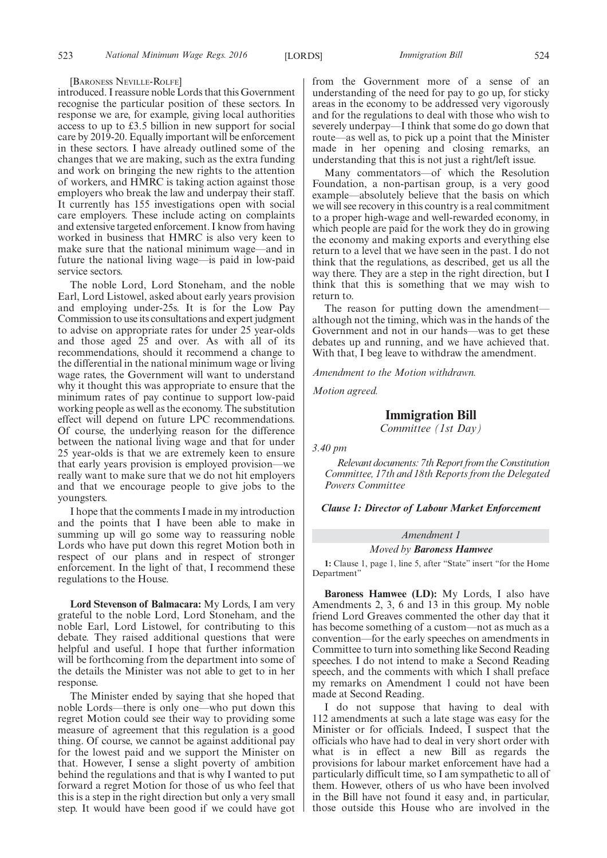#### [BARONESS NEVILLE-ROLFE]

introduced. I reassure noble Lords that this Government recognise the particular position of these sectors. In response we are, for example, giving local authorities access to up to £3.5 billion in new support for social care by 2019-20. Equally important will be enforcement in these sectors. I have already outlined some of the changes that we are making, such as the extra funding and work on bringing the new rights to the attention of workers, and HMRC is taking action against those employers who break the law and underpay their staff. It currently has 155 investigations open with social care employers. These include acting on complaints and extensive targeted enforcement. I know from having worked in business that HMRC is also very keen to make sure that the national minimum wage—and in future the national living wage—is paid in low-paid service sectors.

The noble Lord, Lord Stoneham, and the noble Earl, Lord Listowel, asked about early years provision and employing under-25s. It is for the Low Pay Commission to use its consultations and expert judgment to advise on appropriate rates for under 25 year-olds and those aged 25 and over. As with all of its recommendations, should it recommend a change to the differential in the national minimum wage or living wage rates, the Government will want to understand why it thought this was appropriate to ensure that the minimum rates of pay continue to support low-paid working people as well as the economy. The substitution effect will depend on future LPC recommendations. Of course, the underlying reason for the difference between the national living wage and that for under 25 year-olds is that we are extremely keen to ensure that early years provision is employed provision—we really want to make sure that we do not hit employers and that we encourage people to give jobs to the youngsters.

I hope that the comments I made in my introduction and the points that I have been able to make in summing up will go some way to reassuring noble Lords who have put down this regret Motion both in respect of our plans and in respect of stronger enforcement. In the light of that, I recommend these regulations to the House.

**Lord Stevenson of Balmacara:** My Lords, I am very grateful to the noble Lord, Lord Stoneham, and the noble Earl, Lord Listowel, for contributing to this debate. They raised additional questions that were helpful and useful. I hope that further information will be forthcoming from the department into some of the details the Minister was not able to get to in her response.

The Minister ended by saying that she hoped that noble Lords—there is only one—who put down this regret Motion could see their way to providing some measure of agreement that this regulation is a good thing. Of course, we cannot be against additional pay for the lowest paid and we support the Minister on that. However, I sense a slight poverty of ambition behind the regulations and that is why I wanted to put forward a regret Motion for those of us who feel that this is a step in the right direction but only a very small step. It would have been good if we could have got

from the Government more of a sense of an understanding of the need for pay to go up, for sticky areas in the economy to be addressed very vigorously and for the regulations to deal with those who wish to severely underpay—I think that some do go down that route—as well as, to pick up a point that the Minister made in her opening and closing remarks, an understanding that this is not just a right/left issue.

Many commentators—of which the Resolution Foundation, a non-partisan group, is a very good example—absolutely believe that the basis on which we will see recovery in this country is a real commitment to a proper high-wage and well-rewarded economy, in which people are paid for the work they do in growing the economy and making exports and everything else return to a level that we have seen in the past. I do not think that the regulations, as described, get us all the way there. They are a step in the right direction, but I think that this is something that we may wish to return to.

The reason for putting down the amendment although not the timing, which was in the hands of the Government and not in our hands—was to get these debates up and running, and we have achieved that. With that, I beg leave to withdraw the amendment.

*Amendment to the Motion withdrawn.*

*Motion agreed.*

# **Immigration Bill**

*Committee (1st Day)*

*3.40 pm*

*Relevant documents: 7th Report from the Constitution Committee, 17th and 18th Reports from the Delegated Powers Committee*

*Clause 1: Director of Labour Market Enforcement*

#### *Amendment 1*

*Moved by Baroness Hamwee*

**1:** Clause 1, page 1, line 5, after "State" insert "for the Home Department"

**Baroness Hamwee (LD):** My Lords, I also have Amendments 2, 3, 6 and 13 in this group. My noble friend Lord Greaves commented the other day that it has become something of a custom—not as much as a convention—for the early speeches on amendments in Committee to turn into something like Second Reading speeches. I do not intend to make a Second Reading speech, and the comments with which I shall preface my remarks on Amendment 1 could not have been made at Second Reading.

I do not suppose that having to deal with 112 amendments at such a late stage was easy for the Minister or for officials. Indeed, I suspect that the officials who have had to deal in very short order with what is in effect a new Bill as regards the provisions for labour market enforcement have had a particularly difficult time, so I am sympathetic to all of them. However, others of us who have been involved in the Bill have not found it easy and, in particular, those outside this House who are involved in the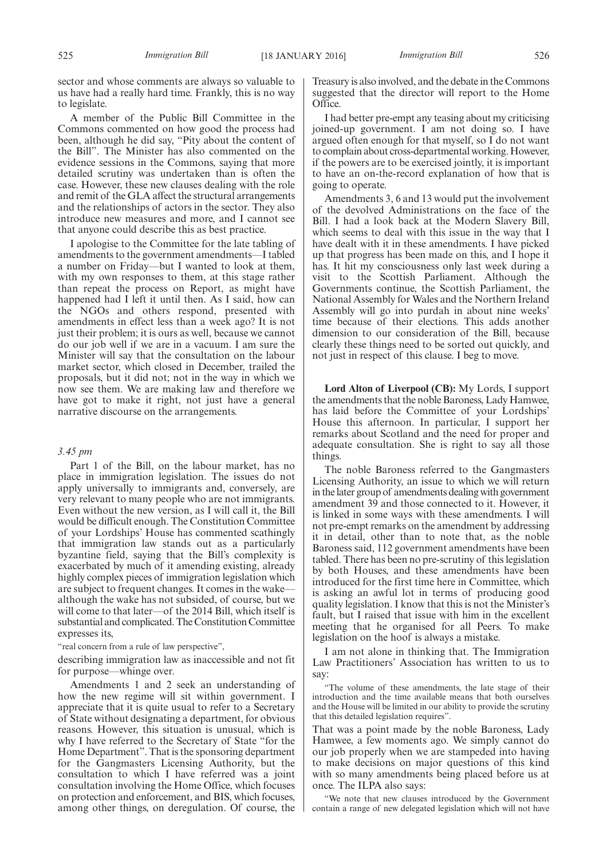sector and whose comments are always so valuable to us have had a really hard time. Frankly, this is no way to legislate.

A member of the Public Bill Committee in the Commons commented on how good the process had been, although he did say, "Pity about the content of the Bill". The Minister has also commented on the evidence sessions in the Commons, saying that more detailed scrutiny was undertaken than is often the case. However, these new clauses dealing with the role and remit of the GLA affect the structural arrangements and the relationships of actors in the sector. They also introduce new measures and more, and I cannot see that anyone could describe this as best practice.

I apologise to the Committee for the late tabling of amendments to the government amendments—I tabled a number on Friday—but I wanted to look at them, with my own responses to them, at this stage rather than repeat the process on Report, as might have happened had I left it until then. As I said, how can the NGOs and others respond, presented with amendments in effect less than a week ago? It is not just their problem; it is ours as well, because we cannot do our job well if we are in a vacuum. I am sure the Minister will say that the consultation on the labour market sector, which closed in December, trailed the proposals, but it did not; not in the way in which we now see them. We are making law and therefore we have got to make it right, not just have a general narrative discourse on the arrangements.

#### *3.45 pm*

Part 1 of the Bill, on the labour market, has no place in immigration legislation. The issues do not apply universally to immigrants and, conversely, are very relevant to many people who are not immigrants. Even without the new version, as I will call it, the Bill would be difficult enough. The Constitution Committee of your Lordships' House has commented scathingly that immigration law stands out as a particularly byzantine field, saying that the Bill's complexity is exacerbated by much of it amending existing, already highly complex pieces of immigration legislation which are subject to frequent changes. It comes in the wake although the wake has not subsided, of course, but we will come to that later—of the 2014 Bill, which itself is substantial and complicated. The Constitution Committee expresses its,

"real concern from a rule of law perspective",

describing immigration law as inaccessible and not fit for purpose—whinge over.

Amendments 1 and 2 seek an understanding of how the new regime will sit within government. I appreciate that it is quite usual to refer to a Secretary of State without designating a department, for obvious reasons. However, this situation is unusual, which is why I have referred to the Secretary of State "for the Home Department". That is the sponsoring department for the Gangmasters Licensing Authority, but the consultation to which I have referred was a joint consultation involving the Home Office, which focuses on protection and enforcement, and BIS, which focuses, among other things, on deregulation. Of course, the Treasury is also involved, and the debate in the Commons suggested that the director will report to the Home Office.

I had better pre-empt any teasing about my criticising joined-up government. I am not doing so. I have argued often enough for that myself, so I do not want to complain about cross-departmental working. However, if the powers are to be exercised jointly, it is important to have an on-the-record explanation of how that is going to operate.

Amendments 3, 6 and 13 would put the involvement of the devolved Administrations on the face of the Bill. I had a look back at the Modern Slavery Bill, which seems to deal with this issue in the way that I have dealt with it in these amendments. I have picked up that progress has been made on this, and I hope it has. It hit my consciousness only last week during a visit to the Scottish Parliament. Although the Governments continue, the Scottish Parliament, the National Assembly for Wales and the Northern Ireland Assembly will go into purdah in about nine weeks' time because of their elections. This adds another dimension to our consideration of the Bill, because clearly these things need to be sorted out quickly, and not just in respect of this clause. I beg to move.

**Lord Alton of Liverpool (CB):** My Lords, I support the amendments that the noble Baroness, Lady Hamwee, has laid before the Committee of your Lordships' House this afternoon. In particular, I support her remarks about Scotland and the need for proper and adequate consultation. She is right to say all those things.

The noble Baroness referred to the Gangmasters Licensing Authority, an issue to which we will return in thelater group of amendments dealing with government amendment 39 and those connected to it. However, it is linked in some ways with these amendments. I will not pre-empt remarks on the amendment by addressing it in detail, other than to note that, as the noble Baroness said, 112 government amendments have been tabled. There has been no pre-scrutiny of this legislation by both Houses, and these amendments have been introduced for the first time here in Committee, which is asking an awful lot in terms of producing good quality legislation. I know that this is not the Minister's fault, but I raised that issue with him in the excellent meeting that he organised for all Peers. To make legislation on the hoof is always a mistake.

I am not alone in thinking that. The Immigration Law Practitioners' Association has written to us to say:

"The volume of these amendments, the late stage of their introduction and the time available means that both ourselves and the House will be limited in our ability to provide the scrutiny that this detailed legislation requires".

That was a point made by the noble Baroness, Lady Hamwee, a few moments ago. We simply cannot do our job properly when we are stampeded into having to make decisions on major questions of this kind with so many amendments being placed before us at once. The ILPA also says:

"We note that new clauses introduced by the Government contain a range of new delegated legislation which will not have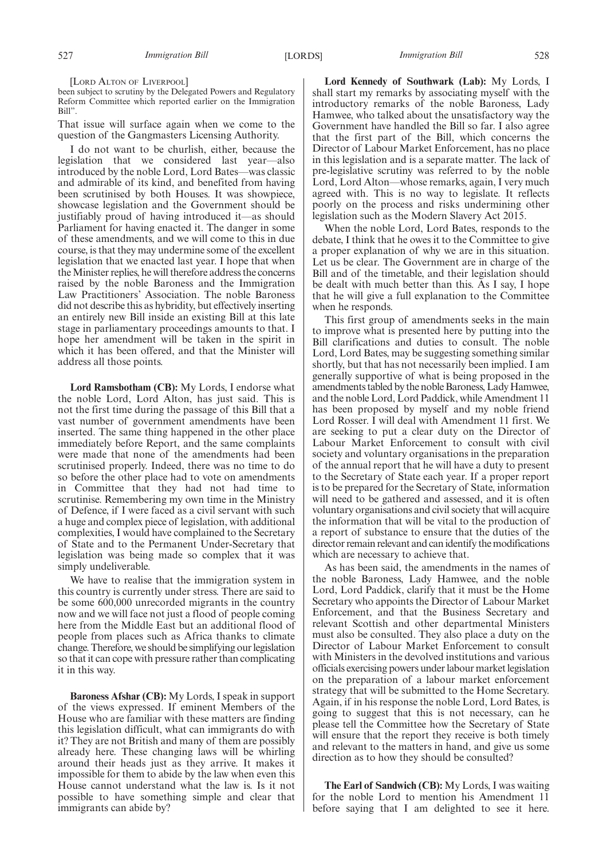[LORD ALTON OF LIVERPOOL]

been subject to scrutiny by the Delegated Powers and Regulatory Reform Committee which reported earlier on the Immigration Bill".

That issue will surface again when we come to the question of the Gangmasters Licensing Authority.

I do not want to be churlish, either, because the legislation that we considered last year—also introduced by the noble Lord, Lord Bates—was classic and admirable of its kind, and benefited from having been scrutinised by both Houses. It was showpiece, showcase legislation and the Government should be justifiably proud of having introduced it—as should Parliament for having enacted it. The danger in some of these amendments, and we will come to this in due course, is that they may undermine some of the excellent legislation that we enacted last year. I hope that when theMinister replies, he will therefore address the concerns raised by the noble Baroness and the Immigration Law Practitioners' Association. The noble Baroness did not describe this as hybridity, but effectively inserting an entirely new Bill inside an existing Bill at this late stage in parliamentary proceedings amounts to that. I hope her amendment will be taken in the spirit in which it has been offered, and that the Minister will address all those points.

**Lord Ramsbotham (CB):** My Lords, I endorse what the noble Lord, Lord Alton, has just said. This is not the first time during the passage of this Bill that a vast number of government amendments have been inserted. The same thing happened in the other place immediately before Report, and the same complaints were made that none of the amendments had been scrutinised properly. Indeed, there was no time to do so before the other place had to vote on amendments in Committee that they had not had time to scrutinise. Remembering my own time in the Ministry of Defence, if I were faced as a civil servant with such a huge and complex piece of legislation, with additional complexities, I would have complained to the Secretary of State and to the Permanent Under-Secretary that legislation was being made so complex that it was simply undeliverable.

We have to realise that the immigration system in this country is currently under stress. There are said to be some 600,000 unrecorded migrants in the country now and we will face not just a flood of people coming here from the Middle East but an additional flood of people from places such as Africa thanks to climate change. Therefore, we should be simplifying our legislation so that it can cope with pressure rather than complicating it in this way.

**Baroness Afshar (CB):** My Lords, I speak in support of the views expressed. If eminent Members of the House who are familiar with these matters are finding this legislation difficult, what can immigrants do with it? They are not British and many of them are possibly already here. These changing laws will be whirling around their heads just as they arrive. It makes it impossible for them to abide by the law when even this House cannot understand what the law is. Is it not possible to have something simple and clear that immigrants can abide by?

**Lord Kennedy of Southwark (Lab):** My Lords, I shall start my remarks by associating myself with the introductory remarks of the noble Baroness, Lady Hamwee, who talked about the unsatisfactory way the Government have handled the Bill so far. I also agree that the first part of the Bill, which concerns the Director of Labour Market Enforcement, has no place in this legislation and is a separate matter. The lack of pre-legislative scrutiny was referred to by the noble Lord, Lord Alton—whose remarks, again, I very much agreed with. This is no way to legislate. It reflects poorly on the process and risks undermining other legislation such as the Modern Slavery Act 2015.

When the noble Lord, Lord Bates, responds to the debate, I think that he owes it to the Committee to give a proper explanation of why we are in this situation. Let us be clear. The Government are in charge of the Bill and of the timetable, and their legislation should be dealt with much better than this. As I say, I hope that he will give a full explanation to the Committee when he responds.

This first group of amendments seeks in the main to improve what is presented here by putting into the Bill clarifications and duties to consult. The noble Lord, Lord Bates, may be suggesting something similar shortly, but that has not necessarily been implied. I am generally supportive of what is being proposed in the amendments tabled by the noble Baroness, Lady Hamwee, and the noble Lord, Lord Paddick, while Amendment 11 has been proposed by myself and my noble friend Lord Rosser. I will deal with Amendment 11 first. We are seeking to put a clear duty on the Director of Labour Market Enforcement to consult with civil society and voluntary organisations in the preparation of the annual report that he will have a duty to present to the Secretary of State each year. If a proper report is to be prepared for the Secretary of State, information will need to be gathered and assessed, and it is often voluntary organisations and civil society that will acquire the information that will be vital to the production of a report of substance to ensure that the duties of the director remain relevant and can identify the modifications which are necessary to achieve that.

As has been said, the amendments in the names of the noble Baroness, Lady Hamwee, and the noble Lord, Lord Paddick, clarify that it must be the Home Secretary who appoints the Director of Labour Market Enforcement, and that the Business Secretary and relevant Scottish and other departmental Ministers must also be consulted. They also place a duty on the Director of Labour Market Enforcement to consult with Ministers in the devolved institutions and various officials exercising powers under labour market legislation on the preparation of a labour market enforcement strategy that will be submitted to the Home Secretary. Again, if in his response the noble Lord, Lord Bates, is going to suggest that this is not necessary, can he please tell the Committee how the Secretary of State will ensure that the report they receive is both timely and relevant to the matters in hand, and give us some direction as to how they should be consulted?

**The Earl of Sandwich (CB):** My Lords, I was waiting for the noble Lord to mention his Amendment 11 before saying that I am delighted to see it here.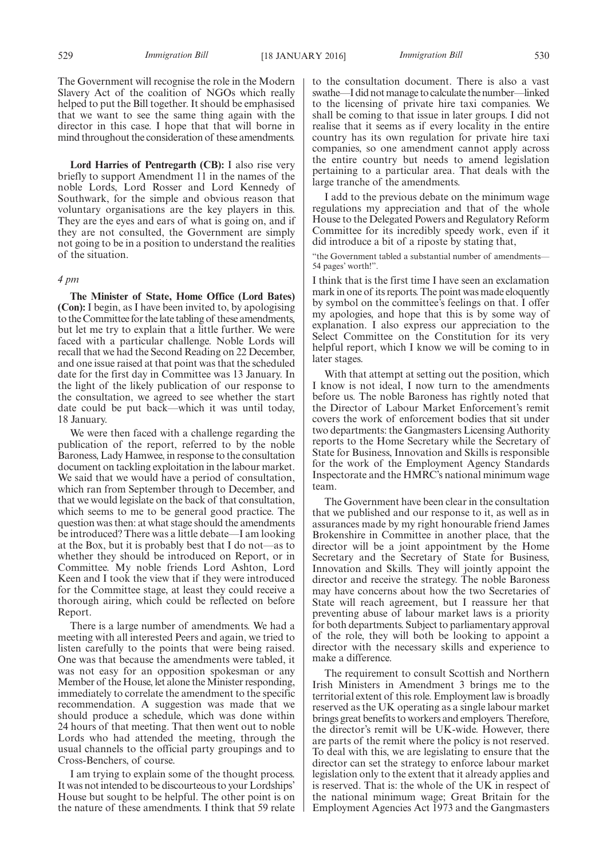The Government will recognise the role in the Modern Slavery Act of the coalition of NGOs which really helped to put the Bill together. It should be emphasised that we want to see the same thing again with the director in this case. I hope that that will borne in mind throughout the consideration of these amendments.

**Lord Harries of Pentregarth (CB):** I also rise very briefly to support Amendment 11 in the names of the noble Lords, Lord Rosser and Lord Kennedy of Southwark, for the simple and obvious reason that voluntary organisations are the key players in this. They are the eyes and ears of what is going on, and if they are not consulted, the Government are simply not going to be in a position to understand the realities of the situation.

#### *4 pm*

**The Minister of State, Home Office (Lord Bates) (Con):** I begin, as I have been invited to, by apologising to the Committee for the late tabling of these amendments, but let me try to explain that a little further. We were faced with a particular challenge. Noble Lords will recall that we had the Second Reading on 22 December, and one issue raised at that point was that the scheduled date for the first day in Committee was 13 January. In the light of the likely publication of our response to the consultation, we agreed to see whether the start date could be put back—which it was until today, 18 January.

We were then faced with a challenge regarding the publication of the report, referred to by the noble Baroness, Lady Hamwee, in response to the consultation document on tackling exploitation in the labour market. We said that we would have a period of consultation, which ran from September through to December, and that we would legislate on the back of that consultation, which seems to me to be general good practice. The question was then: at what stage should the amendments be introduced? There was a little debate—I am looking at the Box, but it is probably best that I do not—as to whether they should be introduced on Report, or in Committee. My noble friends Lord Ashton, Lord Keen and I took the view that if they were introduced for the Committee stage, at least they could receive a thorough airing, which could be reflected on before Report.

There is a large number of amendments. We had a meeting with all interested Peers and again, we tried to listen carefully to the points that were being raised. One was that because the amendments were tabled, it was not easy for an opposition spokesman or any Member of the House, let alone the Minister responding, immediately to correlate the amendment to the specific recommendation. A suggestion was made that we should produce a schedule, which was done within 24 hours of that meeting. That then went out to noble Lords who had attended the meeting, through the usual channels to the official party groupings and to Cross-Benchers, of course.

I am trying to explain some of the thought process. It was not intended to be discourteous to your Lordships' House but sought to be helpful. The other point is on the nature of these amendments. I think that 59 relate to the consultation document. There is also a vast swathe—I did not manage to calculate the number—linked to the licensing of private hire taxi companies. We shall be coming to that issue in later groups. I did not realise that it seems as if every locality in the entire country has its own regulation for private hire taxi companies, so one amendment cannot apply across the entire country but needs to amend legislation pertaining to a particular area. That deals with the large tranche of the amendments.

I add to the previous debate on the minimum wage regulations my appreciation and that of the whole House to the Delegated Powers and Regulatory Reform Committee for its incredibly speedy work, even if it did introduce a bit of a riposte by stating that,

"the Government tabled a substantial number of amendments— 54 pages' worth!".

I think that is the first time I have seen an exclamation mark in one of its reports. The point was made eloquently by symbol on the committee's feelings on that. I offer my apologies, and hope that this is by some way of explanation. I also express our appreciation to the Select Committee on the Constitution for its very helpful report, which I know we will be coming to in later stages.

With that attempt at setting out the position, which I know is not ideal, I now turn to the amendments before us. The noble Baroness has rightly noted that the Director of Labour Market Enforcement's remit covers the work of enforcement bodies that sit under two departments: the Gangmasters Licensing Authority reports to the Home Secretary while the Secretary of State for Business, Innovation and Skills is responsible for the work of the Employment Agency Standards Inspectorate and the HMRC's national minimum wage team.

The Government have been clear in the consultation that we published and our response to it, as well as in assurances made by my right honourable friend James Brokenshire in Committee in another place, that the director will be a joint appointment by the Home Secretary and the Secretary of State for Business, Innovation and Skills. They will jointly appoint the director and receive the strategy. The noble Baroness may have concerns about how the two Secretaries of State will reach agreement, but I reassure her that preventing abuse of labour market laws is a priority for both departments. Subject to parliamentary approval of the role, they will both be looking to appoint a director with the necessary skills and experience to make a difference.

The requirement to consult Scottish and Northern Irish Ministers in Amendment 3 brings me to the territorial extent of this role. Employment law is broadly reserved as the UK operating as a single labour market brings great benefits to workers and employers. Therefore, the director's remit will be UK-wide. However, there are parts of the remit where the policy is not reserved. To deal with this, we are legislating to ensure that the director can set the strategy to enforce labour market legislation only to the extent that it already applies and is reserved. That is: the whole of the UK in respect of the national minimum wage; Great Britain for the Employment Agencies Act 1973 and the Gangmasters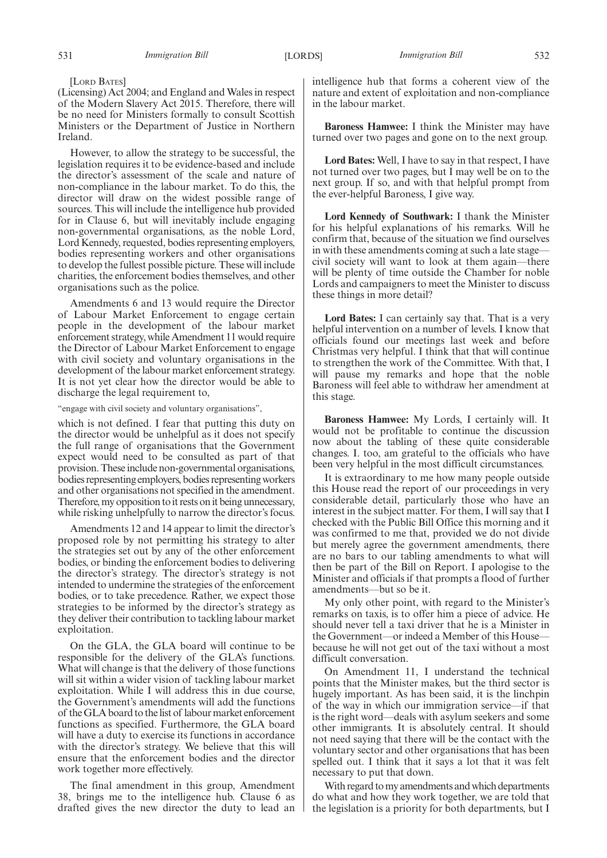(Licensing) Act 2004; and England and Wales in respect of the Modern Slavery Act 2015. Therefore, there will be no need for Ministers formally to consult Scottish Ministers or the Department of Justice in Northern Ireland.

However, to allow the strategy to be successful, the legislation requires it to be evidence-based and include the director's assessment of the scale and nature of non-compliance in the labour market. To do this, the director will draw on the widest possible range of sources. This will include the intelligence hub provided for in Clause 6, but will inevitably include engaging non-governmental organisations, as the noble Lord, Lord Kennedy, requested, bodies representing employers, bodies representing workers and other organisations to develop the fullest possible picture. These will include charities, the enforcement bodies themselves, and other organisations such as the police.

Amendments 6 and 13 would require the Director of Labour Market Enforcement to engage certain people in the development of the labour market enforcement strategy, while Amendment 11 would require the Director of Labour Market Enforcement to engage with civil society and voluntary organisations in the development of the labour market enforcement strategy. It is not yet clear how the director would be able to discharge the legal requirement to,

"engage with civil society and voluntary organisations",

which is not defined. I fear that putting this duty on the director would be unhelpful as it does not specify the full range of organisations that the Government expect would need to be consulted as part of that provision. These include non-governmental organisations, bodies representing employers, bodies representing workers and other organisations not specified in the amendment. Therefore, my opposition to it rests on it being unnecessary, while risking unhelpfully to narrow the director's focus.

Amendments 12 and 14 appear to limit the director's proposed role by not permitting his strategy to alter the strategies set out by any of the other enforcement bodies, or binding the enforcement bodies to delivering the director's strategy. The director's strategy is not intended to undermine the strategies of the enforcement bodies, or to take precedence. Rather, we expect those strategies to be informed by the director's strategy as they deliver their contribution to tackling labour market exploitation.

On the GLA, the GLA board will continue to be responsible for the delivery of the GLA's functions. What will change is that the delivery of those functions will sit within a wider vision of tackling labour market exploitation. While I will address this in due course, the Government's amendments will add the functions of theGLA board to the list of labourmarket enforcement functions as specified. Furthermore, the GLA board will have a duty to exercise its functions in accordance with the director's strategy. We believe that this will ensure that the enforcement bodies and the director work together more effectively.

The final amendment in this group, Amendment 38, brings me to the intelligence hub. Clause 6 as drafted gives the new director the duty to lead an intelligence hub that forms a coherent view of the nature and extent of exploitation and non-compliance in the labour market.

**Baroness Hamwee:** I think the Minister may have turned over two pages and gone on to the next group.

**Lord Bates:** Well, I have to say in that respect, I have not turned over two pages, but I may well be on to the next group. If so, and with that helpful prompt from the ever-helpful Baroness, I give way.

**Lord Kennedy of Southwark:** I thank the Minister for his helpful explanations of his remarks. Will he confirm that, because of the situation we find ourselves in with these amendments coming at such a late stage civil society will want to look at them again—there will be plenty of time outside the Chamber for noble Lords and campaigners to meet the Minister to discuss these things in more detail?

**Lord Bates:** I can certainly say that. That is a very helpful intervention on a number of levels. I know that officials found our meetings last week and before Christmas very helpful. I think that that will continue to strengthen the work of the Committee. With that, I will pause my remarks and hope that the noble Baroness will feel able to withdraw her amendment at this stage.

**Baroness Hamwee:** My Lords, I certainly will. It would not be profitable to continue the discussion now about the tabling of these quite considerable changes. I. too, am grateful to the officials who have been very helpful in the most difficult circumstances.

It is extraordinary to me how many people outside this House read the report of our proceedings in very considerable detail, particularly those who have an interest in the subject matter. For them, I will say that I checked with the Public Bill Office this morning and it was confirmed to me that, provided we do not divide but merely agree the government amendments, there are no bars to our tabling amendments to what will then be part of the Bill on Report. I apologise to the Minister and officials if that prompts a flood of further amendments—but so be it.

My only other point, with regard to the Minister's remarks on taxis, is to offer him a piece of advice. He should never tell a taxi driver that he is a Minister in the Government—or indeed a Member of this House because he will not get out of the taxi without a most difficult conversation.

On Amendment 11, I understand the technical points that the Minister makes, but the third sector is hugely important. As has been said, it is the linchpin of the way in which our immigration service—if that is the right word—deals with asylum seekers and some other immigrants. It is absolutely central. It should not need saying that there will be the contact with the voluntary sector and other organisations that has been spelled out. I think that it says a lot that it was felt necessary to put that down.

With regard to my amendments and which departments do what and how they work together, we are told that the legislation is a priority for both departments, but I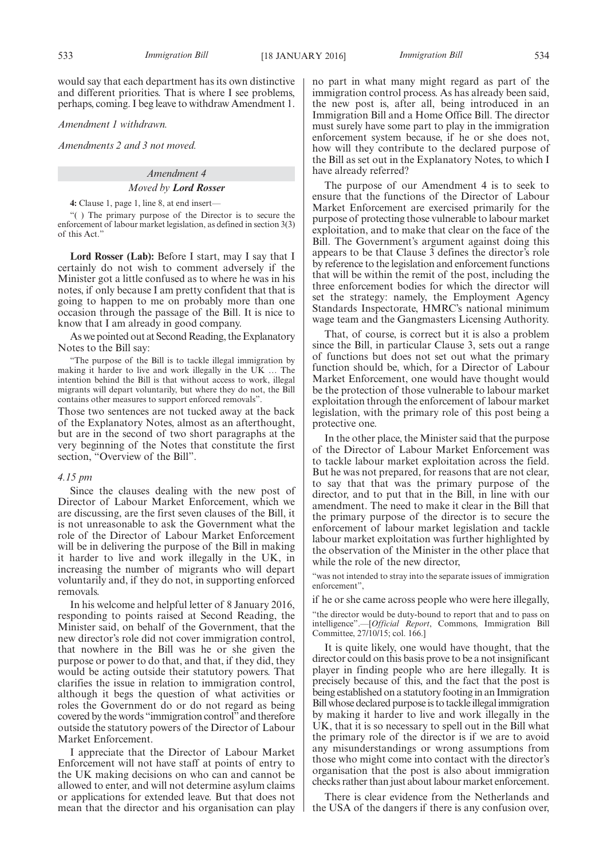would say that each department has its own distinctive and different priorities. That is where I see problems, perhaps, coming. I beg leave to withdraw Amendment 1.

*Amendment 1 withdrawn.*

*Amendments 2 and 3 not moved.*

#### *Amendment 4*

#### *Moved by Lord Rosser*

**4:** Clause 1, page 1, line 8, at end insert—

"( ) The primary purpose of the Director is to secure the enforcement of labour market legislation, as defined in section 3(3) of this Act."

**Lord Rosser (Lab):** Before I start, may I say that I certainly do not wish to comment adversely if the Minister got a little confused as to where he was in his notes, if only because I am pretty confident that that is going to happen to me on probably more than one occasion through the passage of the Bill. It is nice to know that I am already in good company.

As we pointed out at Second Reading, the Explanatory Notes to the Bill say:

"The purpose of the Bill is to tackle illegal immigration by making it harder to live and work illegally in the UK … The intention behind the Bill is that without access to work, illegal migrants will depart voluntarily, but where they do not, the Bill contains other measures to support enforced removals".

Those two sentences are not tucked away at the back of the Explanatory Notes, almost as an afterthought, but are in the second of two short paragraphs at the very beginning of the Notes that constitute the first section, "Overview of the Bill".

#### *4.15 pm*

Since the clauses dealing with the new post of Director of Labour Market Enforcement, which we are discussing, are the first seven clauses of the Bill, it is not unreasonable to ask the Government what the role of the Director of Labour Market Enforcement will be in delivering the purpose of the Bill in making it harder to live and work illegally in the UK, in increasing the number of migrants who will depart voluntarily and, if they do not, in supporting enforced removals.

In his welcome and helpful letter of 8 January 2016, responding to points raised at Second Reading, the Minister said, on behalf of the Government, that the new director's role did not cover immigration control, that nowhere in the Bill was he or she given the purpose or power to do that, and that, if they did, they would be acting outside their statutory powers. That clarifies the issue in relation to immigration control, although it begs the question of what activities or roles the Government do or do not regard as being covered by the words "immigration control"and therefore outside the statutory powers of the Director of Labour Market Enforcement.

I appreciate that the Director of Labour Market Enforcement will not have staff at points of entry to the UK making decisions on who can and cannot be allowed to enter, and will not determine asylum claims or applications for extended leave. But that does not mean that the director and his organisation can play

no part in what many might regard as part of the immigration control process. As has already been said, the new post is, after all, being introduced in an Immigration Bill and a Home Office Bill. The director must surely have some part to play in the immigration enforcement system because, if he or she does not, how will they contribute to the declared purpose of the Bill as set out in the Explanatory Notes, to which I have already referred?

The purpose of our Amendment 4 is to seek to ensure that the functions of the Director of Labour Market Enforcement are exercised primarily for the purpose of protecting those vulnerable to labour market exploitation, and to make that clear on the face of the Bill. The Government's argument against doing this appears to be that Clause 3 defines the director's role by reference to the legislation and enforcement functions that will be within the remit of the post, including the three enforcement bodies for which the director will set the strategy: namely, the Employment Agency Standards Inspectorate, HMRC's national minimum wage team and the Gangmasters Licensing Authority.

That, of course, is correct but it is also a problem since the Bill, in particular Clause 3, sets out a range of functions but does not set out what the primary function should be, which, for a Director of Labour Market Enforcement, one would have thought would be the protection of those vulnerable to labour market exploitation through the enforcement of labour market legislation, with the primary role of this post being a protective one.

In the other place, the Minister said that the purpose of the Director of Labour Market Enforcement was to tackle labour market exploitation across the field. But he was not prepared, for reasons that are not clear, to say that that was the primary purpose of the director, and to put that in the Bill, in line with our amendment. The need to make it clear in the Bill that the primary purpose of the director is to secure the enforcement of labour market legislation and tackle labour market exploitation was further highlighted by the observation of the Minister in the other place that while the role of the new director,

"was not intended to stray into the separate issues of immigration enforcement",

if he or she came across people who were here illegally,

"the director would be duty-bound to report that and to pass on intelligence".—[*Official Report*, Commons, Immigration Bill Committee, 27/10/15; col. 166.]

It is quite likely, one would have thought, that the director could on this basis prove to be a not insignificant player in finding people who are here illegally. It is precisely because of this, and the fact that the post is being established on a statutory footing in an Immigration Bill whose declared purpose is to tackle illegal immigration by making it harder to live and work illegally in the UK, that it is so necessary to spell out in the Bill what the primary role of the director is if we are to avoid any misunderstandings or wrong assumptions from those who might come into contact with the director's organisation that the post is also about immigration checks rather than just about labour market enforcement.

There is clear evidence from the Netherlands and the USA of the dangers if there is any confusion over,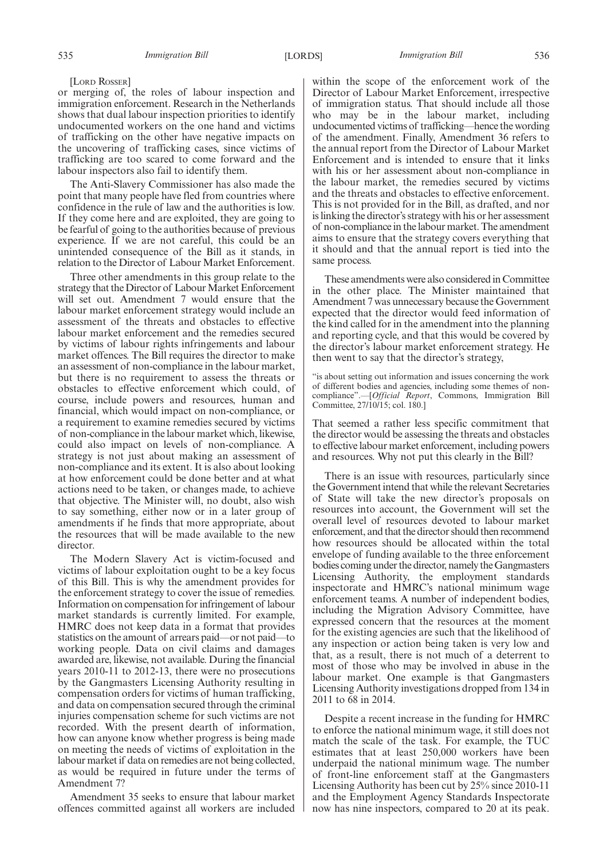[LORD ROSSER]

or merging of, the roles of labour inspection and immigration enforcement. Research in the Netherlands shows that dual labour inspection priorities to identify undocumented workers on the one hand and victims of trafficking on the other have negative impacts on the uncovering of trafficking cases, since victims of trafficking are too scared to come forward and the labour inspectors also fail to identify them.

The Anti-Slavery Commissioner has also made the point that many people have fled from countries where confidence in the rule of law and the authorities is low. If they come here and are exploited, they are going to be fearful of going to the authorities because of previous experience. If we are not careful, this could be an unintended consequence of the Bill as it stands, in relation to the Director of Labour Market Enforcement.

Three other amendments in this group relate to the strategy that the Director of Labour Market Enforcement will set out. Amendment 7 would ensure that the labour market enforcement strategy would include an assessment of the threats and obstacles to effective labour market enforcement and the remedies secured by victims of labour rights infringements and labour market offences. The Bill requires the director to make an assessment of non-compliance in the labour market, but there is no requirement to assess the threats or obstacles to effective enforcement which could, of course, include powers and resources, human and financial, which would impact on non-compliance, or a requirement to examine remedies secured by victims of non-compliance in the labour market which, likewise, could also impact on levels of non-compliance. A strategy is not just about making an assessment of non-compliance and its extent. It is also about looking at how enforcement could be done better and at what actions need to be taken, or changes made, to achieve that objective. The Minister will, no doubt, also wish to say something, either now or in a later group of amendments if he finds that more appropriate, about the resources that will be made available to the new director.

The Modern Slavery Act is victim-focused and victims of labour exploitation ought to be a key focus of this Bill. This is why the amendment provides for the enforcement strategy to cover the issue of remedies. Information on compensation for infringement of labour market standards is currently limited. For example, HMRC does not keep data in a format that provides statistics on the amount of arrears paid—or not paid—to working people. Data on civil claims and damages awarded are, likewise, not available. During the financial years 2010-11 to 2012-13, there were no prosecutions by the Gangmasters Licensing Authority resulting in compensation orders for victims of human trafficking, and data on compensation secured through the criminal injuries compensation scheme for such victims are not recorded. With the present dearth of information, how can anyone know whether progress is being made on meeting the needs of victims of exploitation in the labour market if data on remedies are not being collected, as would be required in future under the terms of Amendment 7?

Amendment 35 seeks to ensure that labour market offences committed against all workers are included within the scope of the enforcement work of the Director of Labour Market Enforcement, irrespective of immigration status. That should include all those who may be in the labour market, including undocumented victims of trafficking—hence the wording of the amendment. Finally, Amendment 36 refers to the annual report from the Director of Labour Market Enforcement and is intended to ensure that it links with his or her assessment about non-compliance in the labour market, the remedies secured by victims and the threats and obstacles to effective enforcement. This is not provided for in the Bill, as drafted, and nor is linking the director's strategy with his or her assessment of non-compliance in the labour market. The amendment aims to ensure that the strategy covers everything that it should and that the annual report is tied into the same process.

These amendments were also considered in Committee in the other place. The Minister maintained that Amendment 7 was unnecessary because the Government expected that the director would feed information of the kind called for in the amendment into the planning and reporting cycle, and that this would be covered by the director's labour market enforcement strategy. He then went to say that the director's strategy,

"is about setting out information and issues concerning the work of different bodies and agencies, including some themes of noncompliance".—[*Official Report*, Commons, Immigration Bill Committee, 27/10/15; col. 180.]

That seemed a rather less specific commitment that the director would be assessing the threats and obstacles to effective labour market enforcement, including powers and resources. Why not put this clearly in the Bill?

There is an issue with resources, particularly since the Government intend that while the relevant Secretaries of State will take the new director's proposals on resources into account, the Government will set the overall level of resources devoted to labour market enforcement, and that the director should then recommend how resources should be allocated within the total envelope of funding available to the three enforcement bodies coming under the director, namely theGangmasters Licensing Authority, the employment standards inspectorate and HMRC's national minimum wage enforcement teams. A number of independent bodies, including the Migration Advisory Committee, have expressed concern that the resources at the moment for the existing agencies are such that the likelihood of any inspection or action being taken is very low and that, as a result, there is not much of a deterrent to most of those who may be involved in abuse in the labour market. One example is that Gangmasters Licensing Authority investigations dropped from 134 in 2011 to 68 in 2014.

Despite a recent increase in the funding for HMRC to enforce the national minimum wage, it still does not match the scale of the task. For example, the TUC estimates that at least 250,000 workers have been underpaid the national minimum wage. The number of front-line enforcement staff at the Gangmasters Licensing Authority has been cut by 25% since 2010-11 and the Employment Agency Standards Inspectorate now has nine inspectors, compared to 20 at its peak.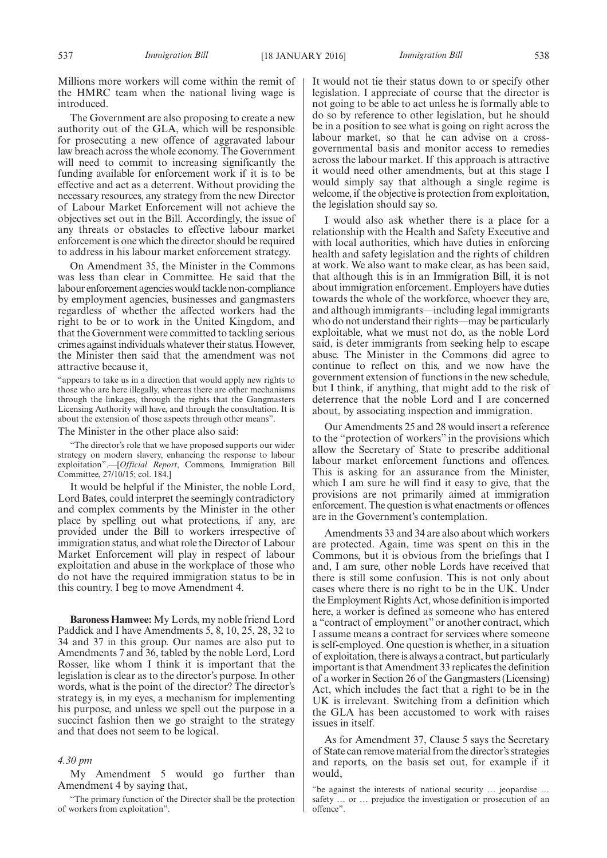Millions more workers will come within the remit of the HMRC team when the national living wage is introduced.

The Government are also proposing to create a new authority out of the GLA, which will be responsible for prosecuting a new offence of aggravated labour law breach across the whole economy. The Government will need to commit to increasing significantly the funding available for enforcement work if it is to be effective and act as a deterrent. Without providing the necessary resources, any strategy from the new Director of Labour Market Enforcement will not achieve the objectives set out in the Bill. Accordingly, the issue of any threats or obstacles to effective labour market enforcement is one which the director should be required to address in his labour market enforcement strategy.

On Amendment 35, the Minister in the Commons was less than clear in Committee. He said that the labour enforcement agencies would tackle non-compliance by employment agencies, businesses and gangmasters regardless of whether the affected workers had the right to be or to work in the United Kingdom, and that the Government were committed to tackling serious crimes against individuals whatever their status. However, the Minister then said that the amendment was not attractive because it,

"appears to take us in a direction that would apply new rights to those who are here illegally, whereas there are other mechanisms through the linkages, through the rights that the Gangmasters Licensing Authority will have, and through the consultation. It is about the extension of those aspects through other means".

The Minister in the other place also said:

"The director's role that we have proposed supports our wider strategy on modern slavery, enhancing the response to labour exploitation".—[*Official Report*, Commons, Immigration Bill Committee, 27/10/15; col. 184.]

It would be helpful if the Minister, the noble Lord, Lord Bates, could interpret the seemingly contradictory and complex comments by the Minister in the other place by spelling out what protections, if any, are provided under the Bill to workers irrespective of immigration status, and what role the Director of Labour Market Enforcement will play in respect of labour exploitation and abuse in the workplace of those who do not have the required immigration status to be in this country. I beg to move Amendment 4.

**Baroness Hamwee:** My Lords, my noble friend Lord Paddick and I have Amendments 5, 8, 10, 25, 28, 32 to 34 and 37 in this group. Our names are also put to Amendments 7 and 36, tabled by the noble Lord, Lord Rosser, like whom I think it is important that the legislation is clear as to the director's purpose. In other words, what is the point of the director? The director's strategy is, in my eyes, a mechanism for implementing his purpose, and unless we spell out the purpose in a succinct fashion then we go straight to the strategy and that does not seem to be logical.

# *4.30 pm*

My Amendment 5 would go further than Amendment 4 by saying that,

"The primary function of the Director shall be the protection of workers from exploitation".

It would not tie their status down to or specify other legislation. I appreciate of course that the director is not going to be able to act unless he is formally able to do so by reference to other legislation, but he should be in a position to see what is going on right across the labour market, so that he can advise on a crossgovernmental basis and monitor access to remedies across the labour market. If this approach is attractive it would need other amendments, but at this stage I would simply say that although a single regime is welcome, if the objective is protection from exploitation, the legislation should say so.

I would also ask whether there is a place for a relationship with the Health and Safety Executive and with local authorities, which have duties in enforcing health and safety legislation and the rights of children at work. We also want to make clear, as has been said, that although this is in an Immigration Bill, it is not about immigration enforcement. Employers have duties towards the whole of the workforce, whoever they are, and although immigrants—including legal immigrants who do not understand their rights—may be particularly exploitable, what we must not do, as the noble Lord said, is deter immigrants from seeking help to escape abuse. The Minister in the Commons did agree to continue to reflect on this, and we now have the government extension of functions in the new schedule, but I think, if anything, that might add to the risk of deterrence that the noble Lord and I are concerned about, by associating inspection and immigration.

Our Amendments 25 and 28 would insert a reference to the "protection of workers" in the provisions which allow the Secretary of State to prescribe additional labour market enforcement functions and offences. This is asking for an assurance from the Minister, which I am sure he will find it easy to give, that the provisions are not primarily aimed at immigration enforcement. The question is what enactments or offences are in the Government's contemplation.

Amendments 33 and 34 are also about which workers are protected. Again, time was spent on this in the Commons, but it is obvious from the briefings that I and, I am sure, other noble Lords have received that there is still some confusion. This is not only about cases where there is no right to be in the UK. Under the Employment Rights Act, whose definition is imported here, a worker is defined as someone who has entered a "contract of employment" or another contract, which I assume means a contract for services where someone is self-employed. One question is whether, in a situation of exploitation, there is always a contract, but particularly important is that Amendment 33 replicates the definition of a worker in Section 26 of the Gangmasters (Licensing) Act, which includes the fact that a right to be in the UK is irrelevant. Switching from a definition which the GLA has been accustomed to work with raises issues in itself.

As for Amendment 37, Clause 5 says the Secretary of State can remove material from the director's strategies and reports, on the basis set out, for example if it would,

<sup>&</sup>quot;be against the interests of national security … jeopardise … safety … or … prejudice the investigation or prosecution of an offence".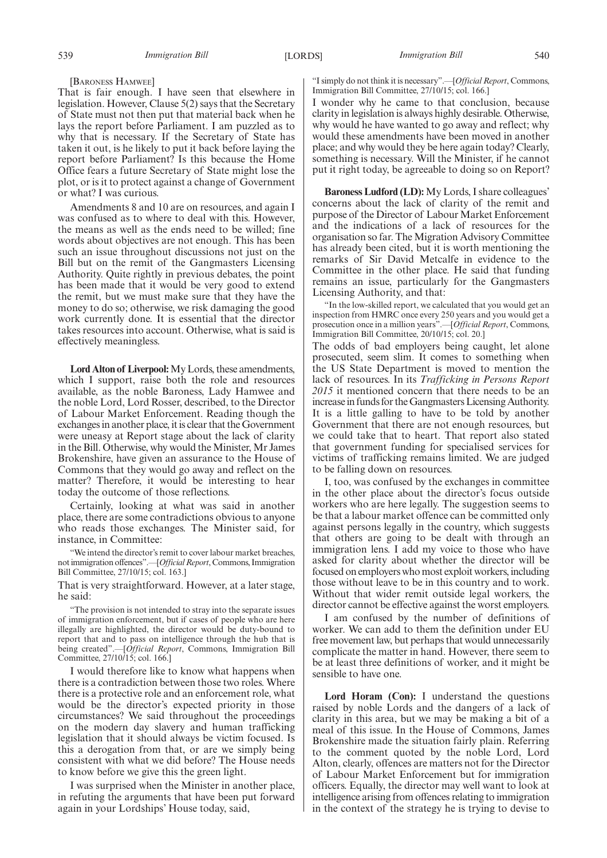[BARONESS HAMWEE]

That is fair enough. I have seen that elsewhere in legislation. However, Clause 5(2) says that the Secretary of State must not then put that material back when he lays the report before Parliament. I am puzzled as to why that is necessary. If the Secretary of State has taken it out, is he likely to put it back before laying the report before Parliament? Is this because the Home Office fears a future Secretary of State might lose the plot, or is it to protect against a change of Government or what? I was curious.

Amendments 8 and 10 are on resources, and again I was confused as to where to deal with this. However, the means as well as the ends need to be willed; fine words about objectives are not enough. This has been such an issue throughout discussions not just on the Bill but on the remit of the Gangmasters Licensing Authority. Quite rightly in previous debates, the point has been made that it would be very good to extend the remit, but we must make sure that they have the money to do so; otherwise, we risk damaging the good work currently done. It is essential that the director takes resources into account. Otherwise, what is said is effectively meaningless.

**Lord Alton of Liverpool:**My Lords, these amendments, which I support, raise both the role and resources available, as the noble Baroness, Lady Hamwee and the noble Lord, Lord Rosser, described, to the Director of Labour Market Enforcement. Reading though the exchanges in another place, it is clear that the Government were uneasy at Report stage about the lack of clarity in the Bill. Otherwise, why would the Minister, Mr James Brokenshire, have given an assurance to the House of Commons that they would go away and reflect on the matter? Therefore, it would be interesting to hear today the outcome of those reflections.

Certainly, looking at what was said in another place, there are some contradictions obvious to anyone who reads those exchanges. The Minister said, for instance, in Committee:

"We intend the director's remit to cover labour market breaches, not immigration offences".—[*Official Report*, Commons, Immigration Bill Committee, 27/10/15; col. 163.]

That is very straightforward. However, at a later stage, he said:

"The provision is not intended to stray into the separate issues of immigration enforcement, but if cases of people who are here illegally are highlighted, the director would be duty-bound to report that and to pass on intelligence through the hub that is being created".—[*Official Report*, Commons, Immigration Bill Committee, 27/10/15; col. 166.]

I would therefore like to know what happens when there is a contradiction between those two roles. Where there is a protective role and an enforcement role, what would be the director's expected priority in those circumstances? We said throughout the proceedings on the modern day slavery and human trafficking legislation that it should always be victim focused. Is this a derogation from that, or are we simply being consistent with what we did before? The House needs to know before we give this the green light.

I was surprised when the Minister in another place, in refuting the arguments that have been put forward again in your Lordships' House today, said,

"I simply do not think it is necessary".—[*Official Report*, Commons, Immigration Bill Committee, 27/10/15; col. 166.]

I wonder why he came to that conclusion, because clarity in legislation is always highly desirable. Otherwise, why would he have wanted to go away and reflect; why would these amendments have been moved in another place; and why would they be here again today? Clearly, something is necessary. Will the Minister, if he cannot put it right today, be agreeable to doing so on Report?

**Baroness Ludford (LD):** My Lords, I share colleagues' concerns about the lack of clarity of the remit and purpose of the Director of Labour Market Enforcement and the indications of a lack of resources for the organisation so far. The Migration Advisory Committee has already been cited, but it is worth mentioning the remarks of Sir David Metcalfe in evidence to the Committee in the other place. He said that funding remains an issue, particularly for the Gangmasters Licensing Authority, and that:

"In the low-skilled report, we calculated that you would get an inspection from HMRC once every 250 years and you would get a prosecution once in a million years".—[*Official Report*, Commons, Immigration Bill Committee, 20/10/15; col. 20.]

The odds of bad employers being caught, let alone prosecuted, seem slim. It comes to something when the US State Department is moved to mention the lack of resources. In its *Trafficking in Persons Report 2015* it mentioned concern that there needs to be an increase in funds for the Gangmasters Licensing Authority. It is a little galling to have to be told by another Government that there are not enough resources, but we could take that to heart. That report also stated that government funding for specialised services for victims of trafficking remains limited. We are judged to be falling down on resources.

I, too, was confused by the exchanges in committee in the other place about the director's focus outside workers who are here legally. The suggestion seems to be that a labour market offence can be committed only against persons legally in the country, which suggests that others are going to be dealt with through an immigration lens. I add my voice to those who have asked for clarity about whether the director will be focused on employers who most exploit workers, including those without leave to be in this country and to work. Without that wider remit outside legal workers, the director cannot be effective against the worst employers.

I am confused by the number of definitions of worker. We can add to them the definition under EU free movement law, but perhaps that would unnecessarily complicate the matter in hand. However, there seem to be at least three definitions of worker, and it might be sensible to have one.

**Lord Horam (Con):** I understand the questions raised by noble Lords and the dangers of a lack of clarity in this area, but we may be making a bit of a meal of this issue. In the House of Commons, James Brokenshire made the situation fairly plain. Referring to the comment quoted by the noble Lord, Lord Alton, clearly, offences are matters not for the Director of Labour Market Enforcement but for immigration officers. Equally, the director may well want to look at intelligence arising from offences relating to immigration in the context of the strategy he is trying to devise to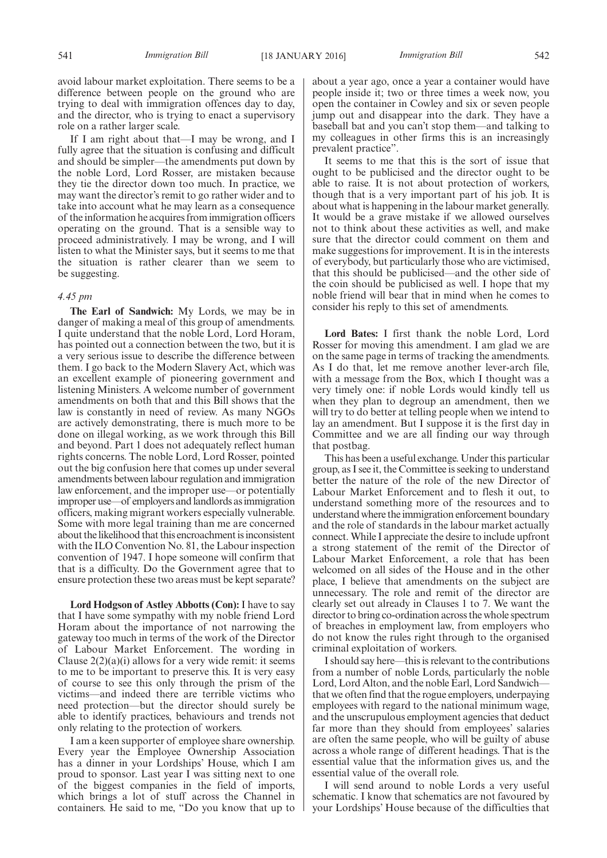If I am right about that—I may be wrong, and I fully agree that the situation is confusing and difficult and should be simpler—the amendments put down by the noble Lord, Lord Rosser, are mistaken because they tie the director down too much. In practice, we may want the director's remit to go rather wider and to take into account what he may learn as a consequence of the information he acquires from immigration officers operating on the ground. That is a sensible way to proceed administratively. I may be wrong, and I will listen to what the Minister says, but it seems to me that the situation is rather clearer than we seem to be suggesting.

# *4.45 pm*

**The Earl of Sandwich:** My Lords, we may be in danger of making a meal of this group of amendments. I quite understand that the noble Lord, Lord Horam, has pointed out a connection between the two, but it is a very serious issue to describe the difference between them. I go back to the Modern Slavery Act, which was an excellent example of pioneering government and listening Ministers. A welcome number of government amendments on both that and this Bill shows that the law is constantly in need of review. As many NGOs are actively demonstrating, there is much more to be done on illegal working, as we work through this Bill and beyond. Part 1 does not adequately reflect human rights concerns. The noble Lord, Lord Rosser, pointed out the big confusion here that comes up under several amendments between labour regulation and immigration law enforcement, and the improper use—or potentially improper use—of employers and landlords as immigration officers, making migrant workers especially vulnerable. Some with more legal training than me are concerned about the likelihood that this encroachment is inconsistent with the ILO Convention No. 81, the Labour inspection convention of 1947. I hope someone will confirm that that is a difficulty. Do the Government agree that to ensure protection these two areas must be kept separate?

**Lord Hodgson of Astley Abbotts (Con):** I have to say that I have some sympathy with my noble friend Lord Horam about the importance of not narrowing the gateway too much in terms of the work of the Director of Labour Market Enforcement. The wording in Clause  $2(2)(a)(i)$  allows for a very wide remit: it seems to me to be important to preserve this. It is very easy of course to see this only through the prism of the victims—and indeed there are terrible victims who need protection—but the director should surely be able to identify practices, behaviours and trends not only relating to the protection of workers.

I am a keen supporter of employee share ownership. Every year the Employee Ownership Association has a dinner in your Lordships' House, which I am proud to sponsor. Last year I was sitting next to one of the biggest companies in the field of imports, which brings a lot of stuff across the Channel in containers. He said to me, "Do you know that up to

about a year ago, once a year a container would have people inside it; two or three times a week now, you open the container in Cowley and six or seven people jump out and disappear into the dark. They have a baseball bat and you can't stop them—and talking to my colleagues in other firms this is an increasingly prevalent practice".

It seems to me that this is the sort of issue that ought to be publicised and the director ought to be able to raise. It is not about protection of workers, though that is a very important part of his job. It is about what is happening in the labour market generally. It would be a grave mistake if we allowed ourselves not to think about these activities as well, and make sure that the director could comment on them and make suggestions for improvement. It is in the interests of everybody, but particularly those who are victimised, that this should be publicised—and the other side of the coin should be publicised as well. I hope that my noble friend will bear that in mind when he comes to consider his reply to this set of amendments.

**Lord Bates:** I first thank the noble Lord, Lord Rosser for moving this amendment. I am glad we are on the same page in terms of tracking the amendments. As I do that, let me remove another lever-arch file, with a message from the Box, which I thought was a very timely one: if noble Lords would kindly tell us when they plan to degroup an amendment, then we will try to do better at telling people when we intend to lay an amendment. But I suppose it is the first day in Committee and we are all finding our way through that postbag.

This has been a useful exchange. Under this particular group, as I see it, the Committee is seeking to understand better the nature of the role of the new Director of Labour Market Enforcement and to flesh it out, to understand something more of the resources and to understand where the immigration enforcement boundary and the role of standards in the labour market actually connect. While I appreciate the desire to include upfront a strong statement of the remit of the Director of Labour Market Enforcement, a role that has been welcomed on all sides of the House and in the other place, I believe that amendments on the subject are unnecessary. The role and remit of the director are clearly set out already in Clauses 1 to 7. We want the director to bring co-ordination across the whole spectrum of breaches in employment law, from employers who do not know the rules right through to the organised criminal exploitation of workers.

I should say here—this is relevant to the contributions from a number of noble Lords, particularly the noble Lord, Lord Alton, and the noble Earl, Lord Sandwichthat we often find that the rogue employers, underpaying employees with regard to the national minimum wage, and the unscrupulous employment agencies that deduct far more than they should from employees' salaries are often the same people, who will be guilty of abuse across a whole range of different headings. That is the essential value that the information gives us, and the essential value of the overall role.

I will send around to noble Lords a very useful schematic. I know that schematics are not favoured by your Lordships' House because of the difficulties that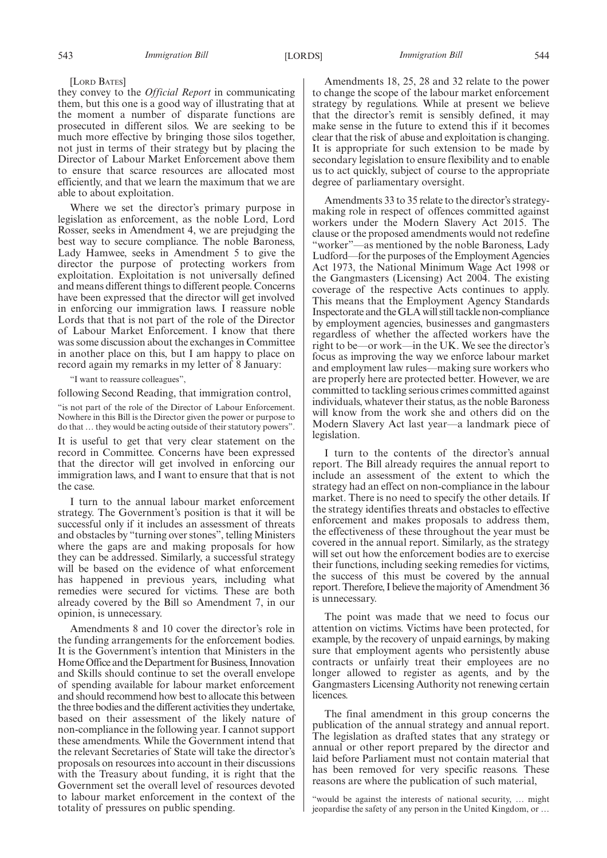#### [LORD BATES]

they convey to the *Official Report* in communicating them, but this one is a good way of illustrating that at the moment a number of disparate functions are prosecuted in different silos. We are seeking to be much more effective by bringing those silos together, not just in terms of their strategy but by placing the Director of Labour Market Enforcement above them to ensure that scarce resources are allocated most efficiently, and that we learn the maximum that we are able to about exploitation.

Where we set the director's primary purpose in legislation as enforcement, as the noble Lord, Lord Rosser, seeks in Amendment 4, we are prejudging the best way to secure compliance. The noble Baroness, Lady Hamwee, seeks in Amendment 5 to give the director the purpose of protecting workers from exploitation. Exploitation is not universally defined and means different things to different people. Concerns have been expressed that the director will get involved in enforcing our immigration laws. I reassure noble Lords that that is not part of the role of the Director of Labour Market Enforcement. I know that there was some discussion about the exchanges in Committee in another place on this, but I am happy to place on record again my remarks in my letter of 8 January:

"I want to reassure colleagues",

following Second Reading, that immigration control,

"is not part of the role of the Director of Labour Enforcement. Nowhere in this Bill is the Director given the power or purpose to do that … they would be acting outside of their statutory powers".

It is useful to get that very clear statement on the record in Committee. Concerns have been expressed that the director will get involved in enforcing our immigration laws, and I want to ensure that that is not the case.

I turn to the annual labour market enforcement strategy. The Government's position is that it will be successful only if it includes an assessment of threats and obstacles by "turning over stones", telling Ministers where the gaps are and making proposals for how they can be addressed. Similarly, a successful strategy will be based on the evidence of what enforcement has happened in previous years, including what remedies were secured for victims. These are both already covered by the Bill so Amendment 7, in our opinion, is unnecessary.

Amendments 8 and 10 cover the director's role in the funding arrangements for the enforcement bodies. It is the Government's intention that Ministers in the Home Office and the Department for Business, Innovation and Skills should continue to set the overall envelope of spending available for labour market enforcement and should recommend how best to allocate this between the three bodies and the different activities they undertake, based on their assessment of the likely nature of non-compliance in the following year. I cannot support these amendments. While the Government intend that the relevant Secretaries of State will take the director's proposals on resources into account in their discussions with the Treasury about funding, it is right that the Government set the overall level of resources devoted to labour market enforcement in the context of the totality of pressures on public spending.

Amendments 18, 25, 28 and 32 relate to the power to change the scope of the labour market enforcement strategy by regulations. While at present we believe that the director's remit is sensibly defined, it may make sense in the future to extend this if it becomes clear that the risk of abuse and exploitation is changing. It is appropriate for such extension to be made by secondary legislation to ensure flexibility and to enable us to act quickly, subject of course to the appropriate degree of parliamentary oversight.

Amendments 33 to 35 relate to the director's strategymaking role in respect of offences committed against workers under the Modern Slavery Act 2015. The clause or the proposed amendments would not redefine "worker"—as mentioned by the noble Baroness, Lady Ludford—for the purposes of the Employment Agencies Act 1973, the National Minimum Wage Act 1998 or the Gangmasters (Licensing) Act 2004. The existing coverage of the respective Acts continues to apply. This means that the Employment Agency Standards Inspectorate and the GLA will still tackle non-compliance by employment agencies, businesses and gangmasters regardless of whether the affected workers have the right to be—or work—in the UK. We see the director's focus as improving the way we enforce labour market and employment law rules—making sure workers who are properly here are protected better. However, we are committed to tackling serious crimes committed against individuals, whatever their status, as the noble Baroness will know from the work she and others did on the Modern Slavery Act last year—a landmark piece of legislation.

I turn to the contents of the director's annual report. The Bill already requires the annual report to include an assessment of the extent to which the strategy had an effect on non-compliance in the labour market. There is no need to specify the other details. If the strategy identifies threats and obstacles to effective enforcement and makes proposals to address them, the effectiveness of these throughout the year must be covered in the annual report. Similarly, as the strategy will set out how the enforcement bodies are to exercise their functions, including seeking remedies for victims, the success of this must be covered by the annual report. Therefore, I believe the majority of Amendment 36 is unnecessary.

The point was made that we need to focus our attention on victims. Victims have been protected, for example, by the recovery of unpaid earnings, by making sure that employment agents who persistently abuse contracts or unfairly treat their employees are no longer allowed to register as agents, and by the Gangmasters Licensing Authority not renewing certain licences.

The final amendment in this group concerns the publication of the annual strategy and annual report. The legislation as drafted states that any strategy or annual or other report prepared by the director and laid before Parliament must not contain material that has been removed for very specific reasons. These reasons are where the publication of such material,

"would be against the interests of national security, … might jeopardise the safety of any person in the United Kingdom, or …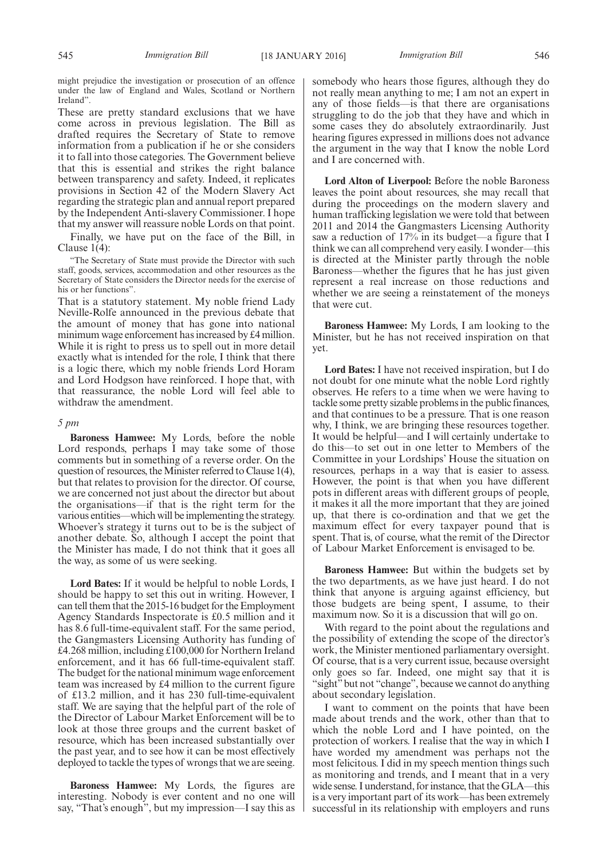might prejudice the investigation or prosecution of an offence under the law of England and Wales, Scotland or Northern Ireland".

These are pretty standard exclusions that we have come across in previous legislation. The Bill as drafted requires the Secretary of State to remove information from a publication if he or she considers it to fall into those categories. The Government believe that this is essential and strikes the right balance between transparency and safety. Indeed, it replicates provisions in Section 42 of the Modern Slavery Act regarding the strategic plan and annual report prepared by the Independent Anti-slavery Commissioner. I hope that my answer will reassure noble Lords on that point.

Finally, we have put on the face of the Bill, in Clause 1(4):

"The Secretary of State must provide the Director with such staff, goods, services, accommodation and other resources as the Secretary of State considers the Director needs for the exercise of his or her functions".

That is a statutory statement. My noble friend Lady Neville-Rolfe announced in the previous debate that the amount of money that has gone into national minimum wage enforcement has increased by £4 million. While it is right to press us to spell out in more detail exactly what is intended for the role, I think that there is a logic there, which my noble friends Lord Horam and Lord Hodgson have reinforced. I hope that, with that reassurance, the noble Lord will feel able to withdraw the amendment.

#### *5 pm*

**Baroness Hamwee:** My Lords, before the noble Lord responds, perhaps I may take some of those comments but in something of a reverse order. On the question of resources, theMinister referred to Clause 1(4), but that relates to provision for the director. Of course, we are concerned not just about the director but about the organisations—if that is the right term for the various entities—which will be implementing the strategy. Whoever's strategy it turns out to be is the subject of another debate. So, although I accept the point that the Minister has made, I do not think that it goes all the way, as some of us were seeking.

**Lord Bates:** If it would be helpful to noble Lords, I should be happy to set this out in writing. However, I can tell them that the 2015-16 budget for the Employment Agency Standards Inspectorate is £0.5 million and it has 8.6 full-time-equivalent staff. For the same period, the Gangmasters Licensing Authority has funding of £4.268 million, including £100,000 for Northern Ireland enforcement, and it has 66 full-time-equivalent staff. The budget for the national minimum wage enforcement team was increased by £4 million to the current figure of £13.2 million, and it has 230 full-time-equivalent staff. We are saying that the helpful part of the role of the Director of Labour Market Enforcement will be to look at those three groups and the current basket of resource, which has been increased substantially over the past year, and to see how it can be most effectively deployed to tackle the types of wrongs that we are seeing.

**Baroness Hamwee:** My Lords, the figures are interesting. Nobody is ever content and no one will say, "That's enough", but my impression—I say this as somebody who hears those figures, although they do not really mean anything to me; I am not an expert in any of those fields—is that there are organisations struggling to do the job that they have and which in some cases they do absolutely extraordinarily. Just hearing figures expressed in millions does not advance the argument in the way that I know the noble Lord and I are concerned with.

**Lord Alton of Liverpool:** Before the noble Baroness leaves the point about resources, she may recall that during the proceedings on the modern slavery and human trafficking legislation we were told that between 2011 and 2014 the Gangmasters Licensing Authority saw a reduction of 17% in its budget—a figure that I think we can all comprehend very easily. I wonder—this is directed at the Minister partly through the noble Baroness—whether the figures that he has just given represent a real increase on those reductions and whether we are seeing a reinstatement of the moneys that were cut.

**Baroness Hamwee:** My Lords, I am looking to the Minister, but he has not received inspiration on that yet.

**Lord Bates:** I have not received inspiration, but I do not doubt for one minute what the noble Lord rightly observes. He refers to a time when we were having to tackle some pretty sizable problems in the public finances, and that continues to be a pressure. That is one reason why, I think, we are bringing these resources together. It would be helpful—and I will certainly undertake to do this—to set out in one letter to Members of the Committee in your Lordships' House the situation on resources, perhaps in a way that is easier to assess. However, the point is that when you have different pots in different areas with different groups of people, it makes it all the more important that they are joined up, that there is co-ordination and that we get the maximum effect for every taxpayer pound that is spent. That is, of course, what the remit of the Director of Labour Market Enforcement is envisaged to be.

**Baroness Hamwee:** But within the budgets set by the two departments, as we have just heard. I do not think that anyone is arguing against efficiency, but those budgets are being spent, I assume, to their maximum now. So it is a discussion that will go on.

With regard to the point about the regulations and the possibility of extending the scope of the director's work, the Minister mentioned parliamentary oversight. Of course, that is a very current issue, because oversight only goes so far. Indeed, one might say that it is "sight" but not "change", because we cannot do anything about secondary legislation.

I want to comment on the points that have been made about trends and the work, other than that to which the noble Lord and I have pointed, on the protection of workers. I realise that the way in which I have worded my amendment was perhaps not the most felicitous. I did in my speech mention things such as monitoring and trends, and I meant that in a very wide sense. I understand, for instance, that the GLA—this is a very important part of its work—has been extremely successful in its relationship with employers and runs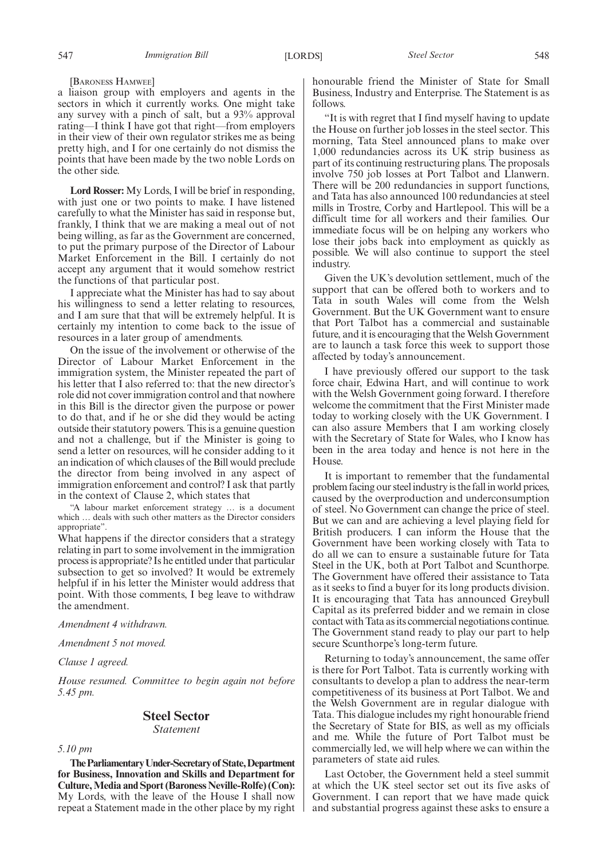[BARONESS HAMWEE]

a liaison group with employers and agents in the sectors in which it currently works. One might take any survey with a pinch of salt, but a 93% approval rating—I think I have got that right—from employers in their view of their own regulator strikes me as being pretty high, and I for one certainly do not dismiss the points that have been made by the two noble Lords on the other side.

**Lord Rosser:** My Lords, I will be brief in responding, with just one or two points to make. I have listened carefully to what the Minister has said in response but, frankly, I think that we are making a meal out of not being willing, as far as the Government are concerned, to put the primary purpose of the Director of Labour Market Enforcement in the Bill. I certainly do not accept any argument that it would somehow restrict the functions of that particular post.

I appreciate what the Minister has had to say about his willingness to send a letter relating to resources, and I am sure that that will be extremely helpful. It is certainly my intention to come back to the issue of resources in a later group of amendments.

On the issue of the involvement or otherwise of the Director of Labour Market Enforcement in the immigration system, the Minister repeated the part of his letter that I also referred to: that the new director's role did not cover immigration control and that nowhere in this Bill is the director given the purpose or power to do that, and if he or she did they would be acting outside their statutory powers. This is a genuine question and not a challenge, but if the Minister is going to send a letter on resources, will he consider adding to it an indication of which clauses of the Bill would preclude the director from being involved in any aspect of immigration enforcement and control? I ask that partly in the context of Clause 2, which states that

"A labour market enforcement strategy … is a document which … deals with such other matters as the Director considers appropriate".

What happens if the director considers that a strategy relating in part to some involvement in the immigration process is appropriate? Is he entitled under that particular subsection to get so involved? It would be extremely helpful if in his letter the Minister would address that point. With those comments, I beg leave to withdraw the amendment.

*Amendment 4 withdrawn.*

*Amendment 5 not moved.*

*Clause 1 agreed.*

*House resumed. Committee to begin again not before 5.45 pm.*

# **Steel Sector**

*Statement*

*5.10 pm*

**TheParliamentaryUnder-Secretaryof State,Department for Business, Innovation and Skills and Department for Culture,Media and Sport (Baroness Neville-Rolfe) (Con):** My Lords, with the leave of the House I shall now repeat a Statement made in the other place by my right honourable friend the Minister of State for Small Business, Industry and Enterprise. The Statement is as follows.

"It is with regret that I find myself having to update the House on further job losses in the steel sector. This morning, Tata Steel announced plans to make over  $1,000$  redundancies across its UK strip business as part of its continuing restructuring plans. The proposals involve 750 job losses at Port Talbot and Llanwern. There will be 200 redundancies in support functions, and Tata has also announced 100 redundancies at steel mills in Trostre, Corby and Hartlepool. This will be a difficult time for all workers and their families. Our immediate focus will be on helping any workers who lose their jobs back into employment as quickly as possible. We will also continue to support the steel industry.

Given the UK's devolution settlement, much of the support that can be offered both to workers and to Tata in south Wales will come from the Welsh Government. But the UK Government want to ensure that Port Talbot has a commercial and sustainable future, and it is encouraging that the Welsh Government are to launch a task force this week to support those affected by today's announcement.

I have previously offered our support to the task force chair, Edwina Hart, and will continue to work with the Welsh Government going forward. I therefore welcome the commitment that the First Minister made today to working closely with the UK Government. I can also assure Members that I am working closely with the Secretary of State for Wales, who I know has been in the area today and hence is not here in the House.

It is important to remember that the fundamental problem facing our steel industry is the fall in world prices, caused by the overproduction and underconsumption of steel. No Government can change the price of steel. But we can and are achieving a level playing field for British producers. I can inform the House that the Government have been working closely with Tata to do all we can to ensure a sustainable future for Tata Steel in the UK, both at Port Talbot and Scunthorpe. The Government have offered their assistance to Tata as it seeks to find a buyer for its long products division. It is encouraging that Tata has announced Greybull Capital as its preferred bidder and we remain in close contact with Tata as its commercial negotiations continue. The Government stand ready to play our part to help secure Scunthorpe's long-term future.

Returning to today's announcement, the same offer is there for Port Talbot. Tata is currently working with consultants to develop a plan to address the near-term competitiveness of its business at Port Talbot. We and the Welsh Government are in regular dialogue with Tata. This dialogue includes my right honourable friend the Secretary of State for BIS, as well as my officials and me. While the future of Port Talbot must be commercially led, we will help where we can within the parameters of state aid rules.

Last October, the Government held a steel summit at which the UK steel sector set out its five asks of Government. I can report that we have made quick and substantial progress against these asks to ensure a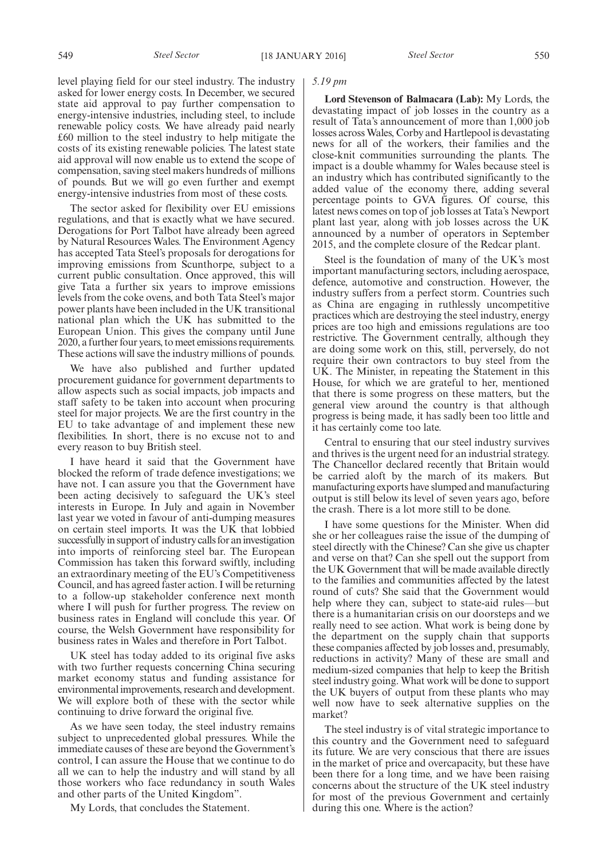level playing field for our steel industry. The industry asked for lower energy costs. In December, we secured state aid approval to pay further compensation to energy-intensive industries, including steel, to include renewable policy costs. We have already paid nearly £60 million to the steel industry to help mitigate the costs of its existing renewable policies. The latest state aid approval will now enable us to extend the scope of compensation, saving steel makers hundreds of millions of pounds. But we will go even further and exempt energy-intensive industries from most of these costs.

The sector asked for flexibility over EU emissions regulations, and that is exactly what we have secured. Derogations for Port Talbot have already been agreed by Natural Resources Wales. The Environment Agency has accepted Tata Steel's proposals for derogations for improving emissions from Scunthorpe, subject to a current public consultation. Once approved, this will give Tata a further six years to improve emissions levels from the coke ovens, and both Tata Steel's major power plants have been included in the UK transitional national plan which the UK has submitted to the European Union. This gives the company until June 2020, a further four years, to meet emissions requirements. These actions will save the industry millions of pounds.

We have also published and further updated procurement guidance for government departments to allow aspects such as social impacts, job impacts and staff safety to be taken into account when procuring steel for major projects. We are the first country in the EU to take advantage of and implement these new flexibilities. In short, there is no excuse not to and every reason to buy British steel.

I have heard it said that the Government have blocked the reform of trade defence investigations; we have not. I can assure you that the Government have been acting decisively to safeguard the UK's steel interests in Europe. In July and again in November last year we voted in favour of anti-dumping measures on certain steel imports. It was the UK that lobbied successfully in support of industry calls for an investigation into imports of reinforcing steel bar. The European Commission has taken this forward swiftly, including an extraordinary meeting of the EU's Competitiveness Council, and has agreed faster action. I will be returning to a follow-up stakeholder conference next month where I will push for further progress. The review on business rates in England will conclude this year. Of course, the Welsh Government have responsibility for business rates in Wales and therefore in Port Talbot.

UK steel has today added to its original five asks with two further requests concerning China securing market economy status and funding assistance for environmental improvements, research and development. We will explore both of these with the sector while continuing to drive forward the original five.

As we have seen today, the steel industry remains subject to unprecedented global pressures. While the immediate causes of these are beyond the Government's control, I can assure the House that we continue to do all we can to help the industry and will stand by all those workers who face redundancy in south Wales and other parts of the United Kingdom".

My Lords, that concludes the Statement.

#### *5.19 pm*

**Lord Stevenson of Balmacara (Lab):** My Lords, the devastating impact of job losses in the country as a result of Tata's announcement of more than 1,000 job losses across Wales, Corby and Hartlepool is devastating news for all of the workers, their families and the close-knit communities surrounding the plants. The impact is a double whammy for Wales because steel is an industry which has contributed significantly to the added value of the economy there, adding several percentage points to GVA figures. Of course, this latest news comes on top of job losses at Tata's Newport plant last year, along with job losses across the UK announced by a number of operators in September 2015, and the complete closure of the Redcar plant.

Steel is the foundation of many of the UK's most important manufacturing sectors, including aerospace, defence, automotive and construction. However, the industry suffers from a perfect storm. Countries such as China are engaging in ruthlessly uncompetitive practices which are destroying the steel industry, energy prices are too high and emissions regulations are too restrictive. The Government centrally, although they are doing some work on this, still, perversely, do not require their own contractors to buy steel from the UK. The Minister, in repeating the Statement in this House, for which we are grateful to her, mentioned that there is some progress on these matters, but the general view around the country is that although progress is being made, it has sadly been too little and it has certainly come too late.

Central to ensuring that our steel industry survives and thrives is the urgent need for an industrial strategy. The Chancellor declared recently that Britain would be carried aloft by the march of its makers. But manufacturing exports have slumped and manufacturing output is still below its level of seven years ago, before the crash. There is a lot more still to be done.

I have some questions for the Minister. When did she or her colleagues raise the issue of the dumping of steel directly with the Chinese? Can she give us chapter and verse on that? Can she spell out the support from the UK Government that will be made available directly to the families and communities affected by the latest round of cuts? She said that the Government would help where they can, subject to state-aid rules—but there is a humanitarian crisis on our doorsteps and we really need to see action. What work is being done by the department on the supply chain that supports these companies affected by job losses and, presumably, reductions in activity? Many of these are small and medium-sized companies that help to keep the British steel industry going. What work will be done to support the UK buyers of output from these plants who may well now have to seek alternative supplies on the market?

The steel industry is of vital strategic importance to this country and the Government need to safeguard its future. We are very conscious that there are issues in the market of price and overcapacity, but these have been there for a long time, and we have been raising concerns about the structure of the UK steel industry for most of the previous Government and certainly during this one. Where is the action?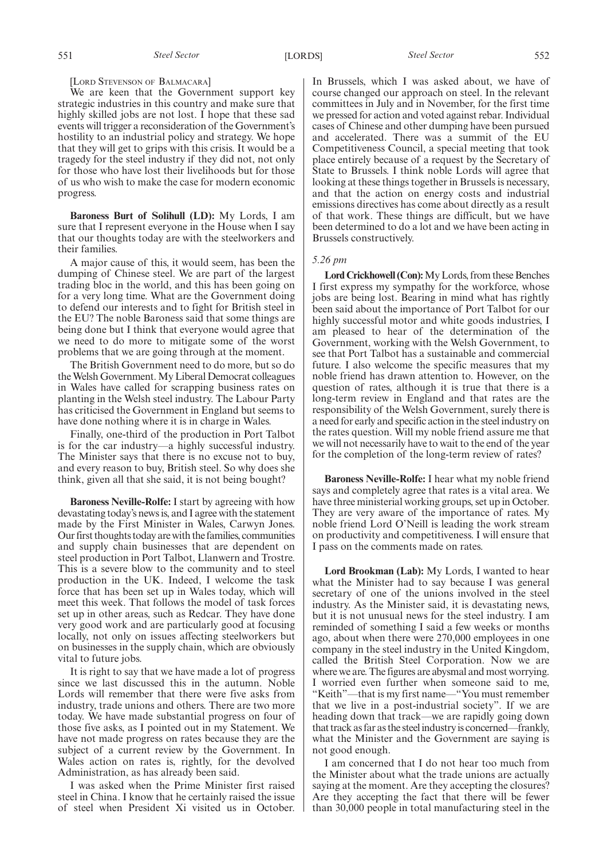#### [LORD STEVENSON OF BALMACARA]

We are keen that the Government support key strategic industries in this country and make sure that highly skilled jobs are not lost. I hope that these sad events will trigger a reconsideration of the Government's hostility to an industrial policy and strategy. We hope that they will get to grips with this crisis. It would be a tragedy for the steel industry if they did not, not only for those who have lost their livelihoods but for those of us who wish to make the case for modern economic progress.

**Baroness Burt of Solihull (LD):** My Lords, I am sure that I represent everyone in the House when I say that our thoughts today are with the steelworkers and their families.

A major cause of this, it would seem, has been the dumping of Chinese steel. We are part of the largest trading bloc in the world, and this has been going on for a very long time. What are the Government doing to defend our interests and to fight for British steel in the EU? The noble Baroness said that some things are being done but I think that everyone would agree that we need to do more to mitigate some of the worst problems that we are going through at the moment.

The British Government need to do more, but so do theWelsh Government.My Liberal Democrat colleagues in Wales have called for scrapping business rates on planting in the Welsh steel industry. The Labour Party has criticised the Government in England but seems to have done nothing where it is in charge in Wales.

Finally, one-third of the production in Port Talbot is for the car industry—a highly successful industry. The Minister says that there is no excuse not to buy, and every reason to buy, British steel. So why does she think, given all that she said, it is not being bought?

**Baroness Neville-Rolfe:** I start by agreeing with how devastating today's news is, and I agree with the statement made by the First Minister in Wales, Carwyn Jones. Our first thoughts today are with the families, communities and supply chain businesses that are dependent on steel production in Port Talbot, Llanwern and Trostre. This is a severe blow to the community and to steel production in the UK. Indeed, I welcome the task force that has been set up in Wales today, which will meet this week. That follows the model of task forces set up in other areas, such as Redcar. They have done very good work and are particularly good at focusing locally, not only on issues affecting steelworkers but on businesses in the supply chain, which are obviously vital to future jobs.

It is right to say that we have made a lot of progress since we last discussed this in the autumn. Noble Lords will remember that there were five asks from industry, trade unions and others. There are two more today. We have made substantial progress on four of those five asks, as I pointed out in my Statement. We have not made progress on rates because they are the subject of a current review by the Government. In Wales action on rates is, rightly, for the devolved Administration, as has already been said.

I was asked when the Prime Minister first raised steel in China. I know that he certainly raised the issue of steel when President Xi visited us in October. In Brussels, which I was asked about, we have of course changed our approach on steel. In the relevant committees in July and in November, for the first time we pressed for action and voted against rebar. Individual cases of Chinese and other dumping have been pursued and accelerated. There was a summit of the EU Competitiveness Council, a special meeting that took place entirely because of a request by the Secretary of State to Brussels. I think noble Lords will agree that looking at these things together in Brussels is necessary, and that the action on energy costs and industrial emissions directives has come about directly as a result of that work. These things are difficult, but we have been determined to do a lot and we have been acting in Brussels constructively.

### *5.26 pm*

**Lord Crickhowell (Con):**My Lords, from these Benches I first express my sympathy for the workforce, whose jobs are being lost. Bearing in mind what has rightly been said about the importance of Port Talbot for our highly successful motor and white goods industries, I am pleased to hear of the determination of the Government, working with the Welsh Government, to see that Port Talbot has a sustainable and commercial future. I also welcome the specific measures that my noble friend has drawn attention to. However, on the question of rates, although it is true that there is a long-term review in England and that rates are the responsibility of the Welsh Government, surely there is a need for early and specific action in the steel industry on the rates question. Will my noble friend assure me that we will not necessarily have to wait to the end of the year for the completion of the long-term review of rates?

**Baroness Neville-Rolfe:** I hear what my noble friend says and completely agree that rates is a vital area. We have three ministerial working groups, set up in October. They are very aware of the importance of rates. My noble friend Lord O'Neill is leading the work stream on productivity and competitiveness. I will ensure that I pass on the comments made on rates.

**Lord Brookman (Lab):** My Lords, I wanted to hear what the Minister had to say because I was general secretary of one of the unions involved in the steel industry. As the Minister said, it is devastating news, but it is not unusual news for the steel industry. I am reminded of something I said a few weeks or months ago, about when there were 270,000 employees in one company in the steel industry in the United Kingdom, called the British Steel Corporation. Now we are where we are. The figures are abysmal and most worrying. I worried even further when someone said to me, "Keith"—that is my first name—"You must remember that we live in a post-industrial society". If we are heading down that track—we are rapidly going down that track as far as the steel industry is concerned—frankly, what the Minister and the Government are saying is not good enough.

I am concerned that I do not hear too much from the Minister about what the trade unions are actually saying at the moment. Are they accepting the closures? Are they accepting the fact that there will be fewer than 30,000 people in total manufacturing steel in the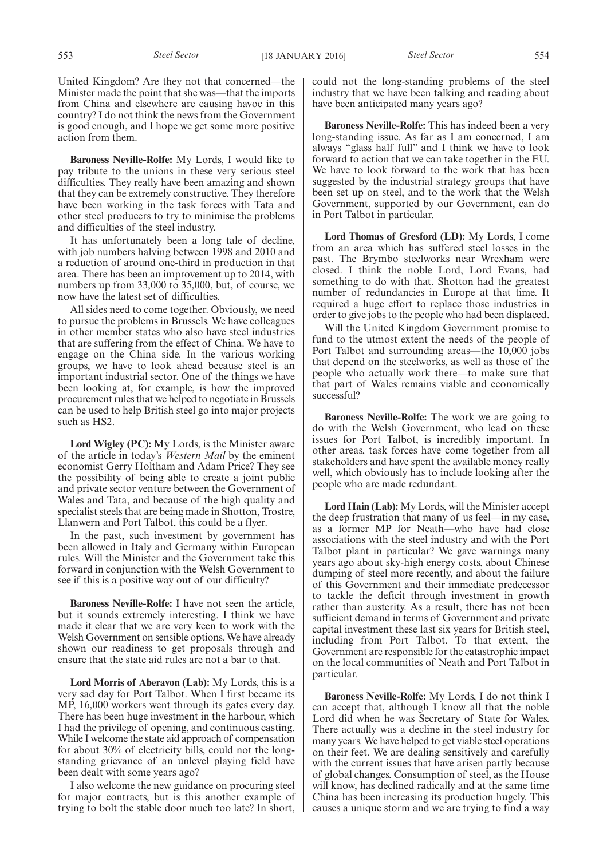United Kingdom? Are they not that concerned—the Minister made the point that she was—that the imports from China and elsewhere are causing havoc in this country? I do not think the news from the Government is good enough, and I hope we get some more positive action from them.

**Baroness Neville-Rolfe:** My Lords, I would like to pay tribute to the unions in these very serious steel difficulties. They really have been amazing and shown that they can be extremely constructive. They therefore have been working in the task forces with Tata and other steel producers to try to minimise the problems and difficulties of the steel industry.

It has unfortunately been a long tale of decline, with job numbers halving between 1998 and 2010 and a reduction of around one-third in production in that area. There has been an improvement up to 2014, with numbers up from 33,000 to 35,000, but, of course, we now have the latest set of difficulties.

All sides need to come together. Obviously, we need to pursue the problems in Brussels. We have colleagues in other member states who also have steel industries that are suffering from the effect of China. We have to engage on the China side. In the various working groups, we have to look ahead because steel is an important industrial sector. One of the things we have been looking at, for example, is how the improved procurement rules that we helped to negotiate in Brussels can be used to help British steel go into major projects such as HS2.

**Lord Wigley (PC):** My Lords, is the Minister aware of the article in today's *Western Mail* by the eminent economist Gerry Holtham and Adam Price? They see the possibility of being able to create a joint public and private sector venture between the Government of Wales and Tata, and because of the high quality and specialist steels that are being made in Shotton, Trostre, Llanwern and Port Talbot, this could be a flyer.

In the past, such investment by government has been allowed in Italy and Germany within European rules. Will the Minister and the Government take this forward in conjunction with the Welsh Government to see if this is a positive way out of our difficulty?

**Baroness Neville-Rolfe:** I have not seen the article, but it sounds extremely interesting. I think we have made it clear that we are very keen to work with the Welsh Government on sensible options. We have already shown our readiness to get proposals through and ensure that the state aid rules are not a bar to that.

**Lord Morris of Aberavon (Lab):** My Lords, this is a very sad day for Port Talbot. When I first became its MP, 16,000 workers went through its gates every day. There has been huge investment in the harbour, which I had the privilege of opening, and continuous casting. While I welcome the state aid approach of compensation for about 30% of electricity bills, could not the longstanding grievance of an unlevel playing field have been dealt with some years ago?

I also welcome the new guidance on procuring steel for major contracts, but is this another example of trying to bolt the stable door much too late? In short, could not the long-standing problems of the steel industry that we have been talking and reading about have been anticipated many years ago?

**Baroness Neville-Rolfe:** This has indeed been a very long-standing issue. As far as I am concerned, I am always "glass half full" and I think we have to look forward to action that we can take together in the EU. We have to look forward to the work that has been suggested by the industrial strategy groups that have been set up on steel, and to the work that the Welsh Government, supported by our Government, can do in Port Talbot in particular.

**Lord Thomas of Gresford (LD):** My Lords, I come from an area which has suffered steel losses in the past. The Brymbo steelworks near Wrexham were closed. I think the noble Lord, Lord Evans, had something to do with that. Shotton had the greatest number of redundancies in Europe at that time. It required a huge effort to replace those industries in order to give jobs to the people who had been displaced.

Will the United Kingdom Government promise to fund to the utmost extent the needs of the people of Port Talbot and surrounding areas—the 10,000 jobs that depend on the steelworks, as well as those of the people who actually work there—to make sure that that part of Wales remains viable and economically successful?

**Baroness Neville-Rolfe:** The work we are going to do with the Welsh Government, who lead on these issues for Port Talbot, is incredibly important. In other areas, task forces have come together from all stakeholders and have spent the available money really well, which obviously has to include looking after the people who are made redundant.

**Lord Hain (Lab):** My Lords, will the Minister accept the deep frustration that many of us feel—in my case, as a former MP for Neath—who have had close associations with the steel industry and with the Port Talbot plant in particular? We gave warnings many years ago about sky-high energy costs, about Chinese dumping of steel more recently, and about the failure of this Government and their immediate predecessor to tackle the deficit through investment in growth rather than austerity. As a result, there has not been sufficient demand in terms of Government and private capital investment these last six years for British steel, including from Port Talbot. To that extent, the Government are responsible for the catastrophic impact on the local communities of Neath and Port Talbot in particular.

**Baroness Neville-Rolfe:** My Lords, I do not think I can accept that, although I know all that the noble Lord did when he was Secretary of State for Wales. There actually was a decline in the steel industry for many years. We have helped to get viable steel operations on their feet. We are dealing sensitively and carefully with the current issues that have arisen partly because of global changes. Consumption of steel, as the House will know, has declined radically and at the same time China has been increasing its production hugely. This causes a unique storm and we are trying to find a way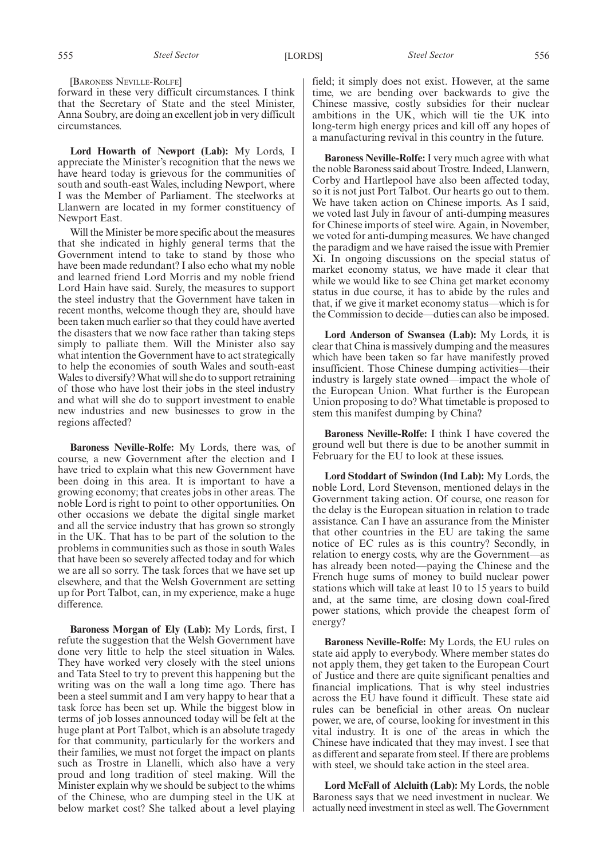[BARONESS NEVILLE-ROLFE]

forward in these very difficult circumstances. I think that the Secretary of State and the steel Minister, Anna Soubry, are doing an excellent job in very difficult circumstances.

**Lord Howarth of Newport (Lab):** My Lords, I appreciate the Minister's recognition that the news we have heard today is grievous for the communities of south and south-east Wales, including Newport, where I was the Member of Parliament. The steelworks at Llanwern are located in my former constituency of Newport East.

Will the Minister be more specific about the measures that she indicated in highly general terms that the Government intend to take to stand by those who have been made redundant? I also echo what my noble and learned friend Lord Morris and my noble friend Lord Hain have said. Surely, the measures to support the steel industry that the Government have taken in recent months, welcome though they are, should have been taken much earlier so that they could have averted the disasters that we now face rather than taking steps simply to palliate them. Will the Minister also say what intention the Government have to act strategically to help the economies of south Wales and south-east Wales to diversify?What will she do to support retraining of those who have lost their jobs in the steel industry and what will she do to support investment to enable new industries and new businesses to grow in the regions affected?

**Baroness Neville-Rolfe:** My Lords, there was, of course, a new Government after the election and I have tried to explain what this new Government have been doing in this area. It is important to have a growing economy; that creates jobs in other areas. The noble Lord is right to point to other opportunities. On other occasions we debate the digital single market and all the service industry that has grown so strongly in the UK. That has to be part of the solution to the problems in communities such as those in south Wales that have been so severely affected today and for which we are all so sorry. The task forces that we have set up elsewhere, and that the Welsh Government are setting up for Port Talbot, can, in my experience, make a huge difference.

**Baroness Morgan of Ely (Lab):** My Lords, first, I refute the suggestion that the Welsh Government have done very little to help the steel situation in Wales. They have worked very closely with the steel unions and Tata Steel to try to prevent this happening but the writing was on the wall a long time ago. There has been a steel summit and I am very happy to hear that a task force has been set up. While the biggest blow in terms of job losses announced today will be felt at the huge plant at Port Talbot, which is an absolute tragedy for that community, particularly for the workers and their families, we must not forget the impact on plants such as Trostre in Llanelli, which also have a very proud and long tradition of steel making. Will the Minister explain why we should be subject to the whims of the Chinese, who are dumping steel in the UK at below market cost? She talked about a level playing field; it simply does not exist. However, at the same time, we are bending over backwards to give the Chinese massive, costly subsidies for their nuclear ambitions in the UK, which will tie the UK into long-term high energy prices and kill off any hopes of a manufacturing revival in this country in the future.

**Baroness Neville-Rolfe:** I very much agree with what the noble Baroness said about Trostre. Indeed, Llanwern, Corby and Hartlepool have also been affected today, so it is not just Port Talbot. Our hearts go out to them. We have taken action on Chinese imports. As I said, we voted last July in favour of anti-dumping measures for Chinese imports of steel wire. Again, in November, we voted for anti-dumping measures. We have changed the paradigm and we have raised the issue with Premier Xi. In ongoing discussions on the special status of market economy status, we have made it clear that while we would like to see China get market economy status in due course, it has to abide by the rules and that, if we give it market economy status—which is for the Commission to decide—duties can also be imposed.

**Lord Anderson of Swansea (Lab):** My Lords, it is clear that China is massively dumping and the measures which have been taken so far have manifestly proved insufficient. Those Chinese dumping activities—their industry is largely state owned—impact the whole of the European Union. What further is the European Union proposing to do? What timetable is proposed to stem this manifest dumping by China?

**Baroness Neville-Rolfe:** I think I have covered the ground well but there is due to be another summit in February for the EU to look at these issues.

**Lord Stoddart of Swindon (Ind Lab):** My Lords, the noble Lord, Lord Stevenson, mentioned delays in the Government taking action. Of course, one reason for the delay is the European situation in relation to trade assistance. Can I have an assurance from the Minister that other countries in the EU are taking the same notice of EC rules as is this country? Secondly, in relation to energy costs, why are the Government—as has already been noted—paying the Chinese and the French huge sums of money to build nuclear power stations which will take at least 10 to 15 years to build and, at the same time, are closing down coal-fired power stations, which provide the cheapest form of energy?

**Baroness Neville-Rolfe:** My Lords, the EU rules on state aid apply to everybody. Where member states do not apply them, they get taken to the European Court of Justice and there are quite significant penalties and financial implications. That is why steel industries across the EU have found it difficult. These state aid rules can be beneficial in other areas. On nuclear power, we are, of course, looking for investment in this vital industry. It is one of the areas in which the Chinese have indicated that they may invest. I see that as different and separate from steel. If there are problems with steel, we should take action in the steel area.

**Lord McFall of Alcluith (Lab):** My Lords, the noble Baroness says that we need investment in nuclear. We actually need investment in steel as well. The Government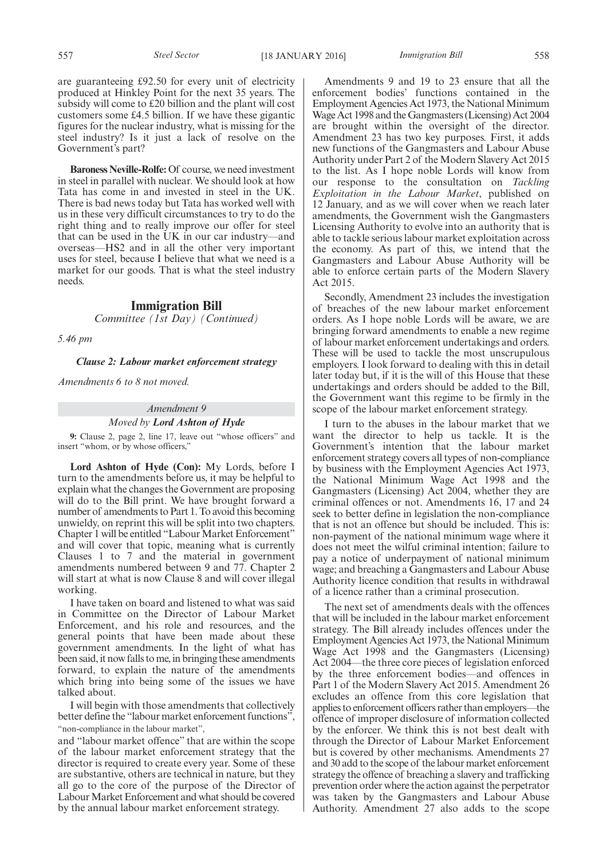are guaranteeing £92.50 for every unit of electricity produced at Hinkley Point for the next 35 years. The subsidy will come to £20 billion and the plant will cost customers some £4.5 billion. If we have these gigantic figures for the nuclear industry, what is missing for the steel industry? Is it just a lack of resolve on the Government's part?

**Baroness Neville-Rolfe:** Of course, we need investment in steel in parallel with nuclear. We should look at how Tata has come in and invested in steel in the UK. There is bad news today but Tata has worked well with us in these very difficult circumstances to try to do the right thing and to really improve our offer for steel that can be used in the UK in our car industry—and overseas—HS2 and in all the other very important uses for steel, because I believe that what we need is a market for our goods. That is what the steel industry needs.

# **Immigration Bill**

*Committee (1st Day) (Continued)*

*5.46 pm*

#### *Clause 2: Labour market enforcement strategy*

*Amendments 6 to 8 not moved.*

#### *Amendment 9*

#### *Moved by Lord Ashton of Hyde*

**9:** Clause 2, page 2, line 17, leave out "whose officers" and insert "whom, or by whose officers,"

**Lord Ashton of Hyde (Con):** My Lords, before I turn to the amendments before us, it may be helpful to explain what the changes the Government are proposing will do to the Bill print. We have brought forward a number of amendments to Part 1. To avoid this becoming unwieldy, on reprint this will be split into two chapters. Chapter 1 will be entitled "Labour Market Enforcement" and will cover that topic, meaning what is currently Clauses 1 to 7 and the material in government amendments numbered between 9 and 77. Chapter 2 will start at what is now Clause 8 and will cover illegal working.

I have taken on board and listened to what was said in Committee on the Director of Labour Market Enforcement, and his role and resources, and the general points that have been made about these government amendments. In the light of what has been said, it now falls to me, in bringing these amendments forward, to explain the nature of the amendments which bring into being some of the issues we have talked about.

I will begin with those amendments that collectively better define the "labour market enforcement functions", "non-compliance in the labour market",

and "labour market offence" that are within the scope of the labour market enforcement strategy that the director is required to create every year. Some of these are substantive, others are technical in nature, but they all go to the core of the purpose of the Director of Labour Market Enforcement and what should be covered by the annual labour market enforcement strategy.

Amendments 9 and 19 to 23 ensure that all the enforcement bodies' functions contained in the Employment Agencies Act 1973, the National Minimum Wage Act 1998 and the Gangmasters (Licensing) Act 2004 are brought within the oversight of the director. Amendment 23 has two key purposes. First, it adds new functions of the Gangmasters and Labour Abuse Authority under Part 2 of the Modern Slavery Act 2015 to the list. As I hope noble Lords will know from our response to the consultation on *Tackling Exploitation in the Labour Market*, published on 12 January, and as we will cover when we reach later amendments, the Government wish the Gangmasters Licensing Authority to evolve into an authority that is able to tackle serious labour market exploitation across the economy. As part of this, we intend that the Gangmasters and Labour Abuse Authority will be able to enforce certain parts of the Modern Slavery Act 2015.

Secondly, Amendment 23 includes the investigation of breaches of the new labour market enforcement orders. As I hope noble Lords will be aware, we are bringing forward amendments to enable a new regime of labour market enforcement undertakings and orders. These will be used to tackle the most unscrupulous employers. I look forward to dealing with this in detail later today but, if it is the will of this House that these undertakings and orders should be added to the Bill, the Government want this regime to be firmly in the scope of the labour market enforcement strategy.

I turn to the abuses in the labour market that we want the director to help us tackle. It is the Government's intention that the labour market enforcement strategy covers all types of non-compliance by business with the Employment Agencies Act 1973, the National Minimum Wage Act 1998 and the Gangmasters (Licensing) Act 2004, whether they are criminal offences or not. Amendments 16, 17 and 24 seek to better define in legislation the non-compliance that is not an offence but should be included. This is: non-payment of the national minimum wage where it does not meet the wilful criminal intention; failure to pay a notice of underpayment of national minimum wage; and breaching a Gangmasters and Labour Abuse Authority licence condition that results in withdrawal of a licence rather than a criminal prosecution.

The next set of amendments deals with the offences that will be included in the labour market enforcement strategy. The Bill already includes offences under the Employment Agencies Act 1973, the National Minimum Wage Act 1998 and the Gangmasters (Licensing) Act 2004—the three core pieces of legislation enforced by the three enforcement bodies—and offences in Part 1 of the Modern Slavery Act 2015. Amendment 26 excludes an offence from this core legislation that applies to enforcement officers rather than employers—the offence of improper disclosure of information collected by the enforcer. We think this is not best dealt with through the Director of Labour Market Enforcement but is covered by other mechanisms. Amendments 27 and 30 add to the scope of the labour market enforcement strategy the offence of breaching a slavery and trafficking prevention order where the action against the perpetrator was taken by the Gangmasters and Labour Abuse Authority. Amendment 27 also adds to the scope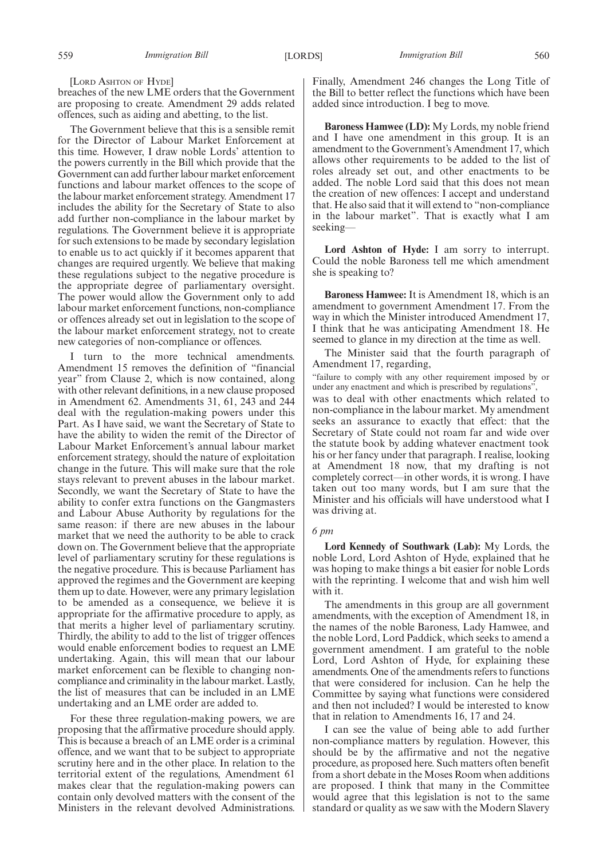[LORD ASHTON OF HYDE]

breaches of the new LME orders that the Government are proposing to create. Amendment 29 adds related offences, such as aiding and abetting, to the list.

The Government believe that this is a sensible remit for the Director of Labour Market Enforcement at this time. However, I draw noble Lords' attention to the powers currently in the Bill which provide that the Government can add further labour market enforcement functions and labour market offences to the scope of the labour market enforcement strategy. Amendment 17 includes the ability for the Secretary of State to also add further non-compliance in the labour market by regulations. The Government believe it is appropriate for such extensions to be made by secondary legislation to enable us to act quickly if it becomes apparent that changes are required urgently. We believe that making these regulations subject to the negative procedure is the appropriate degree of parliamentary oversight. The power would allow the Government only to add labour market enforcement functions, non-compliance or offences already set out in legislation to the scope of the labour market enforcement strategy, not to create new categories of non-compliance or offences.

I turn to the more technical amendments. Amendment 15 removes the definition of "financial year" from Clause 2, which is now contained, along with other relevant definitions, in a new clause proposed in Amendment 62. Amendments 31, 61, 243 and 244 deal with the regulation-making powers under this Part. As I have said, we want the Secretary of State to have the ability to widen the remit of the Director of Labour Market Enforcement's annual labour market enforcement strategy, should the nature of exploitation change in the future. This will make sure that the role stays relevant to prevent abuses in the labour market. Secondly, we want the Secretary of State to have the ability to confer extra functions on the Gangmasters and Labour Abuse Authority by regulations for the same reason: if there are new abuses in the labour market that we need the authority to be able to crack down on. The Government believe that the appropriate level of parliamentary scrutiny for these regulations is the negative procedure. This is because Parliament has approved the regimes and the Government are keeping them up to date. However, were any primary legislation to be amended as a consequence, we believe it is appropriate for the affirmative procedure to apply, as that merits a higher level of parliamentary scrutiny. Thirdly, the ability to add to the list of trigger offences would enable enforcement bodies to request an LME undertaking. Again, this will mean that our labour market enforcement can be flexible to changing noncompliance and criminality in the labour market. Lastly, the list of measures that can be included in an LME undertaking and an LME order are added to.

For these three regulation-making powers, we are proposing that the affirmative procedure should apply. This is because a breach of an LME order is a criminal offence, and we want that to be subject to appropriate scrutiny here and in the other place. In relation to the territorial extent of the regulations, Amendment 61 makes clear that the regulation-making powers can contain only devolved matters with the consent of the Ministers in the relevant devolved Administrations.

Finally, Amendment 246 changes the Long Title of the Bill to better reflect the functions which have been added since introduction. I beg to move.

**Baroness Hamwee (LD):** My Lords, my noble friend and I have one amendment in this group. It is an amendment to the Government's Amendment 17, which allows other requirements to be added to the list of roles already set out, and other enactments to be added. The noble Lord said that this does not mean the creation of new offences: I accept and understand that. He also said that it will extend to "non-compliance in the labour market". That is exactly what I am seeking—

**Lord Ashton of Hyde:** I am sorry to interrupt. Could the noble Baroness tell me which amendment she is speaking to?

**Baroness Hamwee:** It is Amendment 18, which is an amendment to government Amendment 17. From the way in which the Minister introduced Amendment 17, I think that he was anticipating Amendment 18. He seemed to glance in my direction at the time as well.

The Minister said that the fourth paragraph of Amendment 17, regarding,

"failure to comply with any other requirement imposed by or under any enactment and which is prescribed by regulations",

was to deal with other enactments which related to non-compliance in the labour market. My amendment seeks an assurance to exactly that effect: that the Secretary of State could not roam far and wide over the statute book by adding whatever enactment took his or her fancy under that paragraph. I realise, looking at Amendment 18 now, that my drafting is not completely correct—in other words, it is wrong. I have taken out too many words, but I am sure that the Minister and his officials will have understood what I was driving at.

#### *6 pm*

**Lord Kennedy of Southwark (Lab):** My Lords, the noble Lord, Lord Ashton of Hyde, explained that he was hoping to make things a bit easier for noble Lords with the reprinting. I welcome that and wish him well with it.

The amendments in this group are all government amendments, with the exception of Amendment 18, in the names of the noble Baroness, Lady Hamwee, and the noble Lord, Lord Paddick, which seeks to amend a government amendment. I am grateful to the noble Lord, Lord Ashton of Hyde, for explaining these amendments. One of the amendments refers to functions that were considered for inclusion. Can he help the Committee by saying what functions were considered and then not included? I would be interested to know that in relation to Amendments 16, 17 and 24.

I can see the value of being able to add further non-compliance matters by regulation. However, this should be by the affirmative and not the negative procedure, as proposed here. Such matters often benefit from a short debate in the Moses Room when additions are proposed. I think that many in the Committee would agree that this legislation is not to the same standard or quality as we saw with the Modern Slavery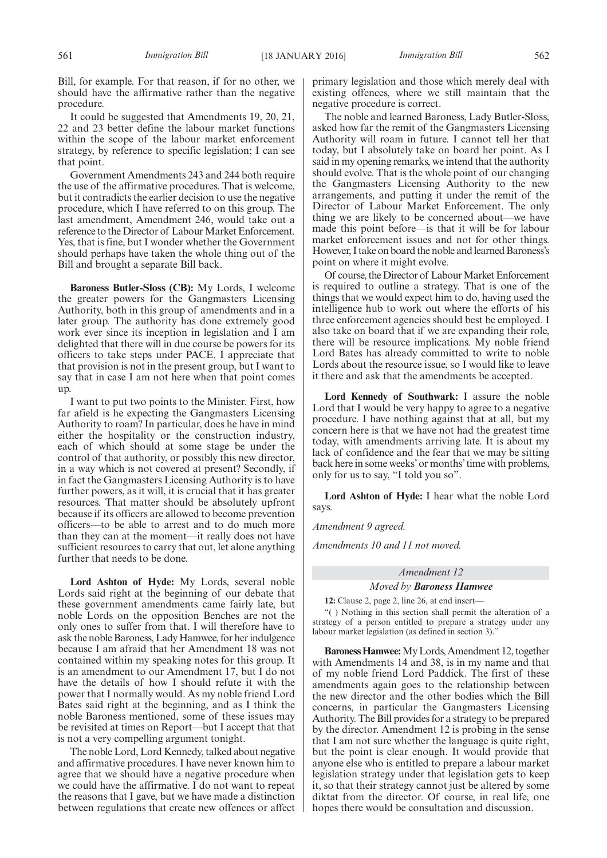Bill, for example. For that reason, if for no other, we should have the affirmative rather than the negative procedure.

It could be suggested that Amendments 19, 20, 21, 22 and 23 better define the labour market functions within the scope of the labour market enforcement strategy, by reference to specific legislation; I can see that point.

Government Amendments 243 and 244 both require the use of the affirmative procedures. That is welcome, but it contradicts the earlier decision to use the negative procedure, which I have referred to on this group. The last amendment, Amendment 246, would take out a reference to the Director of Labour Market Enforcement. Yes, that is fine, but I wonder whether the Government should perhaps have taken the whole thing out of the Bill and brought a separate Bill back.

**Baroness Butler-Sloss (CB):** My Lords, I welcome the greater powers for the Gangmasters Licensing Authority, both in this group of amendments and in a later group. The authority has done extremely good work ever since its inception in legislation and I am delighted that there will in due course be powers for its officers to take steps under PACE. I appreciate that that provision is not in the present group, but I want to say that in case I am not here when that point comes up.

I want to put two points to the Minister. First, how far afield is he expecting the Gangmasters Licensing Authority to roam? In particular, does he have in mind either the hospitality or the construction industry, each of which should at some stage be under the control of that authority, or possibly this new director, in a way which is not covered at present? Secondly, if in fact the Gangmasters Licensing Authority is to have further powers, as it will, it is crucial that it has greater resources. That matter should be absolutely upfront because if its officers are allowed to become prevention officers—to be able to arrest and to do much more than they can at the moment—it really does not have sufficient resources to carry that out, let alone anything further that needs to be done.

**Lord Ashton of Hyde:** My Lords, several noble Lords said right at the beginning of our debate that these government amendments came fairly late, but noble Lords on the opposition Benches are not the only ones to suffer from that. I will therefore have to ask the noble Baroness, Lady Hamwee, for her indulgence because I am afraid that her Amendment 18 was not contained within my speaking notes for this group. It is an amendment to our Amendment 17, but I do not have the details of how I should refute it with the power that I normally would. As my noble friend Lord Bates said right at the beginning, and as I think the noble Baroness mentioned, some of these issues may be revisited at times on Report—but I accept that that is not a very compelling argument tonight.

The noble Lord, Lord Kennedy, talked about negative and affirmative procedures. I have never known him to agree that we should have a negative procedure when we could have the affirmative. I do not want to repeat the reasons that I gave, but we have made a distinction between regulations that create new offences or affect primary legislation and those which merely deal with existing offences, where we still maintain that the negative procedure is correct.

The noble and learned Baroness, Lady Butler-Sloss, asked how far the remit of the Gangmasters Licensing Authority will roam in future. I cannot tell her that today, but I absolutely take on board her point. As I said in my opening remarks, we intend that the authority should evolve. That is the whole point of our changing the Gangmasters Licensing Authority to the new arrangements, and putting it under the remit of the Director of Labour Market Enforcement. The only thing we are likely to be concerned about—we have made this point before—is that it will be for labour market enforcement issues and not for other things. However, I take on board the noble and learned Baroness's point on where it might evolve.

Of course, the Director of Labour Market Enforcement is required to outline a strategy. That is one of the things that we would expect him to do, having used the intelligence hub to work out where the efforts of his three enforcement agencies should best be employed. I also take on board that if we are expanding their role, there will be resource implications. My noble friend Lord Bates has already committed to write to noble Lords about the resource issue, so I would like to leave it there and ask that the amendments be accepted.

**Lord Kennedy of Southwark:** I assure the noble Lord that I would be very happy to agree to a negative procedure. I have nothing against that at all, but my concern here is that we have not had the greatest time today, with amendments arriving late. It is about my lack of confidence and the fear that we may be sitting back here in some weeks' or months' time with problems, only for us to say, "I told you so".

**Lord Ashton of Hyde:** I hear what the noble Lord says.

*Amendment 9 agreed.*

*Amendments 10 and 11 not moved.*

# *Amendment 12*

*Moved by Baroness Hamwee*

**12:** Clause 2, page 2, line 26, at end insert— "( ) Nothing in this section shall permit the alteration of a

strategy of a person entitled to prepare a strategy under any labour market legislation (as defined in section 3)." **BaronessHamwee:**My Lords, Amendment 12, together

with Amendments 14 and 38, is in my name and that of my noble friend Lord Paddick. The first of these amendments again goes to the relationship between the new director and the other bodies which the Bill concerns, in particular the Gangmasters Licensing Authority. The Bill provides for a strategy to be prepared by the director. Amendment 12 is probing in the sense that I am not sure whether the language is quite right, but the point is clear enough. It would provide that anyone else who is entitled to prepare a labour market legislation strategy under that legislation gets to keep it, so that their strategy cannot just be altered by some diktat from the director. Of course, in real life, one hopes there would be consultation and discussion.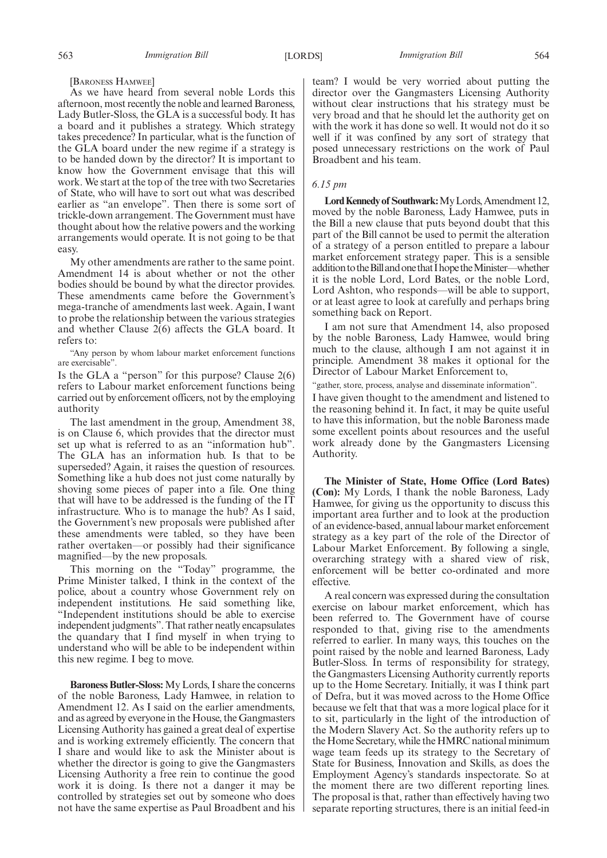[BARONESS HAMWEE]

As we have heard from several noble Lords this afternoon, most recently the noble and learned Baroness, Lady Butler-Sloss, the GLA is a successful body. It has a board and it publishes a strategy. Which strategy takes precedence? In particular, what is the function of the GLA board under the new regime if a strategy is to be handed down by the director? It is important to know how the Government envisage that this will work. We start at the top of the tree with two Secretaries of State, who will have to sort out what was described earlier as "an envelope". Then there is some sort of trickle-down arrangement. The Government must have thought about how the relative powers and the working arrangements would operate. It is not going to be that easy.

My other amendments are rather to the same point. Amendment 14 is about whether or not the other bodies should be bound by what the director provides. These amendments came before the Government's mega-tranche of amendments last week. Again, I want to probe the relationship between the various strategies and whether Clause  $2(6)$  affects the GLA board. It refers to:

"Any person by whom labour market enforcement functions are exercisable".

Is the GLA a "person" for this purpose? Clause 2(6) refers to Labour market enforcement functions being carried out by enforcement officers, not by the employing authority

The last amendment in the group, Amendment 38, is on Clause 6, which provides that the director must set up what is referred to as an "information hub". The GLA has an information hub. Is that to be superseded? Again, it raises the question of resources. Something like a hub does not just come naturally by shoving some pieces of paper into a file. One thing that will have to be addressed is the funding of the IT infrastructure. Who is to manage the hub? As I said, the Government's new proposals were published after these amendments were tabled, so they have been rather overtaken—or possibly had their significance magnified—by the new proposals.

This morning on the "Today" programme, the Prime Minister talked, I think in the context of the police, about a country whose Government rely on independent institutions. He said something like, "Independent institutions should be able to exercise independent judgments". That rather neatly encapsulates the quandary that I find myself in when trying to understand who will be able to be independent within this new regime. I beg to move.

**Baroness Butler-Sloss:** My Lords, I share the concerns of the noble Baroness, Lady Hamwee, in relation to Amendment 12. As I said on the earlier amendments, and as agreed by everyone in the House, the Gangmasters Licensing Authority has gained a great deal of expertise and is working extremely efficiently. The concern that I share and would like to ask the Minister about is whether the director is going to give the Gangmasters Licensing Authority a free rein to continue the good work it is doing. Is there not a danger it may be controlled by strategies set out by someone who does not have the same expertise as Paul Broadbent and his team? I would be very worried about putting the director over the Gangmasters Licensing Authority without clear instructions that his strategy must be very broad and that he should let the authority get on with the work it has done so well. It would not do it so well if it was confined by any sort of strategy that posed unnecessary restrictions on the work of Paul Broadbent and his team.

#### *6.15 pm*

**LordKennedy of Southwark:**MyLords,Amendment 12, moved by the noble Baroness, Lady Hamwee, puts in the Bill a new clause that puts beyond doubt that this part of the Bill cannot be used to permit the alteration of a strategy of a person entitled to prepare a labour market enforcement strategy paper. This is a sensible addition to the Bill and one that I hope the Minister—whether it is the noble Lord, Lord Bates, or the noble Lord, Lord Ashton, who responds—will be able to support, or at least agree to look at carefully and perhaps bring something back on Report.

I am not sure that Amendment 14, also proposed by the noble Baroness, Lady Hamwee, would bring much to the clause, although I am not against it in principle. Amendment 38 makes it optional for the Director of Labour Market Enforcement to,

"gather, store, process, analyse and disseminate information".

I have given thought to the amendment and listened to the reasoning behind it. In fact, it may be quite useful to have this information, but the noble Baroness made some excellent points about resources and the useful work already done by the Gangmasters Licensing Authority.

**The Minister of State, Home Office (Lord Bates) (Con):** My Lords, I thank the noble Baroness, Lady Hamwee, for giving us the opportunity to discuss this important area further and to look at the production of an evidence-based, annual labour market enforcement strategy as a key part of the role of the Director of Labour Market Enforcement. By following a single, overarching strategy with a shared view of risk, enforcement will be better co-ordinated and more effective.

A real concern was expressed during the consultation exercise on labour market enforcement, which has been referred to. The Government have of course responded to that, giving rise to the amendments referred to earlier. In many ways, this touches on the point raised by the noble and learned Baroness, Lady Butler-Sloss. In terms of responsibility for strategy, the Gangmasters Licensing Authority currently reports up to the Home Secretary. Initially, it was I think part of Defra, but it was moved across to the Home Office because we felt that that was a more logical place for it to sit, particularly in the light of the introduction of the Modern Slavery Act. So the authority refers up to the Home Secretary, while the HMRC national minimum wage team feeds up its strategy to the Secretary of State for Business, Innovation and Skills, as does the Employment Agency's standards inspectorate. So at the moment there are two different reporting lines. The proposal is that, rather than effectively having two separate reporting structures, there is an initial feed-in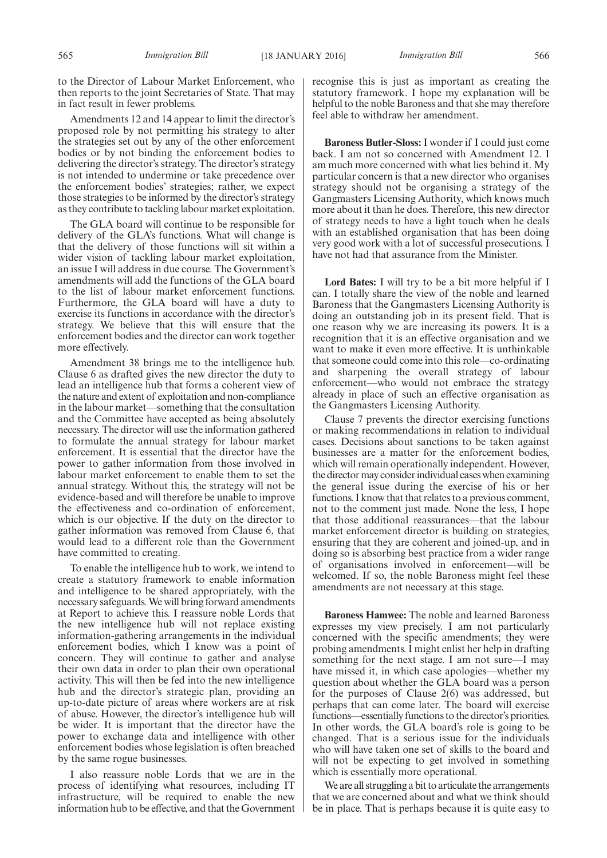to the Director of Labour Market Enforcement, who then reports to the joint Secretaries of State. That may in fact result in fewer problems.

Amendments 12 and 14 appear to limit the director's proposed role by not permitting his strategy to alter the strategies set out by any of the other enforcement bodies or by not binding the enforcement bodies to delivering the director's strategy. The director's strategy is not intended to undermine or take precedence over the enforcement bodies' strategies; rather, we expect those strategies to be informed by the director's strategy as they contribute to tackling labour market exploitation.

The GLA board will continue to be responsible for delivery of the GLA's functions. What will change is that the delivery of those functions will sit within a wider vision of tackling labour market exploitation, an issue I will address in due course. The Government's amendments will add the functions of the GLA board to the list of labour market enforcement functions. Furthermore, the GLA board will have a duty to exercise its functions in accordance with the director's strategy. We believe that this will ensure that the enforcement bodies and the director can work together more effectively.

Amendment 38 brings me to the intelligence hub. Clause 6 as drafted gives the new director the duty to lead an intelligence hub that forms a coherent view of the nature and extent of exploitation and non-compliance in the labour market—something that the consultation and the Committee have accepted as being absolutely necessary. The director will use the information gathered to formulate the annual strategy for labour market enforcement. It is essential that the director have the power to gather information from those involved in labour market enforcement to enable them to set the annual strategy. Without this, the strategy will not be evidence-based and will therefore be unable to improve the effectiveness and co-ordination of enforcement, which is our objective. If the duty on the director to gather information was removed from Clause 6, that would lead to a different role than the Government have committed to creating.

To enable the intelligence hub to work, we intend to create a statutory framework to enable information and intelligence to be shared appropriately, with the necessary safeguards.We will bring forward amendments at Report to achieve this. I reassure noble Lords that the new intelligence hub will not replace existing information-gathering arrangements in the individual enforcement bodies, which I know was a point of concern. They will continue to gather and analyse their own data in order to plan their own operational activity. This will then be fed into the new intelligence hub and the director's strategic plan, providing an up-to-date picture of areas where workers are at risk of abuse. However, the director's intelligence hub will be wider. It is important that the director have the power to exchange data and intelligence with other enforcement bodies whose legislation is often breached by the same rogue businesses.

I also reassure noble Lords that we are in the process of identifying what resources, including IT infrastructure, will be required to enable the new information hub to be effective, and that the Government recognise this is just as important as creating the statutory framework. I hope my explanation will be helpful to the noble Baroness and that she may therefore feel able to withdraw her amendment.

**Baroness Butler-Sloss:** I wonder if I could just come back. I am not so concerned with Amendment 12. I am much more concerned with what lies behind it. My particular concern is that a new director who organises strategy should not be organising a strategy of the Gangmasters Licensing Authority, which knows much more about it than he does. Therefore, this new director of strategy needs to have a light touch when he deals with an established organisation that has been doing very good work with a lot of successful prosecutions. I have not had that assurance from the Minister.

**Lord Bates:** I will try to be a bit more helpful if I can. I totally share the view of the noble and learned Baroness that the Gangmasters Licensing Authority is doing an outstanding job in its present field. That is one reason why we are increasing its powers. It is a recognition that it is an effective organisation and we want to make it even more effective. It is unthinkable that someone could come into this role—co-ordinating and sharpening the overall strategy of labour enforcement—who would not embrace the strategy already in place of such an effective organisation as the Gangmasters Licensing Authority.

Clause 7 prevents the director exercising functions or making recommendations in relation to individual cases. Decisions about sanctions to be taken against businesses are a matter for the enforcement bodies, which will remain operationally independent. However, the directormay consider individual cases when examining the general issue during the exercise of his or her functions. I know that that relates to a previous comment, not to the comment just made. None the less, I hope that those additional reassurances—that the labour market enforcement director is building on strategies, ensuring that they are coherent and joined-up, and in doing so is absorbing best practice from a wider range of organisations involved in enforcement—will be welcomed. If so, the noble Baroness might feel these amendments are not necessary at this stage.

**Baroness Hamwee:** The noble and learned Baroness expresses my view precisely. I am not particularly concerned with the specific amendments; they were probing amendments. I might enlist her help in drafting something for the next stage. I am not sure—I may have missed it, in which case apologies—whether my question about whether the GLA board was a person for the purposes of Clause 2(6) was addressed, but perhaps that can come later. The board will exercise functions—essentially functions to the director's priorities. In other words, the GLA board's role is going to be changed. That is a serious issue for the individuals who will have taken one set of skills to the board and will not be expecting to get involved in something which is essentially more operational.

We are all struggling a bit to articulate the arrangements that we are concerned about and what we think should be in place. That is perhaps because it is quite easy to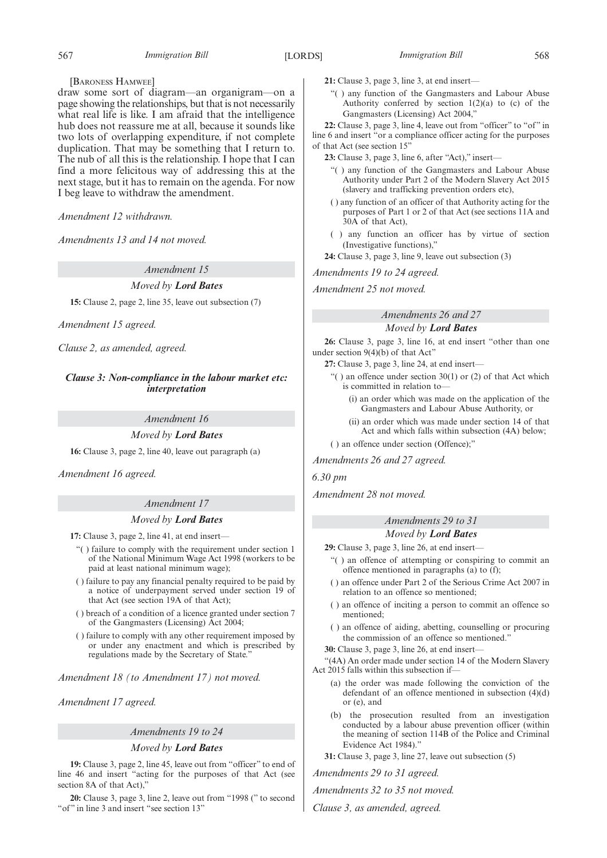#### [BARONESS HAMWEE]

draw some sort of diagram—an organigram—on a page showing the relationships, but that is not necessarily what real life is like. I am afraid that the intelligence hub does not reassure me at all, because it sounds like two lots of overlapping expenditure, if not complete duplication. That may be something that I return to. The nub of all this is the relationship. I hope that I can find a more felicitous way of addressing this at the next stage, but it has to remain on the agenda. For now I beg leave to withdraw the amendment.

*Amendment 12 withdrawn.*

*Amendments 13 and 14 not moved.*

*Amendment 15*

#### *Moved by Lord Bates*

**15:** Clause 2, page 2, line 35, leave out subsection (7)

*Amendment 15 agreed.*

*Clause 2, as amended, agreed.*

*Clause 3: Non-compliance in the labour market etc: interpretation*

*Amendment 16*

*Moved by Lord Bates*

**16:** Clause 3, page 2, line 40, leave out paragraph (a)

*Amendment 16 agreed.*

### *Amendment 17*

### *Moved by Lord Bates*

**17:** Clause 3, page 2, line 41, at end insert—

- "( ) failure to comply with the requirement under section 1 of the National Minimum Wage Act 1998 (workers to be paid at least national minimum wage);
- ( ) failure to pay any financial penalty required to be paid by a notice of underpayment served under section 19 of that Act (see section 19A of that Act);
- ( ) breach of a condition of a licence granted under section 7 of the Gangmasters (Licensing) Act 2004;
- ( ) failure to comply with any other requirement imposed by or under any enactment and which is prescribed by regulations made by the Secretary of State."
- *Amendment 18 (to Amendment 17) not moved.*

*Amendment 17 agreed.*

*Amendments 19 to 24*

#### *Moved by Lord Bates*

**19:** Clause 3, page 2, line 45, leave out from "officer" to end of line 46 and insert "acting for the purposes of that Act (see section 8A of that Act),"

**20:** Clause 3, page 3, line 2, leave out from "1998 (" to second "of" in line 3 and insert "see section 13"

**21:** Clause 3, page 3, line 3, at end insert—

"( ) any function of the Gangmasters and Labour Abuse Authority conferred by section  $1(2)(a)$  to (c) of the Gangmasters (Licensing) Act 2004,"

**22:** Clause 3, page 3, line 4, leave out from "officer" to "of " in line 6 and insert "or a compliance officer acting for the purposes of that Act (see section 15"

**23:** Clause 3, page 3, line 6, after "Act)," insert—

- "( ) any function of the Gangmasters and Labour Abuse Authority under Part 2 of the Modern Slavery Act 2015 (slavery and trafficking prevention orders etc),
- ( ) any function of an officer of that Authority acting for the purposes of Part 1 or 2 of that Act (see sections 11A and 30A of that Act),
- ( ) any function an officer has by virtue of section (Investigative functions),"
- **24:** Clause 3, page 3, line 9, leave out subsection (3)

*Amendments 19 to 24 agreed.*

*Amendment 25 not moved.*

# *Amendments 26 and 27 Moved by Lord Bates*

**26:** Clause 3, page 3, line 16, at end insert "other than one under section 9(4)(b) of that Act"

**27:** Clause 3, page 3, line 24, at end insert—

- "( ) an offence under section 30(1) or (2) of that Act which is committed in relation to—
	- (i) an order which was made on the application of the Gangmasters and Labour Abuse Authority, or
	- (ii) an order which was made under section 14 of that Act and which falls within subsection (4A) below;

( ) an offence under section (Offence);"

*Amendments 26 and 27 agreed.*

*6.30 pm*

*Amendment 28 not moved.*

# *Amendments 29 to 31*

*Moved by Lord Bates* **29:** Clause 3, page 3, line 26, at end insert—

- "( ) an offence of attempting or conspiring to commit an offence mentioned in paragraphs (a) to (f);
- ( ) an offence under Part 2 of the Serious Crime Act 2007 in relation to an offence so mentioned;
- ( ) an offence of inciting a person to commit an offence so mentioned;
- ( ) an offence of aiding, abetting, counselling or procuring the commission of an offence so mentioned."
- **30:** Clause 3, page 3, line 26, at end insert—

"(4A) An order made under section 14 of the Modern Slavery Act 2015 falls within this subsection if—

- (a) the order was made following the conviction of the defendant of an offence mentioned in subsection (4)(d) or (e), and
- (b) the prosecution resulted from an investigation conducted by a labour abuse prevention officer (within the meaning of section 114B of the Police and Criminal Evidence Act 1984)."
- **31:** Clause 3, page 3, line 27, leave out subsection (5)

*Amendments 29 to 31 agreed.*

*Amendments 32 to 35 not moved.*

*Clause 3, as amended, agreed.*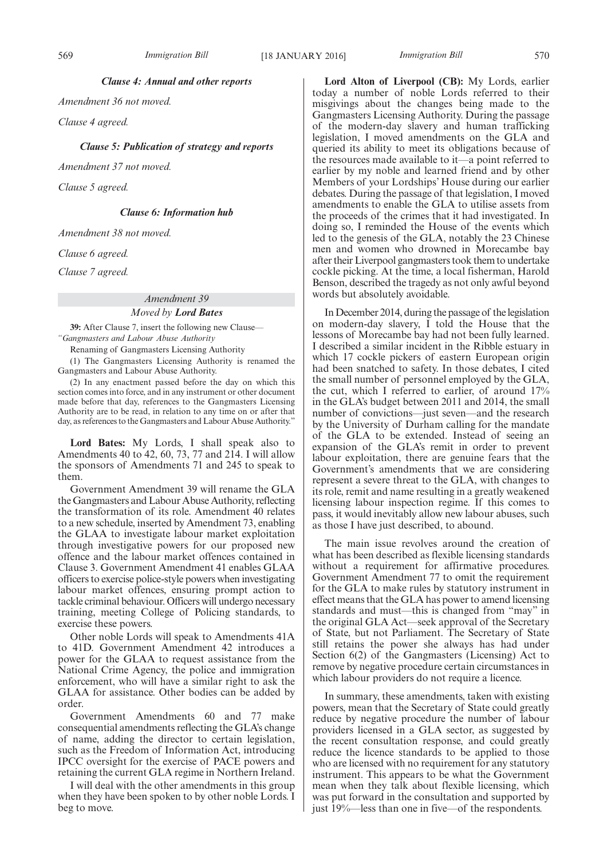569 *Immigration Bill Immigration Bill* [18 JANUARY 2016] 570

*Clause 4: Annual and other reports*

*Amendment 36 not moved.*

*Clause 4 agreed.*

*Clause 5: Publication of strategy and reports*

*Amendment 37 not moved.*

*Clause 5 agreed.*

### *Clause 6: Information hub*

*Amendment 38 not moved.*

*Clause 6 agreed.*

*Clause 7 agreed.*

#### *Amendment 39*

#### *Moved by Lord Bates*

**39:** After Clause 7, insert the following new Clause— *"Gangmasters and Labour Abuse Authority*

Renaming of Gangmasters Licensing Authority

(1) The Gangmasters Licensing Authority is renamed the Gangmasters and Labour Abuse Authority.

(2) In any enactment passed before the day on which this section comes into force, and in any instrument or other document made before that day, references to the Gangmasters Licensing Authority are to be read, in relation to any time on or after that day, as references to the Gangmasters and Labour Abuse Authority."

**Lord Bates:** My Lords, I shall speak also to Amendments 40 to 42, 60, 73, 77 and 214. I will allow the sponsors of Amendments 71 and 245 to speak to them.

Government Amendment 39 will rename the GLA the Gangmasters and Labour Abuse Authority, reflecting the transformation of its role. Amendment 40 relates to a new schedule, inserted by Amendment 73, enabling the GLAA to investigate labour market exploitation through investigative powers for our proposed new offence and the labour market offences contained in Clause 3. Government Amendment 41 enables GLAA officers to exercise police-style powers when investigating labour market offences, ensuring prompt action to tackle criminal behaviour. Officers will undergo necessary training, meeting College of Policing standards, to exercise these powers.

Other noble Lords will speak to Amendments 41A to 41D. Government Amendment 42 introduces a power for the GLAA to request assistance from the National Crime Agency, the police and immigration enforcement, who will have a similar right to ask the GLAA for assistance. Other bodies can be added by order.

Government Amendments 60 and 77 make consequential amendments reflecting the GLA's change of name, adding the director to certain legislation, such as the Freedom of Information Act, introducing IPCC oversight for the exercise of PACE powers and retaining the current GLA regime in Northern Ireland.

I will deal with the other amendments in this group when they have been spoken to by other noble Lords. I beg to move.

**Lord Alton of Liverpool (CB):** My Lords, earlier today a number of noble Lords referred to their misgivings about the changes being made to the Gangmasters Licensing Authority. During the passage of the modern-day slavery and human trafficking legislation, I moved amendments on the GLA and queried its ability to meet its obligations because of the resources made available to it—a point referred to earlier by my noble and learned friend and by other Members of your Lordships' House during our earlier debates. During the passage of that legislation, I moved amendments to enable the GLA to utilise assets from the proceeds of the crimes that it had investigated. In doing so, I reminded the House of the events which led to the genesis of the GLA, notably the 23 Chinese men and women who drowned in Morecambe bay after their Liverpool gangmasters took them to undertake cockle picking. At the time, a local fisherman, Harold Benson, described the tragedy as not only awful beyond words but absolutely avoidable.

In December 2014, during the passage of the legislation on modern-day slavery, I told the House that the lessons of Morecambe bay had not been fully learned. I described a similar incident in the Ribble estuary in which 17 cockle pickers of eastern European origin had been snatched to safety. In those debates, I cited the small number of personnel employed by the GLA, the cut, which I referred to earlier, of around 17% in the GLA's budget between 2011 and 2014, the small number of convictions—just seven—and the research by the University of Durham calling for the mandate of the GLA to be extended. Instead of seeing an expansion of the GLA's remit in order to prevent labour exploitation, there are genuine fears that the Government's amendments that we are considering represent a severe threat to the GLA, with changes to its role, remit and name resulting in a greatly weakened licensing labour inspection regime. If this comes to pass, it would inevitably allow new labour abuses, such as those I have just described, to abound.

The main issue revolves around the creation of what has been described as flexible licensing standards without a requirement for affirmative procedures. Government Amendment 77 to omit the requirement for the GLA to make rules by statutory instrument in effect means that the GLA has power to amend licensing standards and must—this is changed from "may" in the original GLA Act—seek approval of the Secretary of State, but not Parliament. The Secretary of State still retains the power she always has had under Section 6(2) of the Gangmasters (Licensing) Act to remove by negative procedure certain circumstances in which labour providers do not require a licence.

In summary, these amendments, taken with existing powers, mean that the Secretary of State could greatly reduce by negative procedure the number of labour providers licensed in a GLA sector, as suggested by the recent consultation response, and could greatly reduce the licence standards to be applied to those who are licensed with no requirement for any statutory instrument. This appears to be what the Government mean when they talk about flexible licensing, which was put forward in the consultation and supported by just 19%—less than one in five—of the respondents.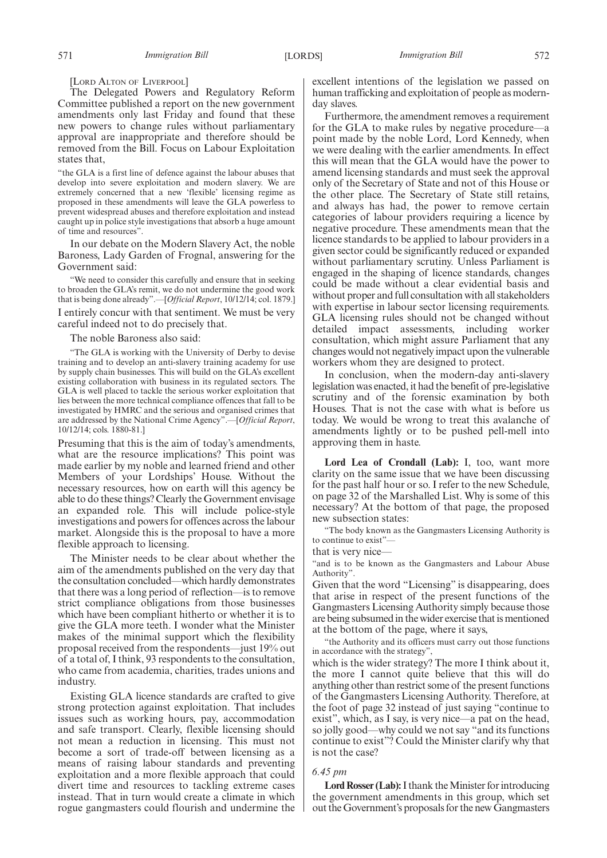[LORD ALTON OF LIVERPOOL]

The Delegated Powers and Regulatory Reform Committee published a report on the new government amendments only last Friday and found that these new powers to change rules without parliamentary approval are inappropriate and therefore should be removed from the Bill. Focus on Labour Exploitation states that,

"the GLA is a first line of defence against the labour abuses that develop into severe exploitation and modern slavery. We are extremely concerned that a new 'flexible' licensing regime as proposed in these amendments will leave the GLA powerless to prevent widespread abuses and therefore exploitation and instead caught up in police style investigations that absorb a huge amount of time and resources".

In our debate on the Modern Slavery Act, the noble Baroness, Lady Garden of Frognal, answering for the Government said:

We need to consider this carefully and ensure that in seeking to broaden the GLA's remit, we do not undermine the good work that is being done already".—[*Official Report*, 10/12/14; col. 1879.]

I entirely concur with that sentiment. We must be very careful indeed not to do precisely that.

The noble Baroness also said:

"The GLA is working with the University of Derby to devise training and to develop an anti-slavery training academy for use by supply chain businesses. This will build on the GLA's excellent existing collaboration with business in its regulated sectors. The GLA is well placed to tackle the serious worker exploitation that lies between the more technical compliance offences that fall to be investigated by HMRC and the serious and organised crimes that are addressed by the National Crime Agency".—[*Official Report*, 10/12/14; cols. 1880-81.]

Presuming that this is the aim of today's amendments, what are the resource implications? This point was made earlier by my noble and learned friend and other Members of your Lordships' House. Without the necessary resources, how on earth will this agency be able to do these things? Clearly the Government envisage an expanded role. This will include police-style investigations and powers for offences across the labour market. Alongside this is the proposal to have a more flexible approach to licensing.

The Minister needs to be clear about whether the aim of the amendments published on the very day that the consultation concluded—which hardly demonstrates that there was a long period of reflection—is to remove strict compliance obligations from those businesses which have been compliant hitherto or whether it is to give the GLA more teeth. I wonder what the Minister makes of the minimal support which the flexibility proposal received from the respondents—just 19% out of a total of, I think, 93 respondents to the consultation, who came from academia, charities, trades unions and industry.

Existing GLA licence standards are crafted to give strong protection against exploitation. That includes issues such as working hours, pay, accommodation and safe transport. Clearly, flexible licensing should not mean a reduction in licensing. This must not become a sort of trade-off between licensing as a means of raising labour standards and preventing exploitation and a more flexible approach that could divert time and resources to tackling extreme cases instead. That in turn would create a climate in which rogue gangmasters could flourish and undermine the excellent intentions of the legislation we passed on human trafficking and exploitation of people as modernday slaves.

Furthermore, the amendment removes a requirement for the GLA to make rules by negative procedure—a point made by the noble Lord, Lord Kennedy, when we were dealing with the earlier amendments. In effect this will mean that the GLA would have the power to amend licensing standards and must seek the approval only of the Secretary of State and not of this House or the other place. The Secretary of State still retains, and always has had, the power to remove certain categories of labour providers requiring a licence by negative procedure. These amendments mean that the licence standards to be applied to labour providers in a given sector could be significantly reduced or expanded without parliamentary scrutiny. Unless Parliament is engaged in the shaping of licence standards, changes could be made without a clear evidential basis and without proper and full consultation with all stakeholders with expertise in labour sector licensing requirements. GLA licensing rules should not be changed without detailed impact assessments, including worker consultation, which might assure Parliament that any changes would not negatively impact upon the vulnerable workers whom they are designed to protect.

In conclusion, when the modern-day anti-slavery legislation was enacted, it had the benefit of pre-legislative scrutiny and of the forensic examination by both Houses. That is not the case with what is before us today. We would be wrong to treat this avalanche of amendments lightly or to be pushed pell-mell into approving them in haste.

**Lord Lea of Crondall (Lab):** I, too, want more clarity on the same issue that we have been discussing for the past half hour or so. I refer to the new Schedule, on page 32 of the Marshalled List. Why is some of this necessary? At the bottom of that page, the proposed new subsection states:

"The body known as the Gangmasters Licensing Authority is to continue to exist"—

that is very nice—

"and is to be known as the Gangmasters and Labour Abuse Authority".

Given that the word "Licensing" is disappearing, does that arise in respect of the present functions of the Gangmasters Licensing Authority simply because those are being subsumed in the wider exercise that is mentioned at the bottom of the page, where it says,

"the Authority and its officers must carry out those functions in accordance with the strategy",

which is the wider strategy? The more I think about it, the more I cannot quite believe that this will do anything other than restrict some of the present functions of the Gangmasters Licensing Authority. Therefore, at the foot of page 32 instead of just saying "continue to exist", which, as I say, is very nice—a pat on the head, so jolly good—why could we not say "and its functions continue to exist"? Could the Minister clarify why that is not the case?

#### *6.45 pm*

Lord Rosser (Lab): I thank the Minister for introducing the government amendments in this group, which set out the Government's proposals for the new Gangmasters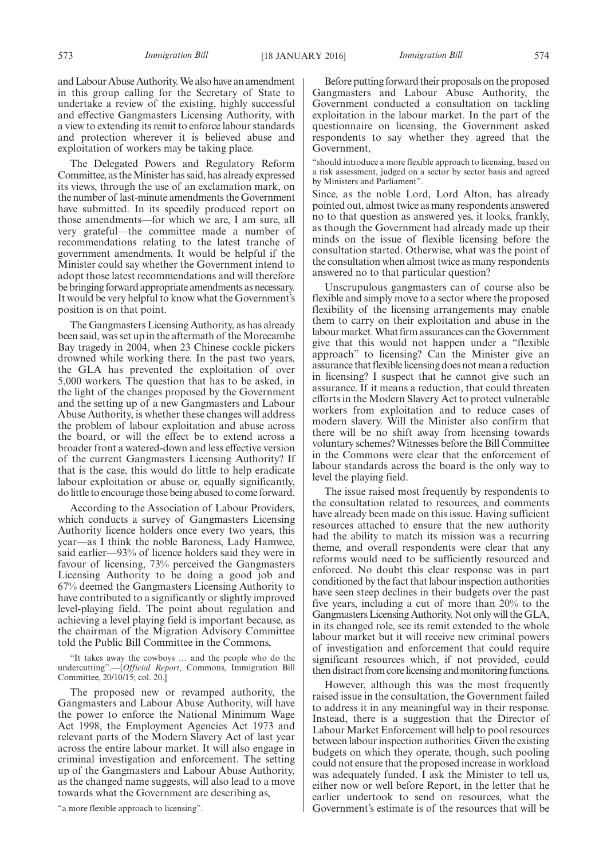and Labour Abuse Authority.We also have an amendment in this group calling for the Secretary of State to undertake a review of the existing, highly successful and effective Gangmasters Licensing Authority, with a view to extending its remit to enforce labour standards and protection wherever it is believed abuse and exploitation of workers may be taking place.

The Delegated Powers and Regulatory Reform Committee, as the Minister has said, has already expressed its views, through the use of an exclamation mark, on the number of last-minute amendments the Government have submitted. In its speedily produced report on those amendments—for which we are, I am sure, all very grateful—the committee made a number of recommendations relating to the latest tranche of government amendments. It would be helpful if the Minister could say whether the Government intend to adopt those latest recommendations and will therefore be bringing forward appropriate amendments as necessary. It would be very helpful to know what the Government's position is on that point.

The Gangmasters Licensing Authority, as has already been said, was set up in the aftermath of the Morecambe Bay tragedy in 2004, when 23 Chinese cockle pickers drowned while working there. In the past two years, the GLA has prevented the exploitation of over 5,000 workers. The question that has to be asked, in the light of the changes proposed by the Government and the setting up of a new Gangmasters and Labour Abuse Authority, is whether these changes will address the problem of labour exploitation and abuse across the board, or will the effect be to extend across a broader front a watered-down and less effective version of the current Gangmasters Licensing Authority? If that is the case, this would do little to help eradicate labour exploitation or abuse or, equally significantly, do little to encourage those being abused to come forward.

According to the Association of Labour Providers, which conducts a survey of Gangmasters Licensing Authority licence holders once every two years, this year—as I think the noble Baroness, Lady Hamwee, said earlier—93% of licence holders said they were in favour of licensing, 73% perceived the Gangmasters Licensing Authority to be doing a good job and 67% deemed the Gangmasters Licensing Authority to have contributed to a significantly or slightly improved level-playing field. The point about regulation and achieving a level playing field is important because, as the chairman of the Migration Advisory Committee told the Public Bill Committee in the Commons,

"It takes away the cowboys … and the people who do the undercutting".—[*Official Report*, Commons, Immigration Bill Committee, 20/10/15; col. 20.]

The proposed new or revamped authority, the Gangmasters and Labour Abuse Authority, will have the power to enforce the National Minimum Wage Act 1998, the Employment Agencies Act 1973 and relevant parts of the Modern Slavery Act of last year across the entire labour market. It will also engage in criminal investigation and enforcement. The setting up of the Gangmasters and Labour Abuse Authority, as the changed name suggests, will also lead to a move towards what the Government are describing as,

"a more flexible approach to licensing".

Before putting forward their proposals on the proposed Gangmasters and Labour Abuse Authority, the Government conducted a consultation on tackling exploitation in the labour market. In the part of the questionnaire on licensing, the Government asked respondents to say whether they agreed that the Government,

"should introduce a more flexible approach to licensing, based on a risk assessment, judged on a sector by sector basis and agreed by Ministers and Parliament".

Since, as the noble Lord, Lord Alton, has already pointed out, almost twice as many respondents answered no to that question as answered yes, it looks, frankly, as though the Government had already made up their minds on the issue of flexible licensing before the consultation started. Otherwise, what was the point of the consultation when almost twice as many respondents answered no to that particular question?

Unscrupulous gangmasters can of course also be flexible and simply move to a sector where the proposed flexibility of the licensing arrangements may enable them to carry on their exploitation and abuse in the labour market.What firm assurances can the Government give that this would not happen under a "flexible approach" to licensing? Can the Minister give an assurance that flexible licensing does not mean a reduction in licensing? I suspect that he cannot give such an assurance. If it means a reduction, that could threaten efforts in the Modern Slavery Act to protect vulnerable workers from exploitation and to reduce cases of modern slavery. Will the Minister also confirm that there will be no shift away from licensing towards voluntary schemes? Witnesses before the Bill Committee in the Commons were clear that the enforcement of labour standards across the board is the only way to level the playing field.

The issue raised most frequently by respondents to the consultation related to resources, and comments have already been made on this issue. Having sufficient resources attached to ensure that the new authority had the ability to match its mission was a recurring theme, and overall respondents were clear that any reforms would need to be sufficiently resourced and enforced. No doubt this clear response was in part conditioned by the fact that labour inspection authorities have seen steep declines in their budgets over the past five years, including a cut of more than 20% to the Gangmasters Licensing Authority. Not only will the GLA, in its changed role, see its remit extended to the whole labour market but it will receive new criminal powers of investigation and enforcement that could require significant resources which, if not provided, could then distract from core licensing and monitoring functions.

However, although this was the most frequently raised issue in the consultation, the Government failed to address it in any meaningful way in their response. Instead, there is a suggestion that the Director of Labour Market Enforcement will help to pool resources between labour inspection authorities. Given the existing budgets on which they operate, though, such pooling could not ensure that the proposed increase in workload was adequately funded. I ask the Minister to tell us, either now or well before Report, in the letter that he earlier undertook to send on resources, what the Government's estimate is of the resources that will be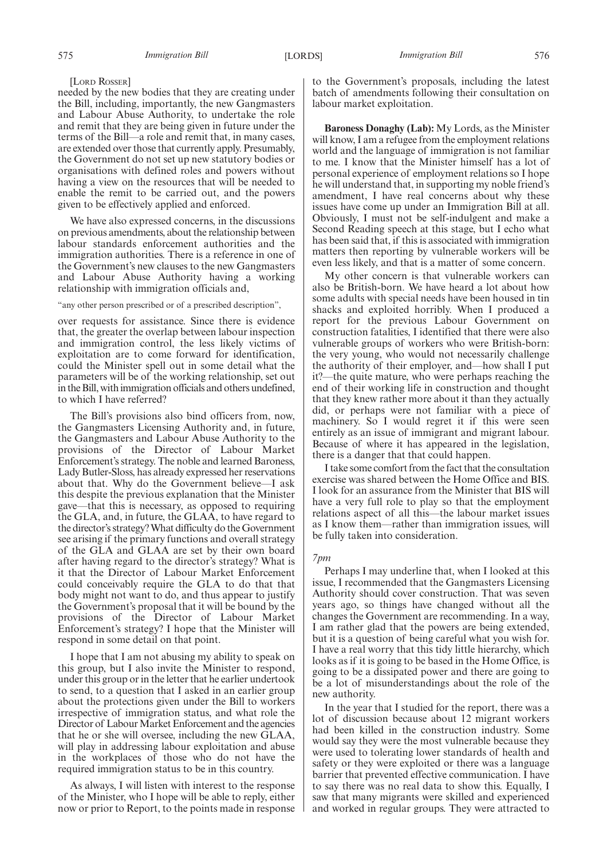### [LORD ROSSER]

needed by the new bodies that they are creating under the Bill, including, importantly, the new Gangmasters and Labour Abuse Authority, to undertake the role and remit that they are being given in future under the terms of the Bill—a role and remit that, in many cases, are extended over those that currently apply. Presumably, the Government do not set up new statutory bodies or organisations with defined roles and powers without having a view on the resources that will be needed to enable the remit to be carried out, and the powers given to be effectively applied and enforced.

We have also expressed concerns, in the discussions on previous amendments, about the relationship between labour standards enforcement authorities and the immigration authorities. There is a reference in one of the Government's new clauses to the new Gangmasters and Labour Abuse Authority having a working relationship with immigration officials and,

### "any other person prescribed or of a prescribed description",

over requests for assistance. Since there is evidence that, the greater the overlap between labour inspection and immigration control, the less likely victims of exploitation are to come forward for identification, could the Minister spell out in some detail what the parameters will be of the working relationship, set out in the Bill, with immigration officials and others undefined, to which I have referred?

The Bill's provisions also bind officers from, now, the Gangmasters Licensing Authority and, in future, the Gangmasters and Labour Abuse Authority to the provisions of the Director of Labour Market Enforcement's strategy. The noble and learned Baroness, Lady Butler-Sloss, has already expressed her reservations about that. Why do the Government believe—I ask this despite the previous explanation that the Minister gave—that this is necessary, as opposed to requiring the GLA, and, in future, the GLAA, to have regard to the director's strategy?What difficulty do the Government see arising if the primary functions and overall strategy of the GLA and GLAA are set by their own board after having regard to the director's strategy? What is it that the Director of Labour Market Enforcement could conceivably require the GLA to do that that body might not want to do, and thus appear to justify the Government's proposal that it will be bound by the provisions of the Director of Labour Market Enforcement's strategy? I hope that the Minister will respond in some detail on that point.

I hope that I am not abusing my ability to speak on this group, but I also invite the Minister to respond, under this group or in the letter that he earlier undertook to send, to a question that I asked in an earlier group about the protections given under the Bill to workers irrespective of immigration status, and what role the Director of Labour Market Enforcement and the agencies that he or she will oversee, including the new GLAA, will play in addressing labour exploitation and abuse in the workplaces of those who do not have the required immigration status to be in this country.

As always, I will listen with interest to the response of the Minister, who I hope will be able to reply, either now or prior to Report, to the points made in response to the Government's proposals, including the latest batch of amendments following their consultation on labour market exploitation.

**Baroness Donaghy (Lab):** My Lords, as the Minister will know, I am a refugee from the employment relations world and the language of immigration is not familiar to me. I know that the Minister himself has a lot of personal experience of employment relations so I hope he will understand that, in supporting my noble friend's amendment, I have real concerns about why these issues have come up under an Immigration Bill at all. Obviously, I must not be self-indulgent and make a Second Reading speech at this stage, but I echo what has been said that, if this is associated with immigration matters then reporting by vulnerable workers will be even less likely, and that is a matter of some concern.

My other concern is that vulnerable workers can also be British-born. We have heard a lot about how some adults with special needs have been housed in tin shacks and exploited horribly. When I produced a report for the previous Labour Government on construction fatalities, I identified that there were also vulnerable groups of workers who were British-born: the very young, who would not necessarily challenge the authority of their employer, and—how shall I put it?—the quite mature, who were perhaps reaching the end of their working life in construction and thought that they knew rather more about it than they actually did, or perhaps were not familiar with a piece of machinery. So I would regret it if this were seen entirely as an issue of immigrant and migrant labour. Because of where it has appeared in the legislation, there is a danger that that could happen.

I take some comfort from the fact that the consultation exercise was shared between the Home Office and BIS. I look for an assurance from the Minister that BIS will have a very full role to play so that the employment relations aspect of all this—the labour market issues as I know them—rather than immigration issues, will be fully taken into consideration.

#### *7pm*

Perhaps I may underline that, when I looked at this issue, I recommended that the Gangmasters Licensing Authority should cover construction. That was seven years ago, so things have changed without all the changes the Government are recommending. In a way, I am rather glad that the powers are being extended, but it is a question of being careful what you wish for. I have a real worry that this tidy little hierarchy, which looks as if it is going to be based in the Home Office, is going to be a dissipated power and there are going to be a lot of misunderstandings about the role of the new authority.

In the year that I studied for the report, there was a lot of discussion because about 12 migrant workers had been killed in the construction industry. Some would say they were the most vulnerable because they were used to tolerating lower standards of health and safety or they were exploited or there was a language barrier that prevented effective communication. I have to say there was no real data to show this. Equally, I saw that many migrants were skilled and experienced and worked in regular groups. They were attracted to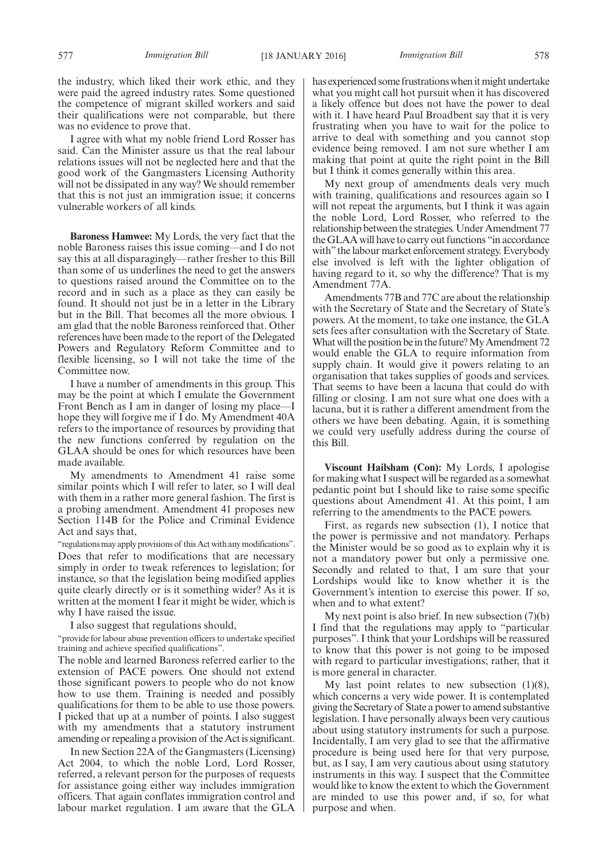the industry, which liked their work ethic, and they were paid the agreed industry rates. Some questioned the competence of migrant skilled workers and said their qualifications were not comparable, but there was no evidence to prove that.

I agree with what my noble friend Lord Rosser has said. Can the Minister assure us that the real labour relations issues will not be neglected here and that the good work of the Gangmasters Licensing Authority will not be dissipated in any way? We should remember that this is not just an immigration issue; it concerns vulnerable workers of all kinds.

**Baroness Hamwee:** My Lords, the very fact that the noble Baroness raises this issue coming—and I do not say this at all disparagingly—rather fresher to this Bill than some of us underlines the need to get the answers to questions raised around the Committee on to the record and in such as a place as they can easily be found. It should not just be in a letter in the Library but in the Bill. That becomes all the more obvious. I am glad that the noble Baroness reinforced that. Other references have been made to the report of the Delegated Powers and Regulatory Reform Committee and to flexible licensing, so I will not take the time of the Committee now.

I have a number of amendments in this group. This may be the point at which I emulate the Government Front Bench as I am in danger of losing my place—I hope they will forgive me if I do. My Amendment 40A refers to the importance of resources by providing that the new functions conferred by regulation on the GLAA should be ones for which resources have been made available.

My amendments to Amendment 41 raise some similar points which I will refer to later, so I will deal with them in a rather more general fashion. The first is a probing amendment. Amendment 41 proposes new Section 114B for the Police and Criminal Evidence Act and says that,

"regulations may apply provisions of this Act with any modifications". Does that refer to modifications that are necessary simply in order to tweak references to legislation; for instance, so that the legislation being modified applies quite clearly directly or is it something wider? As it is written at the moment I fear it might be wider, which is why I have raised the issue.

I also suggest that regulations should,

"provide for labour abuse prevention officers to undertake specified training and achieve specified qualifications".

The noble and learned Baroness referred earlier to the extension of PACE powers. One should not extend those significant powers to people who do not know how to use them. Training is needed and possibly qualifications for them to be able to use those powers. I picked that up at a number of points. I also suggest with my amendments that a statutory instrument amending or repealing a provision of the Act is significant.

In new Section 22A of the Gangmasters (Licensing) Act 2004, to which the noble Lord, Lord Rosser, referred, a relevant person for the purposes of requests for assistance going either way includes immigration officers. That again conflates immigration control and labour market regulation. I am aware that the GLA has experienced some frustrations when it might undertake what you might call hot pursuit when it has discovered a likely offence but does not have the power to deal with it. I have heard Paul Broadbent say that it is very frustrating when you have to wait for the police to arrive to deal with something and you cannot stop evidence being removed. I am not sure whether I am making that point at quite the right point in the Bill but I think it comes generally within this area.

My next group of amendments deals very much with training, qualifications and resources again so I will not repeat the arguments, but I think it was again the noble Lord, Lord Rosser, who referred to the relationship between the strategies. Under Amendment 77 the GLAA will have to carry out functions "in accordance with" the labour market enforcement strategy. Everybody else involved is left with the lighter obligation of having regard to it, so why the difference? That is my Amendment 77A.

Amendments 77B and 77C are about the relationship with the Secretary of State and the Secretary of State's powers. At the moment, to take one instance, the GLA sets fees after consultation with the Secretary of State. What will the position be in the future? My Amendment 72 would enable the GLA to require information from supply chain. It would give it powers relating to an organisation that takes supplies of goods and services. That seems to have been a lacuna that could do with filling or closing. I am not sure what one does with a lacuna, but it is rather a different amendment from the others we have been debating. Again, it is something we could very usefully address during the course of this Bill.

**Viscount Hailsham (Con):** My Lords, I apologise for making what I suspect will be regarded as a somewhat pedantic point but I should like to raise some specific questions about Amendment 41. At this point, I am referring to the amendments to the PACE powers.

First, as regards new subsection (1), I notice that the power is permissive and not mandatory. Perhaps the Minister would be so good as to explain why it is not a mandatory power but only a permissive one. Secondly and related to that, I am sure that your Lordships would like to know whether it is the Government's intention to exercise this power. If so, when and to what extent?

My next point is also brief. In new subsection  $(7)(b)$ I find that the regulations may apply to "particular purposes". I think that your Lordships will be reassured to know that this power is not going to be imposed with regard to particular investigations; rather, that it is more general in character.

My last point relates to new subsection  $(1)(8)$ , which concerns a very wide power. It is contemplated giving the Secretary of State a power to amend substantive legislation. I have personally always been very cautious about using statutory instruments for such a purpose. Incidentally, I am very glad to see that the affirmative procedure is being used here for that very purpose, but, as I say, I am very cautious about using statutory instruments in this way. I suspect that the Committee would like to know the extent to which the Government are minded to use this power and, if so, for what purpose and when.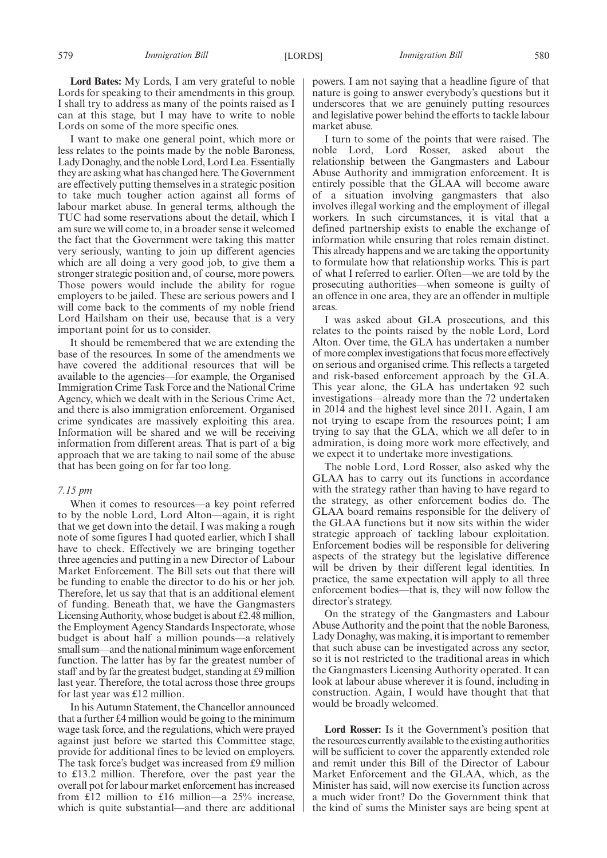**Lord Bates:** My Lords, I am very grateful to noble Lords for speaking to their amendments in this group. I shall try to address as many of the points raised as I can at this stage, but I may have to write to noble Lords on some of the more specific ones.

I want to make one general point, which more or less relates to the points made by the noble Baroness, Lady Donaghy, and the noble Lord, Lord Lea. Essentially they are asking what has changed here. The Government are effectively putting themselves in a strategic position to take much tougher action against all forms of labour market abuse. In general terms, although the TUC had some reservations about the detail, which I am sure we will come to, in a broader sense it welcomed the fact that the Government were taking this matter very seriously, wanting to join up different agencies which are all doing a very good job, to give them a stronger strategic position and, of course, more powers. Those powers would include the ability for rogue employers to be jailed. These are serious powers and I will come back to the comments of my noble friend Lord Hailsham on their use, because that is a very important point for us to consider.

It should be remembered that we are extending the base of the resources. In some of the amendments we have covered the additional resources that will be available to the agencies—for example, the Organised Immigration Crime Task Force and the National Crime Agency, which we dealt with in the Serious Crime Act, and there is also immigration enforcement. Organised crime syndicates are massively exploiting this area. Information will be shared and we will be receiving information from different areas. That is part of a big approach that we are taking to nail some of the abuse that has been going on for far too long.

### *7.15 pm*

When it comes to resources—a key point referred to by the noble Lord, Lord Alton—again, it is right that we get down into the detail. I was making a rough note of some figures I had quoted earlier, which I shall have to check. Effectively we are bringing together three agencies and putting in a new Director of Labour Market Enforcement. The Bill sets out that there will be funding to enable the director to do his or her job. Therefore, let us say that that is an additional element of funding. Beneath that, we have the Gangmasters Licensing Authority, whose budget is about £2.48 million, the Employment Agency Standards Inspectorate, whose budget is about half a million pounds—a relatively small sum—and the national minimum wage enforcement function. The latter has by far the greatest number of staff and by far the greatest budget, standing at £9 million last year. Therefore, the total across those three groups for last year was £12 million.

In his Autumn Statement, the Chancellor announced that a further £4 million would be going to the minimum wage task force, and the regulations, which were prayed against just before we started this Committee stage, provide for additional fines to be levied on employers. The task force's budget was increased from £9 million to £13.2 million. Therefore, over the past year the overall pot for labour market enforcement has increased from £12 million to £16 million—a  $25\%$  increase, which is quite substantial—and there are additional

powers. I am not saying that a headline figure of that nature is going to answer everybody's questions but it underscores that we are genuinely putting resources and legislative power behind the efforts to tackle labour market abuse.

I turn to some of the points that were raised. The noble Lord, Lord Rosser, asked about the relationship between the Gangmasters and Labour Abuse Authority and immigration enforcement. It is entirely possible that the GLAA will become aware of a situation involving gangmasters that also involves illegal working and the employment of illegal workers. In such circumstances, it is vital that a defined partnership exists to enable the exchange of information while ensuring that roles remain distinct. This already happens and we are taking the opportunity to formulate how that relationship works. This is part of what I referred to earlier. Often—we are told by the prosecuting authorities—when someone is guilty of an offence in one area, they are an offender in multiple areas.

I was asked about GLA prosecutions, and this relates to the points raised by the noble Lord, Lord Alton. Over time, the GLA has undertaken a number of more complex investigations that focus more effectively on serious and organised crime. This reflects a targeted and risk-based enforcement approach by the GLA. This year alone, the GLA has undertaken 92 such investigations—already more than the 72 undertaken in 2014 and the highest level since 2011. Again, I am not trying to escape from the resources point; I am trying to say that the GLA, which we all defer to in admiration, is doing more work more effectively, and we expect it to undertake more investigations.

The noble Lord, Lord Rosser, also asked why the GLAA has to carry out its functions in accordance with the strategy rather than having to have regard to the strategy, as other enforcement bodies do. The GLAA board remains responsible for the delivery of the GLAA functions but it now sits within the wider strategic approach of tackling labour exploitation. Enforcement bodies will be responsible for delivering aspects of the strategy but the legislative difference will be driven by their different legal identities. In practice, the same expectation will apply to all three enforcement bodies—that is, they will now follow the director's strategy.

On the strategy of the Gangmasters and Labour Abuse Authority and the point that the noble Baroness, Lady Donaghy, was making, it is important to remember that such abuse can be investigated across any sector, so it is not restricted to the traditional areas in which the Gangmasters Licensing Authority operated. It can look at labour abuse wherever it is found, including in construction. Again, I would have thought that that would be broadly welcomed.

**Lord Rosser:** Is it the Government's position that the resources currently available to the existing authorities will be sufficient to cover the apparently extended role and remit under this Bill of the Director of Labour Market Enforcement and the GLAA, which, as the Minister has said, will now exercise its function across a much wider front? Do the Government think that the kind of sums the Minister says are being spent at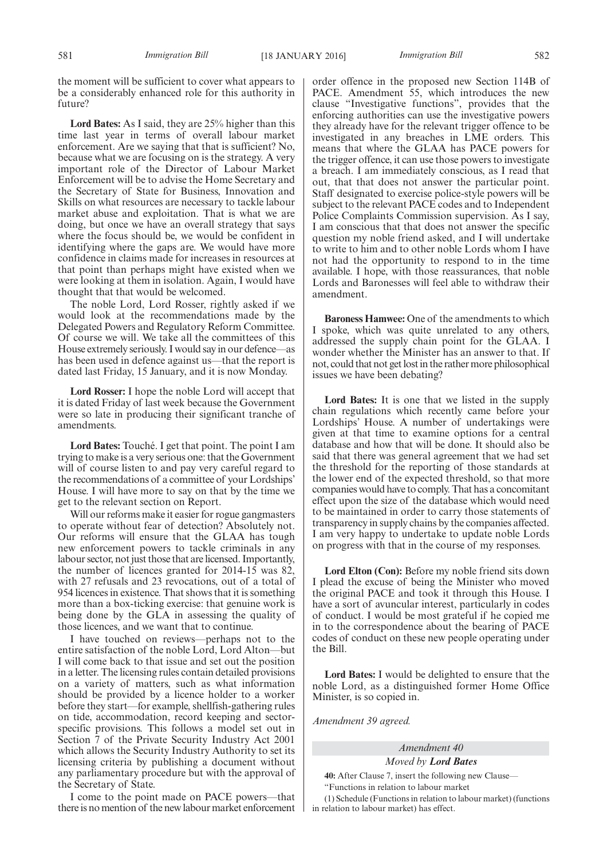the moment will be sufficient to cover what appears to be a considerably enhanced role for this authority in future?

**Lord Bates:** As I said, they are 25% higher than this time last year in terms of overall labour market enforcement. Are we saying that that is sufficient? No, because what we are focusing on is the strategy. A very important role of the Director of Labour Market Enforcement will be to advise the Home Secretary and the Secretary of State for Business, Innovation and Skills on what resources are necessary to tackle labour market abuse and exploitation. That is what we are doing, but once we have an overall strategy that says where the focus should be, we would be confident in identifying where the gaps are. We would have more confidence in claims made for increases in resources at that point than perhaps might have existed when we were looking at them in isolation. Again, I would have thought that that would be welcomed.

The noble Lord, Lord Rosser, rightly asked if we would look at the recommendations made by the Delegated Powers and Regulatory Reform Committee. Of course we will. We take all the committees of this House extremely seriously. I would say in our defence—as has been used in defence against us—that the report is dated last Friday, 15 January, and it is now Monday.

**Lord Rosser:** I hope the noble Lord will accept that it is dated Friday of last week because the Government were so late in producing their significant tranche of amendments.

**Lord Bates:** Touché. I get that point. The point I am trying to make is a very serious one: that the Government will of course listen to and pay very careful regard to the recommendations of a committee of your Lordships' House. I will have more to say on that by the time we get to the relevant section on Report.

Will our reforms make it easier for rogue gangmasters to operate without fear of detection? Absolutely not. Our reforms will ensure that the GLAA has tough new enforcement powers to tackle criminals in any labour sector, not just those that are licensed. Importantly, the number of licences granted for 2014-15 was 82, with 27 refusals and 23 revocations, out of a total of 954 licences in existence. That shows that it is something more than a box-ticking exercise: that genuine work is being done by the GLA in assessing the quality of those licences, and we want that to continue.

I have touched on reviews—perhaps not to the entire satisfaction of the noble Lord, Lord Alton—but I will come back to that issue and set out the position in a letter. The licensing rules contain detailed provisions on a variety of matters, such as what information should be provided by a licence holder to a worker before they start—for example, shellfish-gathering rules on tide, accommodation, record keeping and sectorspecific provisions. This follows a model set out in Section 7 of the Private Security Industry Act 2001 which allows the Security Industry Authority to set its licensing criteria by publishing a document without any parliamentary procedure but with the approval of the Secretary of State.

I come to the point made on PACE powers—that there is no mention of the new labour market enforcement order offence in the proposed new Section 114B of PACE. Amendment 55, which introduces the new clause "Investigative functions", provides that the enforcing authorities can use the investigative powers they already have for the relevant trigger offence to be investigated in any breaches in LME orders. This means that where the GLAA has PACE powers for the trigger offence, it can use those powers to investigate a breach. I am immediately conscious, as I read that out, that that does not answer the particular point. Staff designated to exercise police-style powers will be subject to the relevant PACE codes and to Independent Police Complaints Commission supervision. As I say, I am conscious that that does not answer the specific question my noble friend asked, and I will undertake to write to him and to other noble Lords whom I have not had the opportunity to respond to in the time available. I hope, with those reassurances, that noble Lords and Baronesses will feel able to withdraw their amendment.

**Baroness Hamwee:** One of the amendments to which I spoke, which was quite unrelated to any others, addressed the supply chain point for the GLAA. I wonder whether the Minister has an answer to that. If not, could that not get lost in the rather more philosophical issues we have been debating?

**Lord Bates:** It is one that we listed in the supply chain regulations which recently came before your Lordships' House. A number of undertakings were given at that time to examine options for a central database and how that will be done. It should also be said that there was general agreement that we had set the threshold for the reporting of those standards at the lower end of the expected threshold, so that more companies would have to comply. That has a concomitant effect upon the size of the database which would need to be maintained in order to carry those statements of transparency in supply chains by the companies affected. I am very happy to undertake to update noble Lords on progress with that in the course of my responses.

**Lord Elton (Con):** Before my noble friend sits down I plead the excuse of being the Minister who moved the original PACE and took it through this House. I have a sort of avuncular interest, particularly in codes of conduct. I would be most grateful if he copied me in to the correspondence about the bearing of PACE codes of conduct on these new people operating under the Bill.

**Lord Bates:** I would be delighted to ensure that the noble Lord, as a distinguished former Home Office Minister, is so copied in.

*Amendment 39 agreed.*

*Amendment 40*

*Moved by Lord Bates*

**40:** After Clause 7, insert the following new Clause— "Functions in relation to labour market

(1) Schedule (Functions in relation to labour market) (functions in relation to labour market) has effect.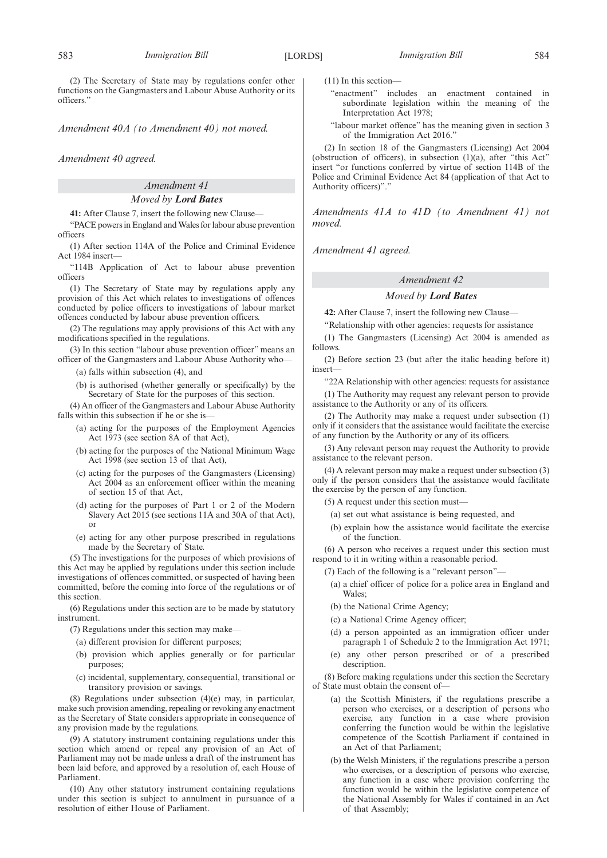(2) The Secretary of State may by regulations confer other functions on the Gangmasters and Labour Abuse Authority or its officers."

*Amendment 40A (to Amendment 40) not moved.*

*Amendment 40 agreed.*

# *Amendment 41*

# *Moved by Lord Bates*

**41:** After Clause 7, insert the following new Clause—

"PACE powers in England andWales for labour abuse prevention officers

(1) After section 114A of the Police and Criminal Evidence Act 1984 insert—

"114B Application of Act to labour abuse prevention officers

(1) The Secretary of State may by regulations apply any provision of this Act which relates to investigations of offences conducted by police officers to investigations of labour market offences conducted by labour abuse prevention officers.

(2) The regulations may apply provisions of this Act with any modifications specified in the regulations.

(3) In this section "labour abuse prevention officer" means an officer of the Gangmasters and Labour Abuse Authority who—

(a) falls within subsection (4), and

(b) is authorised (whether generally or specifically) by the Secretary of State for the purposes of this section.

(4) An officer of the Gangmasters and Labour Abuse Authority falls within this subsection if he or she is—

- (a) acting for the purposes of the Employment Agencies Act 1973 (see section 8A of that Act),
- (b) acting for the purposes of the National Minimum Wage Act 1998 (see section 13 of that Act),
- (c) acting for the purposes of the Gangmasters (Licensing) Act 2004 as an enforcement officer within the meaning of section 15 of that Act,
- (d) acting for the purposes of Part 1 or 2 of the Modern Slavery Act 2015 (see sections 11A and 30A of that Act), or
- (e) acting for any other purpose prescribed in regulations made by the Secretary of State.

(5) The investigations for the purposes of which provisions of this Act may be applied by regulations under this section include investigations of offences committed, or suspected of having been committed, before the coming into force of the regulations or of this section.

(6) Regulations under this section are to be made by statutory instrument.

(7) Regulations under this section may make—

- (a) different provision for different purposes;
- (b) provision which applies generally or for particular purposes;
- (c) incidental, supplementary, consequential, transitional or transitory provision or savings.

(8) Regulations under subsection (4)(e) may, in particular, make such provision amending, repealing or revoking any enactment as the Secretary of State considers appropriate in consequence of any provision made by the regulations.

(9) A statutory instrument containing regulations under this section which amend or repeal any provision of an Act of Parliament may not be made unless a draft of the instrument has been laid before, and approved by a resolution of, each House of Parliament.

(10) Any other statutory instrument containing regulations under this section is subject to annulment in pursuance of a resolution of either House of Parliament.

- (11) In this section—
	- "enactment" includes an enactment contained in subordinate legislation within the meaning of the Interpretation Act 1978;
	- "labour market offence" has the meaning given in section 3 of the Immigration Act 2016."

(2) In section 18 of the Gangmasters (Licensing) Act 2004 (obstruction of officers), in subsection (1)(a), after "this Act" insert "or functions conferred by virtue of section 114B of the Police and Criminal Evidence Act 84 (application of that Act to Authority officers)"."

*Amendments 41A to 41D (to Amendment 41) not moved.*

*Amendment 41 agreed.*

### *Amendment 42*

### *Moved by Lord Bates*

**42:** After Clause 7, insert the following new Clause—

"Relationship with other agencies: requests for assistance

(1) The Gangmasters (Licensing) Act 2004 is amended as follows.

(2) Before section 23 (but after the italic heading before it) insert—

"22A Relationship with other agencies: requests for assistance (1) The Authority may request any relevant person to provide assistance to the Authority or any of its officers.

(2) The Authority may make a request under subsection (1) only if it considers that the assistance would facilitate the exercise of any function by the Authority or any of its officers.

(3) Any relevant person may request the Authority to provide assistance to the relevant person.

(4) A relevant person may make a request under subsection (3) only if the person considers that the assistance would facilitate the exercise by the person of any function.

 $(5)$  A request under this section must-

- (a) set out what assistance is being requested, and
- (b) explain how the assistance would facilitate the exercise of the function.

(6) A person who receives a request under this section must respond to it in writing within a reasonable period.

- (7) Each of the following is a "relevant person"—
	- (a) a chief officer of police for a police area in England and Wales;
	- (b) the National Crime Agency;
	- (c) a National Crime Agency officer;
	- (d) a person appointed as an immigration officer under paragraph 1 of Schedule 2 to the Immigration Act 1971;
	- (e) any other person prescribed or of a prescribed description.

(8) Before making regulations under this section the Secretary of State must obtain the consent of—

- (a) the Scottish Ministers, if the regulations prescribe a person who exercises, or a description of persons who exercise, any function in a case where provision conferring the function would be within the legislative competence of the Scottish Parliament if contained in an Act of that Parliament;
- (b) the Welsh Ministers, if the regulations prescribe a person who exercises, or a description of persons who exercise, any function in a case where provision conferring the function would be within the legislative competence of the National Assembly for Wales if contained in an Act of that Assembly;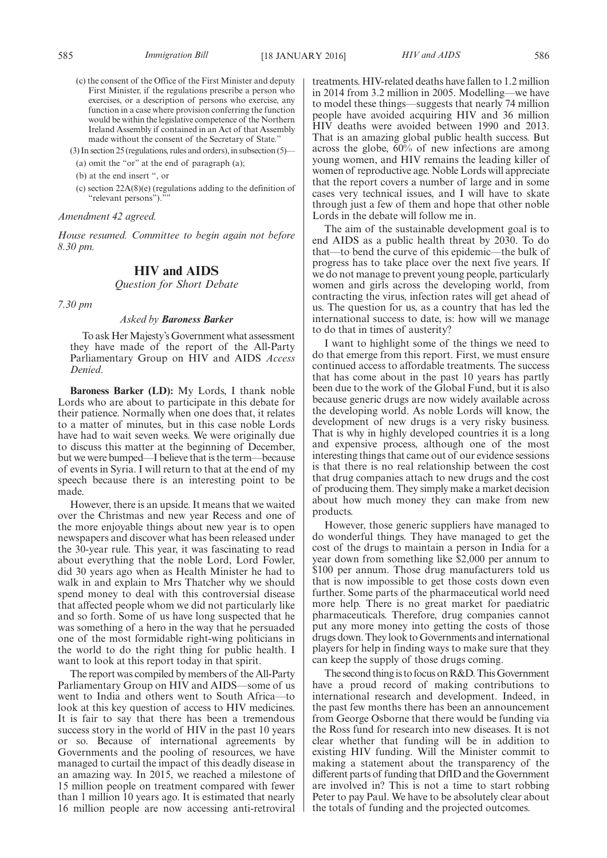- (c) the consent of the Office of the First Minister and deputy First Minister, if the regulations prescribe a person who exercises, or a description of persons who exercise, any function in a case where provision conferring the function would be within the legislative competence of the Northern Ireland Assembly if contained in an Act of that Assembly made without the consent of the Secretary of State."
- (3) In section 25 (regulations, rules and orders), in subsection (5)—
	- (a) omit the "or" at the end of paragraph (a);
	- (b) at the end insert ", or
	- (c) section 22A(8)(e) (regulations adding to the definition of "relevant persons")."

### *Amendment 42 agreed.*

*House resumed. Committee to begin again not before 8.30 pm.*

### **HIV and AIDS**

*Question for Short Debate*

*7.30 pm*

### *Asked by Baroness Barker*

To ask Her Majesty's Government what assessment they have made of the report of the All-Party Parliamentary Group on HIV and AIDS *Access Denied*.

**Baroness Barker (LD):** My Lords, I thank noble Lords who are about to participate in this debate for their patience. Normally when one does that, it relates to a matter of minutes, but in this case noble Lords have had to wait seven weeks. We were originally due to discuss this matter at the beginning of December, but we were bumped—I believe that is the term—because of events in Syria. I will return to that at the end of my speech because there is an interesting point to be made.

However, there is an upside. It means that we waited over the Christmas and new year Recess and one of the more enjoyable things about new year is to open newspapers and discover what has been released under the 30-year rule. This year, it was fascinating to read about everything that the noble Lord, Lord Fowler, did 30 years ago when as Health Minister he had to walk in and explain to Mrs Thatcher why we should spend money to deal with this controversial disease that affected people whom we did not particularly like and so forth. Some of us have long suspected that he was something of a hero in the way that he persuaded one of the most formidable right-wing politicians in the world to do the right thing for public health. I want to look at this report today in that spirit.

The report was compiled by members of the All-Party Parliamentary Group on HIV and AIDS—some of us went to India and others went to South Africa—to look at this key question of access to HIV medicines. It is fair to say that there has been a tremendous success story in the world of HIV in the past 10 years or so. Because of international agreements by Governments and the pooling of resources, we have managed to curtail the impact of this deadly disease in an amazing way. In 2015, we reached a milestone of 15 million people on treatment compared with fewer than 1 million 10 years ago. It is estimated that nearly 16 million people are now accessing anti-retroviral treatments. HIV-related deaths have fallen to 1.2 million in 2014 from 3.2 million in 2005. Modelling—we have to model these things—suggests that nearly 74 million people have avoided acquiring HIV and 36 million HIV deaths were avoided between 1990 and 2013. That is an amazing global public health success. But across the globe, 60% of new infections are among young women, and HIV remains the leading killer of women of reproductive age. Noble Lords will appreciate that the report covers a number of large and in some cases very technical issues, and I will have to skate through just a few of them and hope that other noble Lords in the debate will follow me in.

The aim of the sustainable development goal is to end AIDS as a public health threat by 2030. To do that—to bend the curve of this epidemic—the bulk of progress has to take place over the next five years. If we do not manage to prevent young people, particularly women and girls across the developing world, from contracting the virus, infection rates will get ahead of us. The question for us, as a country that has led the international success to date, is: how will we manage to do that in times of austerity?

I want to highlight some of the things we need to do that emerge from this report. First, we must ensure continued access to affordable treatments. The success that has come about in the past 10 years has partly been due to the work of the Global Fund, but it is also because generic drugs are now widely available across the developing world. As noble Lords will know, the development of new drugs is a very risky business. That is why in highly developed countries it is a long and expensive process, although one of the most interesting things that came out of our evidence sessions is that there is no real relationship between the cost that drug companies attach to new drugs and the cost of producing them. They simply make a market decision about how much money they can make from new products.

However, those generic suppliers have managed to do wonderful things. They have managed to get the cost of the drugs to maintain a person in India for a year down from something like \$2,000 per annum to \$100 per annum. Those drug manufacturers told us that is now impossible to get those costs down even further. Some parts of the pharmaceutical world need more help. There is no great market for paediatric pharmaceuticals. Therefore, drug companies cannot put any more money into getting the costs of those drugs down. They look to Governments and international players for help in finding ways to make sure that they can keep the supply of those drugs coming.

The second thing is to focus on R&D. This Government have a proud record of making contributions to international research and development. Indeed, in the past few months there has been an announcement from George Osborne that there would be funding via the Ross fund for research into new diseases. It is not clear whether that funding will be in addition to existing HIV funding. Will the Minister commit to making a statement about the transparency of the different parts of funding that DfID and the Government are involved in? This is not a time to start robbing Peter to pay Paul. We have to be absolutely clear about the totals of funding and the projected outcomes.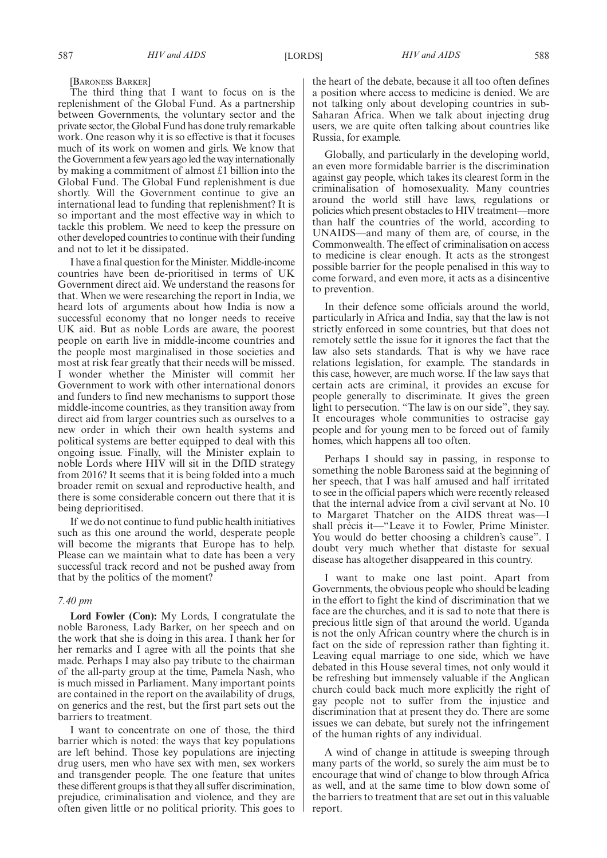[BARONESS BARKER]

The third thing that I want to focus on is the replenishment of the Global Fund. As a partnership between Governments, the voluntary sector and the private sector, the Global Fund has done truly remarkable work. One reason why it is so effective is that it focuses much of its work on women and girls. We know that the Government a few years ago led the way internationally by making a commitment of almost £1 billion into the Global Fund. The Global Fund replenishment is due shortly. Will the Government continue to give an international lead to funding that replenishment? It is so important and the most effective way in which to tackle this problem. We need to keep the pressure on other developed countries to continue with their funding and not to let it be dissipated.

I have a final question for theMinister.Middle-income countries have been de-prioritised in terms of UK Government direct aid. We understand the reasons for that. When we were researching the report in India, we heard lots of arguments about how India is now a successful economy that no longer needs to receive UK aid. But as noble Lords are aware, the poorest people on earth live in middle-income countries and the people most marginalised in those societies and most at risk fear greatly that their needs will be missed. I wonder whether the Minister will commit her Government to work with other international donors and funders to find new mechanisms to support those middle-income countries, as they transition away from direct aid from larger countries such as ourselves to a new order in which their own health systems and political systems are better equipped to deal with this ongoing issue. Finally, will the Minister explain to noble Lords where HIV will sit in the DfID strategy from 2016? It seems that it is being folded into a much broader remit on sexual and reproductive health, and there is some considerable concern out there that it is being deprioritised.

If we do not continue to fund public health initiatives such as this one around the world, desperate people will become the migrants that Europe has to help. Please can we maintain what to date has been a very successful track record and not be pushed away from that by the politics of the moment?

### *7.40 pm*

**Lord Fowler (Con):** My Lords, I congratulate the noble Baroness, Lady Barker, on her speech and on the work that she is doing in this area. I thank her for her remarks and I agree with all the points that she made. Perhaps I may also pay tribute to the chairman of the all-party group at the time, Pamela Nash, who is much missed in Parliament. Many important points are contained in the report on the availability of drugs, on generics and the rest, but the first part sets out the barriers to treatment.

I want to concentrate on one of those, the third barrier which is noted: the ways that key populations are left behind. Those key populations are injecting drug users, men who have sex with men, sex workers and transgender people. The one feature that unites these different groups is that they all suffer discrimination, prejudice, criminalisation and violence, and they are often given little or no political priority. This goes to

the heart of the debate, because it all too often defines a position where access to medicine is denied. We are not talking only about developing countries in sub-Saharan Africa. When we talk about injecting drug users, we are quite often talking about countries like Russia, for example.

Globally, and particularly in the developing world, an even more formidable barrier is the discrimination against gay people, which takes its clearest form in the criminalisation of homosexuality. Many countries around the world still have laws, regulations or policies which present obstacles to HIV treatment—more than half the countries of the world, according to UNAIDS—and many of them are, of course, in the Commonwealth. The effect of criminalisation on access to medicine is clear enough. It acts as the strongest possible barrier for the people penalised in this way to come forward, and even more, it acts as a disincentive to prevention.

In their defence some officials around the world, particularly in Africa and India, say that the law is not strictly enforced in some countries, but that does not remotely settle the issue for it ignores the fact that the law also sets standards. That is why we have race relations legislation, for example. The standards in this case, however, are much worse. If the law says that certain acts are criminal, it provides an excuse for people generally to discriminate. It gives the green light to persecution. "The law is on our side", they say. It encourages whole communities to ostracise gay people and for young men to be forced out of family homes, which happens all too often.

Perhaps I should say in passing, in response to something the noble Baroness said at the beginning of her speech, that I was half amused and half irritated to see in the official papers which were recently released that the internal advice from a civil servant at No. 10 to Margaret Thatcher on the AIDS threat was—I shall précis it—"Leave it to Fowler, Prime Minister. You would do better choosing a children's cause". I doubt very much whether that distaste for sexual disease has altogether disappeared in this country.

I want to make one last point. Apart from Governments, the obvious people who should be leading in the effort to fight the kind of discrimination that we face are the churches, and it is sad to note that there is precious little sign of that around the world. Uganda is not the only African country where the church is in fact on the side of repression rather than fighting it. Leaving equal marriage to one side, which we have debated in this House several times, not only would it be refreshing but immensely valuable if the Anglican church could back much more explicitly the right of gay people not to suffer from the injustice and discrimination that at present they do. There are some issues we can debate, but surely not the infringement of the human rights of any individual.

A wind of change in attitude is sweeping through many parts of the world, so surely the aim must be to encourage that wind of change to blow through Africa as well, and at the same time to blow down some of the barriers to treatment that are set out in this valuable report.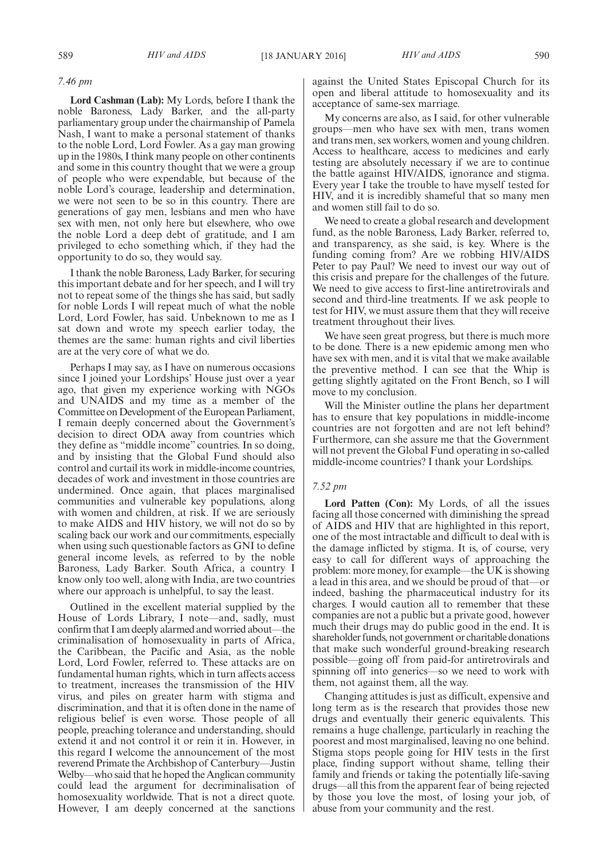#### *7.46 pm*

**Lord Cashman (Lab):** My Lords, before I thank the noble Baroness, Lady Barker, and the all-party parliamentary group under the chairmanship of Pamela Nash, I want to make a personal statement of thanks to the noble Lord, Lord Fowler. As a gay man growing up in the 1980s, I think many people on other continents and some in this country thought that we were a group of people who were expendable, but because of the noble Lord's courage, leadership and determination, we were not seen to be so in this country. There are generations of gay men, lesbians and men who have sex with men, not only here but elsewhere, who owe the noble Lord a deep debt of gratitude, and I am privileged to echo something which, if they had the opportunity to do so, they would say.

I thank the noble Baroness, Lady Barker, for securing this important debate and for her speech, and I will try not to repeat some of the things she has said, but sadly for noble Lords I will repeat much of what the noble Lord, Lord Fowler, has said. Unbeknown to me as I sat down and wrote my speech earlier today, the themes are the same: human rights and civil liberties are at the very core of what we do.

Perhaps I may say, as I have on numerous occasions since I joined your Lordships' House just over a year ago, that given my experience working with NGOs and UNAIDS and my time as a member of the Committee on Development of the European Parliament, I remain deeply concerned about the Government's decision to direct ODA away from countries which they define as "middle income" countries. In so doing, and by insisting that the Global Fund should also control and curtail its work in middle-income countries, decades of work and investment in those countries are undermined. Once again, that places marginalised communities and vulnerable key populations, along with women and children, at risk. If we are seriously to make AIDS and HIV history, we will not do so by scaling back our work and our commitments, especially when using such questionable factors as GNI to define general income levels, as referred to by the noble Baroness, Lady Barker. South Africa, a country I know only too well, along with India, are two countries where our approach is unhelpful, to say the least.

Outlined in the excellent material supplied by the House of Lords Library, I note—and, sadly, must confirm that I am deeply alarmed and worried about—the criminalisation of homosexuality in parts of Africa, the Caribbean, the Pacific and Asia, as the noble Lord, Lord Fowler, referred to. These attacks are on fundamental human rights, which in turn affects access to treatment, increases the transmission of the HIV virus, and piles on greater harm with stigma and discrimination, and that it is often done in the name of religious belief is even worse. Those people of all people, preaching tolerance and understanding, should extend it and not control it or rein it in. However, in this regard I welcome the announcement of the most reverend Primate the Archbishop of Canterbury—Justin Welby—who said that he hoped the Anglican community could lead the argument for decriminalisation of homosexuality worldwide. That is not a direct quote. However, I am deeply concerned at the sanctions against the United States Episcopal Church for its open and liberal attitude to homosexuality and its acceptance of same-sex marriage.

My concerns are also, as I said, for other vulnerable groups—men who have sex with men, trans women and trans men, sex workers, women and young children. Access to healthcare, access to medicines and early testing are absolutely necessary if we are to continue the battle against HIV/AIDS, ignorance and stigma. Every year I take the trouble to have myself tested for HIV, and it is incredibly shameful that so many men and women still fail to do so.

We need to create a global research and development fund, as the noble Baroness, Lady Barker, referred to, and transparency, as she said, is key. Where is the funding coming from? Are we robbing HIV/AIDS Peter to pay Paul? We need to invest our way out of this crisis and prepare for the challenges of the future. We need to give access to first-line antiretrovirals and second and third-line treatments. If we ask people to test for HIV, we must assure them that they will receive treatment throughout their lives.

We have seen great progress, but there is much more to be done. There is a new epidemic among men who have sex with men, and it is vital that we make available the preventive method. I can see that the Whip is getting slightly agitated on the Front Bench, so I will move to my conclusion.

Will the Minister outline the plans her department has to ensure that key populations in middle-income countries are not forgotten and are not left behind? Furthermore, can she assure me that the Government will not prevent the Global Fund operating in so-called middle-income countries? I thank your Lordships.

### *7.52 pm*

**Lord Patten (Con):** My Lords, of all the issues facing all those concerned with diminishing the spread of AIDS and HIV that are highlighted in this report, one of the most intractable and difficult to deal with is the damage inflicted by stigma. It is, of course, very easy to call for different ways of approaching the problem: more money, for example—the UK is showing a lead in this area, and we should be proud of that—or indeed, bashing the pharmaceutical industry for its charges. I would caution all to remember that these companies are not a public but a private good, however much their drugs may do public good in the end. It is shareholder funds, not government or charitable donations that make such wonderful ground-breaking research possible—going off from paid-for antiretrovirals and spinning off into generics—so we need to work with them, not against them, all the way.

Changing attitudes is just as difficult, expensive and long term as is the research that provides those new drugs and eventually their generic equivalents. This remains a huge challenge, particularly in reaching the poorest and most marginalised, leaving no one behind. Stigma stops people going for HIV tests in the first place, finding support without shame, telling their family and friends or taking the potentially life-saving drugs—all this from the apparent fear of being rejected by those you love the most, of losing your job, of abuse from your community and the rest.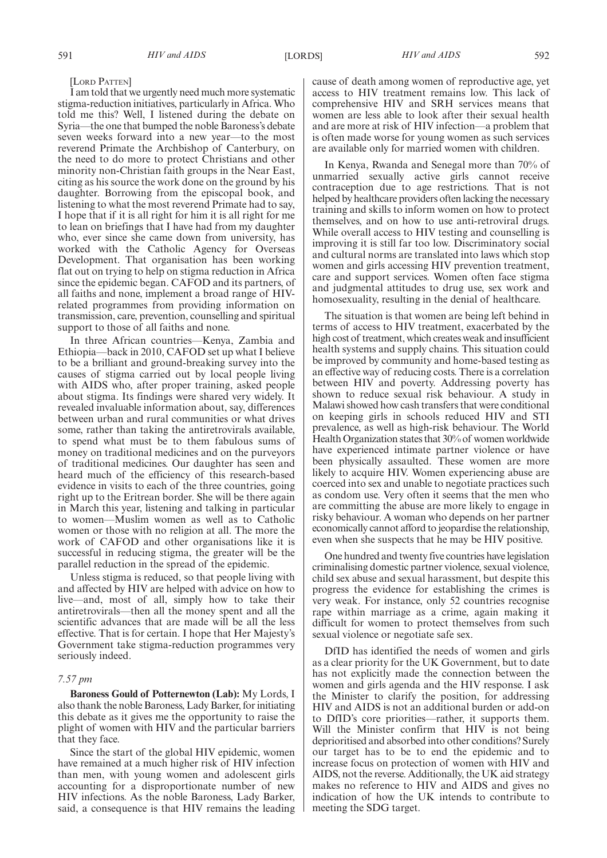#### [LORD PATTEN]

I am told that we urgently need much more systematic stigma-reduction initiatives, particularly in Africa. Who told me this? Well, I listened during the debate on Syria—the one that bumped the noble Baroness's debate seven weeks forward into a new year—to the most reverend Primate the Archbishop of Canterbury, on the need to do more to protect Christians and other minority non-Christian faith groups in the Near East, citing as his source the work done on the ground by his daughter. Borrowing from the episcopal book, and listening to what the most reverend Primate had to say, I hope that if it is all right for him it is all right for me to lean on briefings that I have had from my daughter who, ever since she came down from university, has worked with the Catholic Agency for Overseas Development. That organisation has been working flat out on trying to help on stigma reduction in Africa since the epidemic began. CAFOD and its partners, of all faiths and none, implement a broad range of HIVrelated programmes from providing information on transmission, care, prevention, counselling and spiritual support to those of all faiths and none.

In three African countries—Kenya, Zambia and Ethiopia—back in 2010, CAFOD set up what I believe to be a brilliant and ground-breaking survey into the causes of stigma carried out by local people living with AIDS who, after proper training, asked people about stigma. Its findings were shared very widely. It revealed invaluable information about, say, differences between urban and rural communities or what drives some, rather than taking the antiretrovirals available, to spend what must be to them fabulous sums of money on traditional medicines and on the purveyors of traditional medicines. Our daughter has seen and heard much of the efficiency of this research-based evidence in visits to each of the three countries, going right up to the Eritrean border. She will be there again in March this year, listening and talking in particular to women—Muslim women as well as to Catholic women or those with no religion at all. The more the work of CAFOD and other organisations like it is successful in reducing stigma, the greater will be the parallel reduction in the spread of the epidemic.

Unless stigma is reduced, so that people living with and affected by HIV are helped with advice on how to live—and, most of all, simply how to take their antiretrovirals—then all the money spent and all the scientific advances that are made will be all the less effective. That is for certain. I hope that Her Majesty's Government take stigma-reduction programmes very seriously indeed.

### *7.57 pm*

**Baroness Gould of Potternewton (Lab):** My Lords, I also thank the noble Baroness, Lady Barker, for initiating this debate as it gives me the opportunity to raise the plight of women with HIV and the particular barriers that they face.

Since the start of the global HIV epidemic, women have remained at a much higher risk of HIV infection than men, with young women and adolescent girls accounting for a disproportionate number of new HIV infections. As the noble Baroness, Lady Barker, said, a consequence is that HIV remains the leading cause of death among women of reproductive age, yet access to HIV treatment remains low. This lack of comprehensive HIV and SRH services means that women are less able to look after their sexual health and are more at risk of HIV infection—a problem that is often made worse for young women as such services are available only for married women with children.

In Kenya, Rwanda and Senegal more than 70% of unmarried sexually active girls cannot receive contraception due to age restrictions. That is not helped by healthcare providers often lacking the necessary training and skills to inform women on how to protect themselves, and on how to use anti-retroviral drugs. While overall access to HIV testing and counselling is improving it is still far too low. Discriminatory social and cultural norms are translated into laws which stop women and girls accessing HIV prevention treatment, care and support services. Women often face stigma and judgmental attitudes to drug use, sex work and homosexuality, resulting in the denial of healthcare.

The situation is that women are being left behind in terms of access to HIV treatment, exacerbated by the high cost of treatment, which creates weak and insufficient health systems and supply chains. This situation could be improved by community and home-based testing as an effective way of reducing costs. There is a correlation between HIV and poverty. Addressing poverty has shown to reduce sexual risk behaviour. A study in Malawi showed how cash transfers that were conditional on keeping girls in schools reduced HIV and STI prevalence, as well as high-risk behaviour. The World Health Organization states that 30% of women worldwide have experienced intimate partner violence or have been physically assaulted. These women are more likely to acquire HIV. Women experiencing abuse are coerced into sex and unable to negotiate practices such as condom use. Very often it seems that the men who are committing the abuse are more likely to engage in risky behaviour. A woman who depends on her partner economically cannot afford to jeopardise the relationship, even when she suspects that he may be HIV positive.

One hundred and twenty five countries have legislation criminalising domestic partner violence, sexual violence, child sex abuse and sexual harassment, but despite this progress the evidence for establishing the crimes is very weak. For instance, only 52 countries recognise rape within marriage as a crime, again making it difficult for women to protect themselves from such sexual violence or negotiate safe sex.

DfID has identified the needs of women and girls as a clear priority for the UK Government, but to date has not explicitly made the connection between the women and girls agenda and the HIV response. I ask the Minister to clarify the position, for addressing HIV and AIDS is not an additional burden or add-on to DfID's core priorities—rather, it supports them. Will the Minister confirm that HIV is not being deprioritised and absorbed into other conditions? Surely our target has to be to end the epidemic and to increase focus on protection of women with HIV and AIDS, not the reverse. Additionally, the UK aid strategy makes no reference to HIV and AIDS and gives no indication of how the UK intends to contribute to meeting the SDG target.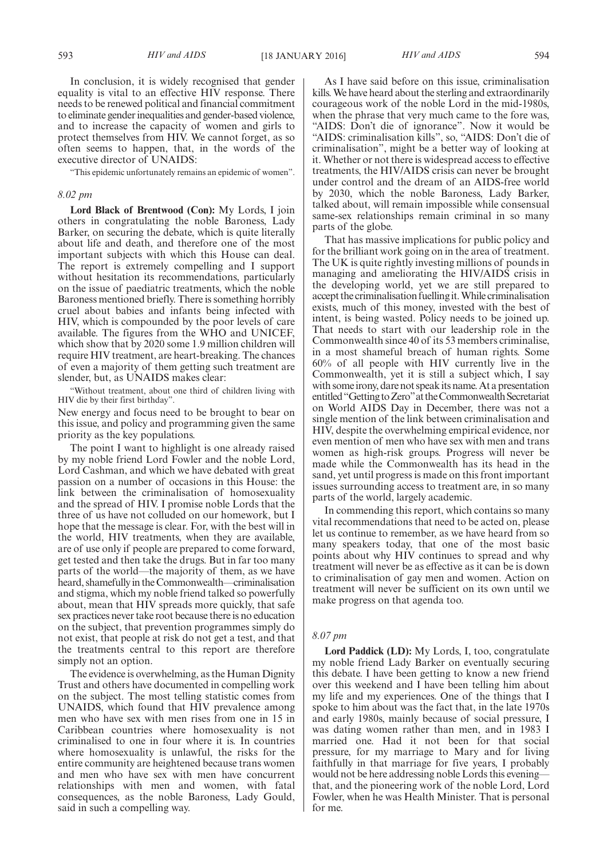In conclusion, it is widely recognised that gender equality is vital to an effective HIV response. There needs to be renewed political and financial commitment to eliminate gender inequalities and gender-based violence, and to increase the capacity of women and girls to protect themselves from HIV. We cannot forget, as so often seems to happen, that, in the words of the executive director of UNAIDS:

"This epidemic unfortunately remains an epidemic of women".

### *8.02 pm*

**Lord Black of Brentwood (Con):** My Lords, I join others in congratulating the noble Baroness, Lady Barker, on securing the debate, which is quite literally about life and death, and therefore one of the most important subjects with which this House can deal. The report is extremely compelling and I support without hesitation its recommendations, particularly on the issue of paediatric treatments, which the noble Baroness mentioned briefly. There is something horribly cruel about babies and infants being infected with HIV, which is compounded by the poor levels of care available. The figures from the WHO and UNICEF, which show that by 2020 some 1.9 million children will require HIV treatment, are heart-breaking. The chances of even a majority of them getting such treatment are slender, but, as UNAIDS makes clear:

"Without treatment, about one third of children living with HIV die by their first birthday".

New energy and focus need to be brought to bear on this issue, and policy and programming given the same priority as the key populations.

The point I want to highlight is one already raised by my noble friend Lord Fowler and the noble Lord, Lord Cashman, and which we have debated with great passion on a number of occasions in this House: the link between the criminalisation of homosexuality and the spread of HIV. I promise noble Lords that the three of us have not colluded on our homework, but I hope that the message is clear. For, with the best will in the world, HIV treatments, when they are available, are of use only if people are prepared to come forward, get tested and then take the drugs. But in far too many parts of the world—the majority of them, as we have heard, shamefully in the Commonwealth—criminalisation and stigma, which my noble friend talked so powerfully about, mean that HIV spreads more quickly, that safe sex practices never take root because there is no education on the subject, that prevention programmes simply do not exist, that people at risk do not get a test, and that the treatments central to this report are therefore simply not an option.

The evidence is overwhelming, as the Human Dignity Trust and others have documented in compelling work on the subject. The most telling statistic comes from UNAIDS, which found that HIV prevalence among men who have sex with men rises from one in 15 in Caribbean countries where homosexuality is not criminalised to one in four where it is. In countries where homosexuality is unlawful, the risks for the entire community are heightened because trans women and men who have sex with men have concurrent relationships with men and women, with fatal consequences, as the noble Baroness, Lady Gould, said in such a compelling way.

As I have said before on this issue, criminalisation kills.We have heard about the sterling and extraordinarily courageous work of the noble Lord in the mid-1980s, when the phrase that very much came to the fore was, "AIDS: Don't die of ignorance". Now it would be "AIDS: criminalisation kills", so, "AIDS: Don't die of criminalisation", might be a better way of looking at it. Whether or not there is widespread access to effective treatments, the HIV/AIDS crisis can never be brought under control and the dream of an AIDS-free world by 2030, which the noble Baroness, Lady Barker, talked about, will remain impossible while consensual same-sex relationships remain criminal in so many parts of the globe.

That has massive implications for public policy and for the brilliant work going on in the area of treatment. The UK is quite rightly investing millions of pounds in managing and ameliorating the HIV/AIDS crisis in the developing world, yet we are still prepared to accept the criminalisation fuelling it. While criminalisation exists, much of this money, invested with the best of intent, is being wasted. Policy needs to be joined up. That needs to start with our leadership role in the Commonwealth since 40 of its 53 members criminalise, in a most shameful breach of human rights. Some 60% of all people with HIV currently live in the Commonwealth, yet it is still a subject which, I say with some irony, dare not speak its name. At a presentation entitled "Getting to Zero" at the Commonwealth Secretariat on World AIDS Day in December, there was not a single mention of the link between criminalisation and HIV, despite the overwhelming empirical evidence, nor even mention of men who have sex with men and trans women as high-risk groups. Progress will never be made while the Commonwealth has its head in the sand, yet until progress is made on this front important issues surrounding access to treatment are, in so many parts of the world, largely academic.

In commending this report, which contains so many vital recommendations that need to be acted on, please let us continue to remember, as we have heard from so many speakers today, that one of the most basic points about why HIV continues to spread and why treatment will never be as effective as it can be is down to criminalisation of gay men and women. Action on treatment will never be sufficient on its own until we make progress on that agenda too.

### *8.07 pm*

**Lord Paddick (LD):** My Lords, I, too, congratulate my noble friend Lady Barker on eventually securing this debate. I have been getting to know a new friend over this weekend and I have been telling him about my life and my experiences. One of the things that I spoke to him about was the fact that, in the late 1970s and early 1980s, mainly because of social pressure, I was dating women rather than men, and in 1983 I married one. Had it not been for that social pressure, for my marriage to Mary and for living faithfully in that marriage for five years, I probably would not be here addressing noble Lords this evening that, and the pioneering work of the noble Lord, Lord Fowler, when he was Health Minister. That is personal for me.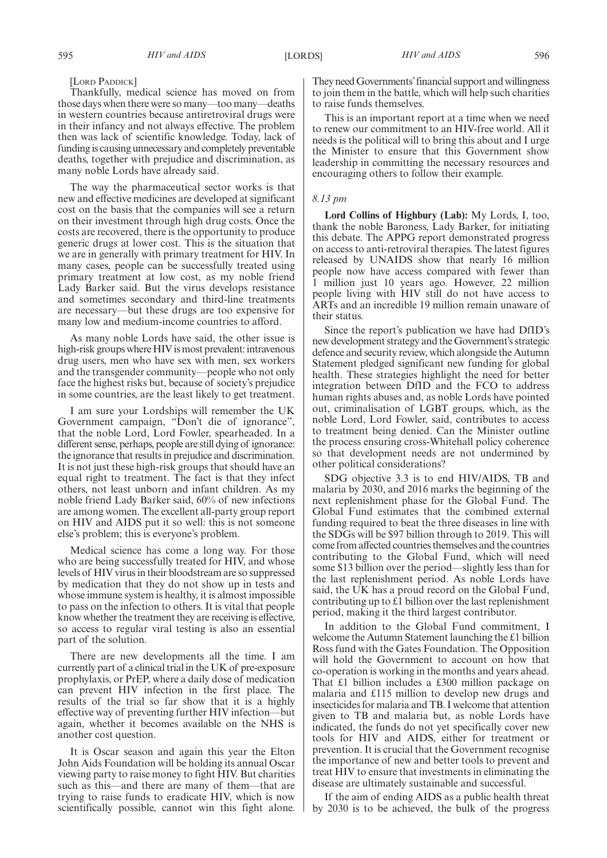#### [LORD PADDICK]

Thankfully, medical science has moved on from those days when there were so many—too many—deaths in western countries because antiretroviral drugs were in their infancy and not always effective. The problem then was lack of scientific knowledge. Today, lack of funding is causing unnecessary and completely preventable deaths, together with prejudice and discrimination, as many noble Lords have already said.

The way the pharmaceutical sector works is that new and effective medicines are developed at significant cost on the basis that the companies will see a return on their investment through high drug costs. Once the costs are recovered, there is the opportunity to produce generic drugs at lower cost. This is the situation that we are in generally with primary treatment for HIV. In many cases, people can be successfully treated using primary treatment at low cost, as my noble friend Lady Barker said. But the virus develops resistance and sometimes secondary and third-line treatments are necessary—but these drugs are too expensive for many low and medium-income countries to afford.

As many noble Lords have said, the other issue is high-risk groups where HIV is most prevalent: intravenous drug users, men who have sex with men, sex workers and the transgender community—people who not only face the highest risks but, because of society's prejudice in some countries, are the least likely to get treatment.

I am sure your Lordships will remember the UK Government campaign, "Don't die of ignorance", that the noble Lord, Lord Fowler, spearheaded. In a different sense, perhaps, people are still dying of ignorance: the ignorance that results in prejudice and discrimination. It is not just these high-risk groups that should have an equal right to treatment. The fact is that they infect others, not least unborn and infant children. As my noble friend Lady Barker said, 60% of new infections are among women. The excellent all-party group report on HIV and AIDS put it so well: this is not someone else's problem; this is everyone's problem.

Medical science has come a long way. For those who are being successfully treated for HIV, and whose levels of HIV virus in their bloodstream are so suppressed by medication that they do not show up in tests and whose immune system is healthy, it is almost impossible to pass on the infection to others. It is vital that people know whether the treatment they are receiving is effective, so access to regular viral testing is also an essential part of the solution.

There are new developments all the time. I am currently part of a clinical trial in the UK of pre-exposure prophylaxis, or PrEP, where a daily dose of medication can prevent HIV infection in the first place. The results of the trial so far show that it is a highly effective way of preventing further HIV infection—but again, whether it becomes available on the NHS is another cost question.

It is Oscar season and again this year the Elton John Aids Foundation will be holding its annual Oscar viewing party to raise money to fight HIV. But charities such as this—and there are many of them—that are trying to raise funds to eradicate HIV, which is now scientifically possible, cannot win this fight alone. They need Governments' financial support and willingness to join them in the battle, which will help such charities to raise funds themselves.

This is an important report at a time when we need to renew our commitment to an HIV-free world. All it needs is the political will to bring this about and I urge the Minister to ensure that this Government show leadership in committing the necessary resources and encouraging others to follow their example.

### *8.13 pm*

**Lord Collins of Highbury (Lab):** My Lords, I, too, thank the noble Baroness, Lady Barker, for initiating this debate. The APPG report demonstrated progress on access to anti-retroviral therapies. The latest figures released by UNAIDS show that nearly 16 million people now have access compared with fewer than 1 million just 10 years ago. However, 22 million people living with HIV still do not have access to ARTs and an incredible 19 million remain unaware of their status.

Since the report's publication we have had DfID's new development strategy and the Government's strategic defence and security review, which alongside the Autumn Statement pledged significant new funding for global health. These strategies highlight the need for better integration between DfID and the FCO to address human rights abuses and, as noble Lords have pointed out, criminalisation of LGBT groups, which, as the noble Lord, Lord Fowler, said, contributes to access to treatment being denied. Can the Minister outline the process ensuring cross-Whitehall policy coherence so that development needs are not undermined by other political considerations?

SDG objective 3.3 is to end HIV/AIDS, TB and malaria by 2030, and 2016 marks the beginning of the next replenishment phase for the Global Fund. The Global Fund estimates that the combined external funding required to beat the three diseases in line with the SDGs will be \$97 billion through to 2019. This will come from affected countries themselves and the countries contributing to the Global Fund, which will need some \$13 billion over the period—slightly less than for the last replenishment period. As noble Lords have said, the UK has a proud record on the Global Fund, contributing up to £1 billion over the last replenishment period, making it the third largest contributor.

In addition to the Global Fund commitment, I welcome the Autumn Statement launching the £1 billion Ross fund with the Gates Foundation. The Opposition will hold the Government to account on how that co-operation is working in the months and years ahead. That £1 billion includes a £300 million package on malaria and £115 million to develop new drugs and insecticides for malaria and TB. I welcome that attention given to TB and malaria but, as noble Lords have indicated, the funds do not yet specifically cover new tools for HIV and AIDS, either for treatment or prevention. It is crucial that the Government recognise the importance of new and better tools to prevent and treat HIV to ensure that investments in eliminating the disease are ultimately sustainable and successful.

If the aim of ending AIDS as a public health threat by 2030 is to be achieved, the bulk of the progress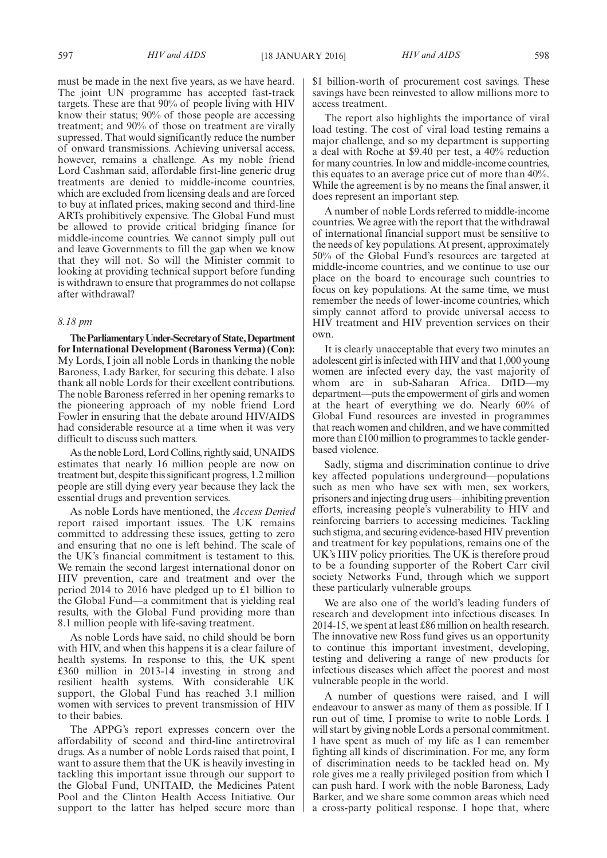must be made in the next five years, as we have heard. The joint UN programme has accepted fast-track targets. These are that 90% of people living with HIV know their status; 90% of those people are accessing treatment; and 90% of those on treatment are virally supressed. That would significantly reduce the number of onward transmissions. Achieving universal access, however, remains a challenge. As my noble friend Lord Cashman said, affordable first-line generic drug treatments are denied to middle-income countries, which are excluded from licensing deals and are forced to buy at inflated prices, making second and third-line ARTs prohibitively expensive. The Global Fund must be allowed to provide critical bridging finance for middle-income countries. We cannot simply pull out and leave Governments to fill the gap when we know that they will not. So will the Minister commit to looking at providing technical support before funding is withdrawn to ensure that programmes do not collapse after withdrawal?

### *8.18 pm*

**TheParliamentaryUnder-Secretaryof State,Department for International Development (Baroness Verma) (Con):** My Lords, I join all noble Lords in thanking the noble Baroness, Lady Barker, for securing this debate. I also thank all noble Lords for their excellent contributions. The noble Baroness referred in her opening remarks to the pioneering approach of my noble friend Lord Fowler in ensuring that the debate around HIV/AIDS had considerable resource at a time when it was very difficult to discuss such matters.

As the noble Lord, Lord Collins, rightly said, UNAIDS estimates that nearly 16 million people are now on treatment but, despite this significant progress, 1.2 million people are still dying every year because they lack the essential drugs and prevention services.

As noble Lords have mentioned, the *Access Denied* report raised important issues. The UK remains committed to addressing these issues, getting to zero and ensuring that no one is left behind. The scale of the UK's financial commitment is testament to this. We remain the second largest international donor on HIV prevention, care and treatment and over the period 2014 to 2016 have pledged up to £1 billion to the Global Fund—a commitment that is yielding real results, with the Global Fund providing more than 8.1 million people with life-saving treatment.

As noble Lords have said, no child should be born with HIV, and when this happens it is a clear failure of health systems. In response to this, the UK spent £360 million in 2013-14 investing in strong and resilient health systems. With considerable UK support, the Global Fund has reached 3.1 million women with services to prevent transmission of HIV to their babies.

The APPG's report expresses concern over the affordability of second and third-line antiretroviral drugs. As a number of noble Lords raised that point, I want to assure them that the UK is heavily investing in tackling this important issue through our support to the Global Fund, UNITAID, the Medicines Patent Pool and the Clinton Health Access Initiative. Our support to the latter has helped secure more than \$1 billion-worth of procurement cost savings. These savings have been reinvested to allow millions more to access treatment.

The report also highlights the importance of viral load testing. The cost of viral load testing remains a major challenge, and so my department is supporting a deal with Roche at \$9.40 per test, a 40% reduction for many countries. In low and middle-income countries, this equates to an average price cut of more than 40%. While the agreement is by no means the final answer, it does represent an important step.

A number of noble Lords referred to middle-income countries. We agree with the report that the withdrawal of international financial support must be sensitive to the needs of key populations. At present, approximately 50% of the Global Fund's resources are targeted at middle-income countries, and we continue to use our place on the board to encourage such countries to focus on key populations. At the same time, we must remember the needs of lower-income countries, which simply cannot afford to provide universal access to HIV treatment and HIV prevention services on their own.

It is clearly unacceptable that every two minutes an adolescent girl is infected with HIV and that 1,000 young women are infected every day, the vast majority of whom are in sub-Saharan Africa. DfID—my department—puts the empowerment of girls and women at the heart of everything we do. Nearly 60% of Global Fund resources are invested in programmes that reach women and children, and we have committed more than £100 million to programmes to tackle genderbased violence.

Sadly, stigma and discrimination continue to drive key affected populations underground—populations such as men who have sex with men, sex workers, prisoners and injecting drug users—inhibiting prevention efforts, increasing people's vulnerability to HIV and reinforcing barriers to accessing medicines. Tackling such stigma, and securing evidence-based HIV prevention and treatment for key populations, remains one of the UK's HIV policy priorities. The UK is therefore proud to be a founding supporter of the Robert Carr civil society Networks Fund, through which we support these particularly vulnerable groups.

We are also one of the world's leading funders of research and development into infectious diseases. In 2014-15, we spent at least £86 million on health research. The innovative new Ross fund gives us an opportunity to continue this important investment, developing, testing and delivering a range of new products for infectious diseases which affect the poorest and most vulnerable people in the world.

A number of questions were raised, and I will endeavour to answer as many of them as possible. If I run out of time, I promise to write to noble Lords. I will start by giving noble Lords a personal commitment. I have spent as much of my life as I can remember fighting all kinds of discrimination. For me, any form of discrimination needs to be tackled head on. My role gives me a really privileged position from which I can push hard. I work with the noble Baroness, Lady Barker, and we share some common areas which need a cross-party political response. I hope that, where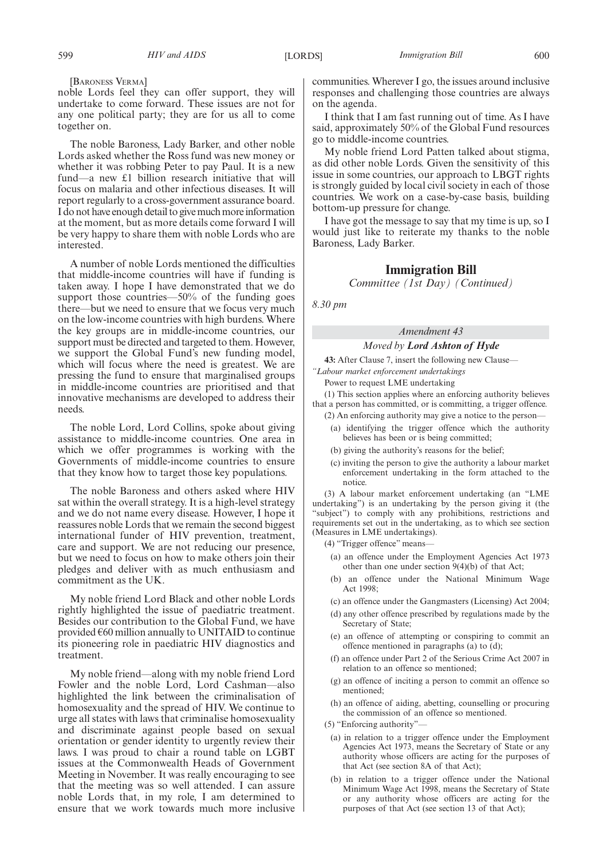noble Lords feel they can offer support, they will undertake to come forward. These issues are not for any one political party; they are for us all to come together on.

The noble Baroness, Lady Barker, and other noble Lords asked whether the Ross fund was new money or whether it was robbing Peter to pay Paul. It is a new fund—a new £1 billion research initiative that will focus on malaria and other infectious diseases. It will report regularly to a cross-government assurance board. I do not have enough detail to give much more information at the moment, but as more details come forward I will be very happy to share them with noble Lords who are interested.

A number of noble Lords mentioned the difficulties that middle-income countries will have if funding is taken away. I hope I have demonstrated that we do support those countries—50% of the funding goes there—but we need to ensure that we focus very much on the low-income countries with high burdens. Where the key groups are in middle-income countries, our support must be directed and targeted to them. However, we support the Global Fund's new funding model, which will focus where the need is greatest. We are pressing the fund to ensure that marginalised groups in middle-income countries are prioritised and that innovative mechanisms are developed to address their needs.

The noble Lord, Lord Collins, spoke about giving assistance to middle-income countries. One area in which we offer programmes is working with the Governments of middle-income countries to ensure that they know how to target those key populations.

The noble Baroness and others asked where HIV sat within the overall strategy. It is a high-level strategy and we do not name every disease. However, I hope it reassures noble Lords that we remain the second biggest international funder of HIV prevention, treatment, care and support. We are not reducing our presence, but we need to focus on how to make others join their pledges and deliver with as much enthusiasm and commitment as the UK.

My noble friend Lord Black and other noble Lords rightly highlighted the issue of paediatric treatment. Besides our contribution to the Global Fund, we have provided  $\epsilon$ 60 million annually to UNITAID to continue its pioneering role in paediatric HIV diagnostics and treatment.

My noble friend—along with my noble friend Lord Fowler and the noble Lord, Lord Cashman—also highlighted the link between the criminalisation of homosexuality and the spread of HIV. We continue to urge all states with laws that criminalise homosexuality and discriminate against people based on sexual orientation or gender identity to urgently review their laws. I was proud to chair a round table on LGBT issues at the Commonwealth Heads of Government Meeting in November. It was really encouraging to see that the meeting was so well attended. I can assure noble Lords that, in my role, I am determined to ensure that we work towards much more inclusive communities. Wherever I go, the issues around inclusive responses and challenging those countries are always on the agenda.

I think that I am fast running out of time. As I have said, approximately 50% of the Global Fund resources go to middle-income countries.

My noble friend Lord Patten talked about stigma, as did other noble Lords. Given the sensitivity of this issue in some countries, our approach to LBGT rights is strongly guided by local civil society in each of those countries. We work on a case-by-case basis, building bottom-up pressure for change.

I have got the message to say that my time is up, so I would just like to reiterate my thanks to the noble Baroness, Lady Barker.

### **Immigration Bill**

*Committee (1st Day) (Continued)*

*8.30 pm*

# *Amendment 43*

## *Moved by Lord Ashton of Hyde*

**43:** After Clause 7, insert the following new Clause— *"Labour market enforcement undertakings*

Power to request LME undertaking

(1) This section applies where an enforcing authority believes that a person has committed, or is committing, a trigger offence.

- (2) An enforcing authority may give a notice to the person—
	- (a) identifying the trigger offence which the authority believes has been or is being committed;
	- (b) giving the authority's reasons for the belief;
	- (c) inviting the person to give the authority a labour market enforcement undertaking in the form attached to the notice.

(3) A labour market enforcement undertaking (an "LME undertaking") is an undertaking by the person giving it (the "subject") to comply with any prohibitions, restrictions and requirements set out in the undertaking, as to which see section (Measures in LME undertakings).

(4) "Trigger offence" means—

- (a) an offence under the Employment Agencies Act 1973 other than one under section 9(4)(b) of that Act;
- (b) an offence under the National Minimum Wage Act 1998;
- (c) an offence under the Gangmasters (Licensing) Act 2004;
- (d) any other offence prescribed by regulations made by the Secretary of State;
- (e) an offence of attempting or conspiring to commit an offence mentioned in paragraphs (a) to (d);
- (f) an offence under Part 2 of the Serious Crime Act 2007 in relation to an offence so mentioned;
- (g) an offence of inciting a person to commit an offence so mentioned;
- (h) an offence of aiding, abetting, counselling or procuring the commission of an offence so mentioned.
- (5) "Enforcing authority"—
	- (a) in relation to a trigger offence under the Employment Agencies Act 1973, means the Secretary of State or any authority whose officers are acting for the purposes of that Act (see section 8A of that Act);
	- (b) in relation to a trigger offence under the National Minimum Wage Act 1998, means the Secretary of State or any authority whose officers are acting for the purposes of that Act (see section 13 of that Act);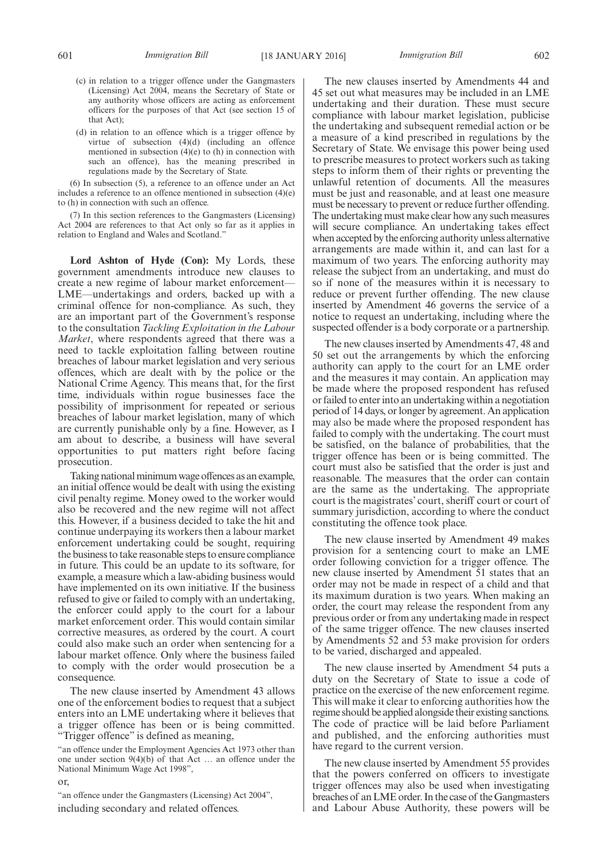- (c) in relation to a trigger offence under the Gangmasters (Licensing) Act 2004, means the Secretary of State or any authority whose officers are acting as enforcement officers for the purposes of that Act (see section 15 of that Act);
- (d) in relation to an offence which is a trigger offence by virtue of subsection (4)(d) (including an offence mentioned in subsection  $(4)(e)$  to (h) in connection with such an offence), has the meaning prescribed in regulations made by the Secretary of State.

(6) In subsection (5), a reference to an offence under an Act includes a reference to an offence mentioned in subsection (4)(e) to (h) in connection with such an offence.

(7) In this section references to the Gangmasters (Licensing) Act 2004 are references to that Act only so far as it applies in relation to England and Wales and Scotland."

**Lord Ashton of Hyde (Con):** My Lords, these government amendments introduce new clauses to create a new regime of labour market enforcement— LME—undertakings and orders, backed up with a criminal offence for non-compliance. As such, they are an important part of the Government's response to the consultation *Tackling Exploitation in the Labour Market*, where respondents agreed that there was a need to tackle exploitation falling between routine breaches of labour market legislation and very serious offences, which are dealt with by the police or the National Crime Agency. This means that, for the first time, individuals within rogue businesses face the possibility of imprisonment for repeated or serious breaches of labour market legislation, many of which are currently punishable only by a fine. However, as I am about to describe, a business will have several opportunities to put matters right before facing prosecution.

Taking national minimum wage offences as an example, an initial offence would be dealt with using the existing civil penalty regime. Money owed to the worker would also be recovered and the new regime will not affect this. However, if a business decided to take the hit and continue underpaying its workers then a labour market enforcement undertaking could be sought, requiring the business to take reasonable steps to ensure compliance in future. This could be an update to its software, for example, a measure which a law-abiding business would have implemented on its own initiative. If the business refused to give or failed to comply with an undertaking, the enforcer could apply to the court for a labour market enforcement order. This would contain similar corrective measures, as ordered by the court. A court could also make such an order when sentencing for a labour market offence. Only where the business failed to comply with the order would prosecution be a consequence.

The new clause inserted by Amendment 43 allows one of the enforcement bodies to request that a subject enters into an LME undertaking where it believes that a trigger offence has been or is being committed. "Trigger offence" is defined as meaning,

"an offence under the Employment Agencies Act 1973 other than one under section 9(4)(b) of that Act … an offence under the National Minimum Wage Act 1998",

or,

"an offence under the Gangmasters (Licensing) Act 2004", including secondary and related offences.

The new clauses inserted by Amendments 44 and 45 set out what measures may be included in an LME undertaking and their duration. These must secure compliance with labour market legislation, publicise the undertaking and subsequent remedial action or be a measure of a kind prescribed in regulations by the Secretary of State. We envisage this power being used to prescribe measures to protect workers such as taking steps to inform them of their rights or preventing the unlawful retention of documents. All the measures must be just and reasonable, and at least one measure must be necessary to prevent or reduce further offending. The undertaking must make clear how any such measures will secure compliance. An undertaking takes effect when accepted by the enforcing authority unless alternative arrangements are made within it, and can last for a maximum of two years. The enforcing authority may release the subject from an undertaking, and must do so if none of the measures within it is necessary to reduce or prevent further offending. The new clause inserted by Amendment 46 governs the service of a notice to request an undertaking, including where the suspected offender is a body corporate or a partnership.

The new clauses inserted by Amendments 47, 48 and 50 set out the arrangements by which the enforcing authority can apply to the court for an LME order and the measures it may contain. An application may be made where the proposed respondent has refused or failed to enter into an undertaking within a negotiation period of 14 days, or longer by agreement. An application may also be made where the proposed respondent has failed to comply with the undertaking. The court must be satisfied, on the balance of probabilities, that the trigger offence has been or is being committed. The court must also be satisfied that the order is just and reasonable. The measures that the order can contain are the same as the undertaking. The appropriate court is the magistrates' court, sheriff court or court of summary jurisdiction, according to where the conduct constituting the offence took place.

The new clause inserted by Amendment 49 makes provision for a sentencing court to make an LME order following conviction for a trigger offence. The new clause inserted by Amendment 51 states that an order may not be made in respect of a child and that its maximum duration is two years. When making an order, the court may release the respondent from any previous order or from any undertaking made in respect of the same trigger offence. The new clauses inserted by Amendments 52 and 53 make provision for orders to be varied, discharged and appealed.

The new clause inserted by Amendment 54 puts a duty on the Secretary of State to issue a code of practice on the exercise of the new enforcement regime. This will make it clear to enforcing authorities how the regime should be applied alongside their existing sanctions. The code of practice will be laid before Parliament and published, and the enforcing authorities must have regard to the current version.

The new clause inserted by Amendment 55 provides that the powers conferred on officers to investigate trigger offences may also be used when investigating breaches of an LME order. In the case of theGangmasters and Labour Abuse Authority, these powers will be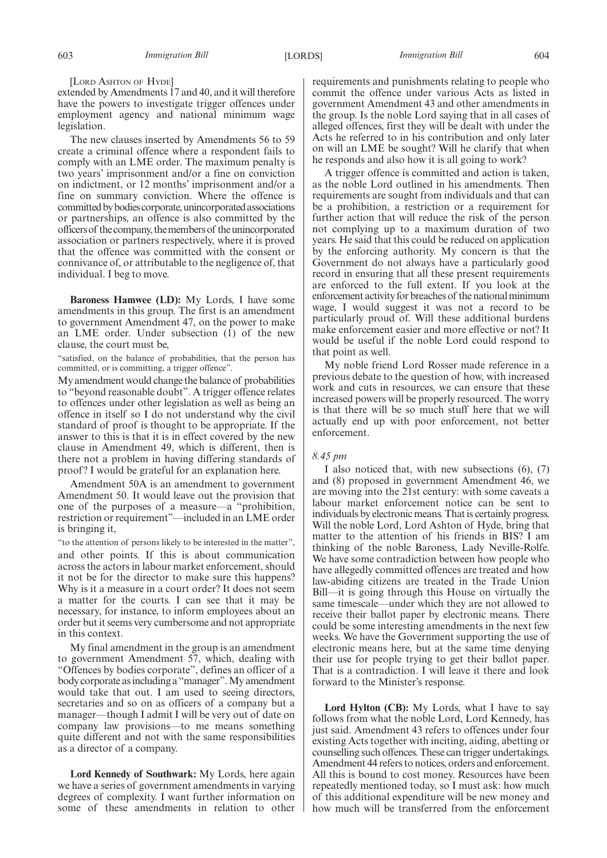[LORD ASHTON OF HYDE]

extended by Amendments 17 and 40, and it will therefore have the powers to investigate trigger offences under employment agency and national minimum wage legislation.

The new clauses inserted by Amendments 56 to 59 create a criminal offence where a respondent fails to comply with an LME order. The maximum penalty is two years' imprisonment and/or a fine on conviction on indictment, or 12 months' imprisonment and/or a fine on summary conviction. Where the offence is committedbybodiescorporate,unincorporatedassociations or partnerships, an offence is also committed by the officersof thecompany, themembersof theunincorporated association or partners respectively, where it is proved that the offence was committed with the consent or connivance of, or attributable to the negligence of, that individual. I beg to move.

**Baroness Hamwee (LD):** My Lords, I have some amendments in this group. The first is an amendment to government Amendment 47, on the power to make an LME order. Under subsection (1) of the new clause, the court must be,

"satisfied, on the balance of probabilities, that the person has committed, or is committing, a trigger offence".

My amendment would change the balance of probabilities to "beyond reasonable doubt". A trigger offence relates to offences under other legislation as well as being an offence in itself so I do not understand why the civil standard of proof is thought to be appropriate. If the answer to this is that it is in effect covered by the new clause in Amendment 49, which is different, then is there not a problem in having differing standards of proof ? I would be grateful for an explanation here.

Amendment 50A is an amendment to government Amendment 50. It would leave out the provision that one of the purposes of a measure—a "prohibition, restriction or requirement"—included in an LME order is bringing it,

"to the attention of persons likely to be interested in the matter", and other points. If this is about communication across the actors in labour market enforcement, should it not be for the director to make sure this happens? Why is it a measure in a court order? It does not seem a matter for the courts. I can see that it may be necessary, for instance, to inform employees about an order but it seems very cumbersome and not appropriate in this context.

My final amendment in the group is an amendment to government Amendment 57, which, dealing with "Offences by bodies corporate", defines an officer of a body corporate asincluding a "manager".My amendment would take that out. I am used to seeing directors, secretaries and so on as officers of a company but a manager—though I admit I will be very out of date on company law provisions—to me means something quite different and not with the same responsibilities as a director of a company.

**Lord Kennedy of Southwark:** My Lords, here again we have a series of government amendments in varying degrees of complexity. I want further information on some of these amendments in relation to other requirements and punishments relating to people who commit the offence under various Acts as listed in government Amendment 43 and other amendments in the group. Is the noble Lord saying that in all cases of alleged offences, first they will be dealt with under the Acts he referred to in his contribution and only later on will an LME be sought? Will he clarify that when he responds and also how it is all going to work?

A trigger offence is committed and action is taken, as the noble Lord outlined in his amendments. Then requirements are sought from individuals and that can be a prohibition, a restriction or a requirement for further action that will reduce the risk of the person not complying up to a maximum duration of two years. He said that this could be reduced on application by the enforcing authority. My concern is that the Government do not always have a particularly good record in ensuring that all these present requirements are enforced to the full extent. If you look at the enforcement activity for breaches of the national minimum wage, I would suggest it was not a record to be particularly proud of. Will these additional burdens make enforcement easier and more effective or not? It would be useful if the noble Lord could respond to that point as well.

My noble friend Lord Rosser made reference in a previous debate to the question of how, with increased work and cuts in resources, we can ensure that these increased powers will be properly resourced. The worry is that there will be so much stuff here that we will actually end up with poor enforcement, not better enforcement.

### *8.45 pm*

I also noticed that, with new subsections (6), (7) and (8) proposed in government Amendment 46, we are moving into the 21st century: with some caveats a labour market enforcement notice can be sent to individuals by electronic means. That is certainly progress. Will the noble Lord, Lord Ashton of Hyde, bring that matter to the attention of his friends in BIS? I am thinking of the noble Baroness, Lady Neville-Rolfe. We have some contradiction between how people who have allegedly committed offences are treated and how law-abiding citizens are treated in the Trade Union Bill—it is going through this House on virtually the same timescale—under which they are not allowed to receive their ballot paper by electronic means. There could be some interesting amendments in the next few weeks. We have the Government supporting the use of electronic means here, but at the same time denying their use for people trying to get their ballot paper. That is a contradiction. I will leave it there and look forward to the Minister's response.

**Lord Hylton (CB):** My Lords, what I have to say follows from what the noble Lord, Lord Kennedy, has just said. Amendment 43 refers to offences under four existing Acts together with inciting, aiding, abetting or counselling such offences. These can trigger undertakings. Amendment 44 refers to notices, orders and enforcement. All this is bound to cost money. Resources have been repeatedly mentioned today, so I must ask: how much of this additional expenditure will be new money and how much will be transferred from the enforcement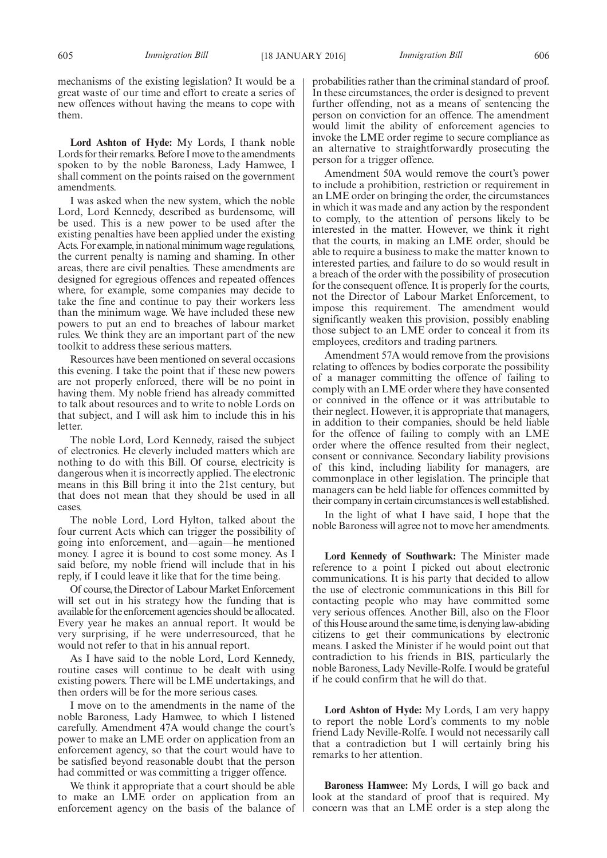mechanisms of the existing legislation? It would be a great waste of our time and effort to create a series of new offences without having the means to cope with them.

**Lord Ashton of Hyde:** My Lords, I thank noble Lords for their remarks. Before I move to the amendments spoken to by the noble Baroness, Lady Hamwee, I shall comment on the points raised on the government amendments.

I was asked when the new system, which the noble Lord, Lord Kennedy, described as burdensome, will be used. This is a new power to be used after the existing penalties have been applied under the existing Acts. For example, in national minimum wage regulations, the current penalty is naming and shaming. In other areas, there are civil penalties. These amendments are designed for egregious offences and repeated offences where, for example, some companies may decide to take the fine and continue to pay their workers less than the minimum wage. We have included these new powers to put an end to breaches of labour market rules. We think they are an important part of the new toolkit to address these serious matters.

Resources have been mentioned on several occasions this evening. I take the point that if these new powers are not properly enforced, there will be no point in having them. My noble friend has already committed to talk about resources and to write to noble Lords on that subject, and I will ask him to include this in his letter.

The noble Lord, Lord Kennedy, raised the subject of electronics. He cleverly included matters which are nothing to do with this Bill. Of course, electricity is dangerous when it is incorrectly applied. The electronic means in this Bill bring it into the 21st century, but that does not mean that they should be used in all cases.

The noble Lord, Lord Hylton, talked about the four current Acts which can trigger the possibility of going into enforcement, and—again—he mentioned money. I agree it is bound to cost some money. As I said before, my noble friend will include that in his reply, if I could leave it like that for the time being.

Of course, the Director of Labour Market Enforcement will set out in his strategy how the funding that is available for the enforcement agencies should be allocated. Every year he makes an annual report. It would be very surprising, if he were underresourced, that he would not refer to that in his annual report.

As I have said to the noble Lord, Lord Kennedy, routine cases will continue to be dealt with using existing powers. There will be LME undertakings, and then orders will be for the more serious cases.

I move on to the amendments in the name of the noble Baroness, Lady Hamwee, to which I listened carefully. Amendment 47A would change the court's power to make an LME order on application from an enforcement agency, so that the court would have to be satisfied beyond reasonable doubt that the person had committed or was committing a trigger offence.

We think it appropriate that a court should be able to make an LME order on application from an enforcement agency on the basis of the balance of probabilities rather than the criminal standard of proof. In these circumstances, the order is designed to prevent further offending, not as a means of sentencing the person on conviction for an offence. The amendment would limit the ability of enforcement agencies to invoke the LME order regime to secure compliance as an alternative to straightforwardly prosecuting the person for a trigger offence.

Amendment 50A would remove the court's power to include a prohibition, restriction or requirement in an LME order on bringing the order, the circumstances in which it was made and any action by the respondent to comply, to the attention of persons likely to be interested in the matter. However, we think it right that the courts, in making an LME order, should be able to require a business to make the matter known to interested parties, and failure to do so would result in a breach of the order with the possibility of prosecution for the consequent offence. It is properly for the courts, not the Director of Labour Market Enforcement, to impose this requirement. The amendment would significantly weaken this provision, possibly enabling those subject to an LME order to conceal it from its employees, creditors and trading partners.

Amendment 57A would remove from the provisions relating to offences by bodies corporate the possibility of a manager committing the offence of failing to comply with an LME order where they have consented or connived in the offence or it was attributable to their neglect. However, it is appropriate that managers, in addition to their companies, should be held liable for the offence of failing to comply with an LME order where the offence resulted from their neglect, consent or connivance. Secondary liability provisions of this kind, including liability for managers, are commonplace in other legislation. The principle that managers can be held liable for offences committed by their company in certain circumstances is well established.

In the light of what I have said, I hope that the noble Baroness will agree not to move her amendments.

**Lord Kennedy of Southwark:** The Minister made reference to a point I picked out about electronic communications. It is his party that decided to allow the use of electronic communications in this Bill for contacting people who may have committed some very serious offences. Another Bill, also on the Floor of this House around the same time, is denying law-abiding citizens to get their communications by electronic means. I asked the Minister if he would point out that contradiction to his friends in BIS, particularly the noble Baroness, Lady Neville-Rolfe. I would be grateful if he could confirm that he will do that.

**Lord Ashton of Hyde:** My Lords, I am very happy to report the noble Lord's comments to my noble friend Lady Neville-Rolfe. I would not necessarily call that a contradiction but I will certainly bring his remarks to her attention.

**Baroness Hamwee:** My Lords, I will go back and look at the standard of proof that is required. My concern was that an LME order is a step along the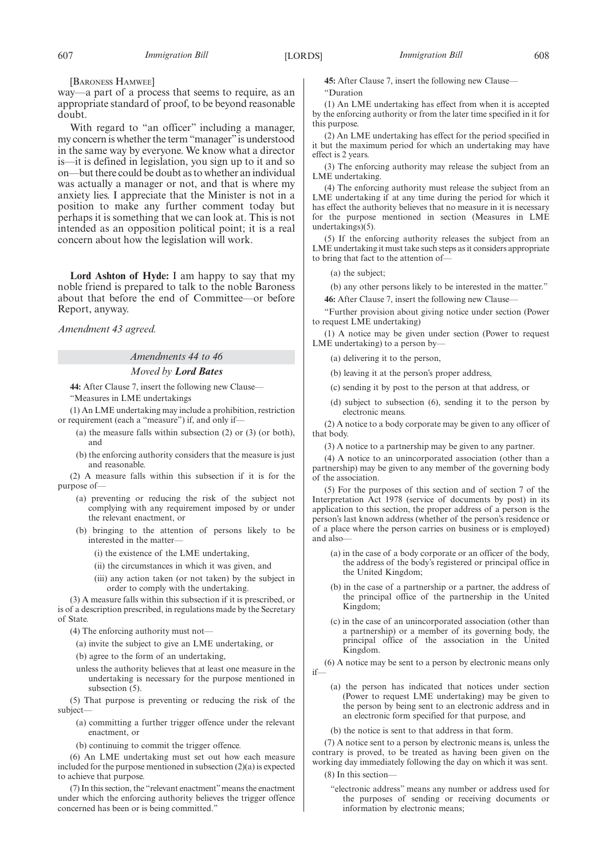[BARONESS HAMWEE]

way—a part of a process that seems to require, as an appropriate standard of proof, to be beyond reasonable doubt.

With regard to "an officer" including a manager, my concern is whether the term "manager"is understood in the same way by everyone. We know what a director is—it is defined in legislation, you sign up to it and so on—but there could be doubt as to whether an individual was actually a manager or not, and that is where my anxiety lies. I appreciate that the Minister is not in a position to make any further comment today but perhaps it is something that we can look at. This is not intended as an opposition political point; it is a real concern about how the legislation will work.

**Lord Ashton of Hyde:** I am happy to say that my noble friend is prepared to talk to the noble Baroness about that before the end of Committee—or before Report, anyway.

*Amendment 43 agreed.*

## *Amendments 44 to 46*

#### *Moved by Lord Bates*

**44:** After Clause 7, insert the following new Clause—

"Measures in LME undertakings

(1) An LME undertaking may include a prohibition, restriction or requirement (each a "measure") if, and only if—

- (a) the measure falls within subsection (2) or (3) (or both), and
- (b) the enforcing authority considers that the measure is just and reasonable.

(2) A measure falls within this subsection if it is for the purpose of—

- (a) preventing or reducing the risk of the subject not complying with any requirement imposed by or under the relevant enactment, or
- (b) bringing to the attention of persons likely to be interested in the matter—
	- (i) the existence of the LME undertaking,
	- (ii) the circumstances in which it was given, and
	- (iii) any action taken (or not taken) by the subject in order to comply with the undertaking.

(3) A measure falls within this subsection if it is prescribed, or is of a description prescribed, in regulations made by the Secretary of State.

(4) The enforcing authority must not—

- (a) invite the subject to give an LME undertaking, or
- (b) agree to the form of an undertaking,
- unless the authority believes that at least one measure in the undertaking is necessary for the purpose mentioned in subsection  $(5)$ .

(5) That purpose is preventing or reducing the risk of the subject—

- (a) committing a further trigger offence under the relevant enactment, or
- (b) continuing to commit the trigger offence.

(6) An LME undertaking must set out how each measure included for the purpose mentioned in subsection (2)(a) is expected to achieve that purpose.

(7) In this section, the "relevant enactment"means the enactment under which the enforcing authority believes the trigger offence concerned has been or is being committed."

**45:** After Clause 7, insert the following new Clause— "Duration

(1) An LME undertaking has effect from when it is accepted by the enforcing authority or from the later time specified in it for this purpose.

(2) An LME undertaking has effect for the period specified in it but the maximum period for which an undertaking may have effect is 2 years.

(3) The enforcing authority may release the subject from an LME undertaking.

(4) The enforcing authority must release the subject from an LME undertaking if at any time during the period for which it has effect the authority believes that no measure in it is necessary for the purpose mentioned in section (Measures in LME undertakings)(5).

(5) If the enforcing authority releases the subject from an LME undertaking it must take such steps as it considers appropriate to bring that fact to the attention of—

(a) the subject;

(b) any other persons likely to be interested in the matter."

**46:** After Clause 7, insert the following new Clause—

"Further provision about giving notice under section (Power to request LME undertaking)

(1) A notice may be given under section (Power to request LME undertaking) to a person by—

(a) delivering it to the person,

- (b) leaving it at the person's proper address,
- (c) sending it by post to the person at that address, or
- (d) subject to subsection (6), sending it to the person by electronic means.

(2) A notice to a body corporate may be given to any officer of that body.

(3) A notice to a partnership may be given to any partner.

(4) A notice to an unincorporated association (other than a partnership) may be given to any member of the governing body of the association.

(5) For the purposes of this section and of section 7 of the Interpretation Act 1978 (service of documents by post) in its application to this section, the proper address of a person is the person's last known address (whether of the person's residence or of a place where the person carries on business or is employed) and also—

- (a) in the case of a body corporate or an officer of the body, the address of the body's registered or principal office in the United Kingdom;
- (b) in the case of a partnership or a partner, the address of the principal office of the partnership in the United Kingdom;
- (c) in the case of an unincorporated association (other than a partnership) or a member of its governing body, the principal office of the association in the United Kingdom.

(6) A notice may be sent to a person by electronic means only if—

- (a) the person has indicated that notices under section (Power to request LME undertaking) may be given to the person by being sent to an electronic address and in an electronic form specified for that purpose, and
- (b) the notice is sent to that address in that form.

(7) A notice sent to a person by electronic means is, unless the contrary is proved, to be treated as having been given on the working day immediately following the day on which it was sent.

(8) In this section—

"electronic address" means any number or address used for the purposes of sending or receiving documents or information by electronic means;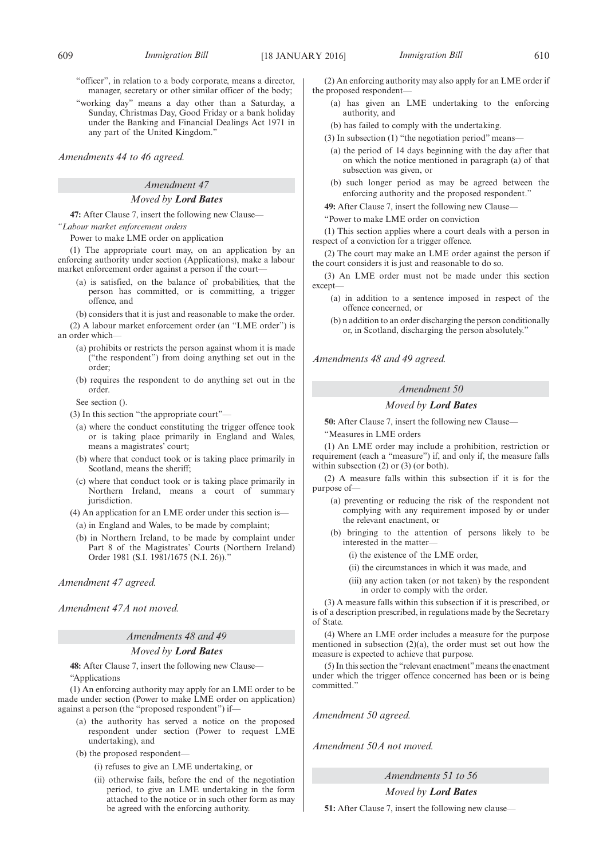- "officer", in relation to a body corporate, means a director, manager, secretary or other similar officer of the body;
- "working day" means a day other than a Saturday, a Sunday, Christmas Day, Good Friday or a bank holiday under the Banking and Financial Dealings Act 1971 in any part of the United Kingdom."

*Amendments 44 to 46 agreed.*

# *Amendment 47*

### *Moved by Lord Bates*

**47:** After Clause 7, insert the following new Clause—

*"Labour market enforcement orders*

Power to make LME order on application

(1) The appropriate court may, on an application by an enforcing authority under section (Applications), make a labour market enforcement order against a person if the court—

- (a) is satisfied, on the balance of probabilities, that the person has committed, or is committing, a trigger offence, and
- (b) considers that it is just and reasonable to make the order.

(2) A labour market enforcement order (an "LME order") is an order which-

- (a) prohibits or restricts the person against whom it is made ("the respondent") from doing anything set out in the order;
- (b) requires the respondent to do anything set out in the order.

See section ().

(3) In this section "the appropriate court"—

- (a) where the conduct constituting the trigger offence took or is taking place primarily in England and Wales, means a magistrates' court;
- (b) where that conduct took or is taking place primarily in Scotland, means the sheriff;
- (c) where that conduct took or is taking place primarily in Northern Ireland, means a court of summary jurisdiction.
- (4) An application for an LME order under this section is—
- (a) in England and Wales, to be made by complaint;
- (b) in Northern Ireland, to be made by complaint under Part 8 of the Magistrates' Courts (Northern Ireland) Order 1981 (S.I. 1981/1675 (N.I. 26))."

#### *Amendment 47 agreed.*

*Amendment 47A not moved.*

#### *Amendments 48 and 49*

### *Moved by Lord Bates*

**48:** After Clause 7, insert the following new Clause— "Applications

(1) An enforcing authority may apply for an LME order to be made under section (Power to make LME order on application) against a person (the "proposed respondent") if—

- (a) the authority has served a notice on the proposed respondent under section (Power to request LME undertaking), and
- (b) the proposed respondent—
	- (i) refuses to give an LME undertaking, or
	- (ii) otherwise fails, before the end of the negotiation period, to give an LME undertaking in the form attached to the notice or in such other form as may be agreed with the enforcing authority.

(2) An enforcing authority may also apply for an LME order if the proposed respondent-

- (a) has given an LME undertaking to the enforcing authority, and
- (b) has failed to comply with the undertaking.
- (3) In subsection (1) "the negotiation period" means—
	- (a) the period of 14 days beginning with the day after that on which the notice mentioned in paragraph (a) of that subsection was given, or
	- (b) such longer period as may be agreed between the enforcing authority and the proposed respondent."
- **49:** After Clause 7, insert the following new Clause—

"Power to make LME order on conviction

(1) This section applies where a court deals with a person in respect of a conviction for a trigger offence.

(2) The court may make an LME order against the person if the court considers it is just and reasonable to do so.

(3) An LME order must not be made under this section except-

- (a) in addition to a sentence imposed in respect of the offence concerned, or
- (b) n addition to an order discharging the person conditionally or, in Scotland, discharging the person absolutely."

*Amendments 48 and 49 agreed.*

### *Amendment 50*

#### *Moved by Lord Bates*

**50:** After Clause 7, insert the following new Clause—

"Measures in LME orders

(1) An LME order may include a prohibition, restriction or requirement (each a "measure") if, and only if, the measure falls within subsection (2) or (3) (or both).

(2) A measure falls within this subsection if it is for the purpose of—

- (a) preventing or reducing the risk of the respondent not complying with any requirement imposed by or under the relevant enactment, or
- (b) bringing to the attention of persons likely to be interested in the matter—
	- (i) the existence of the LME order,
	- (ii) the circumstances in which it was made, and

(iii) any action taken (or not taken) by the respondent in order to comply with the order.

(3) A measure falls within this subsection if it is prescribed, or is of a description prescribed, in regulations made by the Secretary of State.

(4) Where an LME order includes a measure for the purpose mentioned in subsection (2)(a), the order must set out how the measure is expected to achieve that purpose.

(5) In this section the "relevant enactment"means the enactment under which the trigger offence concerned has been or is being committed."

*Amendment 50 agreed.*

*Amendment 50A not moved.*

*Amendments 51 to 56*

*Moved by Lord Bates*

**51:** After Clause 7, insert the following new clause—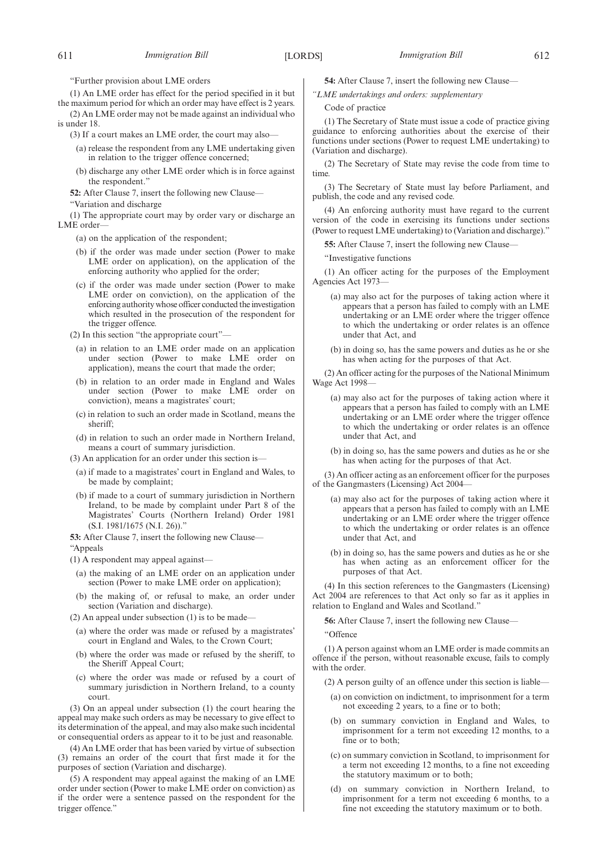"Further provision about LME orders

(1) An LME order has effect for the period specified in it but the maximum period for which an order may have effect is 2 years.

(2) An LME order may not be made against an individual who is under 18.

(3) If a court makes an LME order, the court may also—

- (a) release the respondent from any LME undertaking given in relation to the trigger offence concerned;
- (b) discharge any other LME order which is in force against the respondent."

**52:** After Clause 7, insert the following new Clause—

"Variation and discharge

(1) The appropriate court may by order vary or discharge an LME order-

(a) on the application of the respondent;

- (b) if the order was made under section (Power to make LME order on application), on the application of the enforcing authority who applied for the order;
- (c) if the order was made under section (Power to make LME order on conviction), on the application of the enforcing authority whose officer conducted the investigation which resulted in the prosecution of the respondent for the trigger offence.

(2) In this section "the appropriate court"—

- (a) in relation to an LME order made on an application under section (Power to make LME order on application), means the court that made the order;
- (b) in relation to an order made in England and Wales under section (Power to make LME order on conviction), means a magistrates' court;
- (c) in relation to such an order made in Scotland, means the sheriff;
- (d) in relation to such an order made in Northern Ireland, means a court of summary jurisdiction.
- (3) An application for an order under this section is—
	- (a) if made to a magistrates' court in England and Wales, to be made by complaint;
	- (b) if made to a court of summary jurisdiction in Northern Ireland, to be made by complaint under Part 8 of the Magistrates' Courts (Northern Ireland) Order 1981 (S.I. 1981/1675 (N.I. 26))."

**53:** After Clause 7, insert the following new Clause— "Appeals

(1) A respondent may appeal against—

- (a) the making of an LME order on an application under section (Power to make LME order on application);
- (b) the making of, or refusal to make, an order under section (Variation and discharge).

 $(2)$  An appeal under subsection  $(1)$  is to be made-

- (a) where the order was made or refused by a magistrates' court in England and Wales, to the Crown Court;
- (b) where the order was made or refused by the sheriff, to the Sheriff Appeal Court;
- (c) where the order was made or refused by a court of summary jurisdiction in Northern Ireland, to a county court.

(3) On an appeal under subsection (1) the court hearing the appeal may make such orders as may be necessary to give effect to its determination of the appeal, and may also make such incidental or consequential orders as appear to it to be just and reasonable.

(4) An LME order that has been varied by virtue of subsection (3) remains an order of the court that first made it for the purposes of section (Variation and discharge).

(5) A respondent may appeal against the making of an LME order under section (Power to make LME order on conviction) as if the order were a sentence passed on the respondent for the trigger offence."

**54:** After Clause 7, insert the following new Clause—

*"LME undertakings and orders: supplementary*

Code of practice

(1) The Secretary of State must issue a code of practice giving guidance to enforcing authorities about the exercise of their functions under sections (Power to request LME undertaking) to (Variation and discharge).

(2) The Secretary of State may revise the code from time to time.

(3) The Secretary of State must lay before Parliament, and publish, the code and any revised code.

(4) An enforcing authority must have regard to the current version of the code in exercising its functions under sections (Power to request LME undertaking) to (Variation and discharge)."

**55:** After Clause 7, insert the following new Clause—

"Investigative functions

(1) An officer acting for the purposes of the Employment Agencies Act 1973—

- (a) may also act for the purposes of taking action where it appears that a person has failed to comply with an LME undertaking or an LME order where the trigger offence to which the undertaking or order relates is an offence under that Act, and
- (b) in doing so, has the same powers and duties as he or she has when acting for the purposes of that Act.

(2) An officer acting for the purposes of the National Minimum Wage Act 1998—

- (a) may also act for the purposes of taking action where it appears that a person has failed to comply with an LME undertaking or an LME order where the trigger offence to which the undertaking or order relates is an offence under that Act, and
- (b) in doing so, has the same powers and duties as he or she has when acting for the purposes of that Act.

(3) An officer acting as an enforcement officer for the purposes of the Gangmasters (Licensing) Act 2004—

- (a) may also act for the purposes of taking action where it appears that a person has failed to comply with an LME undertaking or an LME order where the trigger offence to which the undertaking or order relates is an offence under that Act, and
- (b) in doing so, has the same powers and duties as he or she has when acting as an enforcement officer for the purposes of that Act.

(4) In this section references to the Gangmasters (Licensing) Act 2004 are references to that Act only so far as it applies in relation to England and Wales and Scotland."

**56:** After Clause 7, insert the following new Clause—

"Offence

(1) A person against whom an LME order is made commits an offence if the person, without reasonable excuse, fails to comply with the order.

(2) A person guilty of an offence under this section is liable—

- (a) on conviction on indictment, to imprisonment for a term not exceeding 2 years, to a fine or to both;
- (b) on summary conviction in England and Wales, to imprisonment for a term not exceeding 12 months, to a fine or to both;
- (c) on summary conviction in Scotland, to imprisonment for a term not exceeding 12 months, to a fine not exceeding the statutory maximum or to both;
- (d) on summary conviction in Northern Ireland, to imprisonment for a term not exceeding 6 months, to a fine not exceeding the statutory maximum or to both.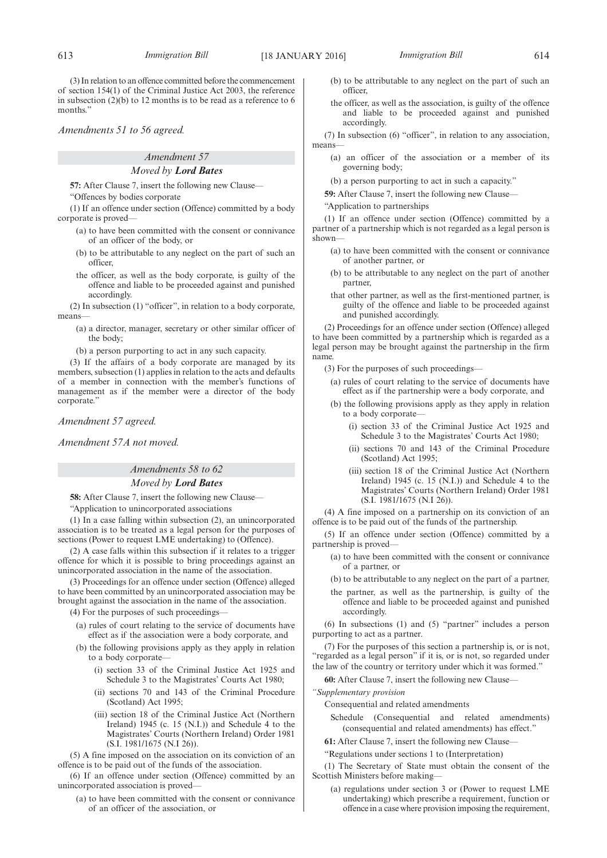(3) In relation to an offence committed before the commencement of section 154(1) of the Criminal Justice Act 2003, the reference in subsection (2)(b) to 12 months is to be read as a reference to 6 months."

*Amendments 51 to 56 agreed.*

### *Amendment 57*

#### *Moved by Lord Bates*

**57:** After Clause 7, insert the following new Clause—

"Offences by bodies corporate

(1) If an offence under section (Offence) committed by a body corporate is proved—

- (a) to have been committed with the consent or connivance of an officer of the body, or
- (b) to be attributable to any neglect on the part of such an officer,
- the officer, as well as the body corporate, is guilty of the offence and liable to be proceeded against and punished accordingly.

(2) In subsection (1) "officer", in relation to a body corporate, means—

(a) a director, manager, secretary or other similar officer of the body;

(b) a person purporting to act in any such capacity.

(3) If the affairs of a body corporate are managed by its members, subsection (1) applies in relation to the acts and defaults of a member in connection with the member's functions of management as if the member were a director of the body corporate.'

*Amendment 57 agreed.*

*Amendment 57A not moved.*

## *Amendments 58 to 62*

#### *Moved by Lord Bates*

**58:** After Clause 7, insert the following new Clause— "Application to unincorporated associations

(1) In a case falling within subsection (2), an unincorporated association is to be treated as a legal person for the purposes of sections (Power to request LME undertaking) to (Offence).

(2) A case falls within this subsection if it relates to a trigger offence for which it is possible to bring proceedings against an unincorporated association in the name of the association.

(3) Proceedings for an offence under section (Offence) alleged to have been committed by an unincorporated association may be brought against the association in the name of the association.

(4) For the purposes of such proceedings—

- (a) rules of court relating to the service of documents have effect as if the association were a body corporate, and
- (b) the following provisions apply as they apply in relation to a body corporate—
	- (i) section 33 of the Criminal Justice Act 1925 and Schedule 3 to the Magistrates' Courts Act 1980;
	- (ii) sections 70 and 143 of the Criminal Procedure (Scotland) Act 1995;
	- (iii) section 18 of the Criminal Justice Act (Northern Ireland) 1945 (c. 15 (N.I.)) and Schedule 4 to the Magistrates' Courts (Northern Ireland) Order 1981 (S.I. 1981/1675 (N.I 26)).

(5) A fine imposed on the association on its conviction of an offence is to be paid out of the funds of the association.

(6) If an offence under section (Offence) committed by an unincorporated association is proved—

(a) to have been committed with the consent or connivance of an officer of the association, or

- (b) to be attributable to any neglect on the part of such an officer,
- the officer, as well as the association, is guilty of the offence and liable to be proceeded against and punished accordingly.

(7) In subsection (6) "officer", in relation to any association, means—

(a) an officer of the association or a member of its governing body;

(b) a person purporting to act in such a capacity."

**59:** After Clause 7, insert the following new Clause—

"Application to partnerships

(1) If an offence under section (Offence) committed by a partner of a partnership which is not regarded as a legal person is shown—

- (a) to have been committed with the consent or connivance of another partner, or
- (b) to be attributable to any neglect on the part of another partner,
- that other partner, as well as the first-mentioned partner, is guilty of the offence and liable to be proceeded against and punished accordingly.

(2) Proceedings for an offence under section (Offence) alleged to have been committed by a partnership which is regarded as a legal person may be brought against the partnership in the firm name.

(3) For the purposes of such proceedings—

- (a) rules of court relating to the service of documents have effect as if the partnership were a body corporate, and
- (b) the following provisions apply as they apply in relation to a body corporate—
	- (i) section 33 of the Criminal Justice Act 1925 and Schedule 3 to the Magistrates' Courts Act 1980;
	- (ii) sections 70 and 143 of the Criminal Procedure (Scotland) Act 1995;
	- (iii) section 18 of the Criminal Justice Act (Northern Ireland) 1945 (c. 15 (N.I.)) and Schedule 4 to the Magistrates' Courts (Northern Ireland) Order 1981 (S.I. 1981/1675 (N.I 26)).

(4) A fine imposed on a partnership on its conviction of an offence is to be paid out of the funds of the partnership.

(5) If an offence under section (Offence) committed by a partnership is proved—

- (a) to have been committed with the consent or connivance of a partner, or
- (b) to be attributable to any neglect on the part of a partner,
- the partner, as well as the partnership, is guilty of the offence and liable to be proceeded against and punished accordingly.

(6) In subsections (1) and (5) "partner" includes a person purporting to act as a partner.

(7) For the purposes of this section a partnership is, or is not, "regarded as a legal person" if it is, or is not, so regarded under the law of the country or territory under which it was formed."

**60:** After Clause 7, insert the following new Clause—

*"Supplementary provision*

- Consequential and related amendments
	- Schedule (Consequential and related amendments) (consequential and related amendments) has effect."

**61:** After Clause 7, insert the following new Clause—

"Regulations under sections 1 to (Interpretation)

(1) The Secretary of State must obtain the consent of the Scottish Ministers before making—

(a) regulations under section 3 or (Power to request LME undertaking) which prescribe a requirement, function or offence in a case where provision imposing the requirement,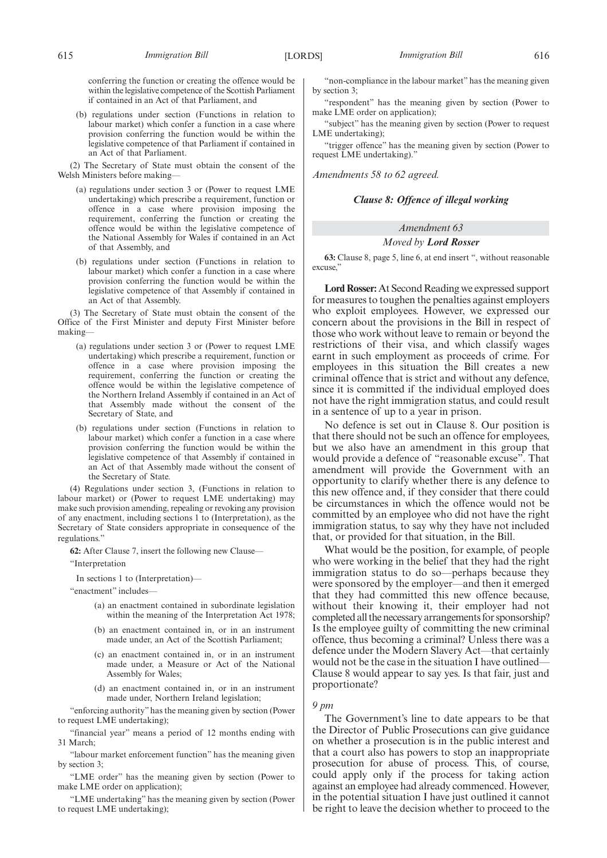(b) regulations under section (Functions in relation to labour market) which confer a function in a case where provision conferring the function would be within the legislative competence of that Parliament if contained in an Act of that Parliament.

(2) The Secretary of State must obtain the consent of the Welsh Ministers before making—

- (a) regulations under section 3 or (Power to request LME undertaking) which prescribe a requirement, function or offence in a case where provision imposing the requirement, conferring the function or creating the offence would be within the legislative competence of the National Assembly for Wales if contained in an Act of that Assembly, and
- (b) regulations under section (Functions in relation to labour market) which confer a function in a case where provision conferring the function would be within the legislative competence of that Assembly if contained in an Act of that Assembly.

(3) The Secretary of State must obtain the consent of the Office of the First Minister and deputy First Minister before making—

- (a) regulations under section 3 or (Power to request LME undertaking) which prescribe a requirement, function or offence in a case where provision imposing the requirement, conferring the function or creating the offence would be within the legislative competence of the Northern Ireland Assembly if contained in an Act of that Assembly made without the consent of the Secretary of State, and
- (b) regulations under section (Functions in relation to labour market) which confer a function in a case where provision conferring the function would be within the legislative competence of that Assembly if contained in an Act of that Assembly made without the consent of the Secretary of State.

(4) Regulations under section 3, (Functions in relation to labour market) or (Power to request LME undertaking) may make such provision amending, repealing or revoking any provision of any enactment, including sections 1 to (Interpretation), as the Secretary of State considers appropriate in consequence of the regulations."

**62:** After Clause 7, insert the following new Clause—

"Interpretation

In sections 1 to (Interpretation)—

"enactment" includes—

- (a) an enactment contained in subordinate legislation within the meaning of the Interpretation Act 1978;
- (b) an enactment contained in, or in an instrument made under, an Act of the Scottish Parliament;
- (c) an enactment contained in, or in an instrument made under, a Measure or Act of the National Assembly for Wales;
- (d) an enactment contained in, or in an instrument made under, Northern Ireland legislation;

"enforcing authority" has the meaning given by section (Power to request LME undertaking);

"financial year" means a period of 12 months ending with 31 March;

"labour market enforcement function" has the meaning given by section 3;

"LME order" has the meaning given by section (Power to make LME order on application);

"LME undertaking" has the meaning given by section (Power to request LME undertaking);

"non-compliance in the labour market" has the meaning given by section 3;

"respondent" has the meaning given by section (Power to make LME order on application);

"subject" has the meaning given by section (Power to request LME undertaking);

"trigger offence" has the meaning given by section (Power to request LME undertaking)."

*Amendments 58 to 62 agreed.*

### *Clause 8: Offence of illegal working*

### *Amendment 63*

#### *Moved by Lord Rosser*

**63:** Clause 8, page 5, line 6, at end insert ", without reasonable excuse<sup>?</sup>

**Lord Rosser:** At Second Reading we expressed support for measures to toughen the penalties against employers who exploit employees. However, we expressed our concern about the provisions in the Bill in respect of those who work without leave to remain or beyond the restrictions of their visa, and which classify wages earnt in such employment as proceeds of crime. For employees in this situation the Bill creates a new criminal offence that is strict and without any defence, since it is committed if the individual employed does not have the right immigration status, and could result in a sentence of up to a year in prison.

No defence is set out in Clause 8. Our position is that there should not be such an offence for employees, but we also have an amendment in this group that would provide a defence of "reasonable excuse". That amendment will provide the Government with an opportunity to clarify whether there is any defence to this new offence and, if they consider that there could be circumstances in which the offence would not be committed by an employee who did not have the right immigration status, to say why they have not included that, or provided for that situation, in the Bill.

What would be the position, for example, of people who were working in the belief that they had the right immigration status to do so—perhaps because they were sponsored by the employer—and then it emerged that they had committed this new offence because, without their knowing it, their employer had not completed all the necessary arrangements for sponsorship? Is the employee guilty of committing the new criminal offence, thus becoming a criminal? Unless there was a defence under the Modern Slavery Act—that certainly would not be the case in the situation I have outlined— Clause 8 would appear to say yes. Is that fair, just and proportionate?

#### *9 pm*

The Government's line to date appears to be that the Director of Public Prosecutions can give guidance on whether a prosecution is in the public interest and that a court also has powers to stop an inappropriate prosecution for abuse of process. This, of course, could apply only if the process for taking action against an employee had already commenced. However, in the potential situation I have just outlined it cannot be right to leave the decision whether to proceed to the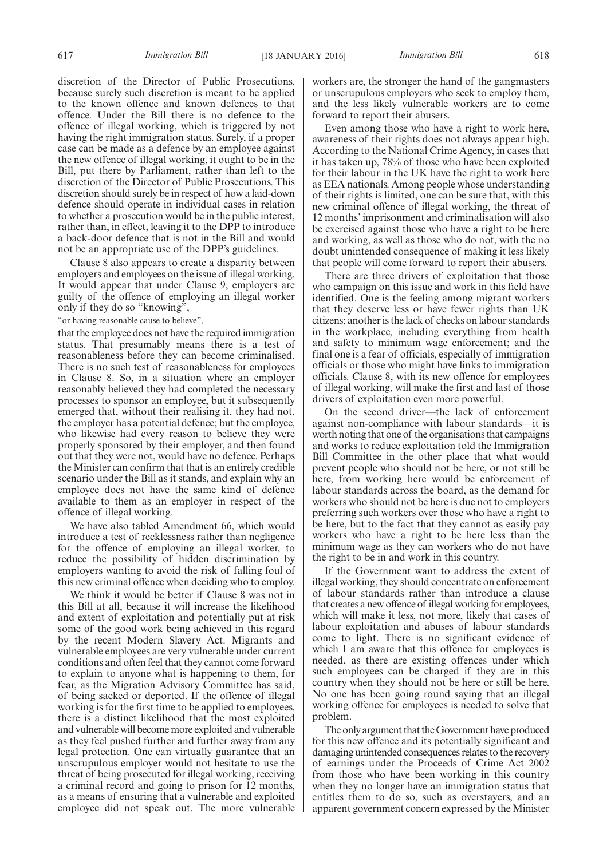discretion of the Director of Public Prosecutions, because surely such discretion is meant to be applied to the known offence and known defences to that offence. Under the Bill there is no defence to the offence of illegal working, which is triggered by not having the right immigration status. Surely, if a proper case can be made as a defence by an employee against the new offence of illegal working, it ought to be in the Bill, put there by Parliament, rather than left to the discretion of the Director of Public Prosecutions. This discretion should surely be in respect of how a laid-down defence should operate in individual cases in relation to whether a prosecution would be in the public interest, rather than, in effect, leaving it to the DPP to introduce a back-door defence that is not in the Bill and would not be an appropriate use of the DPP's guidelines.

Clause 8 also appears to create a disparity between employers and employees on the issue of illegal working. It would appear that under Clause 9, employers are guilty of the offence of employing an illegal worker only if they do so "knowing",

"or having reasonable cause to believe",

that the employee does not have the required immigration status. That presumably means there is a test of reasonableness before they can become criminalised. There is no such test of reasonableness for employees in Clause 8. So, in a situation where an employer reasonably believed they had completed the necessary processes to sponsor an employee, but it subsequently emerged that, without their realising it, they had not, the employer has a potential defence; but the employee, who likewise had every reason to believe they were properly sponsored by their employer, and then found out that they were not, would have no defence. Perhaps the Minister can confirm that that is an entirely credible scenario under the Bill as it stands, and explain why an employee does not have the same kind of defence available to them as an employer in respect of the offence of illegal working.

We have also tabled Amendment 66, which would introduce a test of recklessness rather than negligence for the offence of employing an illegal worker, to reduce the possibility of hidden discrimination by employers wanting to avoid the risk of falling foul of this new criminal offence when deciding who to employ.

We think it would be better if Clause 8 was not in this Bill at all, because it will increase the likelihood and extent of exploitation and potentially put at risk some of the good work being achieved in this regard by the recent Modern Slavery Act. Migrants and vulnerable employees are very vulnerable under current conditions and often feel that they cannot come forward to explain to anyone what is happening to them, for fear, as the Migration Advisory Committee has said, of being sacked or deported. If the offence of illegal working is for the first time to be applied to employees, there is a distinct likelihood that the most exploited and vulnerable will become more exploited and vulnerable as they feel pushed further and further away from any legal protection. One can virtually guarantee that an unscrupulous employer would not hesitate to use the threat of being prosecuted for illegal working, receiving a criminal record and going to prison for 12 months, as a means of ensuring that a vulnerable and exploited employee did not speak out. The more vulnerable workers are, the stronger the hand of the gangmasters or unscrupulous employers who seek to employ them, and the less likely vulnerable workers are to come forward to report their abusers.

Even among those who have a right to work here, awareness of their rights does not always appear high. According to the National Crime Agency, in cases that it has taken up, 78% of those who have been exploited for their labour in the UK have the right to work here as EEA nationals. Among people whose understanding of their rights is limited, one can be sure that, with this new criminal offence of illegal working, the threat of 12 months' imprisonment and criminalisation will also be exercised against those who have a right to be here and working, as well as those who do not, with the no doubt unintended consequence of making it less likely that people will come forward to report their abusers.

There are three drivers of exploitation that those who campaign on this issue and work in this field have identified. One is the feeling among migrant workers that they deserve less or have fewer rights than UK citizens; another is the lack of checks on labour standards in the workplace, including everything from health and safety to minimum wage enforcement; and the final one is a fear of officials, especially of immigration officials or those who might have links to immigration officials. Clause 8, with its new offence for employees of illegal working, will make the first and last of those drivers of exploitation even more powerful.

On the second driver—the lack of enforcement against non-compliance with labour standards—it is worth noting that one of the organisations that campaigns and works to reduce exploitation told the Immigration Bill Committee in the other place that what would prevent people who should not be here, or not still be here, from working here would be enforcement of labour standards across the board, as the demand for workers who should not be here is due not to employers preferring such workers over those who have a right to be here, but to the fact that they cannot as easily pay workers who have a right to be here less than the minimum wage as they can workers who do not have the right to be in and work in this country.

If the Government want to address the extent of illegal working, they should concentrate on enforcement of labour standards rather than introduce a clause that creates a new offence of illegal working for employees, which will make it less, not more, likely that cases of labour exploitation and abuses of labour standards come to light. There is no significant evidence of which I am aware that this offence for employees is needed, as there are existing offences under which such employees can be charged if they are in this country when they should not be here or still be here. No one has been going round saying that an illegal working offence for employees is needed to solve that problem.

The only argument that the Government have produced for this new offence and its potentially significant and damaging unintended consequences relates to the recovery of earnings under the Proceeds of Crime Act 2002 from those who have been working in this country when they no longer have an immigration status that entitles them to do so, such as overstayers, and an apparent government concern expressed by the Minister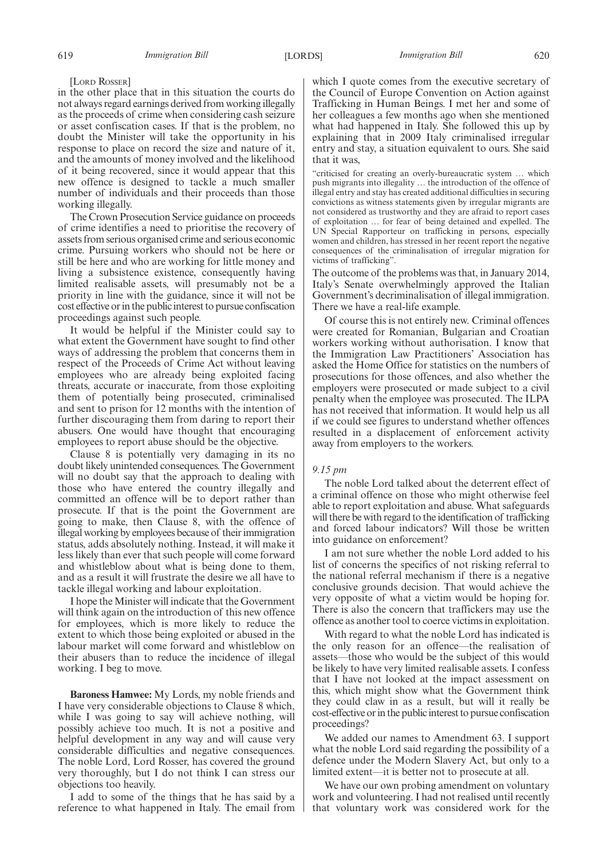[LORD ROSSER]

in the other place that in this situation the courts do not always regard earnings derived from working illegally as the proceeds of crime when considering cash seizure or asset confiscation cases. If that is the problem, no doubt the Minister will take the opportunity in his response to place on record the size and nature of it, and the amounts of money involved and the likelihood of it being recovered, since it would appear that this new offence is designed to tackle a much smaller number of individuals and their proceeds than those working illegally.

The Crown Prosecution Service guidance on proceeds of crime identifies a need to prioritise the recovery of assets from serious organised crime and serious economic crime. Pursuing workers who should not be here or still be here and who are working for little money and living a subsistence existence, consequently having limited realisable assets, will presumably not be a priority in line with the guidance, since it will not be cost effective or in the public interest to pursue confiscation proceedings against such people.

It would be helpful if the Minister could say to what extent the Government have sought to find other ways of addressing the problem that concerns them in respect of the Proceeds of Crime Act without leaving employees who are already being exploited facing threats, accurate or inaccurate, from those exploiting them of potentially being prosecuted, criminalised and sent to prison for 12 months with the intention of further discouraging them from daring to report their abusers. One would have thought that encouraging employees to report abuse should be the objective.

Clause 8 is potentially very damaging in its no doubt likely unintended consequences. The Government will no doubt say that the approach to dealing with those who have entered the country illegally and committed an offence will be to deport rather than prosecute. If that is the point the Government are going to make, then Clause 8, with the offence of illegal working by employees because of their immigration status, adds absolutely nothing. Instead, it will make it less likely than ever that such people will come forward and whistleblow about what is being done to them, and as a result it will frustrate the desire we all have to tackle illegal working and labour exploitation.

I hope the Minister will indicate that the Government will think again on the introduction of this new offence for employees, which is more likely to reduce the extent to which those being exploited or abused in the labour market will come forward and whistleblow on their abusers than to reduce the incidence of illegal working. I beg to move.

**Baroness Hamwee:** My Lords, my noble friends and I have very considerable objections to Clause 8 which, while I was going to say will achieve nothing, will possibly achieve too much. It is not a positive and helpful development in any way and will cause very considerable difficulties and negative consequences. The noble Lord, Lord Rosser, has covered the ground very thoroughly, but I do not think I can stress our objections too heavily.

I add to some of the things that he has said by a reference to what happened in Italy. The email from which I quote comes from the executive secretary of the Council of Europe Convention on Action against Trafficking in Human Beings. I met her and some of her colleagues a few months ago when she mentioned what had happened in Italy. She followed this up by explaining that in 2009 Italy criminalised irregular entry and stay, a situation equivalent to ours. She said that it was,

"criticised for creating an overly-bureaucratic system … which push migrants into illegality … the introduction of the offence of illegal entry and stay has created additional difficulties in securing convictions as witness statements given by irregular migrants are not considered as trustworthy and they are afraid to report cases of exploitation … for fear of being detained and expelled. The UN Special Rapporteur on trafficking in persons, especially women and children, has stressed in her recent report the negative consequences of the criminalisation of irregular migration for victims of trafficking".

The outcome of the problems was that, in January 2014, Italy's Senate overwhelmingly approved the Italian Government's decriminalisation of illegal immigration. There we have a real-life example.

Of course this is not entirely new. Criminal offences were created for Romanian, Bulgarian and Croatian workers working without authorisation. I know that the Immigration Law Practitioners' Association has asked the Home Office for statistics on the numbers of prosecutions for those offences, and also whether the employers were prosecuted or made subject to a civil penalty when the employee was prosecuted. The ILPA has not received that information. It would help us all if we could see figures to understand whether offences resulted in a displacement of enforcement activity away from employers to the workers.

### *9.15 pm*

The noble Lord talked about the deterrent effect of a criminal offence on those who might otherwise feel able to report exploitation and abuse. What safeguards will there be with regard to the identification of trafficking and forced labour indicators? Will those be written into guidance on enforcement?

I am not sure whether the noble Lord added to his list of concerns the specifics of not risking referral to the national referral mechanism if there is a negative conclusive grounds decision. That would achieve the very opposite of what a victim would be hoping for. There is also the concern that traffickers may use the offence as another tool to coerce victims in exploitation.

With regard to what the noble Lord has indicated is the only reason for an offence—the realisation of assets—those who would be the subject of this would be likely to have very limited realisable assets. I confess that I have not looked at the impact assessment on this, which might show what the Government think they could claw in as a result, but will it really be cost-effective or in the public interest to pursue confiscation proceedings?

We added our names to Amendment 63. I support what the noble Lord said regarding the possibility of a defence under the Modern Slavery Act, but only to a limited extent—it is better not to prosecute at all.

We have our own probing amendment on voluntary work and volunteering. I had not realised until recently that voluntary work was considered work for the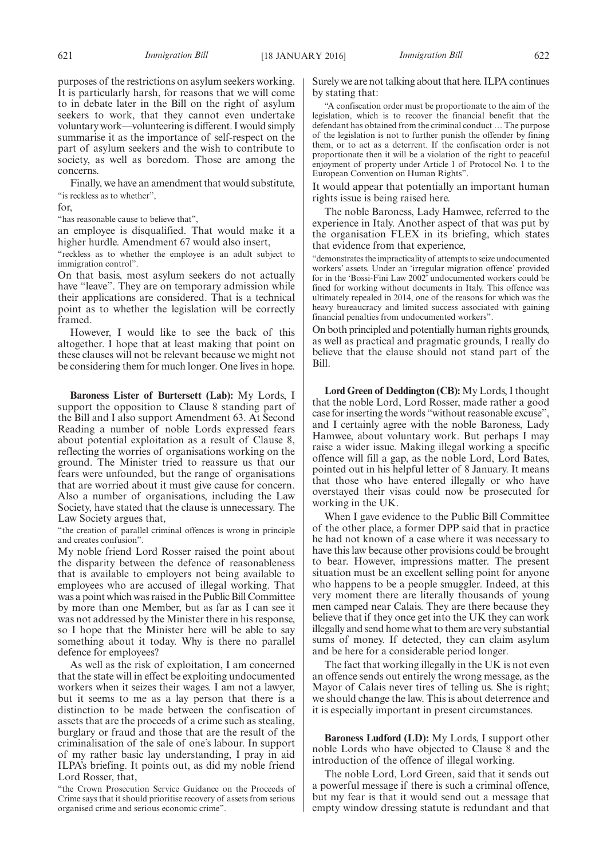purposes of the restrictions on asylum seekers working. It is particularly harsh, for reasons that we will come to in debate later in the Bill on the right of asylum seekers to work, that they cannot even undertake voluntary work—volunteering is different. I would simply summarise it as the importance of self-respect on the part of asylum seekers and the wish to contribute to society, as well as boredom. Those are among the concerns.

Finally, we have an amendment that would substitute, "is reckless as to whether",

for,

"has reasonable cause to believe that",

an employee is disqualified. That would make it a higher hurdle. Amendment 67 would also insert,

"reckless as to whether the employee is an adult subject to immigration control".

On that basis, most asylum seekers do not actually have "leave". They are on temporary admission while their applications are considered. That is a technical point as to whether the legislation will be correctly framed.

However, I would like to see the back of this altogether. I hope that at least making that point on these clauses will not be relevant because we might not be considering them for much longer. One lives in hope.

**Baroness Lister of Burtersett (Lab):** My Lords, I support the opposition to Clause 8 standing part of the Bill and I also support Amendment 63. At Second Reading a number of noble Lords expressed fears about potential exploitation as a result of Clause 8, reflecting the worries of organisations working on the ground. The Minister tried to reassure us that our fears were unfounded, but the range of organisations that are worried about it must give cause for concern. Also a number of organisations, including the Law Society, have stated that the clause is unnecessary. The Law Society argues that,

"the creation of parallel criminal offences is wrong in principle and creates confusion".

My noble friend Lord Rosser raised the point about the disparity between the defence of reasonableness that is available to employers not being available to employees who are accused of illegal working. That was a point which was raised in the Public Bill Committee by more than one Member, but as far as I can see it was not addressed by the Minister there in his response, so I hope that the Minister here will be able to say something about it today. Why is there no parallel defence for employees?

As well as the risk of exploitation, I am concerned that the state will in effect be exploiting undocumented workers when it seizes their wages. I am not a lawyer, but it seems to me as a lay person that there is a distinction to be made between the confiscation of assets that are the proceeds of a crime such as stealing, burglary or fraud and those that are the result of the criminalisation of the sale of one's labour. In support of my rather basic lay understanding, I pray in aid ILPA's briefing. It points out, as did my noble friend Lord Rosser, that,

"the Crown Prosecution Service Guidance on the Proceeds of Crime says that it should prioritise recovery of assets from serious organised crime and serious economic crime".

Surely we are not talking about that here. ILPA continues by stating that:

"A confiscation order must be proportionate to the aim of the legislation, which is to recover the financial benefit that the defendant has obtained from the criminal conduct … The purpose of the legislation is not to further punish the offender by fining them, or to act as a deterrent. If the confiscation order is not proportionate then it will be a violation of the right to peaceful enjoyment of property under Article 1 of Protocol No. 1 to the European Convention on Human Rights".

It would appear that potentially an important human rights issue is being raised here.

The noble Baroness, Lady Hamwee, referred to the experience in Italy. Another aspect of that was put by the organisation FLEX in its briefing, which states that evidence from that experience,

"demonstrates the impracticality of attempts to seize undocumented workers' assets. Under an 'irregular migration offence' provided for in the 'Bossi-Fini Law 2002' undocumented workers could be fined for working without documents in Italy. This offence was ultimately repealed in 2014, one of the reasons for which was the heavy bureaucracy and limited success associated with gaining financial penalties from undocumented workers".

On both principled and potentially human rights grounds, as well as practical and pragmatic grounds, I really do believe that the clause should not stand part of the Bill.

**Lord Green of Deddington (CB):** My Lords, I thought that the noble Lord, Lord Rosser, made rather a good case for inserting the words "without reasonable excuse", and I certainly agree with the noble Baroness, Lady Hamwee, about voluntary work. But perhaps I may raise a wider issue. Making illegal working a specific offence will fill a gap, as the noble Lord, Lord Bates, pointed out in his helpful letter of 8 January. It means that those who have entered illegally or who have overstayed their visas could now be prosecuted for working in the UK.

When I gave evidence to the Public Bill Committee of the other place, a former DPP said that in practice he had not known of a case where it was necessary to have this law because other provisions could be brought to bear. However, impressions matter. The present situation must be an excellent selling point for anyone who happens to be a people smuggler. Indeed, at this very moment there are literally thousands of young men camped near Calais. They are there because they believe that if they once get into the UK they can work illegally and send home what to them are very substantial sums of money. If detected, they can claim asylum and be here for a considerable period longer.

The fact that working illegally in the UK is not even an offence sends out entirely the wrong message, as the Mayor of Calais never tires of telling us. She is right; we should change the law. This is about deterrence and it is especially important in present circumstances.

**Baroness Ludford (LD):** My Lords, I support other noble Lords who have objected to Clause 8 and the introduction of the offence of illegal working.

The noble Lord, Lord Green, said that it sends out a powerful message if there is such a criminal offence, but my fear is that it would send out a message that empty window dressing statute is redundant and that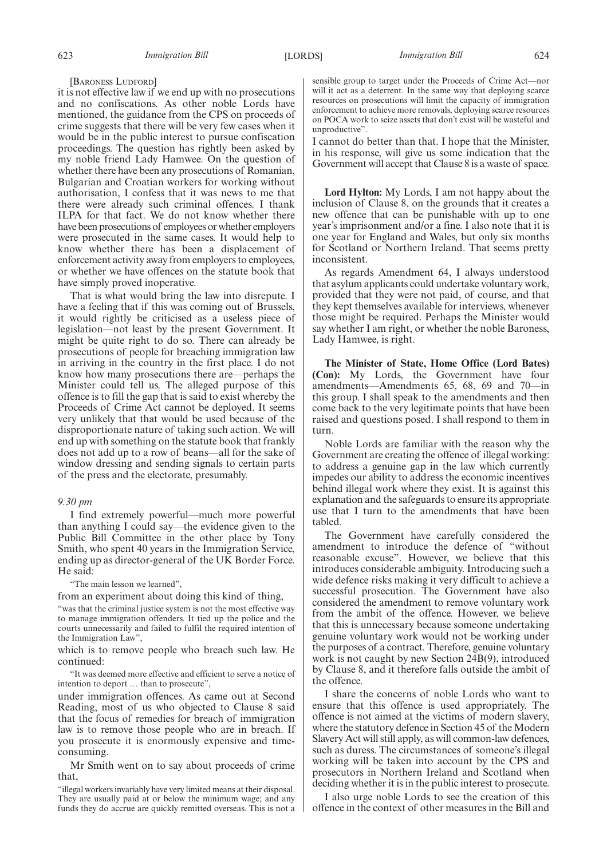#### [BARONESS LUDFORD]

it is not effective law if we end up with no prosecutions and no confiscations. As other noble Lords have mentioned, the guidance from the CPS on proceeds of crime suggests that there will be very few cases when it would be in the public interest to pursue confiscation proceedings. The question has rightly been asked by my noble friend Lady Hamwee. On the question of whether there have been any prosecutions of Romanian, Bulgarian and Croatian workers for working without authorisation, I confess that it was news to me that there were already such criminal offences. I thank ILPA for that fact. We do not know whether there have been prosecutions of employees or whether employers were prosecuted in the same cases. It would help to know whether there has been a displacement of enforcement activity away from employers to employees, or whether we have offences on the statute book that have simply proved inoperative.

That is what would bring the law into disrepute. I have a feeling that if this was coming out of Brussels, it would rightly be criticised as a useless piece of legislation—not least by the present Government. It might be quite right to do so. There can already be prosecutions of people for breaching immigration law in arriving in the country in the first place. I do not know how many prosecutions there are—perhaps the Minister could tell us. The alleged purpose of this offence is to fill the gap that is said to exist whereby the Proceeds of Crime Act cannot be deployed. It seems very unlikely that that would be used because of the disproportionate nature of taking such action. We will end up with something on the statute book that frankly does not add up to a row of beans—all for the sake of window dressing and sending signals to certain parts of the press and the electorate, presumably.

#### *9.30 pm*

I find extremely powerful—much more powerful than anything I could say—the evidence given to the Public Bill Committee in the other place by Tony Smith, who spent 40 years in the Immigration Service, ending up as director-general of the UK Border Force. He said:

"The main lesson we learned",

from an experiment about doing this kind of thing,

"was that the criminal justice system is not the most effective way to manage immigration offenders. It tied up the police and the courts unnecessarily and failed to fulfil the required intention of the Immigration Law",

which is to remove people who breach such law. He continued:

"It was deemed more effective and efficient to serve a notice of intention to deport … than to prosecute",

under immigration offences. As came out at Second Reading, most of us who objected to Clause 8 said that the focus of remedies for breach of immigration law is to remove those people who are in breach. If you prosecute it is enormously expensive and timeconsuming.

Mr Smith went on to say about proceeds of crime that,

"illegal workers invariably have very limited means at their disposal. They are usually paid at or below the minimum wage; and any funds they do accrue are quickly remitted overseas. This is not a sensible group to target under the Proceeds of Crime Act—nor will it act as a deterrent. In the same way that deploying scarce resources on prosecutions will limit the capacity of immigration enforcement to achieve more removals, deploying scarce resources on POCA work to seize assets that don't exist will be wasteful and unproductive".

I cannot do better than that. I hope that the Minister, in his response, will give us some indication that the Government will accept that Clause 8 is a waste of space.

**Lord Hylton:** My Lords, I am not happy about the inclusion of Clause 8, on the grounds that it creates a new offence that can be punishable with up to one year's imprisonment and/or a fine. I also note that it is one year for England and Wales, but only six months for Scotland or Northern Ireland. That seems pretty inconsistent.

As regards Amendment 64, I always understood that asylum applicants could undertake voluntary work, provided that they were not paid, of course, and that they kept themselves available for interviews, whenever those might be required. Perhaps the Minister would say whether I am right, or whether the noble Baroness, Lady Hamwee, is right.

**The Minister of State, Home Office (Lord Bates) (Con):** My Lords, the Government have four amendments—Amendments 65, 68, 69 and 70—in this group. I shall speak to the amendments and then come back to the very legitimate points that have been raised and questions posed. I shall respond to them in turn.

Noble Lords are familiar with the reason why the Government are creating the offence of illegal working: to address a genuine gap in the law which currently impedes our ability to address the economic incentives behind illegal work where they exist. It is against this explanation and the safeguards to ensure its appropriate use that I turn to the amendments that have been tabled.

The Government have carefully considered the amendment to introduce the defence of "without reasonable excuse". However, we believe that this introduces considerable ambiguity. Introducing such a wide defence risks making it very difficult to achieve a successful prosecution. The Government have also considered the amendment to remove voluntary work from the ambit of the offence. However, we believe that this is unnecessary because someone undertaking genuine voluntary work would not be working under the purposes of a contract. Therefore, genuine voluntary work is not caught by new Section 24B(9), introduced by Clause 8, and it therefore falls outside the ambit of the offence.

I share the concerns of noble Lords who want to ensure that this offence is used appropriately. The offence is not aimed at the victims of modern slavery, where the statutory defence in Section 45 of the Modern Slavery Act will still apply, as will common-law defences, such as duress. The circumstances of someone's illegal working will be taken into account by the CPS and prosecutors in Northern Ireland and Scotland when deciding whether it is in the public interest to prosecute.

I also urge noble Lords to see the creation of this offence in the context of other measures in the Bill and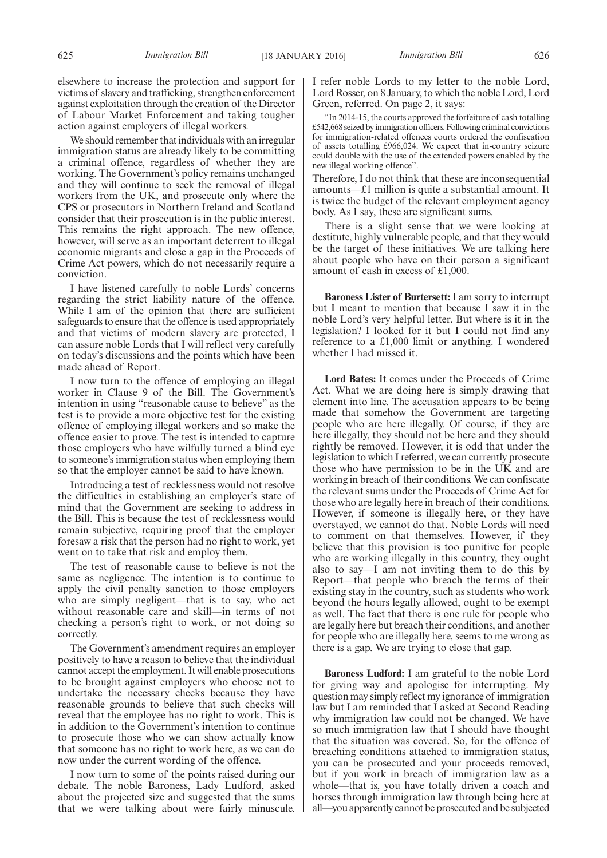elsewhere to increase the protection and support for victims of slavery and trafficking, strengthen enforcement against exploitation through the creation of the Director of Labour Market Enforcement and taking tougher action against employers of illegal workers.

We should remember that individuals with an irregular immigration status are already likely to be committing a criminal offence, regardless of whether they are working. The Government's policy remains unchanged and they will continue to seek the removal of illegal workers from the UK, and prosecute only where the CPS or prosecutors in Northern Ireland and Scotland consider that their prosecution is in the public interest. This remains the right approach. The new offence, however, will serve as an important deterrent to illegal economic migrants and close a gap in the Proceeds of Crime Act powers, which do not necessarily require a conviction.

I have listened carefully to noble Lords' concerns regarding the strict liability nature of the offence. While I am of the opinion that there are sufficient safeguards to ensure that the offence is used appropriately and that victims of modern slavery are protected, I can assure noble Lords that I will reflect very carefully on today's discussions and the points which have been made ahead of Report.

I now turn to the offence of employing an illegal worker in Clause 9 of the Bill. The Government's intention in using "reasonable cause to believe" as the test is to provide a more objective test for the existing offence of employing illegal workers and so make the offence easier to prove. The test is intended to capture those employers who have wilfully turned a blind eye to someone's immigration status when employing them so that the employer cannot be said to have known.

Introducing a test of recklessness would not resolve the difficulties in establishing an employer's state of mind that the Government are seeking to address in the Bill. This is because the test of recklessness would remain subjective, requiring proof that the employer foresaw a risk that the person had no right to work, yet went on to take that risk and employ them.

The test of reasonable cause to believe is not the same as negligence. The intention is to continue to apply the civil penalty sanction to those employers who are simply negligent—that is to say, who act without reasonable care and skill—in terms of not checking a person's right to work, or not doing so correctly.

The Government's amendment requires an employer positively to have a reason to believe that the individual cannot accept the employment. It will enable prosecutions to be brought against employers who choose not to undertake the necessary checks because they have reasonable grounds to believe that such checks will reveal that the employee has no right to work. This is in addition to the Government's intention to continue to prosecute those who we can show actually know that someone has no right to work here, as we can do now under the current wording of the offence.

I now turn to some of the points raised during our debate. The noble Baroness, Lady Ludford, asked about the projected size and suggested that the sums that we were talking about were fairly minuscule. I refer noble Lords to my letter to the noble Lord, Lord Rosser, on 8 January, to which the noble Lord, Lord Green, referred. On page 2, it says:

"In 2014-15, the courts approved the forfeiture of cash totalling £542,668 seized byimmigration officers.Following criminal convictions for immigration-related offences courts ordered the confiscation of assets totalling £966,024. We expect that in-country seizure could double with the use of the extended powers enabled by the new illegal working offence".

Therefore, I do not think that these are inconsequential amounts—£1 million is quite a substantial amount. It is twice the budget of the relevant employment agency body. As I say, these are significant sums.

There is a slight sense that we were looking at destitute, highly vulnerable people, and that they would be the target of these initiatives. We are talking here about people who have on their person a significant amount of cash in excess of £1,000.

**Baroness Lister of Burtersett:**I am sorry to interrupt but I meant to mention that because I saw it in the noble Lord's very helpful letter. But where is it in the legislation? I looked for it but I could not find any reference to a £1,000 limit or anything. I wondered whether I had missed it.

**Lord Bates:** It comes under the Proceeds of Crime Act. What we are doing here is simply drawing that element into line. The accusation appears to be being made that somehow the Government are targeting people who are here illegally. Of course, if they are here illegally, they should not be here and they should rightly be removed. However, it is odd that under the legislation to which I referred, we can currently prosecute those who have permission to be in the UK and are working in breach of their conditions. We can confiscate the relevant sums under the Proceeds of Crime Act for those who are legally here in breach of their conditions. However, if someone is illegally here, or they have overstayed, we cannot do that. Noble Lords will need to comment on that themselves. However, if they believe that this provision is too punitive for people who are working illegally in this country, they ought also to say—I am not inviting them to do this by Report—that people who breach the terms of their existing stay in the country, such as students who work beyond the hours legally allowed, ought to be exempt as well. The fact that there is one rule for people who are legally here but breach their conditions, and another for people who are illegally here, seems to me wrong as there is a gap. We are trying to close that gap.

**Baroness Ludford:** I am grateful to the noble Lord for giving way and apologise for interrupting. My question may simply reflect my ignorance of immigration law but I am reminded that I asked at Second Reading why immigration law could not be changed. We have so much immigration law that I should have thought that the situation was covered. So, for the offence of breaching conditions attached to immigration status, you can be prosecuted and your proceeds removed, but if you work in breach of immigration law as a whole—that is, you have totally driven a coach and horses through immigration law through being here at all—you apparently cannot be prosecuted and be subjected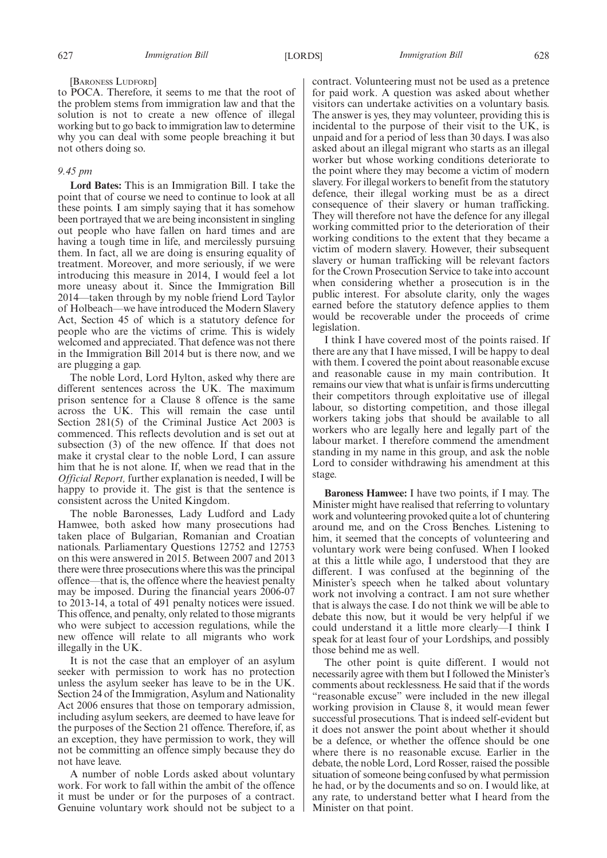### [BARONESS LUDFORD]

to POCA. Therefore, it seems to me that the root of the problem stems from immigration law and that the solution is not to create a new offence of illegal working but to go back to immigration law to determine why you can deal with some people breaching it but not others doing so.

### *9.45 pm*

**Lord Bates:** This is an Immigration Bill. I take the point that of course we need to continue to look at all these points. I am simply saying that it has somehow been portrayed that we are being inconsistent in singling out people who have fallen on hard times and are having a tough time in life, and mercilessly pursuing them. In fact, all we are doing is ensuring equality of treatment. Moreover, and more seriously, if we were introducing this measure in 2014, I would feel a lot more uneasy about it. Since the Immigration Bill 2014—taken through by my noble friend Lord Taylor of Holbeach—we have introduced the Modern Slavery Act, Section 45 of which is a statutory defence for people who are the victims of crime. This is widely welcomed and appreciated. That defence was not there in the Immigration Bill 2014 but is there now, and we are plugging a gap.

The noble Lord, Lord Hylton, asked why there are different sentences across the UK. The maximum prison sentence for a Clause 8 offence is the same across the UK. This will remain the case until Section 281(5) of the Criminal Justice Act 2003 is commenced. This reflects devolution and is set out at subsection (3) of the new offence. If that does not make it crystal clear to the noble Lord, I can assure him that he is not alone. If, when we read that in the *Official Report,* further explanation is needed, I will be happy to provide it. The gist is that the sentence is consistent across the United Kingdom.

The noble Baronesses, Lady Ludford and Lady Hamwee, both asked how many prosecutions had taken place of Bulgarian, Romanian and Croatian nationals. Parliamentary Questions 12752 and 12753 on this were answered in 2015. Between 2007 and 2013 there were three prosecutions where this was the principal offence—that is, the offence where the heaviest penalty may be imposed. During the financial years 2006-07 to 2013-14, a total of 491 penalty notices were issued. This offence, and penalty, only related to those migrants who were subject to accession regulations, while the new offence will relate to all migrants who work illegally in the UK.

It is not the case that an employer of an asylum seeker with permission to work has no protection unless the asylum seeker has leave to be in the UK. Section 24 of the Immigration, Asylum and Nationality Act 2006 ensures that those on temporary admission, including asylum seekers, are deemed to have leave for the purposes of the Section 21 offence. Therefore, if, as an exception, they have permission to work, they will not be committing an offence simply because they do not have leave.

A number of noble Lords asked about voluntary work. For work to fall within the ambit of the offence it must be under or for the purposes of a contract. Genuine voluntary work should not be subject to a

contract. Volunteering must not be used as a pretence for paid work. A question was asked about whether visitors can undertake activities on a voluntary basis. The answer is yes, they may volunteer, providing this is incidental to the purpose of their visit to the UK, is unpaid and for a period of less than 30 days. I was also asked about an illegal migrant who starts as an illegal worker but whose working conditions deteriorate to the point where they may become a victim of modern slavery. For illegal workers to benefit from the statutory defence, their illegal working must be as a direct consequence of their slavery or human trafficking. They will therefore not have the defence for any illegal working committed prior to the deterioration of their working conditions to the extent that they became a victim of modern slavery. However, their subsequent slavery or human trafficking will be relevant factors for the Crown Prosecution Service to take into account when considering whether a prosecution is in the public interest. For absolute clarity, only the wages earned before the statutory defence applies to them would be recoverable under the proceeds of crime legislation.

I think I have covered most of the points raised. If there are any that I have missed, I will be happy to deal with them. I covered the point about reasonable excuse and reasonable cause in my main contribution. It remains our view that what is unfair is firms undercutting their competitors through exploitative use of illegal labour, so distorting competition, and those illegal workers taking jobs that should be available to all workers who are legally here and legally part of the labour market. I therefore commend the amendment standing in my name in this group, and ask the noble Lord to consider withdrawing his amendment at this stage.

**Baroness Hamwee:** I have two points, if I may. The Minister might have realised that referring to voluntary work and volunteering provoked quite a lot of chuntering around me, and on the Cross Benches. Listening to him, it seemed that the concepts of volunteering and voluntary work were being confused. When I looked at this a little while ago, I understood that they are different. I was confused at the beginning of the Minister's speech when he talked about voluntary work not involving a contract. I am not sure whether that is always the case. I do not think we will be able to debate this now, but it would be very helpful if we could understand it a little more clearly—I think I speak for at least four of your Lordships, and possibly those behind me as well.

The other point is quite different. I would not necessarily agree with them but I followed the Minister's comments about recklessness. He said that if the words "reasonable excuse" were included in the new illegal working provision in Clause 8, it would mean fewer successful prosecutions. That is indeed self-evident but it does not answer the point about whether it should be a defence, or whether the offence should be one where there is no reasonable excuse. Earlier in the debate, the noble Lord, Lord Rosser, raised the possible situation of someone being confused by what permission he had, or by the documents and so on. I would like, at any rate, to understand better what I heard from the Minister on that point.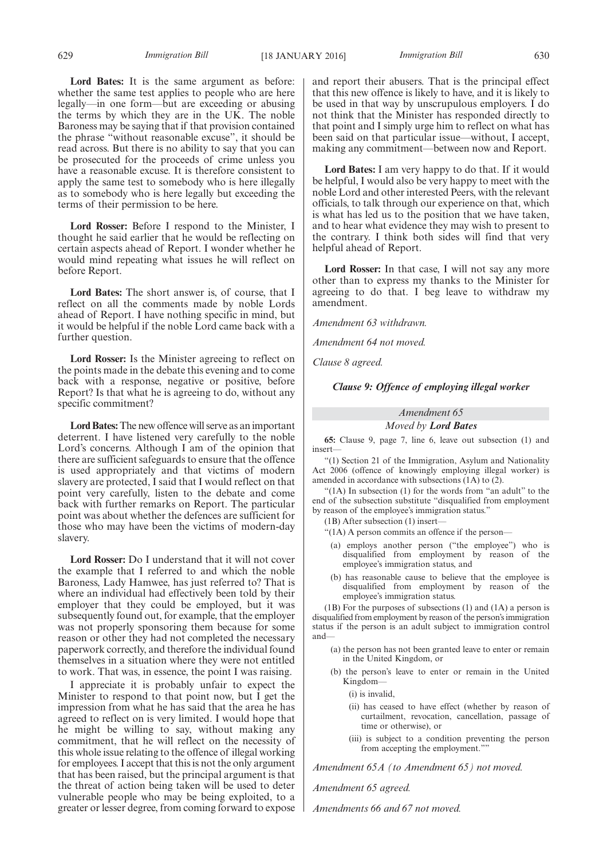629 *Immigration Bill Immigration Bill* [18 JANUARY 2016] 630

**Lord Bates:** It is the same argument as before: whether the same test applies to people who are here legally—in one form—but are exceeding or abusing the terms by which they are in the UK. The noble Baroness may be saying that if that provision contained the phrase "without reasonable excuse", it should be read across. But there is no ability to say that you can be prosecuted for the proceeds of crime unless you have a reasonable excuse. It is therefore consistent to apply the same test to somebody who is here illegally as to somebody who is here legally but exceeding the terms of their permission to be here.

**Lord Rosser:** Before I respond to the Minister, I thought he said earlier that he would be reflecting on certain aspects ahead of Report. I wonder whether he would mind repeating what issues he will reflect on before Report.

**Lord Bates:** The short answer is, of course, that I reflect on all the comments made by noble Lords ahead of Report. I have nothing specific in mind, but it would be helpful if the noble Lord came back with a further question.

**Lord Rosser:** Is the Minister agreeing to reflect on the points made in the debate this evening and to come back with a response, negative or positive, before Report? Is that what he is agreeing to do, without any specific commitment?

**Lord Bates:**The new offence will serve as an important deterrent. I have listened very carefully to the noble Lord's concerns. Although I am of the opinion that there are sufficient safeguards to ensure that the offence is used appropriately and that victims of modern slavery are protected, I said that I would reflect on that point very carefully, listen to the debate and come back with further remarks on Report. The particular point was about whether the defences are sufficient for those who may have been the victims of modern-day slavery.

**Lord Rosser:** Do I understand that it will not cover the example that I referred to and which the noble Baroness, Lady Hamwee, has just referred to? That is where an individual had effectively been told by their employer that they could be employed, but it was subsequently found out, for example, that the employer was not properly sponsoring them because for some reason or other they had not completed the necessary paperwork correctly, and therefore the individual found themselves in a situation where they were not entitled to work. That was, in essence, the point I was raising.

I appreciate it is probably unfair to expect the Minister to respond to that point now, but I get the impression from what he has said that the area he has agreed to reflect on is very limited. I would hope that he might be willing to say, without making any commitment, that he will reflect on the necessity of this whole issue relating to the offence of illegal working for employees. I accept that this is not the only argument that has been raised, but the principal argument is that the threat of action being taken will be used to deter vulnerable people who may be being exploited, to a greater or lesser degree, from coming forward to expose

and report their abusers. That is the principal effect that this new offence is likely to have, and it is likely to be used in that way by unscrupulous employers. I do not think that the Minister has responded directly to that point and I simply urge him to reflect on what has been said on that particular issue—without, I accept, making any commitment—between now and Report.

**Lord Bates:** I am very happy to do that. If it would be helpful, I would also be very happy to meet with the noble Lord and other interested Peers, with the relevant officials, to talk through our experience on that, which is what has led us to the position that we have taken, and to hear what evidence they may wish to present to the contrary. I think both sides will find that very helpful ahead of Report.

**Lord Rosser:** In that case, I will not say any more other than to express my thanks to the Minister for agreeing to do that. I beg leave to withdraw my amendment.

*Amendment 63 withdrawn.*

*Amendment 64 not moved.*

*Clause 8 agreed.*

*Clause 9: Offence of employing illegal worker*

### *Amendment 65 Moved by Lord Bates*

**65:** Clause 9, page 7, line 6, leave out subsection (1) and insert—

"(1) Section 21 of the Immigration, Asylum and Nationality Act 2006 (offence of knowingly employing illegal worker) is amended in accordance with subsections (1A) to (2).

"(1A) In subsection (1) for the words from "an adult" to the end of the subsection substitute "disqualified from employment by reason of the employee's immigration status."

- (1B) After subsection (1) insert—
- "(1A) A person commits an offence if the person—
- (a) employs another person ("the employee") who is disqualified from employment by reason of the employee's immigration status, and
- (b) has reasonable cause to believe that the employee is disqualified from employment by reason of the employee's immigration status.

(1B) For the purposes of subsections (1) and (1A) a person is disqualified from employment by reason of the person's immigration status if the person is an adult subject to immigration control and—

- (a) the person has not been granted leave to enter or remain in the United Kingdom, or
- (b) the person's leave to enter or remain in the United Kingdom—
	- (i) is invalid,
	- (ii) has ceased to have effect (whether by reason of curtailment, revocation, cancellation, passage of time or otherwise), or
	- (iii) is subject to a condition preventing the person from accepting the employment.""

*Amendment 65A (to Amendment 65) not moved.*

*Amendment 65 agreed.*

*Amendments 66 and 67 not moved.*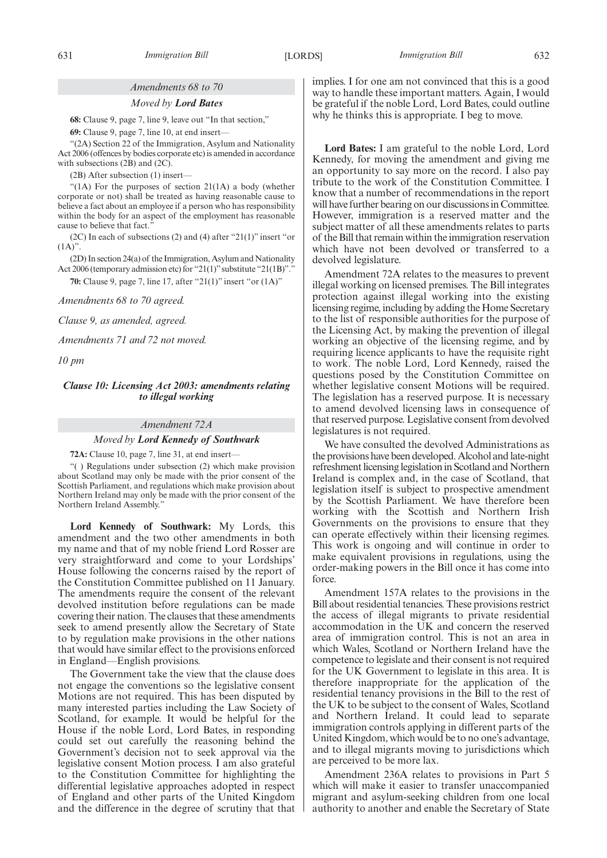### *Amendments 68 to 70*

#### *Moved by Lord Bates*

**68:** Clause 9, page 7, line 9, leave out "In that section,"

**69:** Clause 9, page 7, line 10, at end insert—

"(2A) Section 22 of the Immigration, Asylum and Nationality Act 2006 (offences by bodies corporate etc) is amended in accordance with subsections  $(2B)$  and  $(2C)$ .

(2B) After subsection (1) insert—

"(1A) For the purposes of section 21(1A) a body (whether corporate or not) shall be treated as having reasonable cause to believe a fact about an employee if a person who has responsibility within the body for an aspect of the employment has reasonable cause to believe that fact.'

(2C) In each of subsections (2) and (4) after "21(1)" insert "or  $(1A)$ ".

(2D) In section 24(a) of the Immigration, Asylum and Nationality Act 2006 (temporary admission etc) for "21(1)" substitute "21(1B)"."

**70:** Clause 9, page 7, line 17, after "21(1)" insert "or (1A)"

*Amendments 68 to 70 agreed.*

*Clause 9, as amended, agreed.*

*Amendments 71 and 72 not moved.*

*10 pm*

### *Clause 10: Licensing Act 2003: amendments relating to illegal working*

### *Amendment 72A*

#### *Moved by Lord Kennedy of Southwark*

**72A:** Clause 10, page 7, line 31, at end insert—

"( ) Regulations under subsection (2) which make provision about Scotland may only be made with the prior consent of the Scottish Parliament, and regulations which make provision about Northern Ireland may only be made with the prior consent of the Northern Ireland Assembly."

**Lord Kennedy of Southwark:** My Lords, this amendment and the two other amendments in both my name and that of my noble friend Lord Rosser are very straightforward and come to your Lordships' House following the concerns raised by the report of the Constitution Committee published on 11 January. The amendments require the consent of the relevant devolved institution before regulations can be made covering their nation. The clauses that these amendments seek to amend presently allow the Secretary of State to by regulation make provisions in the other nations that would have similar effect to the provisions enforced in England—English provisions.

The Government take the view that the clause does not engage the conventions so the legislative consent Motions are not required. This has been disputed by many interested parties including the Law Society of Scotland, for example. It would be helpful for the House if the noble Lord, Lord Bates, in responding could set out carefully the reasoning behind the Government's decision not to seek approval via the legislative consent Motion process. I am also grateful to the Constitution Committee for highlighting the differential legislative approaches adopted in respect of England and other parts of the United Kingdom and the difference in the degree of scrutiny that that implies. I for one am not convinced that this is a good way to handle these important matters. Again, I would be grateful if the noble Lord, Lord Bates, could outline why he thinks this is appropriate. I beg to move.

**Lord Bates:** I am grateful to the noble Lord, Lord Kennedy, for moving the amendment and giving me an opportunity to say more on the record. I also pay tribute to the work of the Constitution Committee. I know that a number of recommendations in the report will have further bearing on our discussions in Committee. However, immigration is a reserved matter and the subject matter of all these amendments relates to parts of the Bill that remain within the immigration reservation which have not been devolved or transferred to a devolved legislature.

Amendment 72A relates to the measures to prevent illegal working on licensed premises. The Bill integrates protection against illegal working into the existing licensing regime, including by adding the Home Secretary to the list of responsible authorities for the purpose of the Licensing Act, by making the prevention of illegal working an objective of the licensing regime, and by requiring licence applicants to have the requisite right to work. The noble Lord, Lord Kennedy, raised the questions posed by the Constitution Committee on whether legislative consent Motions will be required. The legislation has a reserved purpose. It is necessary to amend devolved licensing laws in consequence of that reserved purpose. Legislative consent from devolved legislatures is not required.

We have consulted the devolved Administrations as the provisions have been developed. Alcohol and late-night refreshment licensing legislation in Scotland and Northern Ireland is complex and, in the case of Scotland, that legislation itself is subject to prospective amendment by the Scottish Parliament. We have therefore been working with the Scottish and Northern Irish Governments on the provisions to ensure that they can operate effectively within their licensing regimes. This work is ongoing and will continue in order to make equivalent provisions in regulations, using the order-making powers in the Bill once it has come into force.

Amendment 157A relates to the provisions in the Bill about residential tenancies. These provisions restrict the access of illegal migrants to private residential accommodation in the UK and concern the reserved area of immigration control. This is not an area in which Wales, Scotland or Northern Ireland have the competence to legislate and their consent is not required for the UK Government to legislate in this area. It is therefore inappropriate for the application of the residential tenancy provisions in the Bill to the rest of the UK to be subject to the consent of Wales, Scotland and Northern Ireland. It could lead to separate immigration controls applying in different parts of the United Kingdom, which would be to no one's advantage, and to illegal migrants moving to jurisdictions which are perceived to be more lax.

Amendment 236A relates to provisions in Part 5 which will make it easier to transfer unaccompanied migrant and asylum-seeking children from one local authority to another and enable the Secretary of State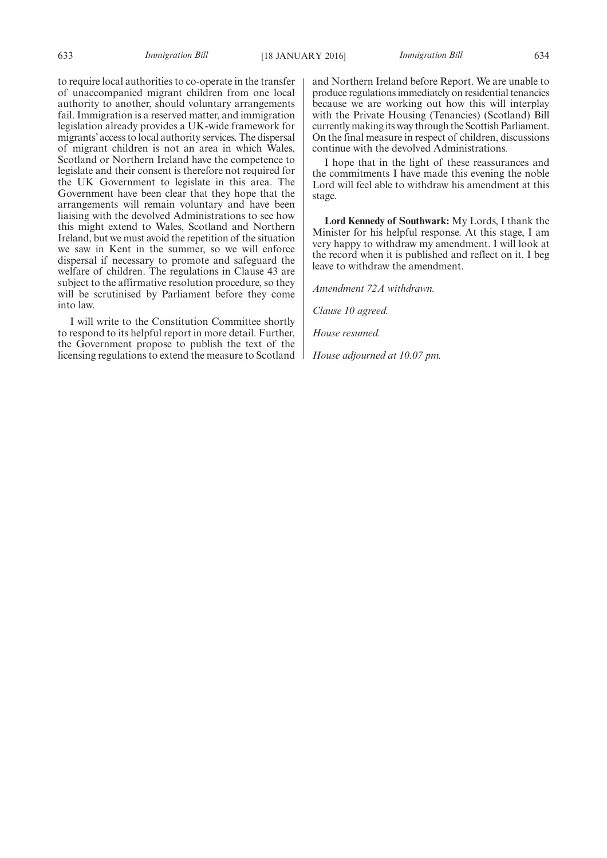to require local authorities to co-operate in the transfer of unaccompanied migrant children from one local authority to another, should voluntary arrangements fail. Immigration is a reserved matter, and immigration legislation already provides a UK-wide framework for migrants' access to local authority services. The dispersal of migrant children is not an area in which Wales, Scotland or Northern Ireland have the competence to legislate and their consent is therefore not required for the UK Government to legislate in this area. The Government have been clear that they hope that the arrangements will remain voluntary and have been liaising with the devolved Administrations to see how this might extend to Wales, Scotland and Northern Ireland, but we must avoid the repetition of the situation we saw in Kent in the summer, so we will enforce dispersal if necessary to promote and safeguard the welfare of children. The regulations in Clause 43 are subject to the affirmative resolution procedure, so they will be scrutinised by Parliament before they come into law.

I will write to the Constitution Committee shortly to respond to its helpful report in more detail. Further, the Government propose to publish the text of the licensing regulations to extend the measure to Scotland and Northern Ireland before Report. We are unable to produce regulations immediately on residential tenancies because we are working out how this will interplay with the Private Housing (Tenancies) (Scotland) Bill currently making its way through the Scottish Parliament. On the final measure in respect of children, discussions continue with the devolved Administrations.

I hope that in the light of these reassurances and the commitments I have made this evening the noble Lord will feel able to withdraw his amendment at this stage.

**Lord Kennedy of Southwark:** My Lords, I thank the Minister for his helpful response. At this stage, I am very happy to withdraw my amendment. I will look at the record when it is published and reflect on it. I beg leave to withdraw the amendment.

*Amendment 72A withdrawn.*

*Clause 10 agreed.*

*House resumed.*

*House adjourned at 10.07 pm.*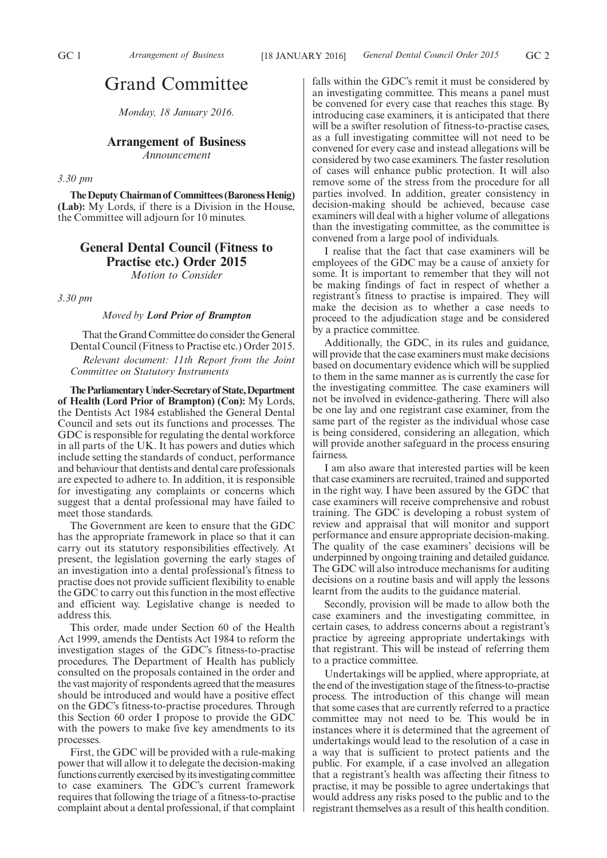# Grand Committee

*Monday, 18 January 2016.*

# **Arrangement of Business**

*Announcement*

### *3.30 pm*

**The Deputy Chairman of Committees (Baroness Henig) (Lab):** My Lords, if there is a Division in the House, the Committee will adjourn for 10 minutes.

# **General Dental Council (Fitness to Practise etc.) Order 2015**

*Motion to Consider*

*3.30 pm*

#### *Moved by Lord Prior of Brampton*

That the Grand Committee do consider the General Dental Council (Fitness to Practise etc.) Order 2015. *Relevant document: 11th Report from the Joint Committee on Statutory Instruments*

**TheParliamentaryUnder-Secretaryof State,Department of Health (Lord Prior of Brampton) (Con):** My Lords, the Dentists Act 1984 established the General Dental Council and sets out its functions and processes. The GDC is responsible for regulating the dental workforce in all parts of the UK. It has powers and duties which include setting the standards of conduct, performance and behaviour that dentists and dental care professionals are expected to adhere to. In addition, it is responsible for investigating any complaints or concerns which suggest that a dental professional may have failed to meet those standards.

The Government are keen to ensure that the GDC has the appropriate framework in place so that it can carry out its statutory responsibilities effectively. At present, the legislation governing the early stages of an investigation into a dental professional's fitness to practise does not provide sufficient flexibility to enable the GDC to carry out this function in the most effective and efficient way. Legislative change is needed to address this.

This order, made under Section 60 of the Health Act 1999, amends the Dentists Act 1984 to reform the investigation stages of the GDC's fitness-to-practise procedures. The Department of Health has publicly consulted on the proposals contained in the order and the vast majority of respondents agreed that the measures should be introduced and would have a positive effect on the GDC's fitness-to-practise procedures. Through this Section 60 order I propose to provide the GDC with the powers to make five key amendments to its processes.

First, the GDC will be provided with a rule-making power that will allow it to delegate the decision-making functions currently exercised by its investigating committee to case examiners. The GDC's current framework requires that following the triage of a fitness-to-practise complaint about a dental professional, if that complaint falls within the GDC's remit it must be considered by an investigating committee. This means a panel must be convened for every case that reaches this stage. By introducing case examiners, it is anticipated that there will be a swifter resolution of fitness-to-practise cases, as a full investigating committee will not need to be convened for every case and instead allegations will be considered by two case examiners. The faster resolution of cases will enhance public protection. It will also remove some of the stress from the procedure for all parties involved. In addition, greater consistency in decision-making should be achieved, because case examiners will deal with a higher volume of allegations than the investigating committee, as the committee is convened from a large pool of individuals.

I realise that the fact that case examiners will be employees of the GDC may be a cause of anxiety for some. It is important to remember that they will not be making findings of fact in respect of whether a registrant's fitness to practise is impaired. They will make the decision as to whether a case needs to proceed to the adjudication stage and be considered by a practice committee.

Additionally, the GDC, in its rules and guidance, will provide that the case examiners must make decisions based on documentary evidence which will be supplied to them in the same manner as is currently the case for the investigating committee. The case examiners will not be involved in evidence-gathering. There will also be one lay and one registrant case examiner, from the same part of the register as the individual whose case is being considered, considering an allegation, which will provide another safeguard in the process ensuring fairness.

I am also aware that interested parties will be keen that case examiners are recruited, trained and supported in the right way. I have been assured by the GDC that case examiners will receive comprehensive and robust training. The GDC is developing a robust system of review and appraisal that will monitor and support performance and ensure appropriate decision-making. The quality of the case examiners' decisions will be underpinned by ongoing training and detailed guidance. The GDC will also introduce mechanisms for auditing decisions on a routine basis and will apply the lessons learnt from the audits to the guidance material.

Secondly, provision will be made to allow both the case examiners and the investigating committee, in certain cases, to address concerns about a registrant's practice by agreeing appropriate undertakings with that registrant. This will be instead of referring them to a practice committee.

Undertakings will be applied, where appropriate, at the end of the investigation stage of the fitness-to-practise process. The introduction of this change will mean that some cases that are currently referred to a practice committee may not need to be. This would be in instances where it is determined that the agreement of undertakings would lead to the resolution of a case in a way that is sufficient to protect patients and the public. For example, if a case involved an allegation that a registrant's health was affecting their fitness to practise, it may be possible to agree undertakings that would address any risks posed to the public and to the registrant themselves as a result of this health condition.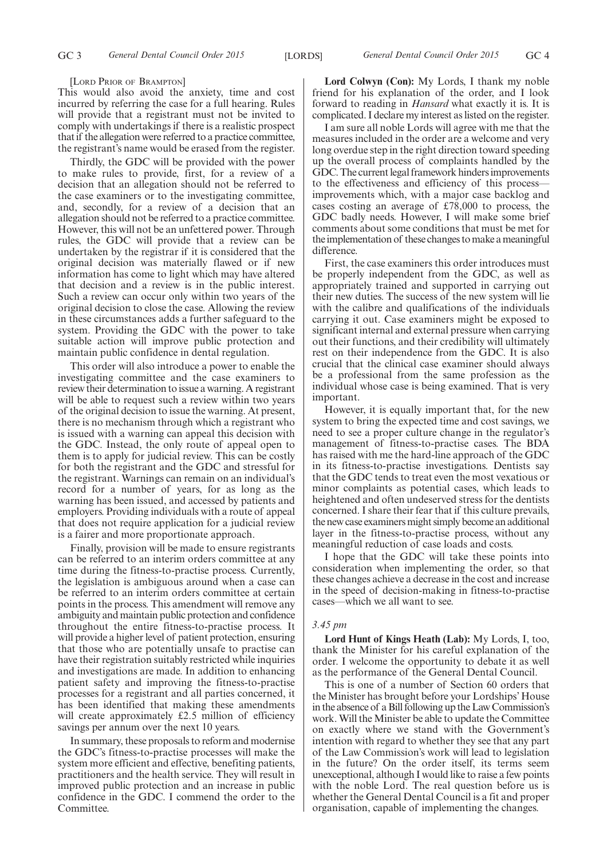#### [LORD PRIOR OF BRAMPTON]

This would also avoid the anxiety, time and cost incurred by referring the case for a full hearing. Rules will provide that a registrant must not be invited to comply with undertakings if there is a realistic prospect that if the allegation were referred to a practice committee, the registrant's name would be erased from the register.

Thirdly, the GDC will be provided with the power to make rules to provide, first, for a review of a decision that an allegation should not be referred to the case examiners or to the investigating committee, and, secondly, for a review of a decision that an allegation should not be referred to a practice committee. However, this will not be an unfettered power. Through rules, the GDC will provide that a review can be undertaken by the registrar if it is considered that the original decision was materially flawed or if new information has come to light which may have altered that decision and a review is in the public interest. Such a review can occur only within two years of the original decision to close the case. Allowing the review in these circumstances adds a further safeguard to the system. Providing the GDC with the power to take suitable action will improve public protection and maintain public confidence in dental regulation.

This order will also introduce a power to enable the investigating committee and the case examiners to review their determination to issue a warning. A registrant will be able to request such a review within two years of the original decision to issue the warning. At present, there is no mechanism through which a registrant who is issued with a warning can appeal this decision with the GDC. Instead, the only route of appeal open to them is to apply for judicial review. This can be costly for both the registrant and the GDC and stressful for the registrant. Warnings can remain on an individual's record for a number of years, for as long as the warning has been issued, and accessed by patients and employers. Providing individuals with a route of appeal that does not require application for a judicial review is a fairer and more proportionate approach.

Finally, provision will be made to ensure registrants can be referred to an interim orders committee at any time during the fitness-to-practise process. Currently, the legislation is ambiguous around when a case can be referred to an interim orders committee at certain points in the process. This amendment will remove any ambiguity and maintain public protection and confidence throughout the entire fitness-to-practise process. It will provide a higher level of patient protection, ensuring that those who are potentially unsafe to practise can have their registration suitably restricted while inquiries and investigations are made. In addition to enhancing patient safety and improving the fitness-to-practise processes for a registrant and all parties concerned, it has been identified that making these amendments will create approximately £2.5 million of efficiency savings per annum over the next 10 years.

In summary, these proposals to reform and modernise the GDC's fitness-to-practise processes will make the system more efficient and effective, benefiting patients, practitioners and the health service. They will result in improved public protection and an increase in public confidence in the GDC. I commend the order to the Committee.

**Lord Colwyn (Con):** My Lords, I thank my noble friend for his explanation of the order, and I look forward to reading in *Hansard* what exactly it is. It is complicated. I declare my interest as listed on the register.

I am sure all noble Lords will agree with me that the measures included in the order are a welcome and very long overdue step in the right direction toward speeding up the overall process of complaints handled by the GDC. The current legal framework hinders improvements to the effectiveness and efficiency of this process improvements which, with a major case backlog and cases costing an average of £78,000 to process, the GDC badly needs. However, I will make some brief comments about some conditions that must be met for the implementation of these changes to make a meaningful difference.

First, the case examiners this order introduces must be properly independent from the GDC, as well as appropriately trained and supported in carrying out their new duties. The success of the new system will lie with the calibre and qualifications of the individuals carrying it out. Case examiners might be exposed to significant internal and external pressure when carrying out their functions, and their credibility will ultimately rest on their independence from the GDC. It is also crucial that the clinical case examiner should always be a professional from the same profession as the individual whose case is being examined. That is very important.

However, it is equally important that, for the new system to bring the expected time and cost savings, we need to see a proper culture change in the regulator's management of fitness-to-practise cases. The BDA has raised with me the hard-line approach of the GDC in its fitness-to-practise investigations. Dentists say that the GDC tends to treat even the most vexatious or minor complaints as potential cases, which leads to heightened and often undeserved stress for the dentists concerned. I share their fear that if this culture prevails, the new case examiners might simply become an additional layer in the fitness-to-practise process, without any meaningful reduction of case loads and costs.

I hope that the GDC will take these points into consideration when implementing the order, so that these changes achieve a decrease in the cost and increase in the speed of decision-making in fitness-to-practise cases—which we all want to see.

### *3.45 pm*

**Lord Hunt of Kings Heath (Lab):** My Lords, I, too, thank the Minister for his careful explanation of the order. I welcome the opportunity to debate it as well as the performance of the General Dental Council.

This is one of a number of Section 60 orders that the Minister has brought before your Lordships' House in the absence of a Bill following up the Law Commission's work. Will the Minister be able to update the Committee on exactly where we stand with the Government's intention with regard to whether they see that any part of the Law Commission's work will lead to legislation in the future? On the order itself, its terms seem unexceptional, although I would like to raise a few points with the noble Lord. The real question before us is whether the General Dental Council is a fit and proper organisation, capable of implementing the changes.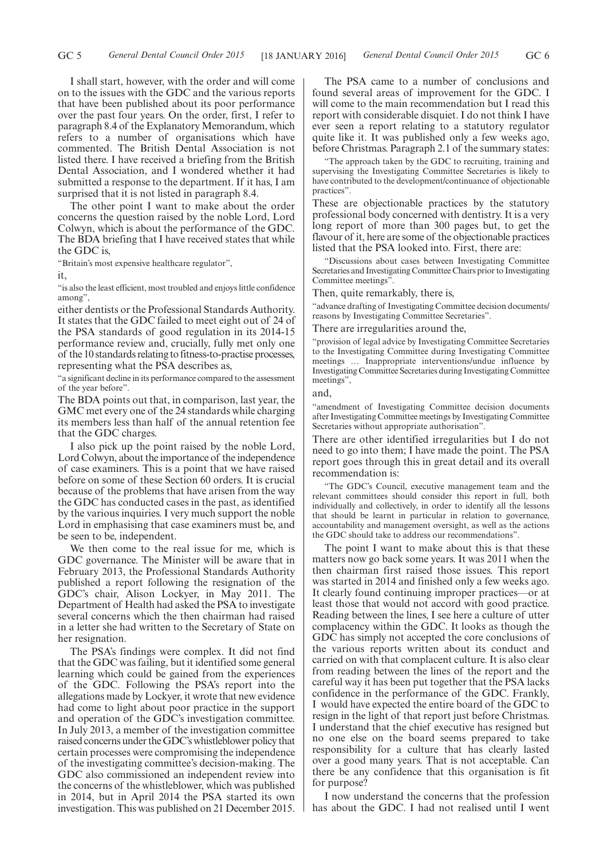I shall start, however, with the order and will come on to the issues with the GDC and the various reports that have been published about its poor performance over the past four years. On the order, first, I refer to paragraph 8.4 of the Explanatory Memorandum, which refers to a number of organisations which have commented. The British Dental Association is not listed there. I have received a briefing from the British Dental Association, and I wondered whether it had submitted a response to the department. If it has, I am surprised that it is not listed in paragraph 8.4.

The other point I want to make about the order concerns the question raised by the noble Lord, Lord Colwyn, which is about the performance of the GDC. The BDA briefing that I have received states that while the GDC is,

"Britain's most expensive healthcare regulator",

it,

"is also the least efficient, most troubled and enjoys little confidence among",

either dentists or the Professional Standards Authority. It states that the GDC failed to meet eight out of 24 of the PSA standards of good regulation in its 2014-15 performance review and, crucially, fully met only one of the 10 standards relating to fitness-to-practise processes, representing what the PSA describes as,

"a significant decline in its performance compared to the assessment of the year before".

The BDA points out that, in comparison, last year, the GMC met every one of the 24 standards while charging its members less than half of the annual retention fee that the GDC charges.

I also pick up the point raised by the noble Lord, Lord Colwyn, about the importance of the independence of case examiners. This is a point that we have raised before on some of these Section 60 orders. It is crucial because of the problems that have arisen from the way the GDC has conducted cases in the past, as identified by the various inquiries. I very much support the noble Lord in emphasising that case examiners must be, and be seen to be, independent.

We then come to the real issue for me, which is GDC governance. The Minister will be aware that in February 2013, the Professional Standards Authority published a report following the resignation of the GDC's chair, Alison Lockyer, in May 2011. The Department of Health had asked the PSA to investigate several concerns which the then chairman had raised in a letter she had written to the Secretary of State on her resignation.

The PSA's findings were complex. It did not find that the GDC was failing, but it identified some general learning which could be gained from the experiences of the GDC. Following the PSA's report into the allegations made by Lockyer, it wrote that new evidence had come to light about poor practice in the support and operation of the GDC's investigation committee. In July 2013, a member of the investigation committee raised concerns under the GDC's whistleblower policy that certain processes were compromising the independence of the investigating committee's decision-making. The GDC also commissioned an independent review into the concerns of the whistleblower, which was published in 2014, but in April 2014 the PSA started its own investigation. This was published on 21 December 2015.

The PSA came to a number of conclusions and found several areas of improvement for the GDC. I will come to the main recommendation but I read this report with considerable disquiet. I do not think I have ever seen a report relating to a statutory regulator quite like it. It was published only a few weeks ago, before Christmas. Paragraph 2.1 of the summary states:

"The approach taken by the GDC to recruiting, training and supervising the Investigating Committee Secretaries is likely to have contributed to the development/continuance of objectionable practices".

These are objectionable practices by the statutory professional body concerned with dentistry. It is a very long report of more than 300 pages but, to get the flavour of it, here are some of the objectionable practices listed that the PSA looked into. First, there are:

"Discussions about cases between Investigating Committee Secretaries and Investigating Committee Chairs prior to Investigating Committee meetings".

Then, quite remarkably, there is,

"advance drafting of Investigating Committee decision documents/ reasons by Investigating Committee Secretaries".

There are irregularities around the,

"provision of legal advice by Investigating Committee Secretaries to the Investigating Committee during Investigating Committee meetings … Inappropriate interventions/undue influence by Investigating Committee Secretaries during Investigating Committee meetings",

and,

"amendment of Investigating Committee decision documents after Investigating Committee meetings by Investigating Committee Secretaries without appropriate authorisation".

There are other identified irregularities but I do not need to go into them; I have made the point. The PSA report goes through this in great detail and its overall recommendation is:

The GDC's Council, executive management team and the relevant committees should consider this report in full, both individually and collectively, in order to identify all the lessons that should be learnt in particular in relation to governance, accountability and management oversight, as well as the actions the GDC should take to address our recommendations".

The point I want to make about this is that these matters now go back some years. It was 2011 when the then chairman first raised those issues. This report was started in 2014 and finished only a few weeks ago. It clearly found continuing improper practices—or at least those that would not accord with good practice. Reading between the lines, I see here a culture of utter complacency within the GDC. It looks as though the GDC has simply not accepted the core conclusions of the various reports written about its conduct and carried on with that complacent culture. It is also clear from reading between the lines of the report and the careful way it has been put together that the PSA lacks confidence in the performance of the GDC. Frankly, I would have expected the entire board of the GDC to resign in the light of that report just before Christmas. I understand that the chief executive has resigned but no one else on the board seems prepared to take responsibility for a culture that has clearly lasted over a good many years. That is not acceptable. Can there be any confidence that this organisation is fit for purpose?

I now understand the concerns that the profession has about the GDC. I had not realised until I went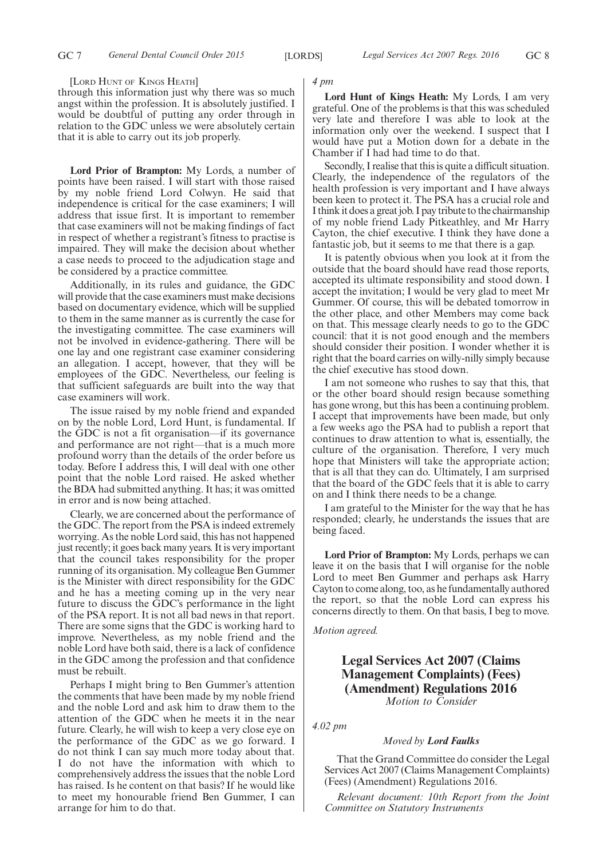[LORD HUNT OF KINGS HEATH]

through this information just why there was so much angst within the profession. It is absolutely justified. I would be doubtful of putting any order through in relation to the GDC unless we were absolutely certain that it is able to carry out its job properly.

**Lord Prior of Brampton:** My Lords, a number of points have been raised. I will start with those raised by my noble friend Lord Colwyn. He said that independence is critical for the case examiners; I will address that issue first. It is important to remember that case examiners will not be making findings of fact in respect of whether a registrant's fitness to practise is impaired. They will make the decision about whether a case needs to proceed to the adjudication stage and be considered by a practice committee.

Additionally, in its rules and guidance, the GDC will provide that the case examiners must make decisions based on documentary evidence, which will be supplied to them in the same manner as is currently the case for the investigating committee. The case examiners will not be involved in evidence-gathering. There will be one lay and one registrant case examiner considering an allegation. I accept, however, that they will be employees of the GDC. Nevertheless, our feeling is that sufficient safeguards are built into the way that case examiners will work.

The issue raised by my noble friend and expanded on by the noble Lord, Lord Hunt, is fundamental. If the GDC is not a fit organisation—if its governance and performance are not right—that is a much more profound worry than the details of the order before us today. Before I address this, I will deal with one other point that the noble Lord raised. He asked whether the BDA had submitted anything. It has; it was omitted in error and is now being attached.

Clearly, we are concerned about the performance of the GDC. The report from the PSA is indeed extremely worrying. As the noble Lord said, this has not happened just recently; it goes back many years. It is very important that the council takes responsibility for the proper running of its organisation. My colleague Ben Gummer is the Minister with direct responsibility for the GDC and he has a meeting coming up in the very near future to discuss the GDC's performance in the light of the PSA report. It is not all bad news in that report. There are some signs that the GDC is working hard to improve. Nevertheless, as my noble friend and the noble Lord have both said, there is a lack of confidence in the GDC among the profession and that confidence must be rebuilt.

Perhaps I might bring to Ben Gummer's attention the comments that have been made by my noble friend and the noble Lord and ask him to draw them to the attention of the GDC when he meets it in the near future. Clearly, he will wish to keep a very close eye on the performance of the GDC as we go forward. I do not think I can say much more today about that. I do not have the information with which to comprehensively address the issues that the noble Lord has raised. Is he content on that basis? If he would like to meet my honourable friend Ben Gummer, I can arrange for him to do that.

*4 pm*

**Lord Hunt of Kings Heath:** My Lords, I am very grateful. One of the problems is that this was scheduled very late and therefore I was able to look at the information only over the weekend. I suspect that I would have put a Motion down for a debate in the Chamber if  $\overline{I}$  had had time to do that.

Secondly, I realise that this is quite a difficult situation. Clearly, the independence of the regulators of the health profession is very important and I have always been keen to protect it. The PSA has a crucial role and I think it does a great job. I pay tribute to the chairmanship of my noble friend Lady Pitkeathley, and Mr Harry Cayton, the chief executive. I think they have done a fantastic job, but it seems to me that there is a gap.

It is patently obvious when you look at it from the outside that the board should have read those reports, accepted its ultimate responsibility and stood down. I accept the invitation; I would be very glad to meet Mr Gummer. Of course, this will be debated tomorrow in the other place, and other Members may come back on that. This message clearly needs to go to the GDC council: that it is not good enough and the members should consider their position. I wonder whether it is right that the board carries on willy-nilly simply because the chief executive has stood down.

I am not someone who rushes to say that this, that or the other board should resign because something has gone wrong, but this has been a continuing problem. I accept that improvements have been made, but only a few weeks ago the PSA had to publish a report that continues to draw attention to what is, essentially, the culture of the organisation. Therefore, I very much hope that Ministers will take the appropriate action; that is all that they can do. Ultimately, I am surprised that the board of the GDC feels that it is able to carry on and I think there needs to be a change.

I am grateful to the Minister for the way that he has responded; clearly, he understands the issues that are being faced.

**Lord Prior of Brampton:** My Lords, perhaps we can leave it on the basis that I will organise for the noble Lord to meet Ben Gummer and perhaps ask Harry Cayton to come along, too, as he fundamentally authored the report, so that the noble Lord can express his concerns directly to them. On that basis, I beg to move.

*Motion agreed.*

# **Legal Services Act 2007 (Claims Management Complaints) (Fees) (Amendment) Regulations 2016** *Motion to Consider*

*4.02 pm*

### *Moved by Lord Faulks*

That the Grand Committee do consider the Legal Services Act 2007 (Claims Management Complaints) (Fees) (Amendment) Regulations 2016.

*Relevant document: 10th Report from the Joint Committee on Statutory Instruments*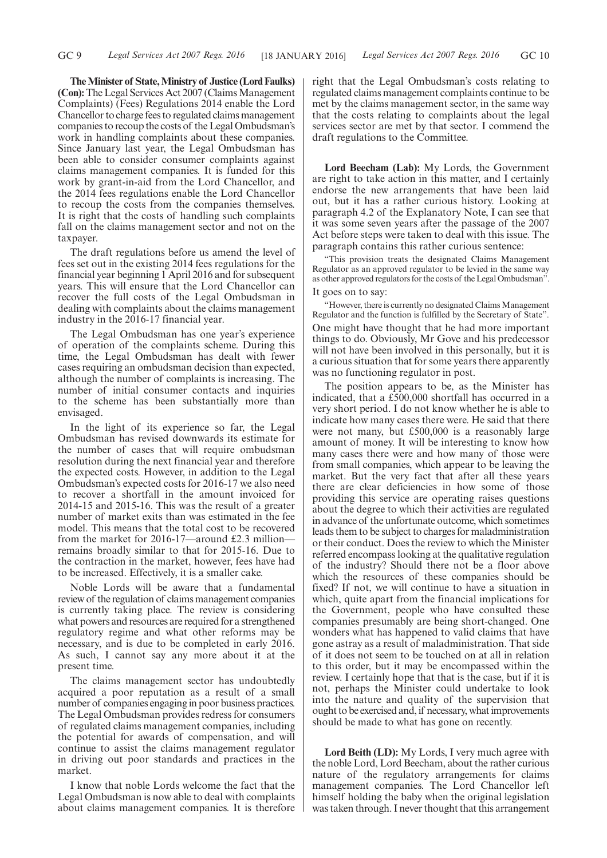**TheMinister of State,Ministry of Justice (Lord Faulks) (Con):** The Legal Services Act 2007 (Claims Management) Complaints) (Fees) Regulations 2014 enable the Lord Chancellor to charge fees to regulated claims management companies to recoup the costs of the Legal Ombudsman's work in handling complaints about these companies. Since January last year, the Legal Ombudsman has been able to consider consumer complaints against claims management companies. It is funded for this work by grant-in-aid from the Lord Chancellor, and the 2014 fees regulations enable the Lord Chancellor to recoup the costs from the companies themselves. It is right that the costs of handling such complaints fall on the claims management sector and not on the taxpayer.

The draft regulations before us amend the level of fees set out in the existing 2014 fees regulations for the financial year beginning 1 April 2016 and for subsequent years. This will ensure that the Lord Chancellor can recover the full costs of the Legal Ombudsman in dealing with complaints about the claims management industry in the 2016-17 financial year.

The Legal Ombudsman has one year's experience of operation of the complaints scheme. During this time, the Legal Ombudsman has dealt with fewer cases requiring an ombudsman decision than expected, although the number of complaints is increasing. The number of initial consumer contacts and inquiries to the scheme has been substantially more than envisaged.

In the light of its experience so far, the Legal Ombudsman has revised downwards its estimate for the number of cases that will require ombudsman resolution during the next financial year and therefore the expected costs. However, in addition to the Legal Ombudsman's expected costs for 2016-17 we also need to recover a shortfall in the amount invoiced for 2014-15 and 2015-16. This was the result of a greater number of market exits than was estimated in the fee model. This means that the total cost to be recovered from the market for 2016-17—around £2.3 million remains broadly similar to that for 2015-16. Due to the contraction in the market, however, fees have had to be increased. Effectively, it is a smaller cake.

Noble Lords will be aware that a fundamental review of the regulation of claims management companies is currently taking place. The review is considering what powers and resources are required for a strengthened regulatory regime and what other reforms may be necessary, and is due to be completed in early 2016. As such, I cannot say any more about it at the present time.

The claims management sector has undoubtedly acquired a poor reputation as a result of a small number of companies engaging in poor business practices. The Legal Ombudsman provides redress for consumers of regulated claims management companies, including the potential for awards of compensation, and will continue to assist the claims management regulator in driving out poor standards and practices in the market.

I know that noble Lords welcome the fact that the Legal Ombudsman is now able to deal with complaints about claims management companies. It is therefore right that the Legal Ombudsman's costs relating to regulated claims management complaints continue to be met by the claims management sector, in the same way that the costs relating to complaints about the legal services sector are met by that sector. I commend the draft regulations to the Committee.

**Lord Beecham (Lab):** My Lords, the Government are right to take action in this matter, and I certainly endorse the new arrangements that have been laid out, but it has a rather curious history. Looking at paragraph 4.2 of the Explanatory Note, I can see that it was some seven years after the passage of the 2007 Act before steps were taken to deal with this issue. The paragraph contains this rather curious sentence:

"This provision treats the designated Claims Management Regulator as an approved regulator to be levied in the same way as other approved regulators for the costs of the Legal Ombudsman".

## It goes on to say:

"However, there is currently no designated Claims Management Regulator and the function is fulfilled by the Secretary of State". One might have thought that he had more important things to do. Obviously, Mr Gove and his predecessor will not have been involved in this personally, but it is a curious situation that for some years there apparently was no functioning regulator in post.

The position appears to be, as the Minister has indicated, that a £500,000 shortfall has occurred in a very short period. I do not know whether he is able to indicate how many cases there were. He said that there were not many, but £500,000 is a reasonably large amount of money. It will be interesting to know how many cases there were and how many of those were from small companies, which appear to be leaving the market. But the very fact that after all these years there are clear deficiencies in how some of those providing this service are operating raises questions about the degree to which their activities are regulated in advance of the unfortunate outcome, which sometimes leads them to be subject to charges for maladministration or their conduct. Does the review to which the Minister referred encompass looking at the qualitative regulation of the industry? Should there not be a floor above which the resources of these companies should be fixed? If not, we will continue to have a situation in which, quite apart from the financial implications for the Government, people who have consulted these companies presumably are being short-changed. One wonders what has happened to valid claims that have gone astray as a result of maladministration. That side of it does not seem to be touched on at all in relation to this order, but it may be encompassed within the review. I certainly hope that that is the case, but if it is not, perhaps the Minister could undertake to look into the nature and quality of the supervision that ought to be exercised and, if necessary, what improvements should be made to what has gone on recently.

**Lord Beith (LD):** My Lords, I very much agree with the noble Lord, Lord Beecham, about the rather curious nature of the regulatory arrangements for claims management companies. The Lord Chancellor left himself holding the baby when the original legislation was taken through. I never thought that this arrangement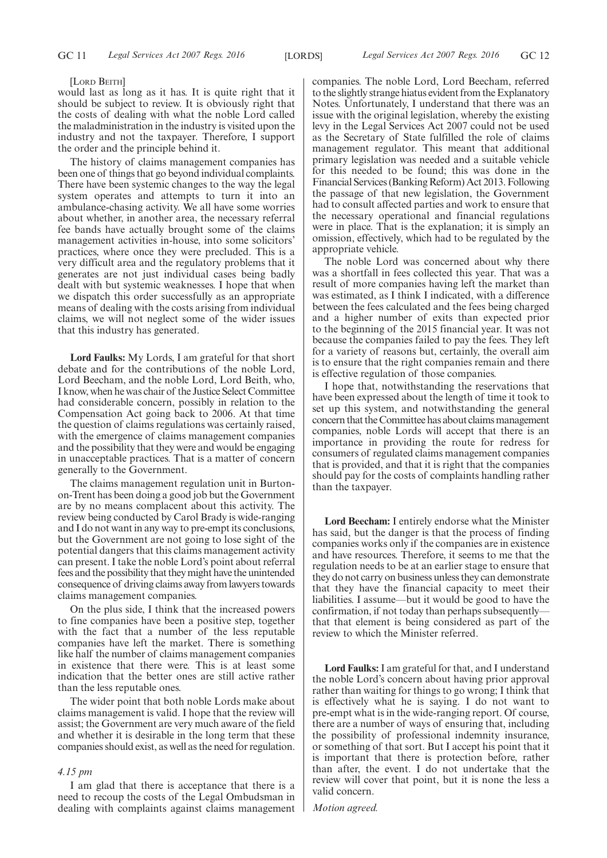#### [LORD BEITH]

would last as long as it has. It is quite right that it should be subject to review. It is obviously right that the costs of dealing with what the noble Lord called the maladministration in the industry is visited upon the industry and not the taxpayer. Therefore, I support the order and the principle behind it.

The history of claims management companies has been one of things that go beyond individual complaints. There have been systemic changes to the way the legal system operates and attempts to turn it into an ambulance-chasing activity. We all have some worries about whether, in another area, the necessary referral fee bands have actually brought some of the claims management activities in-house, into some solicitors' practices, where once they were precluded. This is a very difficult area and the regulatory problems that it generates are not just individual cases being badly dealt with but systemic weaknesses. I hope that when we dispatch this order successfully as an appropriate means of dealing with the costs arising from individual claims, we will not neglect some of the wider issues that this industry has generated.

**Lord Faulks:** My Lords, I am grateful for that short debate and for the contributions of the noble Lord, Lord Beecham, and the noble Lord, Lord Beith, who, I know, when he was chair of the Justice Select Committee had considerable concern, possibly in relation to the Compensation Act going back to 2006. At that time the question of claims regulations was certainly raised, with the emergence of claims management companies and the possibility that they were and would be engaging in unacceptable practices. That is a matter of concern generally to the Government.

The claims management regulation unit in Burtonon-Trent has been doing a good job but the Government are by no means complacent about this activity. The review being conducted by Carol Brady is wide-ranging and I do not want in any way to pre-empt its conclusions, but the Government are not going to lose sight of the potential dangers that this claims management activity can present. I take the noble Lord's point about referral fees and the possibility that theymight have the unintended consequence of driving claims away from lawyers towards claims management companies.

On the plus side, I think that the increased powers to fine companies have been a positive step, together with the fact that a number of the less reputable companies have left the market. There is something like half the number of claims management companies in existence that there were. This is at least some indication that the better ones are still active rather than the less reputable ones.

The wider point that both noble Lords make about claims management is valid. I hope that the review will assist; the Government are very much aware of the field and whether it is desirable in the long term that these companies should exist, as well as the need for regulation.

#### *4.15 pm*

I am glad that there is acceptance that there is a need to recoup the costs of the Legal Ombudsman in dealing with complaints against claims management companies. The noble Lord, Lord Beecham, referred to the slightly strange hiatus evident from the Explanatory Notes. Unfortunately, I understand that there was an issue with the original legislation, whereby the existing levy in the Legal Services Act 2007 could not be used as the Secretary of State fulfilled the role of claims management regulator. This meant that additional primary legislation was needed and a suitable vehicle for this needed to be found; this was done in the Financial Services (Banking Reform) Act 2013. Following the passage of that new legislation, the Government had to consult affected parties and work to ensure that the necessary operational and financial regulations were in place. That is the explanation; it is simply an omission, effectively, which had to be regulated by the appropriate vehicle.

The noble Lord was concerned about why there was a shortfall in fees collected this year. That was a result of more companies having left the market than was estimated, as I think I indicated, with a difference between the fees calculated and the fees being charged and a higher number of exits than expected prior to the beginning of the 2015 financial year. It was not because the companies failed to pay the fees. They left for a variety of reasons but, certainly, the overall aim is to ensure that the right companies remain and there is effective regulation of those companies.

I hope that, notwithstanding the reservations that have been expressed about the length of time it took to set up this system, and notwithstanding the general concern that the Committee has about claims management companies, noble Lords will accept that there is an importance in providing the route for redress for consumers of regulated claims management companies that is provided, and that it is right that the companies should pay for the costs of complaints handling rather than the taxpayer.

**Lord Beecham:** I entirely endorse what the Minister has said, but the danger is that the process of finding companies works only if the companies are in existence and have resources. Therefore, it seems to me that the regulation needs to be at an earlier stage to ensure that they do not carry on business unless they can demonstrate that they have the financial capacity to meet their liabilities. I assume—but it would be good to have the confirmation, if not today than perhaps subsequently that that element is being considered as part of the review to which the Minister referred.

**Lord Faulks:**I am grateful for that, and I understand the noble Lord's concern about having prior approval rather than waiting for things to go wrong; I think that is effectively what he is saying. I do not want to pre-empt what is in the wide-ranging report. Of course, there are a number of ways of ensuring that, including the possibility of professional indemnity insurance, or something of that sort. But I accept his point that it is important that there is protection before, rather than after, the event. I do not undertake that the review will cover that point, but it is none the less a valid concern.

*Motion agreed.*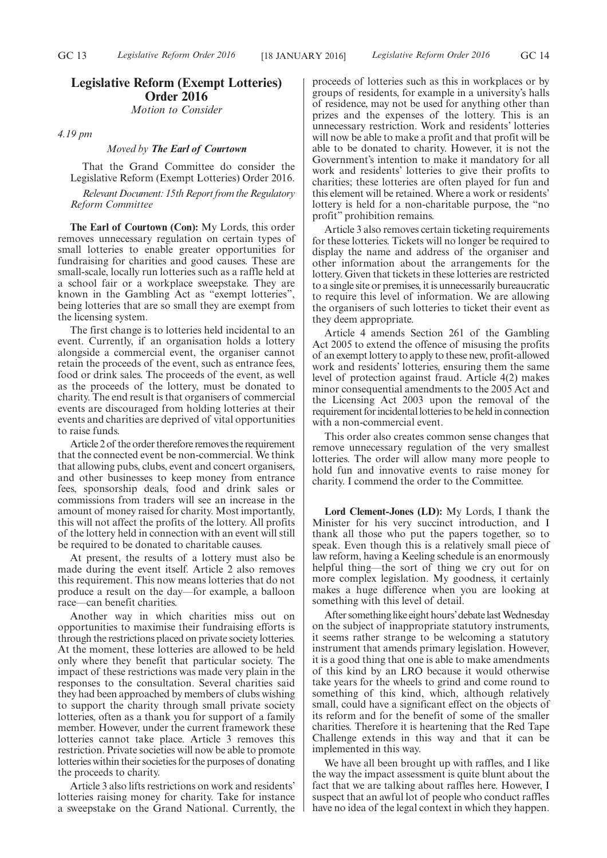## **Legislative Reform (Exempt Lotteries) Order 2016** *Motion to Consider*

*4.19 pm*

## *Moved by The Earl of Courtown*

That the Grand Committee do consider the Legislative Reform (Exempt Lotteries) Order 2016.

*Relevant Document: 15th Report from the Regulatory Reform Committee*

**The Earl of Courtown (Con):** My Lords, this order removes unnecessary regulation on certain types of small lotteries to enable greater opportunities for fundraising for charities and good causes. These are small-scale, locally run lotteries such as a raffle held at a school fair or a workplace sweepstake. They are known in the Gambling Act as "exempt lotteries", being lotteries that are so small they are exempt from the licensing system.

The first change is to lotteries held incidental to an event. Currently, if an organisation holds a lottery alongside a commercial event, the organiser cannot retain the proceeds of the event, such as entrance fees, food or drink sales. The proceeds of the event, as well as the proceeds of the lottery, must be donated to charity. The end result is that organisers of commercial events are discouraged from holding lotteries at their events and charities are deprived of vital opportunities to raise funds.

Article 2 of the order therefore removes the requirement that the connected event be non-commercial. We think that allowing pubs, clubs, event and concert organisers, and other businesses to keep money from entrance fees, sponsorship deals, food and drink sales or commissions from traders will see an increase in the amount of money raised for charity. Most importantly, this will not affect the profits of the lottery. All profits of the lottery held in connection with an event will still be required to be donated to charitable causes.

At present, the results of a lottery must also be made during the event itself. Article 2 also removes this requirement. This now means lotteries that do not produce a result on the day—for example, a balloon race—can benefit charities.

Another way in which charities miss out on opportunities to maximise their fundraising efforts is through the restrictions placed on private society lotteries. At the moment, these lotteries are allowed to be held only where they benefit that particular society. The impact of these restrictions was made very plain in the responses to the consultation. Several charities said they had been approached by members of clubs wishing to support the charity through small private society lotteries, often as a thank you for support of a family member. However, under the current framework these lotteries cannot take place. Article 3 removes this restriction. Private societies will now be able to promote lotteries within their societies for the purposes of donating the proceeds to charity.

Article 3 also lifts restrictions on work and residents' lotteries raising money for charity. Take for instance a sweepstake on the Grand National. Currently, the proceeds of lotteries such as this in workplaces or by groups of residents, for example in a university's halls of residence, may not be used for anything other than prizes and the expenses of the lottery. This is an unnecessary restriction. Work and residents' lotteries will now be able to make a profit and that profit will be able to be donated to charity. However, it is not the Government's intention to make it mandatory for all work and residents' lotteries to give their profits to charities; these lotteries are often played for fun and this element will be retained. Where a work or residents' lottery is held for a non-charitable purpose, the "no profit" prohibition remains.

Article 3 also removes certain ticketing requirements for these lotteries. Tickets will no longer be required to display the name and address of the organiser and other information about the arrangements for the lottery. Given that tickets in these lotteries are restricted to a single site or premises, it is unnecessarily bureaucratic to require this level of information. We are allowing the organisers of such lotteries to ticket their event as they deem appropriate.

Article 4 amends Section 261 of the Gambling Act 2005 to extend the offence of misusing the profits of an exempt lottery to apply to these new, profit-allowed work and residents' lotteries, ensuring them the same level of protection against fraud. Article 4(2) makes minor consequential amendments to the 2005 Act and the Licensing Act 2003 upon the removal of the requirement for incidental lotteries to be held in connection with a non-commercial event.

This order also creates common sense changes that remove unnecessary regulation of the very smallest lotteries. The order will allow many more people to hold fun and innovative events to raise money for charity. I commend the order to the Committee.

**Lord Clement-Jones (LD):** My Lords, I thank the Minister for his very succinct introduction, and I thank all those who put the papers together, so to speak. Even though this is a relatively small piece of law reform, having a Keeling schedule is an enormously helpful thing—the sort of thing we cry out for on more complex legislation. My goodness, it certainly makes a huge difference when you are looking at something with this level of detail.

After something like eight hours' debate last Wednesday on the subject of inappropriate statutory instruments, it seems rather strange to be welcoming a statutory instrument that amends primary legislation. However, it is a good thing that one is able to make amendments of this kind by an LRO because it would otherwise take years for the wheels to grind and come round to something of this kind, which, although relatively small, could have a significant effect on the objects of its reform and for the benefit of some of the smaller charities. Therefore it is heartening that the Red Tape Challenge extends in this way and that it can be implemented in this way.

We have all been brought up with raffles, and I like the way the impact assessment is quite blunt about the fact that we are talking about raffles here. However, I suspect that an awful lot of people who conduct raffles have no idea of the legal context in which they happen.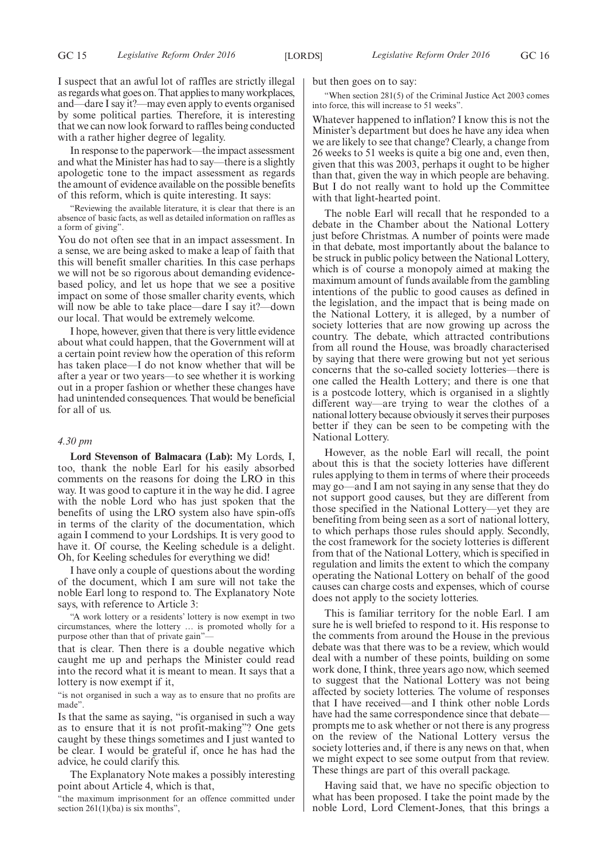I suspect that an awful lot of raffles are strictly illegal as regards what goes on. That applies to many workplaces, and—dare I say it?—may even apply to events organised by some political parties. Therefore, it is interesting that we can now look forward to raffles being conducted with a rather higher degree of legality.

In response to the paperwork—the impact assessment and what the Minister has had to say—there is a slightly apologetic tone to the impact assessment as regards the amount of evidence available on the possible benefits of this reform, which is quite interesting. It says:

"Reviewing the available literature, it is clear that there is an absence of basic facts, as well as detailed information on raffles as a form of giving".

You do not often see that in an impact assessment. In a sense, we are being asked to make a leap of faith that this will benefit smaller charities. In this case perhaps we will not be so rigorous about demanding evidencebased policy, and let us hope that we see a positive impact on some of those smaller charity events, which will now be able to take place—dare I say it?—down our local. That would be extremely welcome.

I hope, however, given that there is very little evidence about what could happen, that the Government will at a certain point review how the operation of this reform has taken place—I do not know whether that will be after a year or two years—to see whether it is working out in a proper fashion or whether these changes have had unintended consequences. That would be beneficial for all of us.

## *4.30 pm*

**Lord Stevenson of Balmacara (Lab):** My Lords, I, too, thank the noble Earl for his easily absorbed comments on the reasons for doing the LRO in this way. It was good to capture it in the way he did. I agree with the noble Lord who has just spoken that the benefits of using the LRO system also have spin-offs in terms of the clarity of the documentation, which again I commend to your Lordships. It is very good to have it. Of course, the Keeling schedule is a delight. Oh, for Keeling schedules for everything we did!

I have only a couple of questions about the wording of the document, which I am sure will not take the noble Earl long to respond to. The Explanatory Note says, with reference to Article 3:

"A work lottery or a residents' lottery is now exempt in two circumstances, where the lottery … is promoted wholly for a purpose other than that of private gain"—

that is clear. Then there is a double negative which caught me up and perhaps the Minister could read into the record what it is meant to mean. It says that a lottery is now exempt if it,

"is not organised in such a way as to ensure that no profits are made".

Is that the same as saying, "is organised in such a way as to ensure that it is not profit-making"? One gets caught by these things sometimes and I just wanted to be clear. I would be grateful if, once he has had the advice, he could clarify this.

The Explanatory Note makes a possibly interesting point about Article 4, which is that,

"the maximum imprisonment for an offence committed under section  $261(1)(ba)$  is six months",

but then goes on to say:

"When section 281(5) of the Criminal Justice Act 2003 comes into force, this will increase to 51 weeks".

Whatever happened to inflation? I know this is not the Minister's department but does he have any idea when we are likely to see that change? Clearly, a change from 26 weeks to 51 weeks is quite a big one and, even then, given that this was 2003, perhaps it ought to be higher than that, given the way in which people are behaving. But I do not really want to hold up the Committee with that light-hearted point.

The noble Earl will recall that he responded to a debate in the Chamber about the National Lottery just before Christmas. A number of points were made in that debate, most importantly about the balance to be struck in public policy between the National Lottery, which is of course a monopoly aimed at making the maximum amount of funds available from the gambling intentions of the public to good causes as defined in the legislation, and the impact that is being made on the National Lottery, it is alleged, by a number of society lotteries that are now growing up across the country. The debate, which attracted contributions from all round the House, was broadly characterised by saying that there were growing but not yet serious concerns that the so-called society lotteries—there is one called the Health Lottery; and there is one that is a postcode lottery, which is organised in a slightly different way—are trying to wear the clothes of a national lottery because obviously it serves their purposes better if they can be seen to be competing with the National Lottery.

However, as the noble Earl will recall, the point about this is that the society lotteries have different rules applying to them in terms of where their proceeds may go—and I am not saying in any sense that they do not support good causes, but they are different from those specified in the National Lottery—yet they are benefiting from being seen as a sort of national lottery, to which perhaps those rules should apply. Secondly, the cost framework for the society lotteries is different from that of the National Lottery, which is specified in regulation and limits the extent to which the company operating the National Lottery on behalf of the good causes can charge costs and expenses, which of course does not apply to the society lotteries.

This is familiar territory for the noble Earl. I am sure he is well briefed to respond to it. His response to the comments from around the House in the previous debate was that there was to be a review, which would deal with a number of these points, building on some work done, I think, three years ago now, which seemed to suggest that the National Lottery was not being affected by society lotteries. The volume of responses that I have received—and I think other noble Lords have had the same correspondence since that debate prompts me to ask whether or not there is any progress on the review of the National Lottery versus the society lotteries and, if there is any news on that, when we might expect to see some output from that review. These things are part of this overall package.

Having said that, we have no specific objection to what has been proposed. I take the point made by the noble Lord, Lord Clement-Jones, that this brings a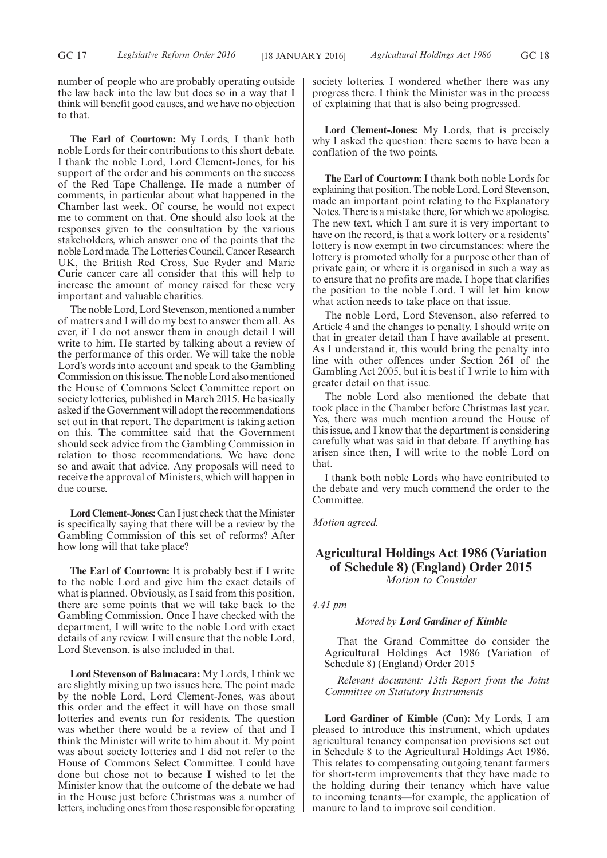number of people who are probably operating outside the law back into the law but does so in a way that I think will benefit good causes, and we have no objection to that.

**The Earl of Courtown:** My Lords, I thank both noble Lords for their contributions to this short debate. I thank the noble Lord, Lord Clement-Jones, for his support of the order and his comments on the success of the Red Tape Challenge. He made a number of comments, in particular about what happened in the Chamber last week. Of course, he would not expect me to comment on that. One should also look at the responses given to the consultation by the various stakeholders, which answer one of the points that the noble Lord made. The Lotteries Council, Cancer Research UK, the British Red Cross, Sue Ryder and Marie Curie cancer care all consider that this will help to increase the amount of money raised for these very important and valuable charities.

The noble Lord, Lord Stevenson, mentioned a number of matters and I will do my best to answer them all. As ever, if I do not answer them in enough detail I will write to him. He started by talking about a review of the performance of this order. We will take the noble Lord's words into account and speak to the Gambling Commission on this issue. The noble Lord also mentioned the House of Commons Select Committee report on society lotteries, published in March 2015. He basically asked if the Government will adopt the recommendations set out in that report. The department is taking action on this. The committee said that the Government should seek advice from the Gambling Commission in relation to those recommendations. We have done so and await that advice. Any proposals will need to receive the approval of Ministers, which will happen in due course.

Lord Clement-Jones: Can I just check that the Minister is specifically saying that there will be a review by the Gambling Commission of this set of reforms? After how long will that take place?

**The Earl of Courtown:** It is probably best if I write to the noble Lord and give him the exact details of what is planned. Obviously, as I said from this position, there are some points that we will take back to the Gambling Commission. Once I have checked with the department, I will write to the noble Lord with exact details of any review. I will ensure that the noble Lord, Lord Stevenson, is also included in that.

**Lord Stevenson of Balmacara:** My Lords, I think we are slightly mixing up two issues here. The point made by the noble Lord, Lord Clement-Jones, was about this order and the effect it will have on those small lotteries and events run for residents. The question was whether there would be a review of that and I think the Minister will write to him about it. My point was about society lotteries and I did not refer to the House of Commons Select Committee. I could have done but chose not to because I wished to let the Minister know that the outcome of the debate we had in the House just before Christmas was a number of letters, including ones from those responsible for operating society lotteries. I wondered whether there was any progress there. I think the Minister was in the process of explaining that that is also being progressed.

**Lord Clement-Jones:** My Lords, that is precisely why I asked the question: there seems to have been a conflation of the two points.

**The Earl of Courtown:** I thank both noble Lords for explaining that position. The noble Lord, Lord Stevenson, made an important point relating to the Explanatory Notes. There is a mistake there, for which we apologise. The new text, which I am sure it is very important to have on the record, is that a work lottery or a residents' lottery is now exempt in two circumstances: where the lottery is promoted wholly for a purpose other than of private gain; or where it is organised in such a way as to ensure that no profits are made. I hope that clarifies the position to the noble Lord. I will let him know what action needs to take place on that issue.

The noble Lord, Lord Stevenson, also referred to Article 4 and the changes to penalty. I should write on that in greater detail than I have available at present. As I understand it, this would bring the penalty into line with other offences under Section 261 of the Gambling Act 2005, but it is best if I write to him with greater detail on that issue.

The noble Lord also mentioned the debate that took place in the Chamber before Christmas last year. Yes, there was much mention around the House of this issue, and I know that the department is considering carefully what was said in that debate. If anything has arisen since then, I will write to the noble Lord on that.

I thank both noble Lords who have contributed to the debate and very much commend the order to the Committee.

*Motion agreed.*

## **Agricultural Holdings Act 1986 (Variation of Schedule 8) (England) Order 2015** *Motion to Consider*

*4.41 pm*

## *Moved by Lord Gardiner of Kimble*

That the Grand Committee do consider the Agricultural Holdings Act 1986 (Variation of Schedule 8) (England) Order 2015

*Relevant document: 13th Report from the Joint Committee on Statutory Instruments*

**Lord Gardiner of Kimble (Con):** My Lords, I am pleased to introduce this instrument, which updates agricultural tenancy compensation provisions set out in Schedule 8 to the Agricultural Holdings Act 1986. This relates to compensating outgoing tenant farmers for short-term improvements that they have made to the holding during their tenancy which have value to incoming tenants—for example, the application of manure to land to improve soil condition.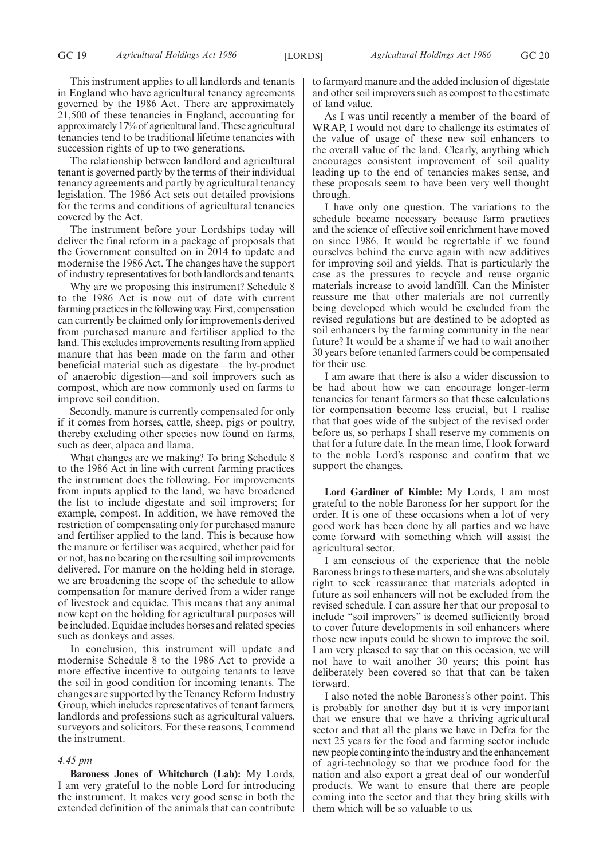This instrument applies to all landlords and tenants in England who have agricultural tenancy agreements governed by the 1986 Act. There are approximately 21,500 of these tenancies in England, accounting for approximately 17% of agricultural land. These agricultural tenancies tend to be traditional lifetime tenancies with succession rights of up to two generations.

The relationship between landlord and agricultural tenant is governed partly by the terms of their individual tenancy agreements and partly by agricultural tenancy legislation. The 1986 Act sets out detailed provisions for the terms and conditions of agricultural tenancies covered by the Act.

The instrument before your Lordships today will deliver the final reform in a package of proposals that the Government consulted on in 2014 to update and modernise the 1986 Act. The changes have the support of industry representatives for both landlords and tenants.

Why are we proposing this instrument? Schedule 8 to the 1986 Act is now out of date with current farming practices in the following way. First, compensation can currently be claimed only for improvements derived from purchased manure and fertiliser applied to the land. This excludes improvements resulting from applied manure that has been made on the farm and other beneficial material such as digestate—the by-product of anaerobic digestion—and soil improvers such as compost, which are now commonly used on farms to improve soil condition.

Secondly, manure is currently compensated for only if it comes from horses, cattle, sheep, pigs or poultry, thereby excluding other species now found on farms, such as deer, alpaca and llama.

What changes are we making? To bring Schedule 8 to the 1986 Act in line with current farming practices the instrument does the following. For improvements from inputs applied to the land, we have broadened the list to include digestate and soil improvers; for example, compost. In addition, we have removed the restriction of compensating only for purchased manure and fertiliser applied to the land. This is because how the manure or fertiliser was acquired, whether paid for or not, has no bearing on the resulting soil improvements delivered. For manure on the holding held in storage, we are broadening the scope of the schedule to allow compensation for manure derived from a wider range of livestock and equidae. This means that any animal now kept on the holding for agricultural purposes will be included. Equidae includes horses and related species such as donkeys and asses.

In conclusion, this instrument will update and modernise Schedule 8 to the 1986 Act to provide a more effective incentive to outgoing tenants to leave the soil in good condition for incoming tenants. The changes are supported by the Tenancy Reform Industry Group, which includes representatives of tenant farmers, landlords and professions such as agricultural valuers, surveyors and solicitors. For these reasons, I commend the instrument.

## *4.45 pm*

**Baroness Jones of Whitchurch (Lab):** My Lords, I am very grateful to the noble Lord for introducing the instrument. It makes very good sense in both the extended definition of the animals that can contribute to farmyard manure and the added inclusion of digestate and other soil improvers such as compost to the estimate of land value.

As I was until recently a member of the board of WRAP, I would not dare to challenge its estimates of the value of usage of these new soil enhancers to the overall value of the land. Clearly, anything which encourages consistent improvement of soil quality leading up to the end of tenancies makes sense, and these proposals seem to have been very well thought through.

I have only one question. The variations to the schedule became necessary because farm practices and the science of effective soil enrichment have moved on since 1986. It would be regrettable if we found ourselves behind the curve again with new additives for improving soil and yields. That is particularly the case as the pressures to recycle and reuse organic materials increase to avoid landfill. Can the Minister reassure me that other materials are not currently being developed which would be excluded from the revised regulations but are destined to be adopted as soil enhancers by the farming community in the near future? It would be a shame if we had to wait another 30 years before tenanted farmers could be compensated for their use.

I am aware that there is also a wider discussion to be had about how we can encourage longer-term tenancies for tenant farmers so that these calculations for compensation become less crucial, but I realise that that goes wide of the subject of the revised order before us, so perhaps I shall reserve my comments on that for a future date. In the mean time, I look forward to the noble Lord's response and confirm that we support the changes.

**Lord Gardiner of Kimble:** My Lords, I am most grateful to the noble Baroness for her support for the order. It is one of these occasions when a lot of very good work has been done by all parties and we have come forward with something which will assist the agricultural sector.

I am conscious of the experience that the noble Baroness brings to these matters, and she was absolutely right to seek reassurance that materials adopted in future as soil enhancers will not be excluded from the revised schedule. I can assure her that our proposal to include "soil improvers" is deemed sufficiently broad to cover future developments in soil enhancers where those new inputs could be shown to improve the soil. I am very pleased to say that on this occasion, we will not have to wait another 30 years; this point has deliberately been covered so that that can be taken forward.

I also noted the noble Baroness's other point. This is probably for another day but it is very important that we ensure that we have a thriving agricultural sector and that all the plans we have in Defra for the next 25 years for the food and farming sector include new people coming into the industry and the enhancement of agri-technology so that we produce food for the nation and also export a great deal of our wonderful products. We want to ensure that there are people coming into the sector and that they bring skills with them which will be so valuable to us.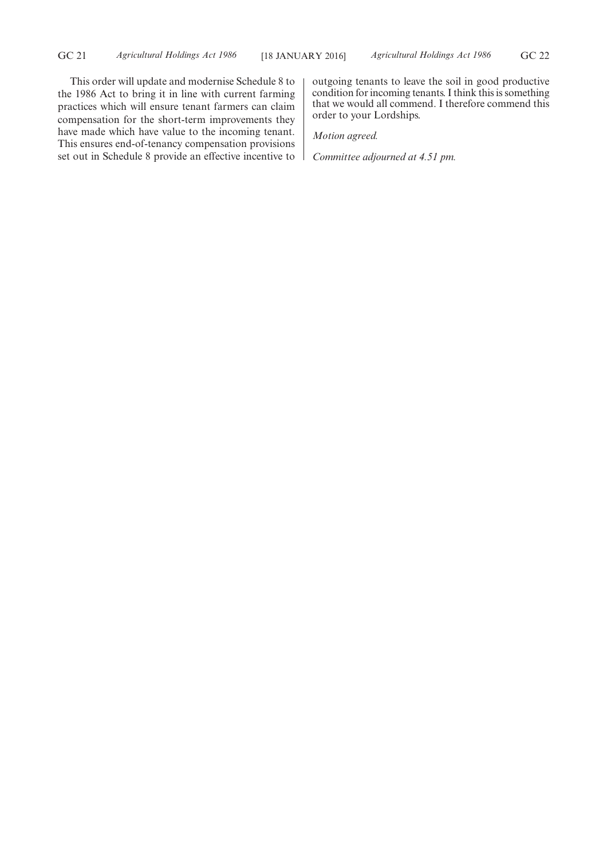This order will update and modernise Schedule 8 to the 1986 Act to bring it in line with current farming practices which will ensure tenant farmers can claim compensation for the short-term improvements they have made which have value to the incoming tenant. This ensures end-of-tenancy compensation provisions set out in Schedule 8 provide an effective incentive to outgoing tenants to leave the soil in good productive condition for incoming tenants. I think this is something that we would all commend. I therefore commend this order to your Lordships.

*Motion agreed.*

*Committee adjourned at 4.51 pm.*